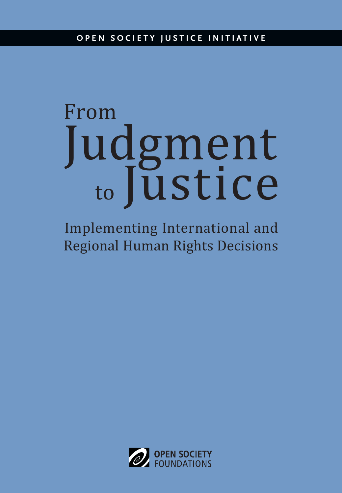# From Judgment  $\frac{1}{2}$ <sub>to</sub> Justice

Implementing International and Regional Human Rights Decisions

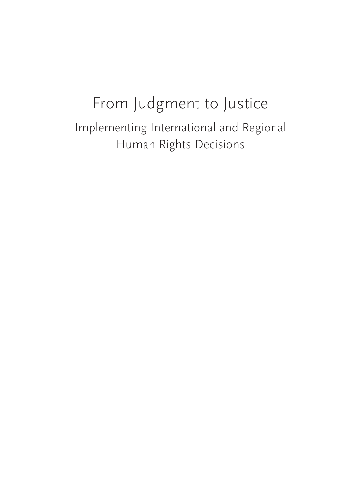# From Judgment to Justice Implementing International and Regional Human Rights Decisions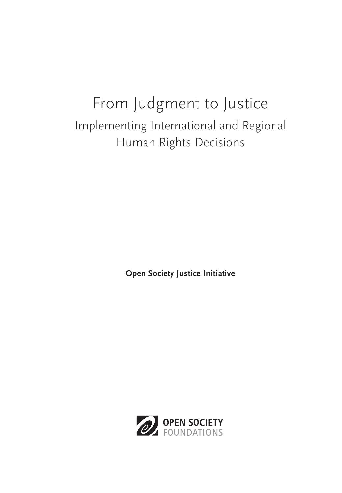# From Judgment to Justice Implementing International and Regional Human Rights Decisions

**Open Society Justice Initiative**

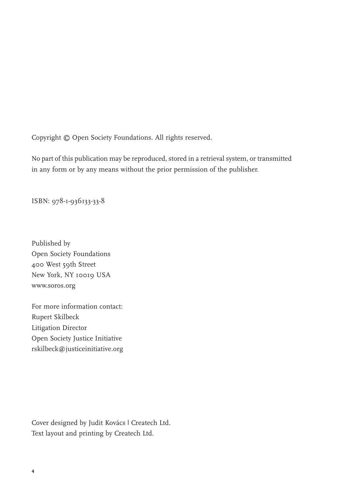Copyright © Open Society Foundations. All rights reserved.

No part of this publication may be reproduced, stored in a retrieval system, or transmitted in any form or by any means without the prior permission of the publisher.

ISBN: 978-1-936133-33-8

Published by Open Society Foundations 400 West 59th Street New York, NY 10019 USA www.soros.org

For more information contact: Rupert Skilbeck Litigation Director Open Society Justice Initiative rskilbeck@justiceinitiative.org

Cover designed by Judit Kovács l Createch Ltd. Text layout and printing by Createch Ltd.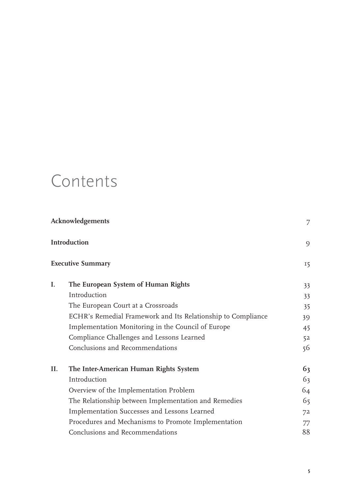# **Contents**

|              | Acknowledgements                                             | 7  |
|--------------|--------------------------------------------------------------|----|
| Introduction |                                                              | 9  |
|              | <b>Executive Summary</b>                                     | 15 |
| L.           | The European System of Human Rights                          | 33 |
|              | Introduction                                                 | 33 |
|              | The European Court at a Crossroads                           | 35 |
|              | ECHR's Remedial Framework and Its Relationship to Compliance | 39 |
|              | Implementation Monitoring in the Council of Europe           | 45 |
|              | Compliance Challenges and Lessons Learned                    | 52 |
|              | Conclusions and Recommendations                              | 56 |
| П.           | The Inter-American Human Rights System                       | 63 |
|              | Introduction                                                 | 63 |
|              | Overview of the Implementation Problem                       | 64 |
|              | The Relationship between Implementation and Remedies         | 65 |
|              | Implementation Successes and Lessons Learned                 | 72 |
|              | Procedures and Mechanisms to Promote Implementation          | 77 |
|              | Conclusions and Recommendations                              | 88 |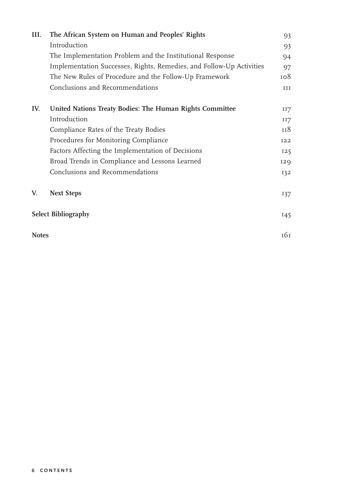| III.                | The African System on Human and Peoples' Rights                      | 93         |
|---------------------|----------------------------------------------------------------------|------------|
|                     | Introduction                                                         | 93         |
|                     | The Implementation Problem and the Institutional Response            | 94         |
|                     | Implementation Successes, Rights, Remedies, and Follow-Up Activities | 97         |
|                     | The New Rules of Procedure and the Follow-Up Framework               | 108        |
|                     | Conclusions and Recommendations                                      | III        |
| IV.                 | United Nations Treaty Bodies: The Human Rights Committee             | II7        |
|                     | Introduction                                                         | II7        |
|                     | Compliance Rates of the Treaty Bodies                                | 118        |
|                     | Procedures for Monitoring Compliance                                 | <b>I22</b> |
|                     | Factors Affecting the Implementation of Decisions                    | 125        |
|                     | Broad Trends in Compliance and Lessons Learned                       | <b>129</b> |
|                     | Conclusions and Recommendations                                      | 132        |
| V.                  | <b>Next Steps</b>                                                    | 137        |
| Select Bibliography |                                                                      | 145        |
|                     | <b>Notes</b>                                                         |            |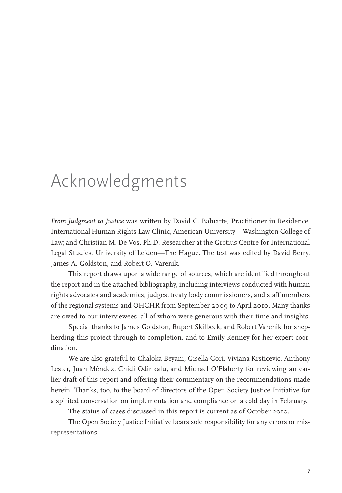# Acknowledgments

*From Judgment to Justice* was written by David C. Baluarte, Practitioner in Residence, International Human Rights Law Clinic, American University—Washington College of Law; and Christian M. De Vos, Ph.D. Researcher at the Grotius Centre for International Legal Studies, University of Leiden—The Hague. The text was edited by David Berry, James A. Goldston, and Robert O. Varenik.

This report draws upon a wide range of sources, which are identified throughout the report and in the attached bibliography, including interviews conducted with human rights advocates and academics, judges, treaty body commissioners, and staff members of the regional systems and OHCHR from September 2009 to April 2010. Many thanks are owed to our interviewees, all of whom were generous with their time and insights.

Special thanks to James Goldston, Rupert Skilbeck, and Robert Varenik for shepherding this project through to completion, and to Emily Kenney for her expert coordination.

We are also grateful to Chaloka Beyani, Gisella Gori, Viviana Krsticevic, Anthony Lester, Juan Méndez, Chidi Odinkalu, and Michael O'Flaherty for reviewing an earlier draft of this report and offering their commentary on the recommendations made herein. Thanks, too, to the board of directors of the Open Society Justice Initiative for a spirited conversation on implementation and compliance on a cold day in February.

The status of cases discussed in this report is current as of October 2010.

The Open Society Justice Initiative bears sole responsibility for any errors or misrepresentations.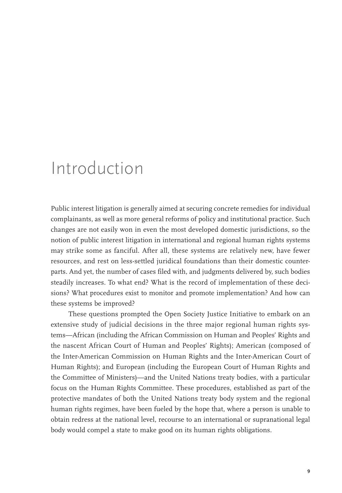## Introduction

Public interest litigation is generally aimed at securing concrete remedies for individual complainants, as well as more general reforms of policy and institutional practice. Such changes are not easily won in even the most developed domestic jurisdictions, so the notion of public interest litigation in international and regional human rights systems may strike some as fanciful. After all, these systems are relatively new, have fewer resources, and rest on less-settled juridical foundations than their domestic counterparts. And yet, the number of cases filed with, and judgments delivered by, such bodies steadily increases. To what end? What is the record of implementation of these decisions? What procedures exist to monitor and promote implementation? And how can these systems be improved?

These questions prompted the Open Society Justice Initiative to embark on an extensive study of judicial decisions in the three major regional human rights systems—African (including the African Commission on Human and Peoples' Rights and the nascent African Court of Human and Peoples' Rights); American (composed of the Inter-American Commission on Human Rights and the Inter-American Court of Human Rights); and European (including the European Court of Human Rights and the Committee of Ministers)—and the United Nations treaty bodies, with a particular focus on the Human Rights Committee. These procedures, established as part of the protective mandates of both the United Nations treaty body system and the regional human rights regimes, have been fueled by the hope that, where a person is unable to obtain redress at the national level, recourse to an international or supranational legal body would compel a state to make good on its human rights obligations.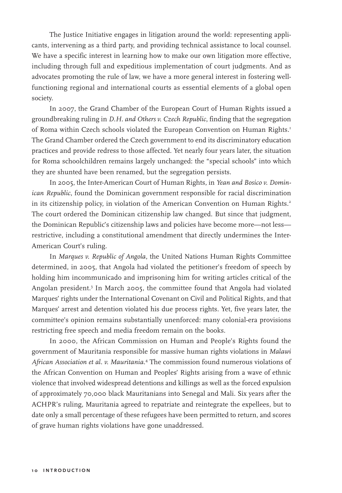The Justice Initiative engages in litigation around the world: representing applicants, intervening as a third party, and providing technical assistance to local counsel. We have a specific interest in learning how to make our own litigation more effective, including through full and expeditious implementation of court judgments. And as advocates promoting the rule of law, we have a more general interest in fostering wellfunctioning regional and international courts as essential elements of a global open society.

In 2007, the Grand Chamber of the European Court of Human Rights issued a groundbreaking ruling in *D.H. and Others v. Czech Republic*, finding that the segregation of Roma within Czech schools violated the European Convention on Human Rights.<sup>1</sup> The Grand Chamber ordered the Czech government to end its discriminatory education practices and provide redress to those affected. Yet nearly four years later, the situation for Roma schoolchildren remains largely unchanged: the "special schools" into which they are shunted have been renamed, but the segregation persists.

In 2005, the Inter-American Court of Human Rights, in *Yean and Bosico v. Dominican Republic*, found the Dominican government responsible for racial discrimination in its citizenship policy, in violation of the American Convention on Human Rights.<sup>2</sup> The court ordered the Dominican citizenship law changed. But since that judgment, the Dominican Republic's citizenship laws and policies have become more—not less restrictive, including a constitutional amendment that directly undermines the Inter-American Court's ruling.

In *Marques v. Republic of Angola*, the United Nations Human Rights Committee determined, in 2005, that Angola had violated the petitioner's freedom of speech by holding him incommunicado and imprisoning him for writing articles critical of the Angolan president.<sup>3</sup> In March 2005, the committee found that Angola had violated Marques' rights under the International Covenant on Civil and Political Rights, and that Marques' arrest and detention violated his due process rights. Yet, five years later, the committee's opinion remains substantially unenforced: many colonial-era provisions restricting free speech and media freedom remain on the books.

In 2000, the African Commission on Human and People's Rights found the government of Mauritania responsible for massive human rights violations in *Malawi*  African Association et al. v. Mauritania.<sup>4</sup> The commission found numerous violations of the African Convention on Human and Peoples' Rights arising from a wave of ethnic violence that involved widespread detentions and killings as well as the forced expulsion of approximately 70,000 black Mauritanians into Senegal and Mali. Six years after the ACHPR's ruling, Mauritania agreed to repatriate and reintegrate the expellees, but to date only a small percentage of these refugees have been permitted to return, and scores of grave human rights violations have gone unaddressed.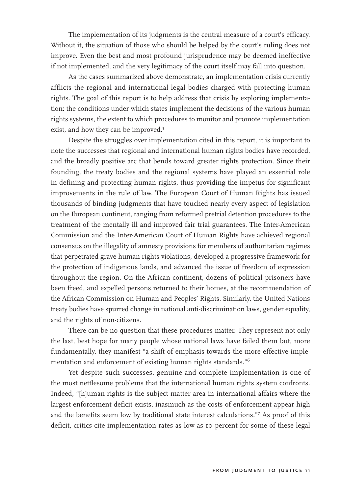The implementation of its judgments is the central measure of a court's efficacy. Without it, the situation of those who should be helped by the court's ruling does not improve. Even the best and most profound jurisprudence may be deemed ineffective if not implemented, and the very legitimacy of the court itself may fall into question.

As the cases summarized above demonstrate, an implementation crisis currently afflicts the regional and international legal bodies charged with protecting human rights. The goal of this report is to help address that crisis by exploring implementation: the conditions under which states implement the decisions of the various human rights systems, the extent to which procedures to monitor and promote implementation exist, and how they can be improved.<sup>5</sup>

Despite the struggles over implementation cited in this report, it is important to note the successes that regional and international human rights bodies have recorded, and the broadly positive arc that bends toward greater rights protection. Since their founding, the treaty bodies and the regional systems have played an essential role in defining and protecting human rights, thus providing the impetus for significant improvements in the rule of law. The European Court of Human Rights has issued thousands of binding judgments that have touched nearly every aspect of legislation on the European continent, ranging from reformed pretrial detention procedures to the treatment of the mentally ill and improved fair trial guarantees. The Inter-American Commission and the Inter-American Court of Human Rights have achieved regional consensus on the illegality of amnesty provisions for members of authoritarian regimes that perpetrated grave human rights violations, developed a progressive framework for the protection of indigenous lands, and advanced the issue of freedom of expression throughout the region. On the African continent, dozens of political prisoners have been freed, and expelled persons returned to their homes, at the recommendation of the African Commission on Human and Peoples' Rights. Similarly, the United Nations treaty bodies have spurred change in national anti-discrimination laws, gender equality, and the rights of non-citizens.

There can be no question that these procedures matter. They represent not only the last, best hope for many people whose national laws have failed them but, more fundamentally, they manifest "a shift of emphasis towards the more effective implementation and enforcement of existing human rights standards."6

Yet despite such successes, genuine and complete implementation is one of the most nettlesome problems that the international human rights system confronts. Indeed, "[h]uman rights is the subject matter area in international affairs where the largest enforcement deficit exists, inasmuch as the costs of enforcement appear high and the benefits seem low by traditional state interest calculations."7 As proof of this deficit, critics cite implementation rates as low as 10 percent for some of these legal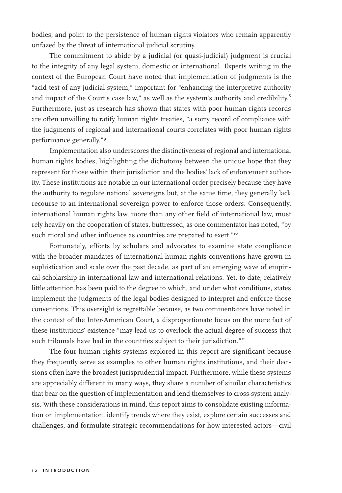bodies, and point to the persistence of human rights violators who remain apparently unfazed by the threat of international judicial scrutiny.

The commitment to abide by a judicial (or quasi-judicial) judgment is crucial to the integrity of any legal system, domestic or international. Experts writing in the context of the European Court have noted that implementation of judgments is the "acid test of any judicial system," important for "enhancing the interpretive authority and impact of the Court's case law," as well as the system's authority and credibility.<sup>8</sup> Furthermore, just as research has shown that states with poor human rights records are often unwilling to ratify human rights treaties, "a sorry record of compliance with the judgments of regional and international courts correlates with poor human rights performance generally."9

Implementation also underscores the distinctiveness of regional and international human rights bodies, highlighting the dichotomy between the unique hope that they represent for those within their jurisdiction and the bodies' lack of enforcement authority. These institutions are notable in our international order precisely because they have the authority to regulate national sovereigns but, at the same time, they generally lack recourse to an international sovereign power to enforce those orders. Consequently, international human rights law, more than any other field of international law, must rely heavily on the cooperation of states, buttressed, as one commentator has noted, "by such moral and other influence as countries are prepared to exert."<sup>10</sup>

Fortunately, efforts by scholars and advocates to examine state compliance with the broader mandates of international human rights conventions have grown in sophistication and scale over the past decade, as part of an emerging wave of empirical scholarship in international law and international relations. Yet, to date, relatively little attention has been paid to the degree to which, and under what conditions, states implement the judgments of the legal bodies designed to interpret and enforce those conventions. This oversight is regrettable because, as two commentators have noted in the context of the Inter-American Court, a disproportionate focus on the mere fact of these institutions' existence "may lead us to overlook the actual degree of success that such tribunals have had in the countries subject to their jurisdiction."<sup>11</sup>

The four human rights systems explored in this report are significant because they frequently serve as examples to other human rights institutions, and their decisions often have the broadest jurisprudential impact. Furthermore, while these systems are appreciably different in many ways, they share a number of similar characteristics that bear on the question of implementation and lend themselves to cross-system analysis. With these considerations in mind, this report aims to consolidate existing information on implementation, identify trends where they exist, explore certain successes and challenges, and formulate strategic recommendations for how interested actors—civil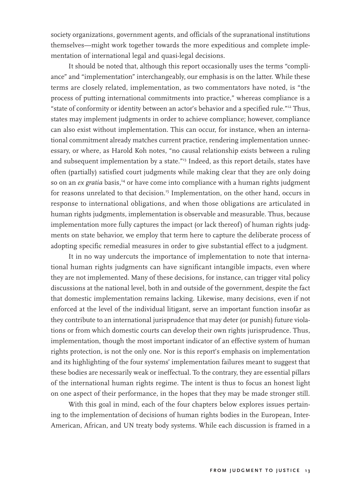society organizations, government agents, and officials of the supranational institutions themselves—might work together towards the more expeditious and complete implementation of international legal and quasi-legal decisions.

It should be noted that, although this report occasionally uses the terms "compliance" and "implementation" interchangeably, our emphasis is on the latter. While these terms are closely related, implementation, as two commentators have noted, is "the process of putting international commitments into practice," whereas compliance is a "state of conformity or identity between an actor's behavior and a specified rule."12 Thus, states may implement judgments in order to achieve compliance; however, compliance can also exist without implementation. This can occur, for instance, when an international commitment already matches current practice, rendering implementation unnecessary, or where, as Harold Koh notes, "no causal relationship exists between a ruling and subsequent implementation by a state."13 Indeed, as this report details, states have often (partially) satisfied court judgments while making clear that they are only doing so on an *ex gratia* basis,<sup>14</sup> or have come into compliance with a human rights judgment for reasons unrelated to that decision.<sup>15</sup> Implementation, on the other hand, occurs in response to international obligations, and when those obligations are articulated in human rights judgments, implementation is observable and measurable. Thus, because implementation more fully captures the impact (or lack thereof) of human rights judgments on state behavior, we employ that term here to capture the deliberate process of adopting specific remedial measures in order to give substantial effect to a judgment.

It in no way undercuts the importance of implementation to note that international human rights judgments can have significant intangible impacts, even where they are not implemented. Many of these decisions, for instance, can trigger vital policy discussions at the national level, both in and outside of the government, despite the fact that domestic implementation remains lacking. Likewise, many decisions, even if not enforced at the level of the individual litigant, serve an important function insofar as they contribute to an international jurisprudence that may deter (or punish) future violations or from which domestic courts can develop their own rights jurisprudence. Thus, implementation, though the most important indicator of an effective system of human rights protection, is not the only one. Nor is this report's emphasis on implementation and its highlighting of the four systems' implementation failures meant to suggest that these bodies are necessarily weak or ineffectual. To the contrary, they are essential pillars of the international human rights regime. The intent is thus to focus an honest light on one aspect of their performance, in the hopes that they may be made stronger still.

With this goal in mind, each of the four chapters below explores issues pertaining to the implementation of decisions of human rights bodies in the European, Inter-American, African, and UN treaty body systems. While each discussion is framed in a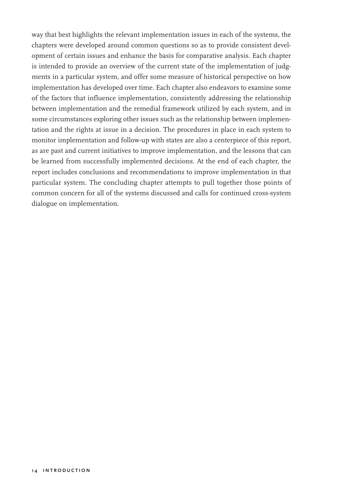way that best highlights the relevant implementation issues in each of the systems, the chapters were developed around common questions so as to provide consistent development of certain issues and enhance the basis for comparative analysis. Each chapter is intended to provide an overview of the current state of the implementation of judgments in a particular system, and offer some measure of historical perspective on how implementation has developed over time. Each chapter also endeavors to examine some of the factors that influence implementation, consistently addressing the relationship between implementation and the remedial framework utilized by each system, and in some circumstances exploring other issues such as the relationship between implementation and the rights at issue in a decision. The procedures in place in each system to monitor implementation and follow-up with states are also a centerpiece of this report, as are past and current initiatives to improve implementation, and the lessons that can be learned from successfully implemented decisions. At the end of each chapter, the report includes conclusions and recommendations to improve implementation in that particular system. The concluding chapter attempts to pull together those points of common concern for all of the systems discussed and calls for continued cross-system dialogue on implementation.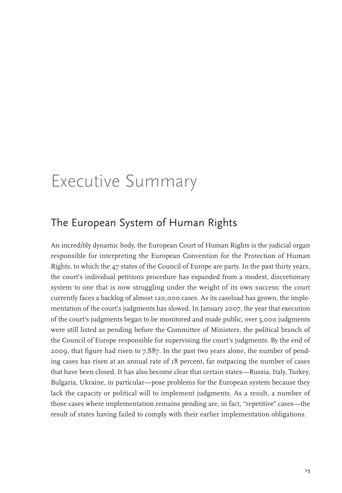### Executive Summary

### The European System of Human Rights

An incredibly dynamic body, the European Court of Human Rights is the judicial organ responsible for interpreting the European Convention for the Protection of Human Rights, to which the 47 states of the Council of Europe are party. In the past thirty years, the court's individual petitions procedure has expanded from a modest, discretionary system to one that is now struggling under the weight of its own success: the court currently faces a backlog of almost 120,000 cases. As its caseload has grown, the implementation of the court's judgments has slowed. In January 2007, the year that execution of the court's judgments began to be monitored and made public, over 5,000 judgments were still listed as pending before the Committee of Ministers, the political branch of the Council of Europe responsible for supervising the court's judgments. By the end of 2009, that figure had risen to 7,887. In the past two years alone, the number of pending cases has risen at an annual rate of 18 percent, far outpacing the number of cases that have been closed. It has also become clear that certain states—Russia, Italy, Turkey, Bulgaria, Ukraine, in particular—pose problems for the European system because they lack the capacity or political will to implement judgments. As a result, a number of those cases where implementation remains pending are, in fact, "repetitive" cases—the result of states having failed to comply with their earlier implementation obligations.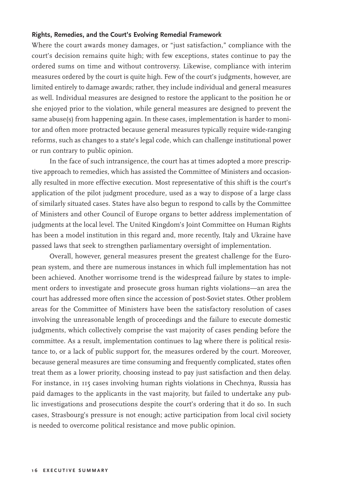#### **Rights, Remedies, and the Court's Evolving Remedial Framework**

Where the court awards money damages, or "just satisfaction," compliance with the court's decision remains quite high; with few exceptions, states continue to pay the ordered sums on time and without controversy. Likewise, compliance with interim measures ordered by the court is quite high. Few of the court's judgments, however, are limited entirely to damage awards; rather, they include individual and general measures as well. Individual measures are designed to restore the applicant to the position he or she enjoyed prior to the violation, while general measures are designed to prevent the same abuse(s) from happening again. In these cases, implementation is harder to monitor and often more protracted because general measures typically require wide-ranging reforms, such as changes to a state's legal code, which can challenge institutional power or run contrary to public opinion.

In the face of such intransigence, the court has at times adopted a more prescriptive approach to remedies, which has assisted the Committee of Ministers and occasionally resulted in more effective execution. Most representative of this shift is the court's application of the pilot judgment procedure, used as a way to dispose of a large class of similarly situated cases. States have also begun to respond to calls by the Committee of Ministers and other Council of Europe organs to better address implementation of judgments at the local level. The United Kingdom's Joint Committee on Human Rights has been a model institution in this regard and, more recently, Italy and Ukraine have passed laws that seek to strengthen parliamentary oversight of implementation.

Overall, however, general measures present the greatest challenge for the European system, and there are numerous instances in which full implementation has not been achieved. Another worrisome trend is the widespread failure by states to implement orders to investigate and prosecute gross human rights violations—an area the court has addressed more often since the accession of post-Soviet states. Other problem areas for the Committee of Ministers have been the satisfactory resolution of cases involving the unreasonable length of proceedings and the failure to execute domestic judgments, which collectively comprise the vast majority of cases pending before the committee. As a result, implementation continues to lag where there is political resistance to, or a lack of public support for, the measures ordered by the court. Moreover, because general measures are time consuming and frequently complicated, states often treat them as a lower priority, choosing instead to pay just satisfaction and then delay. For instance, in 115 cases involving human rights violations in Chechnya, Russia has paid damages to the applicants in the vast majority, but failed to undertake any public investigations and prosecutions despite the court's ordering that it do so. In such cases, Strasbourg's pressure is not enough; active participation from local civil society is needed to overcome political resistance and move public opinion.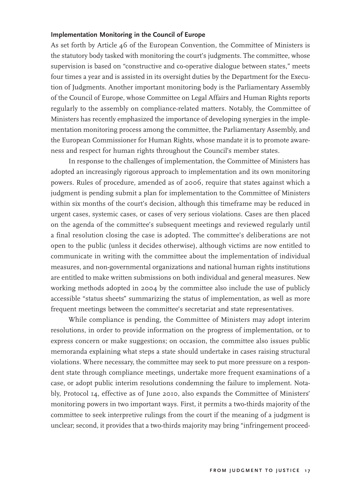#### **Implementation Monitoring in the Council of Europe**

As set forth by Article 46 of the European Convention, the Committee of Ministers is the statutory body tasked with monitoring the court's judgments. The committee, whose supervision is based on "constructive and co-operative dialogue between states," meets four times a year and is assisted in its oversight duties by the Department for the Execution of Judgments. Another important monitoring body is the Parliamentary Assembly of the Council of Europe, whose Committee on Legal Affairs and Human Rights reports regularly to the assembly on compliance-related matters. Notably, the Committee of Ministers has recently emphasized the importance of developing synergies in the implementation monitoring process among the committee, the Parliamentary Assembly, and the European Commissioner for Human Rights, whose mandate it is to promote awareness and respect for human rights throughout the Council's member states.

In response to the challenges of implementation, the Committee of Ministers has adopted an increasingly rigorous approach to implementation and its own monitoring powers. Rules of procedure, amended as of 2006, require that states against which a judgment is pending submit a plan for implementation to the Committee of Ministers within six months of the court's decision, although this timeframe may be reduced in urgent cases, systemic cases, or cases of very serious violations. Cases are then placed on the agenda of the committee's subsequent meetings and reviewed regularly until a final resolution closing the case is adopted. The committee's deliberations are not open to the public (unless it decides otherwise), although victims are now entitled to communicate in writing with the committee about the implementation of individual measures, and non-governmental organizations and national human rights institutions are entitled to make written submissions on both individual and general measures. New working methods adopted in 2004 by the committee also include the use of publicly accessible "status sheets" summarizing the status of implementation, as well as more frequent meetings between the committee's secretariat and state representatives.

While compliance is pending, the Committee of Ministers may adopt interim resolutions, in order to provide information on the progress of implementation, or to express concern or make suggestions; on occasion, the committee also issues public memoranda explaining what steps a state should undertake in cases raising structural violations. Where necessary, the committee may seek to put more pressure on a respondent state through compliance meetings, undertake more frequent examinations of a case, or adopt public interim resolutions condemning the failure to implement. Notably, Protocol 14, effective as of June 2010, also expands the Committee of Ministers' monitoring powers in two important ways. First, it permits a two-thirds majority of the committee to seek interpretive rulings from the court if the meaning of a judgment is unclear; second, it provides that a two-thirds majority may bring "infringement proceed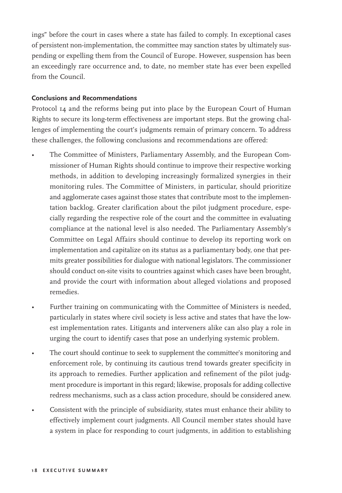ings" before the court in cases where a state has failed to comply. In exceptional cases of persistent non-implementation, the committee may sanction states by ultimately suspending or expelling them from the Council of Europe. However, suspension has been an exceedingly rare occurrence and, to date, no member state has ever been expelled from the Council.

#### **Conclusions and Recommendations**

Protocol 14 and the reforms being put into place by the European Court of Human Rights to secure its long-term effectiveness are important steps. But the growing challenges of implementing the court's judgments remain of primary concern. To address these challenges, the following conclusions and recommendations are offered:

- The Committee of Ministers, Parliamentary Assembly, and the European Commissioner of Human Rights should continue to improve their respective working methods, in addition to developing increasingly formalized synergies in their monitoring rules. The Committee of Ministers, in particular, should prioritize and agglomerate cases against those states that contribute most to the implementation backlog. Greater clarification about the pilot judgment procedure, especially regarding the respective role of the court and the committee in evaluating compliance at the national level is also needed. The Parliamentary Assembly's Committee on Legal Affairs should continue to develop its reporting work on implementation and capitalize on its status as a parliamentary body, one that permits greater possibilities for dialogue with national legislators. The commissioner should conduct on-site visits to countries against which cases have been brought, and provide the court with information about alleged violations and proposed remedies.
- Further training on communicating with the Committee of Ministers is needed, particularly in states where civil society is less active and states that have the lowest implementation rates. Litigants and interveners alike can also play a role in urging the court to identify cases that pose an underlying systemic problem.
- The court should continue to seek to supplement the committee's monitoring and enforcement role, by continuing its cautious trend towards greater specificity in its approach to remedies. Further application and refinement of the pilot judgment procedure is important in this regard; likewise, proposals for adding collective redress mechanisms, such as a class action procedure, should be considered anew.
- Consistent with the principle of subsidiarity, states must enhance their ability to effectively implement court judgments. All Council member states should have a system in place for responding to court judgments, in addition to establishing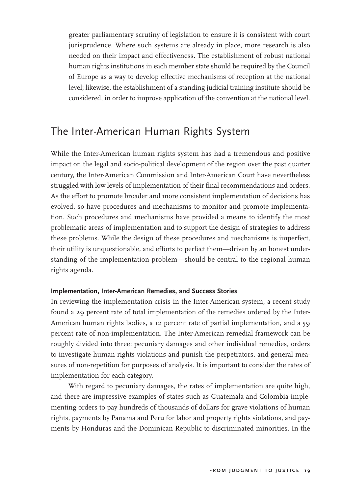greater parliamentary scrutiny of legislation to ensure it is consistent with court jurisprudence. Where such systems are already in place, more research is also needed on their impact and effectiveness. The establishment of robust national human rights institutions in each member state should be required by the Council of Europe as a way to develop effective mechanisms of reception at the national level; likewise, the establishment of a standing judicial training institute should be considered, in order to improve application of the convention at the national level.

### The Inter-American Human Rights System

While the Inter-American human rights system has had a tremendous and positive impact on the legal and socio-political development of the region over the past quarter century, the Inter-American Commission and Inter-American Court have nevertheless struggled with low levels of implementation of their final recommendations and orders. As the effort to promote broader and more consistent implementation of decisions has evolved, so have procedures and mechanisms to monitor and promote implementation. Such procedures and mechanisms have provided a means to identify the most problematic areas of implementation and to support the design of strategies to address these problems. While the design of these procedures and mechanisms is imperfect, their utility is unquestionable, and efforts to perfect them—driven by an honest understanding of the implementation problem—should be central to the regional human rights agenda.

#### **Implementation, Inter-American Remedies, and Success Stories**

In reviewing the implementation crisis in the Inter-American system, a recent study found a 29 percent rate of total implementation of the remedies ordered by the Inter-American human rights bodies, a 12 percent rate of partial implementation, and a 59 percent rate of non-implementation. The Inter-American remedial framework can be roughly divided into three: pecuniary damages and other individual remedies, orders to investigate human rights violations and punish the perpetrators, and general measures of non-repetition for purposes of analysis. It is important to consider the rates of implementation for each category.

With regard to pecuniary damages, the rates of implementation are quite high, and there are impressive examples of states such as Guatemala and Colombia implementing orders to pay hundreds of thousands of dollars for grave violations of human rights, payments by Panama and Peru for labor and property rights violations, and payments by Honduras and the Dominican Republic to discriminated minorities. In the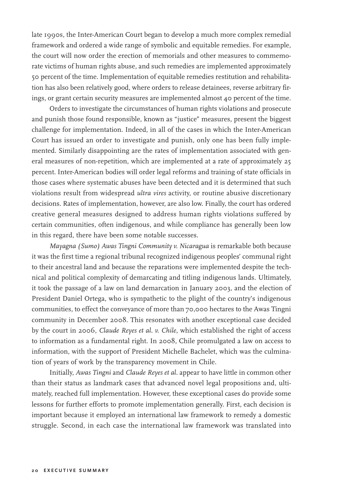late 1990s, the Inter-American Court began to develop a much more complex remedial framework and ordered a wide range of symbolic and equitable remedies. For example, the court will now order the erection of memorials and other measures to commemorate victims of human rights abuse, and such remedies are implemented approximately 50 percent of the time. Implementation of equitable remedies restitution and rehabilitation has also been relatively good, where orders to release detainees, reverse arbitrary firings, or grant certain security measures are implemented almost 40 percent of the time.

Orders to investigate the circumstances of human rights violations and prosecute and punish those found responsible, known as "justice" measures, present the biggest challenge for implementation. Indeed, in all of the cases in which the Inter-American Court has issued an order to investigate and punish, only one has been fully implemented. Similarly disappointing are the rates of implementation associated with general measures of non-repetition, which are implemented at a rate of approximately 25 percent. Inter-American bodies will order legal reforms and training of state officials in those cases where systematic abuses have been detected and it is determined that such violations result from widespread *ultra vires* activity, or routine abusive discretionary decisions. Rates of implementation, however, are also low. Finally, the court has ordered creative general measures designed to address human rights violations suffered by certain communities, often indigenous, and while compliance has generally been low in this regard, there have been some notable successes.

*Mayagna (Sumo) Awas Tingni Community v. Nicaragua* is remarkable both because it was the first time a regional tribunal recognized indigenous peoples' communal right to their ancestral land and because the reparations were implemented despite the technical and political complexity of demarcating and titling indigenous lands. Ultimately, it took the passage of a law on land demarcation in January 2003, and the election of President Daniel Ortega, who is sympathetic to the plight of the country's indigenous communities, to effect the conveyance of more than 70,000 hectares to the Awas Tingni community in December 2008. This resonates with another exceptional case decided by the court in 2006, *Claude Reyes et al. v. Chile*, which established the right of access to information as a fundamental right. In 2008, Chile promulgated a law on access to information, with the support of President Michelle Bachelet, which was the culmination of years of work by the transparency movement in Chile.

Initially, *Awas Tingni* and *Claude Reyes et al.* appear to have little in common other than their status as landmark cases that advanced novel legal propositions and, ultimately, reached full implementation. However, these exceptional cases do provide some lessons for further efforts to promote implementation generally. First, each decision is important because it employed an international law framework to remedy a domestic struggle. Second, in each case the international law framework was translated into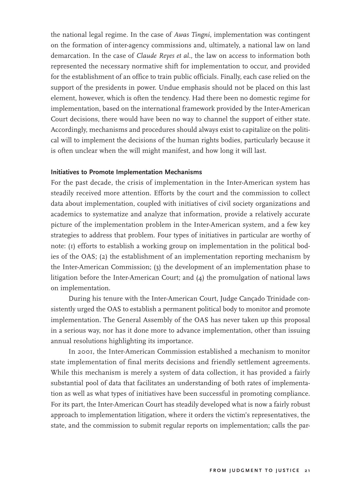the national legal regime. In the case of *Awas Tingni*, implementation was contingent on the formation of inter-agency commissions and, ultimately, a national law on land demarcation. In the case of *Claude Reyes et al.*, the law on access to information both represented the necessary normative shift for implementation to occur, and provided for the establishment of an office to train public officials. Finally, each case relied on the support of the presidents in power. Undue emphasis should not be placed on this last element, however, which is often the tendency. Had there been no domestic regime for implementation, based on the international framework provided by the Inter-American Court decisions, there would have been no way to channel the support of either state. Accordingly, mechanisms and procedures should always exist to capitalize on the political will to implement the decisions of the human rights bodies, particularly because it is often unclear when the will might manifest, and how long it will last.

#### **Initiatives to Promote Implementation Mechanisms**

For the past decade, the crisis of implementation in the Inter-American system has steadily received more attention. Efforts by the court and the commission to collect data about implementation, coupled with initiatives of civil society organizations and academics to systematize and analyze that information, provide a relatively accurate picture of the implementation problem in the Inter-American system, and a few key strategies to address that problem. Four types of initiatives in particular are worthy of note: (1) efforts to establish a working group on implementation in the political bodies of the OAS; (2) the establishment of an implementation reporting mechanism by the Inter-American Commission; (3) the development of an implementation phase to litigation before the Inter-American Court; and (4) the promulgation of national laws on implementation.

During his tenure with the Inter-American Court, Judge Cançado Trinidade consistently urged the OAS to establish a permanent political body to monitor and promote implementation. The General Assembly of the OAS has never taken up this proposal in a serious way, nor has it done more to advance implementation, other than issuing annual resolutions highlighting its importance.

In 2001, the Inter-American Commission established a mechanism to monitor state implementation of final merits decisions and friendly settlement agreements. While this mechanism is merely a system of data collection, it has provided a fairly substantial pool of data that facilitates an understanding of both rates of implementation as well as what types of initiatives have been successful in promoting compliance. For its part, the Inter-American Court has steadily developed what is now a fairly robust approach to implementation litigation, where it orders the victim's representatives, the state, and the commission to submit regular reports on implementation; calls the par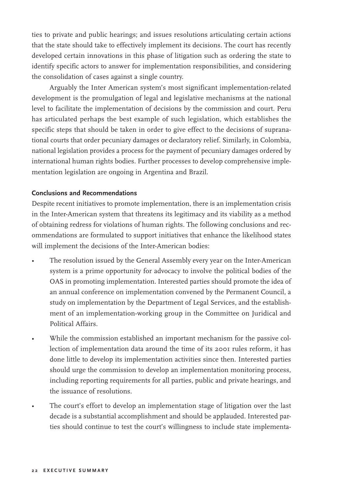ties to private and public hearings; and issues resolutions articulating certain actions that the state should take to effectively implement its decisions. The court has recently developed certain innovations in this phase of litigation such as ordering the state to identify specific actors to answer for implementation responsibilities, and considering the consolidation of cases against a single country.

Arguably the Inter American system's most significant implementation-related development is the promulgation of legal and legislative mechanisms at the national level to facilitate the implementation of decisions by the commission and court. Peru has articulated perhaps the best example of such legislation, which establishes the specific steps that should be taken in order to give effect to the decisions of supranational courts that order pecuniary damages or declaratory relief. Similarly, in Colombia, national legislation provides a process for the payment of pecuniary damages ordered by international human rights bodies. Further processes to develop comprehensive implementation legislation are ongoing in Argentina and Brazil.

#### **Conclusions and Recommendations**

Despite recent initiatives to promote implementation, there is an implementation crisis in the Inter-American system that threatens its legitimacy and its viability as a method of obtaining redress for violations of human rights. The following conclusions and recommendations are formulated to support initiatives that enhance the likelihood states will implement the decisions of the Inter-American bodies:

- The resolution issued by the General Assembly every year on the Inter-American system is a prime opportunity for advocacy to involve the political bodies of the OAS in promoting implementation. Interested parties should promote the idea of an annual conference on implementation convened by the Permanent Council, a study on implementation by the Department of Legal Services, and the establishment of an implementation-working group in the Committee on Juridical and Political Affairs.
- While the commission established an important mechanism for the passive collection of implementation data around the time of its 2001 rules reform, it has done little to develop its implementation activities since then. Interested parties should urge the commission to develop an implementation monitoring process, including reporting requirements for all parties, public and private hearings, and the issuance of resolutions.
- The court's effort to develop an implementation stage of litigation over the last decade is a substantial accomplishment and should be applauded. Interested parties should continue to test the court's willingness to include state implementa-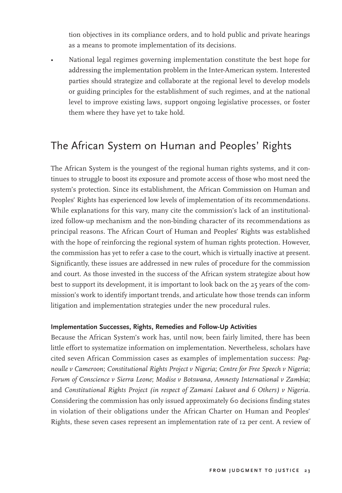tion objectives in its compliance orders, and to hold public and private hearings as a means to promote implementation of its decisions.

• National legal regimes governing implementation constitute the best hope for addressing the implementation problem in the Inter-American system. Interested parties should strategize and collaborate at the regional level to develop models or guiding principles for the establishment of such regimes, and at the national level to improve existing laws, support ongoing legislative processes, or foster them where they have yet to take hold.

### The African System on Human and Peoples' Rights

The African System is the youngest of the regional human rights systems, and it continues to struggle to boost its exposure and promote access of those who most need the system's protection. Since its establishment, the African Commission on Human and Peoples' Rights has experienced low levels of implementation of its recommendations. While explanations for this vary, many cite the commission's lack of an institutionalized follow-up mechanism and the non-binding character of its recommendations as principal reasons. The African Court of Human and Peoples' Rights was established with the hope of reinforcing the regional system of human rights protection. However, the commission has yet to refer a case to the court, which is virtually inactive at present. Significantly, these issues are addressed in new rules of procedure for the commission and court. As those invested in the success of the African system strategize about how best to support its development, it is important to look back on the 25 years of the commission's work to identify important trends, and articulate how those trends can inform litigation and implementation strategies under the new procedural rules.

#### **Implementation Successes, Rights, Remedies and Follow-Up Activities**

Because the African System's work has, until now, been fairly limited, there has been little effort to systematize information on implementation. Nevertheless, scholars have cited seven African Commission cases as examples of implementation success: *Pagnoulle v Cameroon*; *Constitutional Rights Project v Nigeria*; *Centre for Free Speech v Nigeria*; *Forum of Conscience v Sierra Leone*; *Modise v Botswana*, *Amnesty International v Zambia*; and *Constitutional Rights Project (in respect of Zamani Lakwot and 6 Others) v Nigeria*. Considering the commission has only issued approximately 60 decisions finding states in violation of their obligations under the African Charter on Human and Peoples' Rights, these seven cases represent an implementation rate of 12 per cent. A review of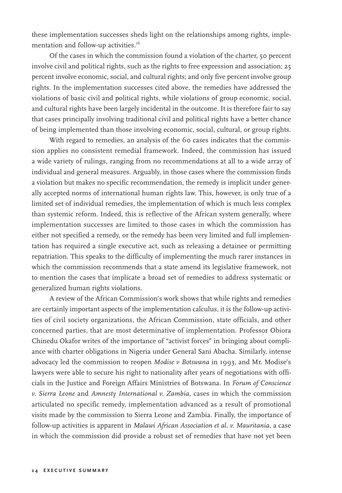these implementation successes sheds light on the relationships among rights, implementation and follow-up activities.<sup>16</sup>

Of the cases in which the commission found a violation of the charter, 50 percent involve civil and political rights, such as the rights to free expression and association; 25 percent involve economic, social, and cultural rights; and only five percent involve group rights. In the implementation successes cited above, the remedies have addressed the violations of basic civil and political rights, while violations of group economic, social, and cultural rights have been largely incidental in the outcome. It is therefore fair to say that cases principally involving traditional civil and political rights have a better chance of being implemented than those involving economic, social, cultural, or group rights.

With regard to remedies, an analysis of the 60 cases indicates that the commission applies no consistent remedial framework. Indeed, the commission has issued a wide variety of rulings, ranging from no recommendations at all to a wide array of individual and general measures. Arguably, in those cases where the commission finds a violation but makes no specific recommendation, the remedy is implicit under generally accepted norms of international human rights law. This, however, is only true of a limited set of individual remedies, the implementation of which is much less complex than systemic reform. Indeed, this is reflective of the African system generally, where implementation successes are limited to those cases in which the commission has either not specified a remedy, or the remedy has been very limited and full implementation has required a single executive act, such as releasing a detainee or permitting repatriation. This speaks to the difficulty of implementing the much rarer instances in which the commission recommends that a state amend its legislative framework, not to mention the cases that implicate a broad set of remedies to address systematic or generalized human rights violations.

A review of the African Commission's work shows that while rights and remedies are certainly important aspects of the implementation calculus, it is the follow-up activities of civil society organizations, the African Commission, state officials, and other concerned parties, that are most determinative of implementation. Professor Obiora Chinedu Okafor writes of the importance of "activist forces" in bringing about compliance with charter obligations in Nigeria under General Sani Abacha. Similarly, intense advocacy led the commission to reopen *Modise v Botswana* in 1993, and Mr. Modise's lawyers were able to secure his right to nationality after years of negotiations with officials in the Justice and Foreign Affairs Ministries of Botswana. In *Forum of Conscience v. Sierra Leone* and *Amnesty International v. Zambia*, cases in which the commission articulated no specific remedy, implementation advanced as a result of promotional visits made by the commission to Sierra Leone and Zambia. Finally, the importance of follow-up activities is apparent in *Malawi African Association et al. v. Mauritania*, a case in which the commission did provide a robust set of remedies that have not yet been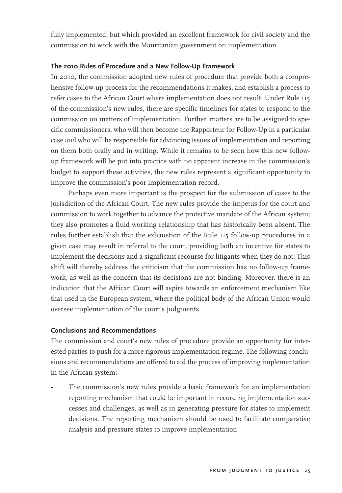fully implemented, but which provided an excellent framework for civil society and the commission to work with the Mauritanian government on implementation.

#### **The 2010 Rules of Procedure and a New Follow-Up Framework**

In 2010, the commission adopted new rules of procedure that provide both a comprehensive follow-up process for the recommendations it makes, and establish a process to refer cases to the African Court where implementation does not result. Under Rule 115 of the commission's new rules, there are specific timelines for states to respond to the commission on matters of implementation. Further, matters are to be assigned to specific commissioners, who will then become the Rapporteur for Follow-Up in a particular case and who will be responsible for advancing issues of implementation and reporting on them both orally and in writing. While it remains to be seen how this new followup framework will be put into practice with no apparent increase in the commission's budget to support these activities, the new rules represent a significant opportunity to improve the commission's poor implementation record.

Perhaps even more important is the prospect for the submission of cases to the jurisdiction of the African Court. The new rules provide the impetus for the court and commission to work together to advance the protective mandate of the African system; they also promotes a fluid working relationship that has historically been absent. The rules further establish that the exhaustion of the Rule 115 follow-up procedures in a given case may result in referral to the court, providing both an incentive for states to implement the decisions and a significant recourse for litigants when they do not. This shift will thereby address the criticism that the commission has no follow-up framework, as well as the concern that its decisions are not binding. Moreover, there is an indication that the African Court will aspire towards an enforcement mechanism like that used in the European system, where the political body of the African Union would oversee implementation of the court's judgments.

#### **Conclusions and Recommendations**

The commission and court's new rules of procedure provide an opportunity for interested parties to push for a more rigorous implementation regime. The following conclusions and recommendations are offered to aid the process of improving implementation in the African system:

The commission's new rules provide a basic framework for an implementation reporting mechanism that could be important in recording implementation successes and challenges, as well as in generating pressure for states to implement decisions. The reporting mechanism should be used to facilitate comparative analysis and pressure states to improve implementation.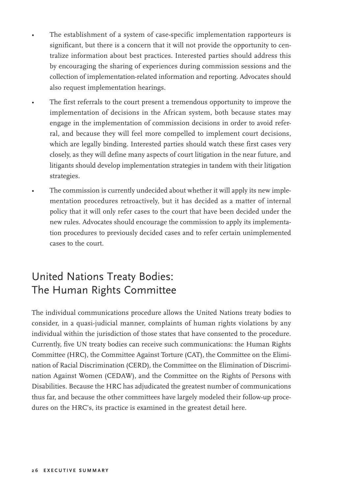- The establishment of a system of case-specific implementation rapporteurs is significant, but there is a concern that it will not provide the opportunity to centralize information about best practices. Interested parties should address this by encouraging the sharing of experiences during commission sessions and the collection of implementation-related information and reporting. Advocates should also request implementation hearings.
- The first referrals to the court present a tremendous opportunity to improve the implementation of decisions in the African system, both because states may engage in the implementation of commission decisions in order to avoid referral, and because they will feel more compelled to implement court decisions, which are legally binding. Interested parties should watch these first cases very closely, as they will define many aspects of court litigation in the near future, and litigants should develop implementation strategies in tandem with their litigation strategies.
- The commission is currently undecided about whether it will apply its new implementation procedures retroactively, but it has decided as a matter of internal policy that it will only refer cases to the court that have been decided under the new rules. Advocates should encourage the commission to apply its implementation procedures to previously decided cases and to refer certain unimplemented cases to the court.

### United Nations Treaty Bodies: The Human Rights Committee

The individual communications procedure allows the United Nations treaty bodies to consider, in a quasi-judicial manner, complaints of human rights violations by any individual within the jurisdiction of those states that have consented to the procedure. Currently, five UN treaty bodies can receive such communications: the Human Rights Committee (HRC), the Committee Against Torture (CAT), the Committee on the Elimination of Racial Discrimination (CERD), the Committee on the Elimination of Discrimination Against Women (CEDAW), and the Committee on the Rights of Persons with Disabilities. Because the HRC has adjudicated the greatest number of communications thus far, and because the other committees have largely modeled their follow-up procedures on the HRC's, its practice is examined in the greatest detail here.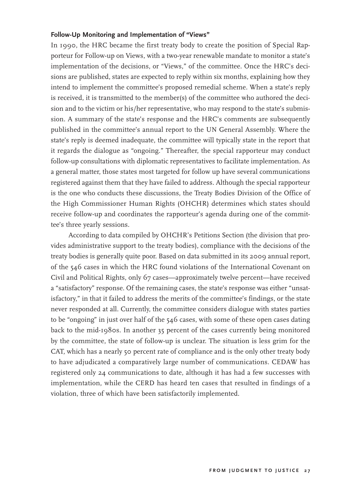#### **Follow-Up Monitoring and Implementation of "Views"**

In 1990, the HRC became the first treaty body to create the position of Special Rapporteur for Follow-up on Views, with a two-year renewable mandate to monitor a state's implementation of the decisions, or "Views," of the committee. Once the HRC's decisions are published, states are expected to reply within six months, explaining how they intend to implement the committee's proposed remedial scheme. When a state's reply is received, it is transmitted to the member(s) of the committee who authored the decision and to the victim or his/her representative, who may respond to the state's submission. A summary of the state's response and the HRC's comments are subsequently published in the committee's annual report to the UN General Assembly. Where the state's reply is deemed inadequate, the committee will typically state in the report that it regards the dialogue as "ongoing." Thereafter, the special rapporteur may conduct follow-up consultations with diplomatic representatives to facilitate implementation. As a general matter, those states most targeted for follow up have several communications registered against them that they have failed to address. Although the special rapporteur is the one who conducts these discussions, the Treaty Bodies Division of the Office of the High Commissioner Human Rights (OHCHR) determines which states should receive follow-up and coordinates the rapporteur's agenda during one of the committee's three yearly sessions.

According to data compiled by OHCHR's Petitions Section (the division that provides administrative support to the treaty bodies), compliance with the decisions of the treaty bodies is generally quite poor. Based on data submitted in its 2009 annual report, of the 546 cases in which the HRC found violations of the International Covenant on Civil and Political Rights, only 67 cases—approximately twelve percent—have received a "satisfactory" response. Of the remaining cases, the state's response was either "unsatisfactory," in that it failed to address the merits of the committee's findings, or the state never responded at all. Currently, the committee considers dialogue with states parties to be "ongoing" in just over half of the 546 cases, with some of these open cases dating back to the mid-1980s. In another 35 percent of the cases currently being monitored by the committee, the state of follow-up is unclear. The situation is less grim for the CAT, which has a nearly 50 percent rate of compliance and is the only other treaty body to have adjudicated a comparatively large number of communications. CEDAW has registered only 24 communications to date, although it has had a few successes with implementation, while the CERD has heard ten cases that resulted in findings of a violation, three of which have been satisfactorily implemented.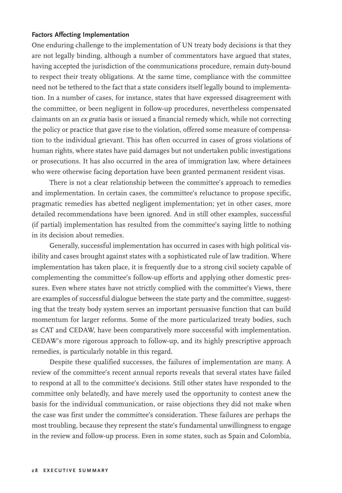#### **Factors Affecting Implementation**

One enduring challenge to the implementation of UN treaty body decisions is that they are not legally binding, although a number of commentators have argued that states, having accepted the jurisdiction of the communications procedure, remain duty-bound to respect their treaty obligations. At the same time, compliance with the committee need not be tethered to the fact that a state considers itself legally bound to implementation. In a number of cases, for instance, states that have expressed disagreement with the committee, or been negligent in follow-up procedures, nevertheless compensated claimants on an *ex gratia* basis or issued a financial remedy which, while not correcting the policy or practice that gave rise to the violation, offered some measure of compensation to the individual grievant. This has often occurred in cases of gross violations of human rights, where states have paid damages but not undertaken public investigations or prosecutions. It has also occurred in the area of immigration law, where detainees who were otherwise facing deportation have been granted permanent resident visas.

There is not a clear relationship between the committee's approach to remedies and implementation. In certain cases, the committee's reluctance to propose specific, pragmatic remedies has abetted negligent implementation; yet in other cases, more detailed recommendations have been ignored. And in still other examples, successful (if partial) implementation has resulted from the committee's saying little to nothing in its decision about remedies.

Generally, successful implementation has occurred in cases with high political visibility and cases brought against states with a sophisticated rule of law tradition. Where implementation has taken place, it is frequently due to a strong civil society capable of complementing the committee's follow-up efforts and applying other domestic pressures. Even where states have not strictly complied with the committee's Views, there are examples of successful dialogue between the state party and the committee, suggesting that the treaty body system serves an important persuasive function that can build momentum for larger reforms. Some of the more particularized treaty bodies, such as CAT and CEDAW, have been comparatively more successful with implementation. CEDAW's more rigorous approach to follow-up, and its highly prescriptive approach remedies, is particularly notable in this regard.

Despite these qualified successes, the failures of implementation are many. A review of the committee's recent annual reports reveals that several states have failed to respond at all to the committee's decisions. Still other states have responded to the committee only belatedly, and have merely used the opportunity to contest anew the basis for the individual communication, or raise objections they did not make when the case was first under the committee's consideration. These failures are perhaps the most troubling, because they represent the state's fundamental unwillingness to engage in the review and follow-up process. Even in some states, such as Spain and Colombia,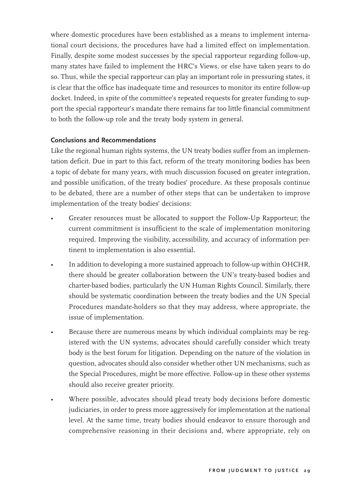where domestic procedures have been established as a means to implement international court decisions, the procedures have had a limited effect on implementation. Finally, despite some modest successes by the special rapporteur regarding follow-up, many states have failed to implement the HRC's Views, or else have taken years to do so. Thus, while the special rapporteur can play an important role in pressuring states, it is clear that the office has inadequate time and resources to monitor its entire follow-up docket. Indeed, in spite of the committee's repeated requests for greater funding to support the special rapporteur's mandate there remains far too little financial commitment to both the follow-up role and the treaty body system in general.

#### **Conclusions and Recommendations**

Like the regional human rights systems, the UN treaty bodies suffer from an implementation deficit. Due in part to this fact, reform of the treaty monitoring bodies has been a topic of debate for many years, with much discussion focused on greater integration, and possible unification, of the treaty bodies' procedure. As these proposals continue to be debated, there are a number of other steps that can be undertaken to improve implementation of the treaty bodies' decisions:

- Greater resources must be allocated to support the Follow-Up Rapporteur; the current commitment is insufficient to the scale of implementation monitoring required. Improving the visibility, accessibility, and accuracy of information pertinent to implementation is also essential.
- In addition to developing a more sustained approach to follow-up within OHCHR, there should be greater collaboration between the UN's treaty-based bodies and charter-based bodies, particularly the UN Human Rights Council. Similarly, there should be systematic coordination between the treaty bodies and the UN Special Procedures mandate-holders so that they may address, where appropriate, the issue of implementation.
- Because there are numerous means by which individual complaints may be registered with the UN systems, advocates should carefully consider which treaty body is the best forum for litigation. Depending on the nature of the violation in question, advocates should also consider whether other UN mechanisms, such as the Special Procedures, might be more effective. Follow-up in these other systems should also receive greater priority.
- Where possible, advocates should plead treaty body decisions before domestic judiciaries, in order to press more aggressively for implementation at the national level. At the same time, treaty bodies should endeavor to ensure thorough and comprehensive reasoning in their decisions and, where appropriate, rely on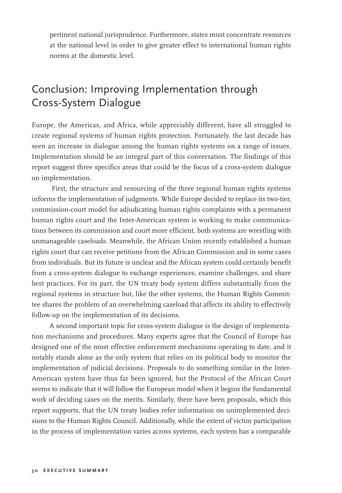pertinent national jurisprudence. Furthermore, states must concentrate resources at the national level in order to give greater effect to international human rights norms at the domestic level.

### Conclusion: Improving Implementation through Cross-System Dialogue

Europe, the Americas, and Africa, while appreciably different, have all struggled to create regional systems of human rights protection. Fortunately, the last decade has seen an increase in dialogue among the human rights systems on a range of issues. Implementation should be an integral part of this conversation. The findings of this report suggest three specifics areas that could be the focus of a cross-system dialogue on implementation.

 First, the structure and resourcing of the three regional human rights systems informs the implementation of judgments. While Europe decided to replace its two-tier, commission-court model for adjudicating human rights complaints with a permanent human rights court and the Inter-American system is working to make communications between its commission and court more efficient, both systems are wrestling with unmanageable caseloads. Meanwhile, the African Union recently established a human rights court that can receive petitions from the African Commission and in some cases from individuals. But its future is unclear and the African system could certainly benefit from a cross-system dialogue to exchange experiences, examine challenges, and share best practices. For its part, the UN treaty body system differs substantially from the regional systems in structure but, like the other systems, the Human Rights Committee shares the problem of an overwhelming caseload that affects its ability to effectively follow-up on the implementation of its decisions.

A second important topic for cross-system dialogue is the design of implementation mechanisms and procedures. Many experts agree that the Council of Europe has designed one of the most effective enforcement mechanisms operating to date, and it notably stands alone as the only system that relies on its political body to monitor the implementation of judicial decisions. Proposals to do something similar in the Inter-American system have thus far been ignored, but the Protocol of the African Court seems to indicate that it will follow the European model when it begins the fundamental work of deciding cases on the merits. Similarly, there have been proposals, which this report supports, that the UN treaty bodies refer information on unimplemented decisions to the Human Rights Council. Additionally, while the extent of victim participation in the process of implementation varies across systems, each system has a comparable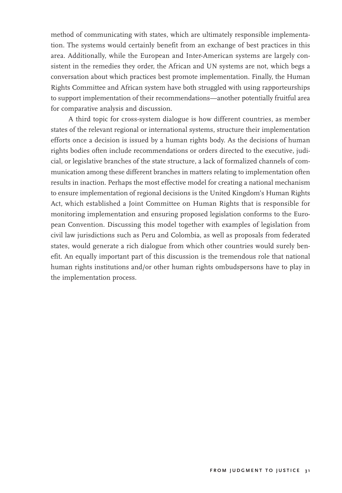method of communicating with states, which are ultimately responsible implementation. The systems would certainly benefit from an exchange of best practices in this area. Additionally, while the European and Inter-American systems are largely consistent in the remedies they order, the African and UN systems are not, which begs a conversation about which practices best promote implementation. Finally, the Human Rights Committee and African system have both struggled with using rapporteurships to support implementation of their recommendations—another potentially fruitful area for comparative analysis and discussion.

A third topic for cross-system dialogue is how different countries, as member states of the relevant regional or international systems, structure their implementation efforts once a decision is issued by a human rights body. As the decisions of human rights bodies often include recommendations or orders directed to the executive, judicial, or legislative branches of the state structure, a lack of formalized channels of communication among these different branches in matters relating to implementation often results in inaction. Perhaps the most effective model for creating a national mechanism to ensure implementation of regional decisions is the United Kingdom's Human Rights Act, which established a Joint Committee on Human Rights that is responsible for monitoring implementation and ensuring proposed legislation conforms to the European Convention. Discussing this model together with examples of legislation from civil law jurisdictions such as Peru and Colombia, as well as proposals from federated states, would generate a rich dialogue from which other countries would surely benefit. An equally important part of this discussion is the tremendous role that national human rights institutions and/or other human rights ombudspersons have to play in the implementation process.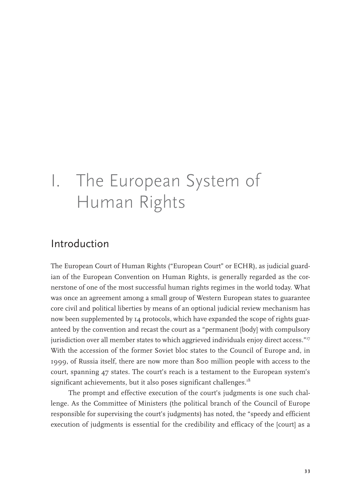# I. The European System of Human Rights

### Introduction

The European Court of Human Rights ("European Court" or ECHR), as judicial guardian of the European Convention on Human Rights, is generally regarded as the cornerstone of one of the most successful human rights regimes in the world today. What was once an agreement among a small group of Western European states to guarantee core civil and political liberties by means of an optional judicial review mechanism has now been supplemented by 14 protocols, which have expanded the scope of rights guaranteed by the convention and recast the court as a "permanent [body] with compulsory jurisdiction over all member states to which aggrieved individuals enjoy direct access."<sup>17</sup> With the accession of the former Soviet bloc states to the Council of Europe and, in 1999, of Russia itself, there are now more than 800 million people with access to the court, spanning 47 states. The court's reach is a testament to the European system's significant achievements, but it also poses significant challenges. $18$ 

The prompt and effective execution of the court's judgments is one such challenge. As the Committee of Ministers (the political branch of the Council of Europe responsible for supervising the court's judgments) has noted, the "speedy and efficient execution of judgments is essential for the credibility and efficacy of the [court] as a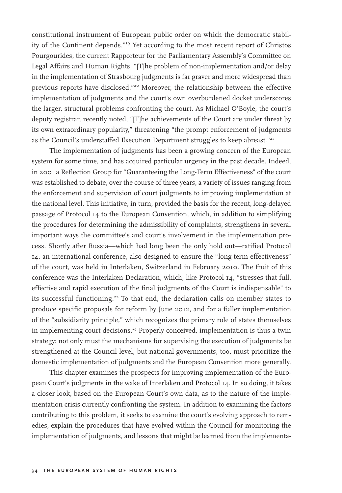constitutional instrument of European public order on which the democratic stability of the Continent depends."19 Yet according to the most recent report of Christos Pourgourides, the current Rapporteur for the Parliamentary Assembly's Committee on Legal Affairs and Human Rights, "[T]he problem of non-implementation and/or delay in the implementation of Strasbourg judgments is far graver and more widespread than previous reports have disclosed."20 Moreover, the relationship between the effective implementation of judgments and the court's own overburdened docket underscores the larger, structural problems confronting the court. As Michael O'Boyle, the court's deputy registrar, recently noted, "[T]he achievements of the Court are under threat by its own extraordinary popularity," threatening "the prompt enforcement of judgments as the Council's understaffed Execution Department struggles to keep abreast."<sup>21</sup>

The implementation of judgments has been a growing concern of the European system for some time, and has acquired particular urgency in the past decade. Indeed, in 2001 a Reflection Group for "Guaranteeing the Long-Term Effectiveness" of the court was established to debate, over the course of three years, a variety of issues ranging from the enforcement and supervision of court judgments to improving implementation at the national level. This initiative, in turn, provided the basis for the recent, long-delayed passage of Protocol 14 to the European Convention, which, in addition to simplifying the procedures for determining the admissibility of complaints, strengthens in several important ways the committee's and court's involvement in the implementation process. Shortly after Russia—which had long been the only hold out—ratified Protocol 14, an international conference, also designed to ensure the "long-term effectiveness" of the court, was held in Interlaken, Switzerland in February 2010. The fruit of this conference was the Interlaken Declaration, which, like Protocol 14, "stresses that full, effective and rapid execution of the final judgments of the Court is indispensable" to its successful functioning.22 To that end, the declaration calls on member states to produce specific proposals for reform by June 2012, and for a fuller implementation of the "subsidiarity principle," which recognizes the primary role of states themselves in implementing court decisions.<sup>23</sup> Properly conceived, implementation is thus a twin strategy: not only must the mechanisms for supervising the execution of judgments be strengthened at the Council level, but national governments, too, must prioritize the domestic implementation of judgments and the European Convention more generally.

This chapter examines the prospects for improving implementation of the European Court's judgments in the wake of Interlaken and Protocol 14. In so doing, it takes a closer look, based on the European Court's own data, as to the nature of the implementation crisis currently confronting the system. In addition to examining the factors contributing to this problem, it seeks to examine the court's evolving approach to remedies, explain the procedures that have evolved within the Council for monitoring the implementation of judgments, and lessons that might be learned from the implementa-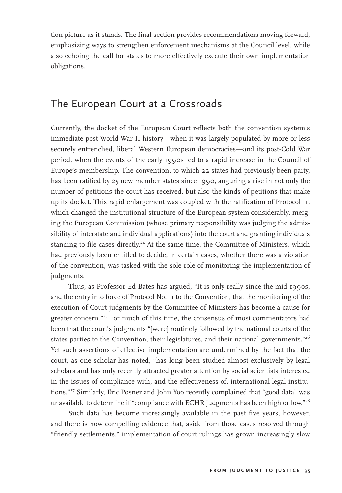tion picture as it stands. The final section provides recommendations moving forward, emphasizing ways to strengthen enforcement mechanisms at the Council level, while also echoing the call for states to more effectively execute their own implementation obligations.

# The European Court at a Crossroads

Currently, the docket of the European Court reflects both the convention system's immediate post-World War II history—when it was largely populated by more or less securely entrenched, liberal Western European democracies—and its post-Cold War period, when the events of the early 1990s led to a rapid increase in the Council of Europe's membership. The convention, to which 22 states had previously been party, has been ratified by 25 new member states since 1990, auguring a rise in not only the number of petitions the court has received, but also the kinds of petitions that make up its docket. This rapid enlargement was coupled with the ratification of Protocol 11, which changed the institutional structure of the European system considerably, merging the European Commission (whose primary responsibility was judging the admissibility of interstate and individual applications) into the court and granting individuals standing to file cases directly.<sup>24</sup> At the same time, the Committee of Ministers, which had previously been entitled to decide, in certain cases, whether there was a violation of the convention, was tasked with the sole role of monitoring the implementation of judgments.

Thus, as Professor Ed Bates has argued, "It is only really since the mid-1990s, and the entry into force of Protocol No. 11 to the Convention, that the monitoring of the execution of Court judgments by the Committee of Ministers has become a cause for greater concern."<sup>25</sup> For much of this time, the consensus of most commentators had been that the court's judgments "[were] routinely followed by the national courts of the states parties to the Convention, their legislatures, and their national governments."26 Yet such assertions of effective implementation are undermined by the fact that the court, as one scholar has noted, "has long been studied almost exclusively by legal scholars and has only recently attracted greater attention by social scientists interested in the issues of compliance with, and the effectiveness of, international legal institutions."<sup>27</sup> Similarly, Eric Posner and John Yoo recently complained that "good data" was unavailable to determine if "compliance with ECHR judgments has been high or low."<sup>28</sup>

Such data has become increasingly available in the past five years, however, and there is now compelling evidence that, aside from those cases resolved through "friendly settlements," implementation of court rulings has grown increasingly slow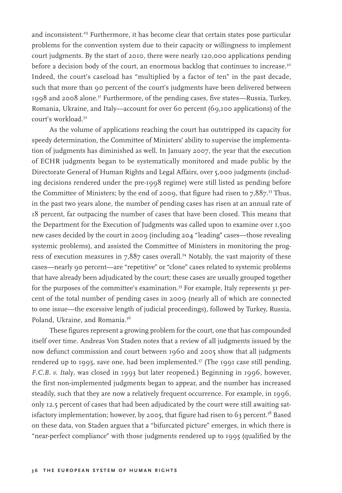and inconsistent.<sup>29</sup> Furthermore, it has become clear that certain states pose particular problems for the convention system due to their capacity or willingness to implement court judgments. By the start of 2010, there were nearly 120,000 applications pending before a decision body of the court, an enormous backlog that continues to increase.<sup>30</sup> Indeed, the court's caseload has "multiplied by a factor of ten" in the past decade, such that more than 90 percent of the court's judgments have been delivered between 1998 and 2008 alone.31 Furthermore, of the pending cases, five states—Russia, Turkey, Romania, Ukraine, and Italy—account for over 60 percent (69,100 applications) of the court's workload.32

As the volume of applications reaching the court has outstripped its capacity for speedy determination, the Committee of Ministers' ability to supervise the implementation of judgments has diminished as well. In January 2007, the year that the execution of ECHR judgments began to be systematically monitored and made public by the Directorate General of Human Rights and Legal Affairs, over 5,000 judgments (including decisions rendered under the pre-1998 regime) were still listed as pending before the Committee of Ministers; by the end of 2009, that figure had risen to  $7,887.^3$  Thus, in the past two years alone, the number of pending cases has risen at an annual rate of 18 percent, far outpacing the number of cases that have been closed. This means that the Department for the Execution of Judgments was called upon to examine over 1,500 new cases decided by the court in 2009 (including 204 "leading" cases—those revealing systemic problems), and assisted the Committee of Ministers in monitoring the progress of execution measures in 7,887 cases overall.34 Notably, the vast majority of these cases—nearly 90 percent—are "repetitive" or "clone" cases related to systemic problems that have already been adjudicated by the court; these cases are usually grouped together for the purposes of the committee's examination.<sup>35</sup> For example, Italy represents  $3I$  percent of the total number of pending cases in 2009 (nearly all of which are connected to one issue—the excessive length of judicial proceedings), followed by Turkey, Russia, Poland, Ukraine, and Romania.36

These figures represent a growing problem for the court, one that has compounded itself over time. Andreas Von Staden notes that a review of all judgments issued by the now defunct commission and court between 1960 and 2005 show that all judgments rendered up to 1995, save one, had been implemented.<sup>37</sup> (The 1991 case still pending, *F.C.B. v. Italy*, was closed in 1993 but later reopened.) Beginning in 1996, however, the first non-implemented judgments began to appear, and the number has increased steadily, such that they are now a relatively frequent occurrence. For example, in 1996, only 12.5 percent of cases that had been adjudicated by the court were still awaiting satisfactory implementation; however, by 2005, that figure had risen to 63 percent.<sup>38</sup> Based on these data, von Staden argues that a "bifurcated picture" emerges, in which there is "near-perfect compliance" with those judgments rendered up to 1995 (qualified by the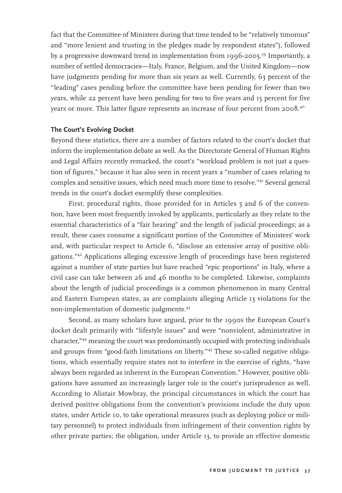fact that the Committee of Ministers during that time tended to be "relatively timorous" and "more lenient and trusting in the pledges made by respondent states"), followed by a progressive downward trend in implementation from 1996-2005.<sup>39</sup> Importantly, a number of settled democracies—Italy, France, Belgium, and the United Kingdom—now have judgments pending for more than six years as well. Currently, 63 percent of the "leading" cases pending before the committee have been pending for fewer than two years, while 22 percent have been pending for two to five years and 15 percent for five years or more. This latter figure represents an increase of four percent from 2008.<sup>40</sup>

## **The Court's Evolving Docket**

Beyond these statistics, there are a number of factors related to the court's docket that inform the implementation debate as well. As the Directorate General of Human Rights and Legal Affairs recently remarked, the court's "workload problem is not just a question of figures," because it has also seen in recent years a "number of cases relating to complex and sensitive issues, which need much more time to resolve."41 Several general trends in the court's docket exemplify these complexities.

First, procedural rights, those provided for in Articles 5 and 6 of the convention, have been most frequently invoked by applicants, particularly as they relate to the essential characteristics of a "fair hearing" and the length of judicial proceedings; as a result, these cases consume a significant portion of the Committee of Ministers' work and, with particular respect to Article 6, "disclose an extensive array of positive obligations."42 Applications alleging excessive length of proceedings have been registered against a number of state parties but have reached "epic proportions" in Italy, where a civil case can take between 26 and 46 months to be completed. Likewise, complaints about the length of judicial proceedings is a common phenomenon in many Central and Eastern European states, as are complaints alleging Article 13 violations for the non-implementation of domestic judgments.43

Second, as many scholars have argued, prior to the 1990s the European Court's docket dealt primarily with "lifestyle issues" and were "nonviolent, administrative in character,"44 meaning the court was predominantly occupied with protecting individuals and groups from "good-faith limitations on liberty."45 These so-called negative obligations, which essentially require states not to interfere in the exercise of rights, "have always been regarded as inherent in the European Convention." However, positive obligations have assumed an increasingly larger role in the court's jurisprudence as well. According to Alistair Mowbray, the principal circumstances in which the court has derived positive obligations from the convention's provisions include the duty upon states, under Article 10, to take operational measures (such as deploying police or military personnel) to protect individuals from infringement of their convention rights by other private parties; the obligation, under Article 13, to provide an effective domestic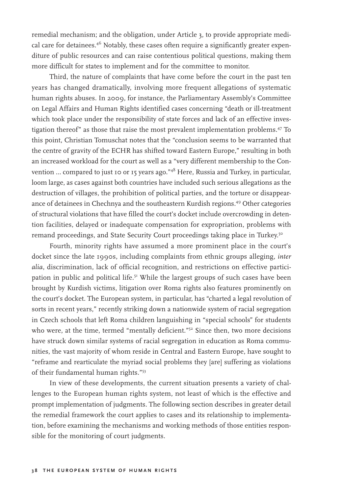remedial mechanism; and the obligation, under Article 3, to provide appropriate medical care for detainees.<sup>46</sup> Notably, these cases often require a significantly greater expenditure of public resources and can raise contentious political questions, making them more difficult for states to implement and for the committee to monitor.

Third, the nature of complaints that have come before the court in the past ten years has changed dramatically, involving more frequent allegations of systematic human rights abuses. In 2009, for instance, the Parliamentary Assembly's Committee on Legal Affairs and Human Rights identified cases concerning "death or ill-treatment which took place under the responsibility of state forces and lack of an effective investigation thereof" as those that raise the most prevalent implementation problems.47 To this point, Christian Tomuschat notes that the "conclusion seems to be warranted that the centre of gravity of the ECHR has shifted toward Eastern Europe," resulting in both an increased workload for the court as well as a "very different membership to the Convention … compared to just 10 or 15 years ago."48 Here, Russia and Turkey, in particular, loom large, as cases against both countries have included such serious allegations as the destruction of villages, the prohibition of political parties, and the torture or disappearance of detainees in Chechnya and the southeastern Kurdish regions.49 Other categories of structural violations that have filled the court's docket include overcrowding in detention facilities, delayed or inadequate compensation for expropriation, problems with remand proceedings, and State Security Court proceedings taking place in Turkey.<sup>50</sup>

Fourth, minority rights have assumed a more prominent place in the court's docket since the late 1990s, including complaints from ethnic groups alleging, *inter alia*, discrimination, lack of official recognition, and restrictions on effective participation in public and political life.<sup>51</sup> While the largest groups of such cases have been brought by Kurdish victims, litigation over Roma rights also features prominently on the court's docket. The European system, in particular, has "charted a legal revolution of sorts in recent years," recently striking down a nationwide system of racial segregation in Czech schools that left Roma children languishing in "special schools" for students who were, at the time, termed "mentally deficient."<sup>52</sup> Since then, two more decisions have struck down similar systems of racial segregation in education as Roma communities, the vast majority of whom reside in Central and Eastern Europe, have sought to "reframe and rearticulate the myriad social problems they [are] suffering as violations of their fundamental human rights."53

In view of these developments, the current situation presents a variety of challenges to the European human rights system, not least of which is the effective and prompt implementation of judgments. The following section describes in greater detail the remedial framework the court applies to cases and its relationship to implementation, before examining the mechanisms and working methods of those entities responsible for the monitoring of court judgments.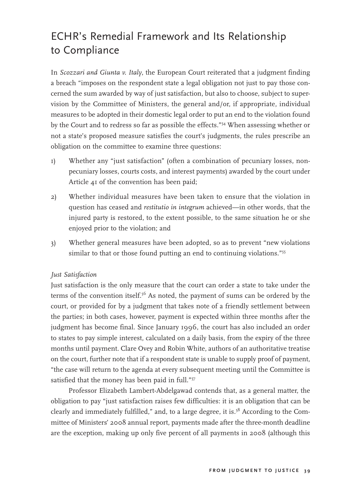# ECHR's Remedial Framework and Its Relationship to Compliance

In *Scozzari and Giunta v. Italy*, the European Court reiterated that a judgment finding a breach "imposes on the respondent state a legal obligation not just to pay those concerned the sum awarded by way of just satisfaction, but also to choose, subject to supervision by the Committee of Ministers, the general and/or, if appropriate, individual measures to be adopted in their domestic legal order to put an end to the violation found by the Court and to redress so far as possible the effects."54 When assessing whether or not a state's proposed measure satisfies the court's judgments, the rules prescribe an obligation on the committee to examine three questions:

- 1) Whether any "just satisfaction" (often a combination of pecuniary losses, nonpecuniary losses, courts costs, and interest payments) awarded by the court under Article 41 of the convention has been paid;
- 2) Whether individual measures have been taken to ensure that the violation in question has ceased and *restitutio in integrum* achieved—in other words, that the injured party is restored, to the extent possible, to the same situation he or she enjoyed prior to the violation; and
- 3) Whether general measures have been adopted, so as to prevent "new violations similar to that or those found putting an end to continuing violations."<sup>55</sup>

# *Just Satisfaction*

Just satisfaction is the only measure that the court can order a state to take under the terms of the convention itself.<sup>56</sup> As noted, the payment of sums can be ordered by the court, or provided for by a judgment that takes note of a friendly settlement between the parties; in both cases, however, payment is expected within three months after the judgment has become final. Since January 1996, the court has also included an order to states to pay simple interest, calculated on a daily basis, from the expiry of the three months until payment. Clare Ovey and Robin White, authors of an authoritative treatise on the court, further note that if a respondent state is unable to supply proof of payment, "the case will return to the agenda at every subsequent meeting until the Committee is satisfied that the money has been paid in full."57

Professor Elizabeth Lambert-Abdelgawad contends that, as a general matter, the obligation to pay "just satisfaction raises few difficulties: it is an obligation that can be clearly and immediately fulfilled," and, to a large degree, it is.58 According to the Committee of Ministers' 2008 annual report, payments made after the three-month deadline are the exception, making up only five percent of all payments in 2008 (although this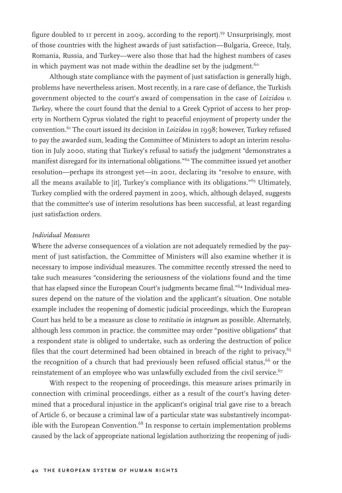figure doubled to 11 percent in 2009, according to the report).59 Unsurprisingly, most of those countries with the highest awards of just satisfaction—Bulgaria, Greece, Italy, Romania, Russia, and Turkey—were also those that had the highest numbers of cases in which payment was not made within the deadline set by the judgment. $60$ 

Although state compliance with the payment of just satisfaction is generally high, problems have nevertheless arisen. Most recently, in a rare case of defiance, the Turkish government objected to the court's award of compensation in the case of *Loizidou v. Turkey*, where the court found that the denial to a Greek Cypriot of access to her property in Northern Cyprus violated the right to peaceful enjoyment of property under the convention.61 The court issued its decision in *Loizidou* in 1998; however, Turkey refused to pay the awarded sum, leading the Committee of Ministers to adopt an interim resolution in July 2000, stating that Turkey's refusal to satisfy the judgment "demonstrates a manifest disregard for its international obligations."62 The committee issued yet another resolution—perhaps its strongest yet—in 2001, declaring its "resolve to ensure, with all the means available to [it], Turkey's compliance with its obligations."63 Ultimately, Turkey complied with the ordered payment in 2003, which, although delayed, suggests that the committee's use of interim resolutions has been successful, at least regarding just satisfaction orders.

## *Individual Measures*

Where the adverse consequences of a violation are not adequately remedied by the payment of just satisfaction, the Committee of Ministers will also examine whether it is necessary to impose individual measures. The committee recently stressed the need to take such measures "considering the seriousness of the violations found and the time that has elapsed since the European Court's judgments became final."64 Individual measures depend on the nature of the violation and the applicant's situation. One notable example includes the reopening of domestic judicial proceedings, which the European Court has held to be a measure as close to *restitutio in integrum* as possible. Alternately, although less common in practice, the committee may order "positive obligations" that a respondent state is obliged to undertake, such as ordering the destruction of police files that the court determined had been obtained in breach of the right to privacy,  $65$ the recognition of a church that had previously been refused official status,<sup>66</sup> or the reinstatement of an employee who was unlawfully excluded from the civil service.<sup>67</sup>

With respect to the reopening of proceedings, this measure arises primarily in connection with criminal proceedings, either as a result of the court's having determined that a procedural injustice in the applicant's original trial gave rise to a breach of Article 6, or because a criminal law of a particular state was substantively incompat $i$ ble with the European Convention.<sup>68</sup> In response to certain implementation problems caused by the lack of appropriate national legislation authorizing the reopening of judi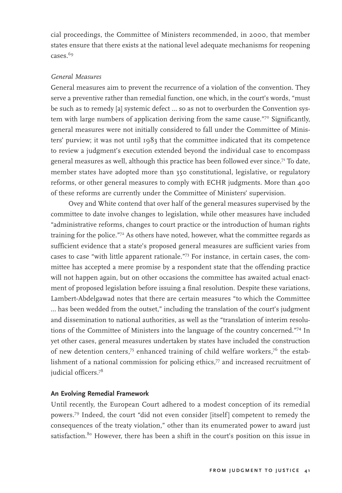cial proceedings, the Committee of Ministers recommended, in 2000, that member states ensure that there exists at the national level adequate mechanisms for reopening  $c$ ases $69$ 

## *General Measures*

General measures aim to prevent the recurrence of a violation of the convention. They serve a preventive rather than remedial function, one which, in the court's words, "must be such as to remedy [a] systemic defect … so as not to overburden the Convention system with large numbers of application deriving from the same cause."<sup>70</sup> Significantly, general measures were not initially considered to fall under the Committee of Ministers' purview; it was not until 1983 that the committee indicated that its competence to review a judgment's execution extended beyond the individual case to encompass general measures as well, although this practice has been followed ever since.71 To date, member states have adopted more than 350 constitutional, legislative, or regulatory reforms, or other general measures to comply with ECHR judgments. More than 400 of these reforms are currently under the Committee of Ministers' supervision.

Ovey and White contend that over half of the general measures supervised by the committee to date involve changes to legislation, while other measures have included "administrative reforms, changes to court practice or the introduction of human rights training for the police."72 As others have noted, however, what the committee regards as sufficient evidence that a state's proposed general measures are sufficient varies from cases to case "with little apparent rationale."73 For instance, in certain cases, the committee has accepted a mere promise by a respondent state that the offending practice will not happen again, but on other occasions the committee has awaited actual enactment of proposed legislation before issuing a final resolution. Despite these variations, Lambert-Abdelgawad notes that there are certain measures "to which the Committee … has been wedded from the outset," including the translation of the court's judgment and dissemination to national authorities, as well as the "translation of interim resolutions of the Committee of Ministers into the language of the country concerned."74 In yet other cases, general measures undertaken by states have included the construction of new detention centers,<sup>75</sup> enhanced training of child welfare workers,<sup>76</sup> the establishment of a national commission for policing ethics, $77$  and increased recruitment of judicial officers.<sup>78</sup>

## **An Evolving Remedial Framework**

Until recently, the European Court adhered to a modest conception of its remedial powers.<sup>79</sup> Indeed, the court "did not even consider [itself] competent to remedy the consequences of the treaty violation," other than its enumerated power to award just satisfaction.<sup>80</sup> However, there has been a shift in the court's position on this issue in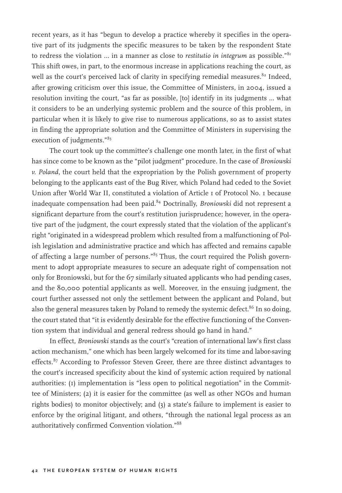recent years, as it has "begun to develop a practice whereby it specifies in the operative part of its judgments the specific measures to be taken by the respondent State to redress the violation ... in a manner as close to *restitutio in integrum* as possible."<sup>81</sup> This shift owes, in part, to the enormous increase in applications reaching the court, as well as the court's perceived lack of clarity in specifying remedial measures.<sup>82</sup> Indeed, after growing criticism over this issue, the Committee of Ministers, in 2004, issued a resolution inviting the court, "as far as possible, [to] identify in its judgments … what it considers to be an underlying systemic problem and the source of this problem, in particular when it is likely to give rise to numerous applications, so as to assist states in finding the appropriate solution and the Committee of Ministers in supervising the execution of judgments."<sup>83</sup>

The court took up the committee's challenge one month later, in the first of what has since come to be known as the "pilot judgment" procedure. In the case of *Broniowski v. Poland*, the court held that the expropriation by the Polish government of property belonging to the applicants east of the Bug River, which Poland had ceded to the Soviet Union after World War II, constituted a violation of Article 1 of Protocol No. 1 because inadequate compensation had been paid.84 Doctrinally, *Broniowski* did not represent a significant departure from the court's restitution jurisprudence; however, in the operative part of the judgment, the court expressly stated that the violation of the applicant's right "originated in a widespread problem which resulted from a malfunctioning of Polish legislation and administrative practice and which has affected and remains capable of affecting a large number of persons."85 Thus, the court required the Polish government to adopt appropriate measures to secure an adequate right of compensation not only for Broniowski, but for the 67 similarly situated applicants who had pending cases, and the 80,000 potential applicants as well. Moreover, in the ensuing judgment, the court further assessed not only the settlement between the applicant and Poland, but also the general measures taken by Poland to remedy the systemic defect.<sup>86</sup> In so doing, the court stated that "it is evidently desirable for the effective functioning of the Convention system that individual and general redress should go hand in hand."

In effect, *Broniowski* stands as the court's "creation of international law's first class action mechanism," one which has been largely welcomed for its time and labor-saving effects.<sup>87</sup> According to Professor Steven Greer, there are three distinct advantages to the court's increased specificity about the kind of systemic action required by national authorities: (1) implementation is "less open to political negotiation" in the Committee of Ministers; (2) it is easier for the committee (as well as other NGOs and human rights bodies) to monitor objectively; and (3) a state's failure to implement is easier to enforce by the original litigant, and others, "through the national legal process as an authoritatively confirmed Convention violation."88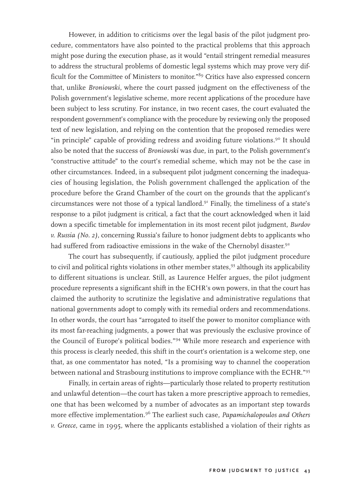However, in addition to criticisms over the legal basis of the pilot judgment procedure, commentators have also pointed to the practical problems that this approach might pose during the execution phase, as it would "entail stringent remedial measures to address the structural problems of domestic legal systems which may prove very difficult for the Committee of Ministers to monitor."89 Critics have also expressed concern that, unlike *Broniowski*, where the court passed judgment on the effectiveness of the Polish government's legislative scheme, more recent applications of the procedure have been subject to less scrutiny. For instance, in two recent cases, the court evaluated the respondent government's compliance with the procedure by reviewing only the proposed text of new legislation, and relying on the contention that the proposed remedies were "in principle" capable of providing redress and avoiding future violations.<sup>90</sup> It should also be noted that the success of *Broniowski* was due, in part, to the Polish government's "constructive attitude" to the court's remedial scheme, which may not be the case in other circumstances. Indeed, in a subsequent pilot judgment concerning the inadequacies of housing legislation, the Polish government challenged the application of the procedure before the Grand Chamber of the court on the grounds that the applicant's circumstances were not those of a typical landlord.91 Finally, the timeliness of a state's response to a pilot judgment is critical, a fact that the court acknowledged when it laid down a specific timetable for implementation in its most recent pilot judgment, *Burdov v. Russia (No. 2)*, concerning Russia's failure to honor judgment debts to applicants who had suffered from radioactive emissions in the wake of the Chernobyl disaster.<sup>92</sup>

The court has subsequently, if cautiously, applied the pilot judgment procedure to civil and political rights violations in other member states,<sup>93</sup> although its applicability to different situations is unclear. Still, as Laurence Helfer argues, the pilot judgment procedure represents a significant shift in the ECHR's own powers, in that the court has claimed the authority to scrutinize the legislative and administrative regulations that national governments adopt to comply with its remedial orders and recommendations. In other words, the court has "arrogated to itself the power to monitor compliance with its most far-reaching judgments, a power that was previously the exclusive province of the Council of Europe's political bodies."94 While more research and experience with this process is clearly needed, this shift in the court's orientation is a welcome step, one that, as one commentator has noted, "Is a promising way to channel the cooperation between national and Strasbourg institutions to improve compliance with the ECHR."95

Finally, in certain areas of rights—particularly those related to property restitution and unlawful detention—the court has taken a more prescriptive approach to remedies, one that has been welcomed by a number of advocates as an important step towards more effective implementation.96 The earliest such case, *Papamichalopoulos and Others v. Greece*, came in 1995, where the applicants established a violation of their rights as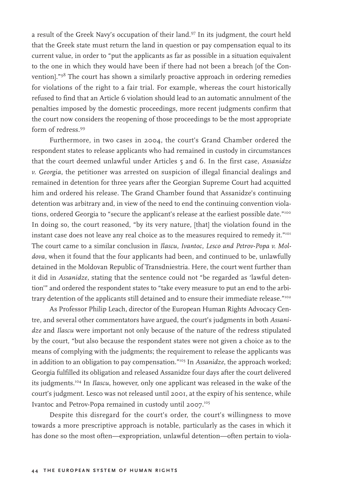a result of the Greek Navy's occupation of their land.<sup>97</sup> In its judgment, the court held that the Greek state must return the land in question or pay compensation equal to its current value, in order to "put the applicants as far as possible in a situation equivalent to the one in which they would have been if there had not been a breach [of the Convention]."98 The court has shown a similarly proactive approach in ordering remedies for violations of the right to a fair trial. For example, whereas the court historically refused to find that an Article 6 violation should lead to an automatic annulment of the penalties imposed by the domestic proceedings, more recent judgments confirm that the court now considers the reopening of those proceedings to be the most appropriate form of redress.99

Furthermore, in two cases in 2004, the court's Grand Chamber ordered the respondent states to release applicants who had remained in custody in circumstances that the court deemed unlawful under Articles 5 and 6. In the first case, *Assanidze v. Georgia*, the petitioner was arrested on suspicion of illegal financial dealings and remained in detention for three years after the Georgian Supreme Court had acquitted him and ordered his release. The Grand Chamber found that Assanidze's continuing detention was arbitrary and, in view of the need to end the continuing convention violations, ordered Georgia to "secure the applicant's release at the earliest possible date."<sup>100</sup> In doing so, the court reasoned, "by its very nature, [that] the violation found in the instant case does not leave any real choice as to the measures required to remedy it."<sup>101</sup> The court came to a similar conclusion in *Ilascu, Ivantoc, Lesco and Petrov-Popa v. Moldova*, when it found that the four applicants had been, and continued to be, unlawfully detained in the Moldovan Republic of Transdniestria. Here, the court went further than it did in *Assanidze*, stating that the sentence could not "be regarded as 'lawful detention'" and ordered the respondent states to "take every measure to put an end to the arbitrary detention of the applicants still detained and to ensure their immediate release."102

As Professor Philip Leach, director of the European Human Rights Advocacy Centre, and several other commentators have argued, the court's judgments in both *Assanidze* and *Ilascu* were important not only because of the nature of the redress stipulated by the court, "but also because the respondent states were not given a choice as to the means of complying with the judgments; the requirement to release the applicants was in addition to an obligation to pay compensation."103 In *Assanidze*, the approach worked; Georgia fulfilled its obligation and released Assanidze four days after the court delivered its judgments.104 In *Ilascu*, however, only one applicant was released in the wake of the court's judgment. Lesco was not released until 2001, at the expiry of his sentence, while Ivantoc and Petrov-Popa remained in custody until 2007.<sup>105</sup>

Despite this disregard for the court's order, the court's willingness to move towards a more prescriptive approach is notable, particularly as the cases in which it has done so the most often—expropriation, unlawful detention—often pertain to viola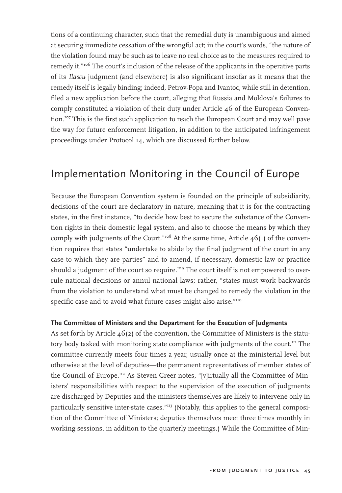tions of a continuing character, such that the remedial duty is unambiguous and aimed at securing immediate cessation of the wrongful act; in the court's words, "the nature of the violation found may be such as to leave no real choice as to the measures required to remedy it."106 The court's inclusion of the release of the applicants in the operative parts of its *Ilascu* judgment (and elsewhere) is also significant insofar as it means that the remedy itself is legally binding; indeed, Petrov-Popa and Ivantoc, while still in detention, filed a new application before the court, alleging that Russia and Moldova's failures to comply constituted a violation of their duty under Article 46 of the European Convention.107 This is the first such application to reach the European Court and may well pave the way for future enforcement litigation, in addition to the anticipated infringement proceedings under Protocol 14, which are discussed further below.

# Implementation Monitoring in the Council of Europe

Because the European Convention system is founded on the principle of subsidiarity, decisions of the court are declaratory in nature, meaning that it is for the contracting states, in the first instance, "to decide how best to secure the substance of the Convention rights in their domestic legal system, and also to choose the means by which they comply with judgments of the Court." $108$  At the same time, Article  $46(1)$  of the convention requires that states "undertake to abide by the final judgment of the court in any case to which they are parties" and to amend, if necessary, domestic law or practice should a judgment of the court so require.<sup>109</sup> The court itself is not empowered to overrule national decisions or annul national laws; rather, "states must work backwards from the violation to understand what must be changed to remedy the violation in the specific case and to avoid what future cases might also arise."<sup>110</sup>

## **The Committee of Ministers and the Department for the Execution of Judgments**

As set forth by Article 46(2) of the convention, the Committee of Ministers is the statutory body tasked with monitoring state compliance with judgments of the court.111 The committee currently meets four times a year, usually once at the ministerial level but otherwise at the level of deputies—the permanent representatives of member states of the Council of Europe.<sup>112</sup> As Steven Greer notes, "[v]irtually all the Committee of Ministers' responsibilities with respect to the supervision of the execution of judgments are discharged by Deputies and the ministers themselves are likely to intervene only in particularly sensitive inter-state cases."<sup>113</sup> (Notably, this applies to the general composition of the Committee of Ministers; deputies themselves meet three times monthly in working sessions, in addition to the quarterly meetings.) While the Committee of Min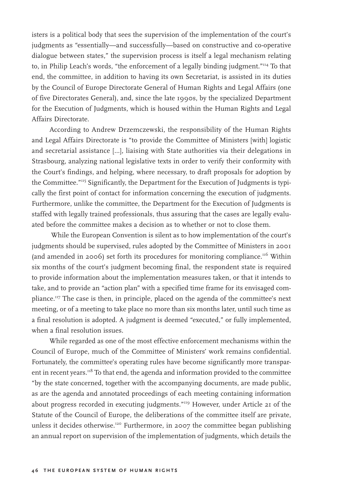isters is a political body that sees the supervision of the implementation of the court's judgments as "essentially—and successfully—based on constructive and co-operative dialogue between states," the supervision process is itself a legal mechanism relating to, in Philip Leach's words, "the enforcement of a legally binding judgment."114 To that end, the committee, in addition to having its own Secretariat, is assisted in its duties by the Council of Europe Directorate General of Human Rights and Legal Affairs (one of five Directorates General), and, since the late 1990s, by the specialized Department for the Execution of Judgments, which is housed within the Human Rights and Legal Affairs Directorate.

According to Andrew Drzemczewski, the responsibility of the Human Rights and Legal Affairs Directorate is "to provide the Committee of Ministers [with] logistic and secretarial assistance […], liaising with State authorities via their delegations in Strasbourg, analyzing national legislative texts in order to verify their conformity with the Court's findings, and helping, where necessary, to draft proposals for adoption by the Committee."<sup>115</sup> Significantly, the Department for the Execution of Judgments is typically the first point of contact for information concerning the execution of judgments. Furthermore, unlike the committee, the Department for the Execution of Judgments is staffed with legally trained professionals, thus assuring that the cases are legally evaluated before the committee makes a decision as to whether or not to close them.

 While the European Convention is silent as to how implementation of the court's judgments should be supervised, rules adopted by the Committee of Ministers in 2001 (and amended in 2006) set forth its procedures for monitoring compliance.<sup>116</sup> Within six months of the court's judgment becoming final, the respondent state is required to provide information about the implementation measures taken, or that it intends to take, and to provide an "action plan" with a specified time frame for its envisaged compliance.117 The case is then, in principle, placed on the agenda of the committee's next meeting, or of a meeting to take place no more than six months later, until such time as a final resolution is adopted. A judgment is deemed "executed," or fully implemented, when a final resolution issues.

While regarded as one of the most effective enforcement mechanisms within the Council of Europe, much of the Committee of Ministers' work remains confidential. Fortunately, the committee's operating rules have become significantly more transparent in recent years.<sup>118</sup> To that end, the agenda and information provided to the committee "by the state concerned, together with the accompanying documents, are made public, as are the agenda and annotated proceedings of each meeting containing information about progress recorded in executing judgments."119 However, under Article 21 of the Statute of the Council of Europe, the deliberations of the committee itself are private, unless it decides otherwise.<sup>120</sup> Furthermore, in 2007 the committee began publishing an annual report on supervision of the implementation of judgments, which details the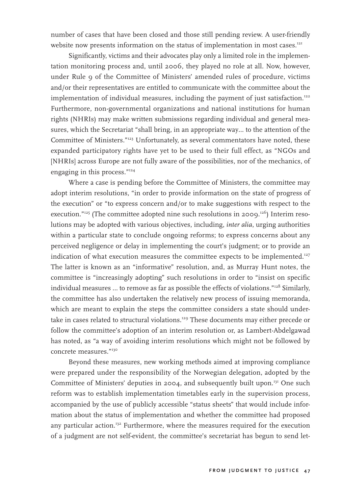number of cases that have been closed and those still pending review. A user-friendly website now presents information on the status of implementation in most cases.<sup>121</sup>

Significantly, victims and their advocates play only a limited role in the implementation monitoring process and, until 2006, they played no role at all. Now, however, under Rule 9 of the Committee of Ministers' amended rules of procedure, victims and/or their representatives are entitled to communicate with the committee about the implementation of individual measures, including the payment of just satisfaction.<sup>122</sup> Furthermore, non-governmental organizations and national institutions for human rights (NHRIs) may make written submissions regarding individual and general measures, which the Secretariat "shall bring, in an appropriate way… to the attention of the Committee of Ministers."123 Unfortunately, as several commentators have noted, these expanded participatory rights have yet to be used to their full effect, as "NGOs and [NHRIs] across Europe are not fully aware of the possibilities, nor of the mechanics, of engaging in this process."124

Where a case is pending before the Committee of Ministers, the committee may adopt interim resolutions, "in order to provide information on the state of progress of the execution" or "to express concern and/or to make suggestions with respect to the execution."<sup>125</sup> (The committee adopted nine such resolutions in 2009.<sup>126</sup>) Interim resolutions may be adopted with various objectives, including, *inter alia*, urging authorities within a particular state to conclude ongoing reforms; to express concerns about any perceived negligence or delay in implementing the court's judgment; or to provide an indication of what execution measures the committee expects to be implemented.<sup>127</sup> The latter is known as an "informative" resolution, and, as Murray Hunt notes, the committee is "increasingly adopting" such resolutions in order to "insist on specific individual measures … to remove as far as possible the effects of violations."128 Similarly, the committee has also undertaken the relatively new process of issuing memoranda, which are meant to explain the steps the committee considers a state should undertake in cases related to structural violations.129 These documents may either precede or follow the committee's adoption of an interim resolution or, as Lambert-Abdelgawad has noted, as "a way of avoiding interim resolutions which might not be followed by concrete measures."130

Beyond these measures, new working methods aimed at improving compliance were prepared under the responsibility of the Norwegian delegation, adopted by the Committee of Ministers' deputies in 2004, and subsequently built upon.<sup>131</sup> One such reform was to establish implementation timetables early in the supervision process, accompanied by the use of publicly accessible "status sheets" that would include information about the status of implementation and whether the committee had proposed any particular action. $132$  Furthermore, where the measures required for the execution of a judgment are not self-evident, the committee's secretariat has begun to send let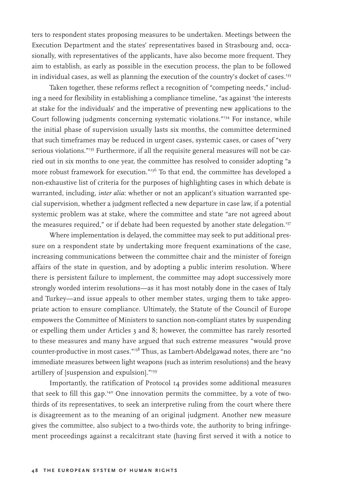ters to respondent states proposing measures to be undertaken. Meetings between the Execution Department and the states' representatives based in Strasbourg and, occasionally, with representatives of the applicants, have also become more frequent. They aim to establish, as early as possible in the execution process, the plan to be followed in individual cases, as well as planning the execution of the country's docket of cases.<sup>133</sup>

Taken together, these reforms reflect a recognition of "competing needs," including a need for flexibility in establishing a compliance timeline, "as against 'the interests at stake for the individuals' and the imperative of preventing new applications to the Court following judgments concerning systematic violations."134 For instance, while the initial phase of supervision usually lasts six months, the committee determined that such timeframes may be reduced in urgent cases, systemic cases, or cases of "very serious violations."<sup>135</sup> Furthermore, if all the requisite general measures will not be carried out in six months to one year, the committee has resolved to consider adopting "a more robust framework for execution."136 To that end, the committee has developed a non-exhaustive list of criteria for the purposes of highlighting cases in which debate is warranted, including, *inter alia*: whether or not an applicant's situation warranted special supervision, whether a judgment reflected a new departure in case law, if a potential systemic problem was at stake, where the committee and state "are not agreed about the measures required," or if debate had been requested by another state delegation.<sup>137</sup>

Where implementation is delayed, the committee may seek to put additional pressure on a respondent state by undertaking more frequent examinations of the case, increasing communications between the committee chair and the minister of foreign affairs of the state in question, and by adopting a public interim resolution. Where there is persistent failure to implement, the committee may adopt successively more strongly worded interim resolutions—as it has most notably done in the cases of Italy and Turkey—and issue appeals to other member states, urging them to take appropriate action to ensure compliance. Ultimately, the Statute of the Council of Europe empowers the Committee of Ministers to sanction non-compliant states by suspending or expelling them under Articles 3 and 8; however, the committee has rarely resorted to these measures and many have argued that such extreme measures "would prove counter-productive in most cases."138 Thus, as Lambert-Abdelgawad notes, there are "no immediate measures between light weapons (such as interim resolutions) and the heavy artillery of [suspension and expulsion]."139

Importantly, the ratification of Protocol 14 provides some additional measures that seek to fill this gap.<sup>140</sup> One innovation permits the committee, by a vote of twothirds of its representatives, to seek an interpretive ruling from the court where there is disagreement as to the meaning of an original judgment. Another new measure gives the committee, also subject to a two-thirds vote, the authority to bring infringement proceedings against a recalcitrant state (having first served it with a notice to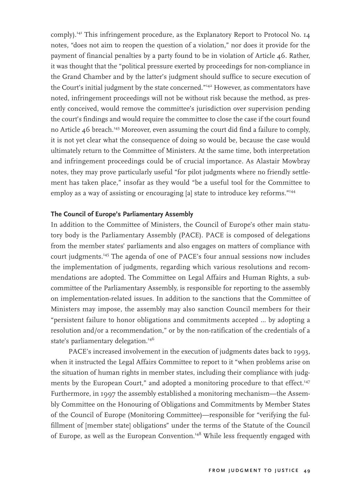comply).141 This infringement procedure, as the Explanatory Report to Protocol No. 14 notes, "does not aim to reopen the question of a violation," nor does it provide for the payment of financial penalties by a party found to be in violation of Article 46. Rather, it was thought that the "political pressure exerted by proceedings for non-compliance in the Grand Chamber and by the latter's judgment should suffice to secure execution of the Court's initial judgment by the state concerned."142 However, as commentators have noted, infringement proceedings will not be without risk because the method, as presently conceived, would remove the committee's jurisdiction over supervision pending the court's findings and would require the committee to close the case if the court found no Article 46 breach.<sup>143</sup> Moreover, even assuming the court did find a failure to comply, it is not yet clear what the consequence of doing so would be, because the case would ultimately return to the Committee of Ministers. At the same time, both interpretation and infringement proceedings could be of crucial importance. As Alastair Mowbray notes, they may prove particularly useful "for pilot judgments where no friendly settlement has taken place," insofar as they would "be a useful tool for the Committee to employ as a way of assisting or encouraging [a] state to introduce key reforms."144

## **The Council of Europe's Parliamentary Assembly**

In addition to the Committee of Ministers, the Council of Europe's other main statutory body is the Parliamentary Assembly (PACE). PACE is composed of delegations from the member states' parliaments and also engages on matters of compliance with court judgments.145 The agenda of one of PACE's four annual sessions now includes the implementation of judgments, regarding which various resolutions and recommendations are adopted. The Committee on Legal Affairs and Human Rights, a subcommittee of the Parliamentary Assembly, is responsible for reporting to the assembly on implementation-related issues. In addition to the sanctions that the Committee of Ministers may impose, the assembly may also sanction Council members for their "persistent failure to honor obligations and commitments accepted … by adopting a resolution and/or a recommendation," or by the non-ratification of the credentials of a state's parliamentary delegation.<sup>146</sup>

PACE's increased involvement in the execution of judgments dates back to 1993, when it instructed the Legal Affairs Committee to report to it "when problems arise on the situation of human rights in member states, including their compliance with judgments by the European Court," and adopted a monitoring procedure to that effect.<sup>147</sup> Furthermore, in 1997 the assembly established a monitoring mechanism—the Assembly Committee on the Honouring of Obligations and Commitments by Member States of the Council of Europe (Monitoring Committee)—responsible for "verifying the fulfillment of [member state] obligations" under the terms of the Statute of the Council of Europe, as well as the European Convention.<sup>148</sup> While less frequently engaged with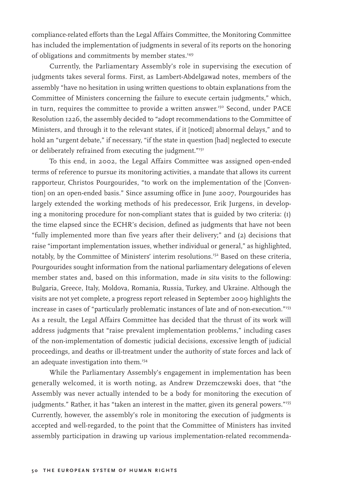compliance-related efforts than the Legal Affairs Committee, the Monitoring Committee has included the implementation of judgments in several of its reports on the honoring of obligations and commitments by member states.<sup>149</sup>

Currently, the Parliamentary Assembly's role in supervising the execution of judgments takes several forms. First, as Lambert-Abdelgawad notes, members of the assembly "have no hesitation in using written questions to obtain explanations from the Committee of Ministers concerning the failure to execute certain judgments," which, in turn, requires the committee to provide a written answer.<sup>150</sup> Second, under PACE Resolution 1226, the assembly decided to "adopt recommendations to the Committee of Ministers, and through it to the relevant states, if it [noticed] abnormal delays," and to hold an "urgent debate," if necessary, "if the state in question [had] neglected to execute or deliberately refrained from executing the judgment."<sup>151</sup>

To this end, in 2002, the Legal Affairs Committee was assigned open-ended terms of reference to pursue its monitoring activities, a mandate that allows its current rapporteur, Christos Pourgourides, "to work on the implementation of the [Convention] on an open-ended basis." Since assuming office in June 2007, Pourgourides has largely extended the working methods of his predecessor, Erik Jurgens, in developing a monitoring procedure for non-compliant states that is guided by two criteria: (1) the time elapsed since the ECHR's decision, defined as judgments that have not been "fully implemented more than five years after their delivery;" and (2) decisions that raise "important implementation issues, whether individual or general," as highlighted, notably, by the Committee of Ministers' interim resolutions.152 Based on these criteria, Pourgourides sought information from the national parliamentary delegations of eleven member states and, based on this information, made *in situ* visits to the following: Bulgaria, Greece, Italy, Moldova, Romania, Russia, Turkey, and Ukraine. Although the visits are not yet complete, a progress report released in September 2009 highlights the increase in cases of "particularly problematic instances of late and of non-execution."<sup>153</sup> As a result, the Legal Affairs Committee has decided that the thrust of its work will address judgments that "raise prevalent implementation problems," including cases of the non-implementation of domestic judicial decisions, excessive length of judicial proceedings, and deaths or ill-treatment under the authority of state forces and lack of an adequate investigation into them.<sup>154</sup>

While the Parliamentary Assembly's engagement in implementation has been generally welcomed, it is worth noting, as Andrew Drzemczewski does, that "the Assembly was never actually intended to be a body for monitoring the execution of judgments." Rather, it has "taken an interest in the matter, given its general powers."<sup>155</sup> Currently, however, the assembly's role in monitoring the execution of judgments is accepted and well-regarded, to the point that the Committee of Ministers has invited assembly participation in drawing up various implementation-related recommenda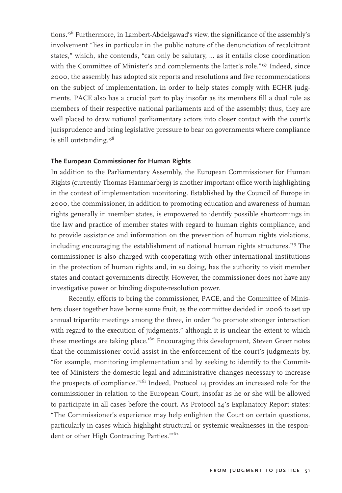tions.156 Furthermore, in Lambert-Abdelgawad's view, the significance of the assembly's involvement "lies in particular in the public nature of the denunciation of recalcitrant states," which, she contends, "can only be salutary, … as it entails close coordination with the Committee of Minister's and complements the latter's role."<sup>157</sup> Indeed, since 2000, the assembly has adopted six reports and resolutions and five recommendations on the subject of implementation, in order to help states comply with ECHR judgments. PACE also has a crucial part to play insofar as its members fill a dual role as members of their respective national parliaments and of the assembly; thus, they are well placed to draw national parliamentary actors into closer contact with the court's jurisprudence and bring legislative pressure to bear on governments where compliance is still outstanding.<sup>158</sup>

## **The European Commissioner for Human Rights**

In addition to the Parliamentary Assembly, the European Commissioner for Human Rights (currently Thomas Hammarberg) is another important office worth highlighting in the context of implementation monitoring. Established by the Council of Europe in 2000, the commissioner, in addition to promoting education and awareness of human rights generally in member states, is empowered to identify possible shortcomings in the law and practice of member states with regard to human rights compliance, and to provide assistance and information on the prevention of human rights violations, including encouraging the establishment of national human rights structures.159 The commissioner is also charged with cooperating with other international institutions in the protection of human rights and, in so doing, has the authority to visit member states and contact governments directly. However, the commissioner does not have any investigative power or binding dispute-resolution power.

Recently, efforts to bring the commissioner, PACE, and the Committee of Ministers closer together have borne some fruit, as the committee decided in 2006 to set up annual tripartite meetings among the three, in order "to promote stronger interaction with regard to the execution of judgments," although it is unclear the extent to which these meetings are taking place.<sup>160</sup> Encouraging this development, Steven Greer notes that the commissioner could assist in the enforcement of the court's judgments by, "for example, monitoring implementation and by seeking to identify to the Committee of Ministers the domestic legal and administrative changes necessary to increase the prospects of compliance."161 Indeed, Protocol 14 provides an increased role for the commissioner in relation to the European Court, insofar as he or she will be allowed to participate in all cases before the court. As Protocol 14's Explanatory Report states: "The Commissioner's experience may help enlighten the Court on certain questions, particularly in cases which highlight structural or systemic weaknesses in the respondent or other High Contracting Parties."<sup>162</sup>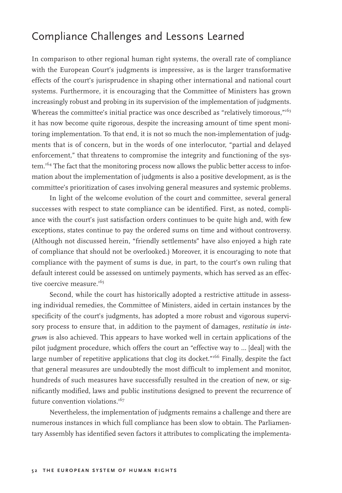# Compliance Challenges and Lessons Learned

In comparison to other regional human right systems, the overall rate of compliance with the European Court's judgments is impressive, as is the larger transformative effects of the court's jurisprudence in shaping other international and national court systems. Furthermore, it is encouraging that the Committee of Ministers has grown increasingly robust and probing in its supervision of the implementation of judgments. Whereas the committee's initial practice was once described as "relatively timorous,"163 it has now become quite rigorous, despite the increasing amount of time spent monitoring implementation. To that end, it is not so much the non-implementation of judgments that is of concern, but in the words of one interlocutor, "partial and delayed enforcement," that threatens to compromise the integrity and functioning of the system.<sup>164</sup> The fact that the monitoring process now allows the public better access to information about the implementation of judgments is also a positive development, as is the committee's prioritization of cases involving general measures and systemic problems.

In light of the welcome evolution of the court and committee, several general successes with respect to state compliance can be identified. First, as noted, compliance with the court's just satisfaction orders continues to be quite high and, with few exceptions, states continue to pay the ordered sums on time and without controversy. (Although not discussed herein, "friendly settlements" have also enjoyed a high rate of compliance that should not be overlooked.) Moreover, it is encouraging to note that compliance with the payment of sums is due, in part, to the court's own ruling that default interest could be assessed on untimely payments, which has served as an effective coercive measure.<sup>165</sup>

Second, while the court has historically adopted a restrictive attitude in assessing individual remedies, the Committee of Ministers, aided in certain instances by the specificity of the court's judgments, has adopted a more robust and vigorous supervisory process to ensure that, in addition to the payment of damages, *restitutio in integrum* is also achieved. This appears to have worked well in certain applications of the pilot judgment procedure, which offers the court an "effective way to … [deal] with the large number of repetitive applications that clog its docket."<sup>166</sup> Finally, despite the fact that general measures are undoubtedly the most difficult to implement and monitor, hundreds of such measures have successfully resulted in the creation of new, or significantly modified, laws and public institutions designed to prevent the recurrence of future convention violations.<sup>167</sup>

Nevertheless, the implementation of judgments remains a challenge and there are numerous instances in which full compliance has been slow to obtain. The Parliamentary Assembly has identified seven factors it attributes to complicating the implementa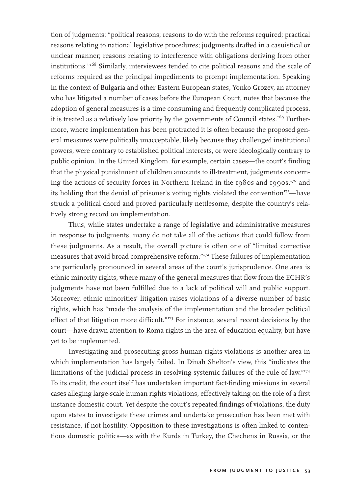tion of judgments: "political reasons; reasons to do with the reforms required; practical reasons relating to national legislative procedures; judgments drafted in a casuistical or unclear manner; reasons relating to interference with obligations deriving from other institutions."168 Similarly, interviewees tended to cite political reasons and the scale of reforms required as the principal impediments to prompt implementation. Speaking in the context of Bulgaria and other Eastern European states, Yonko Grozev, an attorney who has litigated a number of cases before the European Court, notes that because the adoption of general measures is a time consuming and frequently complicated process, it is treated as a relatively low priority by the governments of Council states.<sup>169</sup> Furthermore, where implementation has been protracted it is often because the proposed general measures were politically unacceptable, likely because they challenged institutional powers, were contrary to established political interests, or were ideologically contrary to public opinion. In the United Kingdom, for example, certain cases—the court's finding that the physical punishment of children amounts to ill-treatment, judgments concerning the actions of security forces in Northern Ireland in the 1980s and 1990s,<sup>170</sup> and its holding that the denial of prisoner's voting rights violated the convention<sup>171</sup>—have struck a political chord and proved particularly nettlesome, despite the country's relatively strong record on implementation.

Thus, while states undertake a range of legislative and administrative measures in response to judgments, many do not take all of the actions that could follow from these judgments. As a result, the overall picture is often one of "limited corrective measures that avoid broad comprehensive reform."172 These failures of implementation are particularly pronounced in several areas of the court's jurisprudence. One area is ethnic minority rights, where many of the general measures that flow from the ECHR's judgments have not been fulfilled due to a lack of political will and public support. Moreover, ethnic minorities' litigation raises violations of a diverse number of basic rights, which has "made the analysis of the implementation and the broader political effect of that litigation more difficult."<sup>173</sup> For instance, several recent decisions by the court—have drawn attention to Roma rights in the area of education equality, but have yet to be implemented.

Investigating and prosecuting gross human rights violations is another area in which implementation has largely failed. In Dinah Shelton's view, this "indicates the limitations of the judicial process in resolving systemic failures of the rule of law."<sup>174</sup> To its credit, the court itself has undertaken important fact-finding missions in several cases alleging large-scale human rights violations, effectively taking on the role of a first instance domestic court. Yet despite the court's repeated findings of violations, the duty upon states to investigate these crimes and undertake prosecution has been met with resistance, if not hostility. Opposition to these investigations is often linked to contentious domestic politics—as with the Kurds in Turkey, the Chechens in Russia, or the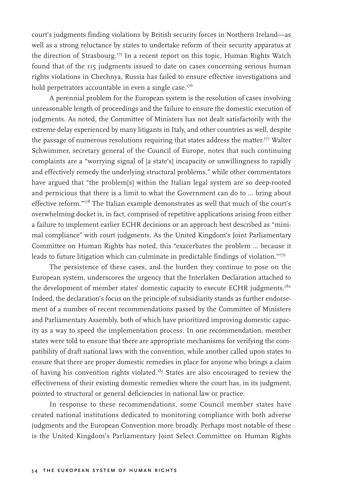court's judgments finding violations by British security forces in Northern Ireland—as well as a strong reluctance by states to undertake reform of their security apparatus at the direction of Strasbourg.<sup>175</sup> In a recent report on this topic, Human Rights Watch found that of the 115 judgments issued to date on cases concerning serious human rights violations in Chechnya, Russia has failed to ensure effective investigations and hold perpetrators accountable in even a single case. $176$ 

A perennial problem for the European system is the resolution of cases involving unreasonable length of proceedings and the failure to ensure the domestic execution of judgments. As noted, the Committee of Ministers has not dealt satisfactorily with the extreme delay experienced by many litigants in Italy, and other countries as well, despite the passage of numerous resolutions requiring that states address the matter.<sup>177</sup> Walter Schwimmer, secretary general of the Council of Europe, notes that such continuing complaints are a "worrying signal of [a state's] incapacity or unwillingness to rapidly and effectively remedy the underlying structural problems," while other commentators have argued that "the problem[s] within the Italian legal system are so deep-rooted and pernicious that there is a limit to what the Government can do to … bring about effective reform."<sup>178</sup> The Italian example demonstrates as well that much of the court's overwhelming docket is, in fact, comprised of repetitive applications arising from either a failure to implement earlier ECHR decisions or an approach best described as "minimal compliance" with court judgments. As the United Kingdom's Joint Parliamentary Committee on Human Rights has noted, this "exacerbates the problem … because it leads to future litigation which can culminate in predictable findings of violation."<sup>179</sup>

The persistence of these cases, and the burden they continue to pose on the European system, underscores the urgency that the Interlaken Declaration attached to the development of member states' domestic capacity to execute ECHR judgments.<sup>180</sup> Indeed, the declaration's focus on the principle of subsidiarity stands as further endorsement of a number of recent recommendations passed by the Committee of Ministers and Parliamentary Assembly, both of which have prioritized improving domestic capacity as a way to speed the implementation process. In one recommendation, member states were told to ensure that there are appropriate mechanisms for verifying the compatibility of draft national laws with the convention, while another called upon states to ensure that there are proper domestic remedies in place for anyone who brings a claim of having his convention rights violated.<sup>181</sup> States are also encouraged to review the effectiveness of their existing domestic remedies where the court has, in its judgment, pointed to structural or general deficiencies in national law or practice.

In response to these recommendations, some Council member states have created national institutions dedicated to monitoring compliance with both adverse judgments and the European Convention more broadly. Perhaps most notable of these is the United Kingdom's Parliamentary Joint Select Committee on Human Rights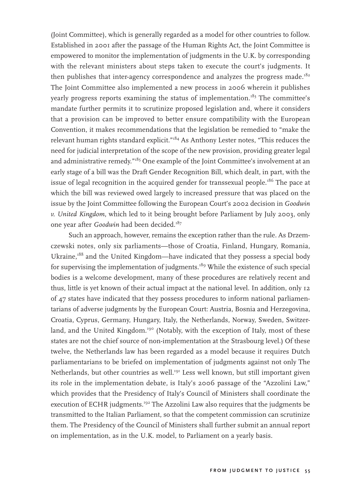(Joint Committee), which is generally regarded as a model for other countries to follow. Established in 2001 after the passage of the Human Rights Act, the Joint Committee is empowered to monitor the implementation of judgments in the U.K. by corresponding with the relevant ministers about steps taken to execute the court's judgments. It then publishes that inter-agency correspondence and analyzes the progress made.<sup>182</sup> The Joint Committee also implemented a new process in 2006 wherein it publishes yearly progress reports examining the status of implementation.<sup>183</sup> The committee's mandate further permits it to scrutinize proposed legislation and, where it considers that a provision can be improved to better ensure compatibility with the European Convention, it makes recommendations that the legislation be remedied to "make the relevant human rights standard explicit."184 As Anthony Lester notes, "This reduces the need for judicial interpretation of the scope of the new provision, providing greater legal and administrative remedy."185 One example of the Joint Committee's involvement at an early stage of a bill was the Draft Gender Recognition Bill, which dealt, in part, with the issue of legal recognition in the acquired gender for transsexual people.<sup>186</sup> The pace at which the bill was reviewed owed largely to increased pressure that was placed on the issue by the Joint Committee following the European Court's 2002 decision in *Goodwin v. United Kingdom*, which led to it being brought before Parliament by July 2003, only one year after *Goodwin* had been decided.<sup>187</sup>

Such an approach, however, remains the exception rather than the rule. As Drzemczewski notes, only six parliaments—those of Croatia, Finland, Hungary, Romania, Ukraine,<sup>188</sup> and the United Kingdom—have indicated that they possess a special body for supervising the implementation of judgments.<sup>189</sup> While the existence of such special bodies is a welcome development, many of these procedures are relatively recent and thus, little is yet known of their actual impact at the national level. In addition, only 12 of 47 states have indicated that they possess procedures to inform national parliamentarians of adverse judgments by the European Court: Austria, Bosnia and Herzegovina, Croatia, Cyprus, Germany, Hungary, Italy, the Netherlands, Norway, Sweden, Switzerland, and the United Kingdom.<sup>190</sup> (Notably, with the exception of Italy, most of these states are not the chief source of non-implementation at the Strasbourg level.) Of these twelve, the Netherlands law has been regarded as a model because it requires Dutch parliamentarians to be briefed on implementation of judgments against not only The Netherlands, but other countries as well.<sup>191</sup> Less well known, but still important given its role in the implementation debate, is Italy's 2006 passage of the "Azzolini Law," which provides that the Presidency of Italy's Council of Ministers shall coordinate the execution of ECHR judgments.<sup>192</sup> The Azzolini Law also requires that the judgments be transmitted to the Italian Parliament, so that the competent commission can scrutinize them. The Presidency of the Council of Ministers shall further submit an annual report on implementation, as in the U.K. model, to Parliament on a yearly basis.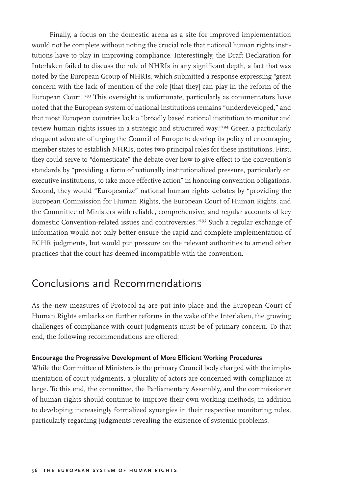Finally, a focus on the domestic arena as a site for improved implementation would not be complete without noting the crucial role that national human rights institutions have to play in improving compliance. Interestingly, the Draft Declaration for Interlaken failed to discuss the role of NHRIs in any significant depth, a fact that was noted by the European Group of NHRIs, which submitted a response expressing "great concern with the lack of mention of the role [that they] can play in the reform of the European Court."193 This oversight is unfortunate, particularly as commentators have noted that the European system of national institutions remains "underdeveloped," and that most European countries lack a "broadly based national institution to monitor and review human rights issues in a strategic and structured way."194 Greer, a particularly eloquent advocate of urging the Council of Europe to develop its policy of encouraging member states to establish NHRIs, notes two principal roles for these institutions. First, they could serve to "domesticate" the debate over how to give effect to the convention's standards by "providing a form of nationally institutionalized pressure, particularly on executive institutions, to take more effective action" in honoring convention obligations. Second, they would "Europeanize" national human rights debates by "providing the European Commission for Human Rights, the European Court of Human Rights, and the Committee of Ministers with reliable, comprehensive, and regular accounts of key domestic Convention-related issues and controversies."195 Such a regular exchange of information would not only better ensure the rapid and complete implementation of ECHR judgments, but would put pressure on the relevant authorities to amend other practices that the court has deemed incompatible with the convention.

# Conclusions and Recommendations

As the new measures of Protocol  $I_4$  are put into place and the European Court of Human Rights embarks on further reforms in the wake of the Interlaken, the growing challenges of compliance with court judgments must be of primary concern. To that end, the following recommendations are offered:

## **Encourage the Progressive Development of More Efficient Working Procedures**

While the Committee of Ministers is the primary Council body charged with the implementation of court judgments, a plurality of actors are concerned with compliance at large. To this end, the committee, the Parliamentary Assembly, and the commissioner of human rights should continue to improve their own working methods, in addition to developing increasingly formalized synergies in their respective monitoring rules, particularly regarding judgments revealing the existence of systemic problems.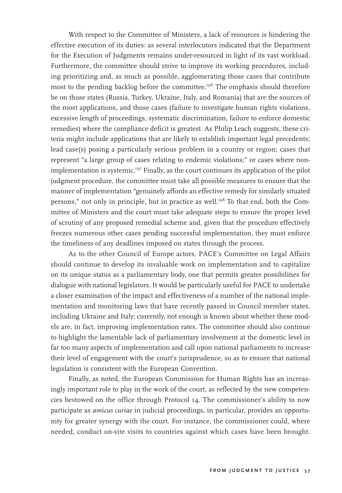With respect to the Committee of Ministers, a lack of resources is hindering the effective execution of its duties: as several interlocutors indicated that the Department for the Execution of Judgments remains under-resourced in light of its vast workload. Furthermore, the committee should strive to improve its working procedures, including prioritizing and, as much as possible, agglomerating those cases that contribute most to the pending backlog before the committee.<sup>196</sup> The emphasis should therefore be on those states (Russia, Turkey, Ukraine, Italy, and Romania) that are the sources of the most applications, and those cases (failure to investigate human rights violations, excessive length of proceedings, systematic discrimination, failure to enforce domestic remedies) where the compliance deficit is greatest. As Philip Leach suggests, these criteria might include applications that are likely to establish important legal precedents; lead case(s) posing a particularly serious problem in a country or region; cases that represent "a large group of cases relating to endemic violations;" or cases where nonimplementation is systemic.<sup>197</sup> Finally, as the court continues its application of the pilot judgment procedure, the committee must take all possible measures to ensure that the manner of implementation "genuinely affords an effective remedy for similarly situated persons," not only in principle, but in practice as well.<sup>198</sup> To that end, both the Committee of Ministers and the court must take adequate steps to ensure the proper level of scrutiny of any proposed remedial scheme and, given that the procedure effectively freezes numerous other cases pending successful implementation, they must enforce the timeliness of any deadlines imposed on states through the process.

As to the other Council of Europe actors, PACE's Committee on Legal Affairs should continue to develop its invaluable work on implementation and to capitalize on its unique status as a parliamentary body, one that permits greater possibilities for dialogue with national legislators. It would be particularly useful for PACE to undertake a closer examination of the impact and effectiveness of a number of the national implementation and monitoring laws that have recently passed in Council member states, including Ukraine and Italy; currently, not enough is known about whether these models are, in fact, improving implementation rates. The committee should also continue to highlight the lamentable lack of parliamentary involvement at the domestic level in far too many aspects of implementation and call upon national parliaments to increase their level of engagement with the court's jurisprudence, so as to ensure that national legislation is consistent with the European Convention.

Finally, as noted, the European Commission for Human Rights has an increasingly important role to play in the work of the court, as reflected by the new competencies bestowed on the office through Protocol 14. The commissioner's ability to now participate as *amicus curiae* in judicial proceedings, in particular, provides an opportunity for greater synergy with the court. For instance, the commissioner could, where needed, conduct on-site visits to countries against which cases have been brought.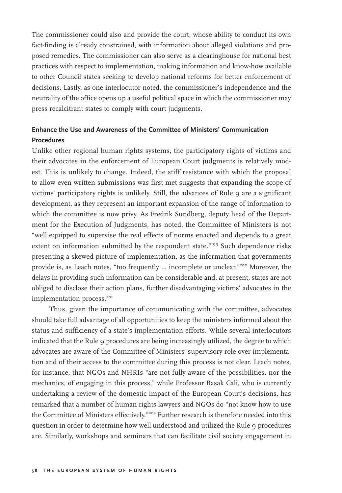The commissioner could also and provide the court, whose ability to conduct its own fact-finding is already constrained, with information about alleged violations and proposed remedies. The commissioner can also serve as a clearinghouse for national best practices with respect to implementation, making information and know-how available to other Council states seeking to develop national reforms for better enforcement of decisions. Lastly, as one interlocutor noted, the commissioner's independence and the neutrality of the office opens up a useful political space in which the commissioner may press recalcitrant states to comply with court judgments.

# **Enhance the Use and Awareness of the Committee of Ministers' Communication Procedures**

Unlike other regional human rights systems, the participatory rights of victims and their advocates in the enforcement of European Court judgments is relatively modest. This is unlikely to change. Indeed, the stiff resistance with which the proposal to allow even written submissions was first met suggests that expanding the scope of victims' participatory rights is unlikely. Still, the advances of Rule 9 are a significant development, as they represent an important expansion of the range of information to which the committee is now privy. As Fredrik Sundberg, deputy head of the Department for the Execution of Judgments, has noted, the Committee of Ministers is not "well equipped to supervise the real effects of norms enacted and depends to a great extent on information submitted by the respondent state."<sup>199</sup> Such dependence risks presenting a skewed picture of implementation, as the information that governments provide is, as Leach notes, "too frequently … incomplete or unclear."200 Moreover, the delays in providing such information can be considerable and, at present, states are not obliged to disclose their action plans, further disadvantaging victims' advocates in the implementation process.<sup>201</sup>

Thus, given the importance of communicating with the committee, advocates should take full advantage of all opportunities to keep the ministers informed about the status and sufficiency of a state's implementation efforts. While several interlocutors indicated that the Rule 9 procedures are being increasingly utilized, the degree to which advocates are aware of the Committee of Ministers' supervisory role over implementation and of their access to the committee during this process is not clear. Leach notes, for instance, that NGOs and NHRIs "are not fully aware of the possibilities, nor the mechanics, of engaging in this process," while Professor Basak Cali, who is currently undertaking a review of the domestic impact of the European Court's decisions, has remarked that a number of human rights lawyers and NGOs do "not know how to use the Committee of Ministers effectively."<sup>202</sup> Further research is therefore needed into this question in order to determine how well understood and utilized the Rule 9 procedures are. Similarly, workshops and seminars that can facilitate civil society engagement in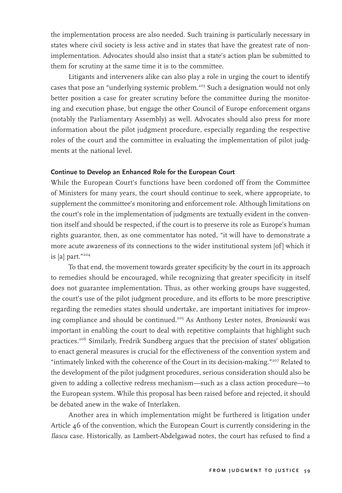the implementation process are also needed. Such training is particularly necessary in states where civil society is less active and in states that have the greatest rate of nonimplementation. Advocates should also insist that a state's action plan be submitted to them for scrutiny at the same time it is to the committee.

Litigants and interveners alike can also play a role in urging the court to identify cases that pose an "underlying systemic problem.203 Such a designation would not only better position a case for greater scrutiny before the committee during the monitoring and execution phase, but engage the other Council of Europe enforcement organs (notably the Parliamentary Assembly) as well. Advocates should also press for more information about the pilot judgment procedure, especially regarding the respective roles of the court and the committee in evaluating the implementation of pilot judgments at the national level.

## **Continue to Develop an Enhanced Role for the European Court**

While the European Court's functions have been cordoned off from the Committee of Ministers for many years, the court should continue to seek, where appropriate, to supplement the committee's monitoring and enforcement role. Although limitations on the court's role in the implementation of judgments are textually evident in the convention itself and should be respected, if the court is to preserve its role as Europe's human rights guarantor, then, as one commentator has noted, "it will have to demonstrate a more acute awareness of its connections to the wider institutional system [of] which it is [a] part."204

To that end, the movement towards greater specificity by the court in its approach to remedies should be encouraged, while recognizing that greater specificity in itself does not guarantee implementation. Thus, as other working groups have suggested, the court's use of the pilot judgment procedure, and its efforts to be more prescriptive regarding the remedies states should undertake, are important initiatives for improving compliance and should be continued.205 As Anthony Lester notes, *Broniowski* was important in enabling the court to deal with repetitive complaints that highlight such practices.206 Similarly, Fredrik Sundberg argues that the precision of states' obligation to enact general measures is crucial for the effectiveness of the convention system and "intimately linked with the coherence of the Court in its decision-making."207 Related to the development of the pilot judgment procedures, serious consideration should also be given to adding a collective redress mechanism—such as a class action procedure—to the European system. While this proposal has been raised before and rejected, it should be debated anew in the wake of Interlaken.

Another area in which implementation might be furthered is litigation under Article 46 of the convention, which the European Court is currently considering in the *Ilascu* case. Historically, as Lambert-Abdelgawad notes, the court has refused to find a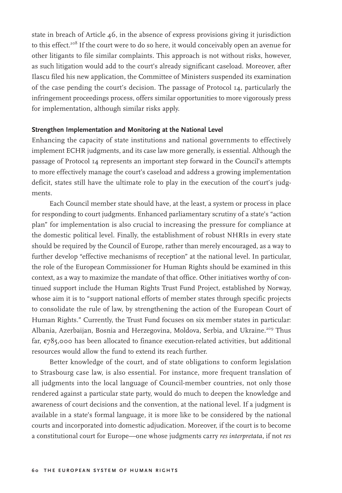state in breach of Article  $46$ , in the absence of express provisions giving it jurisdiction to this effect.<sup>208</sup> If the court were to do so here, it would conceivably open an avenue for other litigants to file similar complaints. This approach is not without risks, however, as such litigation would add to the court's already significant caseload. Moreover, after Ilascu filed his new application, the Committee of Ministers suspended its examination of the case pending the court's decision. The passage of Protocol 14, particularly the infringement proceedings process, offers similar opportunities to more vigorously press for implementation, although similar risks apply.

## **Strengthen Implementation and Monitoring at the National Level**

Enhancing the capacity of state institutions and national governments to effectively implement ECHR judgments, and its case law more generally, is essential. Although the passage of Protocol 14 represents an important step forward in the Council's attempts to more effectively manage the court's caseload and address a growing implementation deficit, states still have the ultimate role to play in the execution of the court's judgments.

Each Council member state should have, at the least, a system or process in place for responding to court judgments. Enhanced parliamentary scrutiny of a state's "action plan" for implementation is also crucial to increasing the pressure for compliance at the domestic political level. Finally, the establishment of robust NHRIs in every state should be required by the Council of Europe, rather than merely encouraged, as a way to further develop "effective mechanisms of reception" at the national level. In particular, the role of the European Commissioner for Human Rights should be examined in this context, as a way to maximize the mandate of that office. Other initiatives worthy of continued support include the Human Rights Trust Fund Project, established by Norway, whose aim it is to "support national efforts of member states through specific projects to consolidate the rule of law, by strengthening the action of the European Court of Human Rights." Currently, the Trust Fund focuses on six member states in particular: Albania, Azerbaijan, Bosnia and Herzegovina, Moldova, Serbia, and Ukraine.<sup>209</sup> Thus far, €785,000 has been allocated to finance execution-related activities, but additional resources would allow the fund to extend its reach further.

Better knowledge of the court, and of state obligations to conform legislation to Strasbourg case law, is also essential. For instance, more frequent translation of all judgments into the local language of Council-member countries, not only those rendered against a particular state party, would do much to deepen the knowledge and awareness of court decisions and the convention, at the national level. If a judgment is available in a state's formal language, it is more like to be considered by the national courts and incorporated into domestic adjudication. Moreover, if the court is to become a constitutional court for Europe—one whose judgments carry *res interpretata*, if not *res*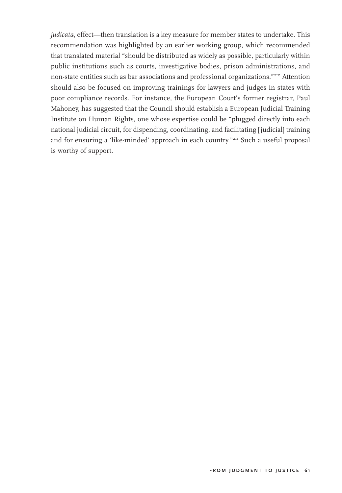*judicata*, effect—then translation is a key measure for member states to undertake. This recommendation was highlighted by an earlier working group, which recommended that translated material "should be distributed as widely as possible, particularly within public institutions such as courts, investigative bodies, prison administrations, and non-state entities such as bar associations and professional organizations."210 Attention should also be focused on improving trainings for lawyers and judges in states with poor compliance records. For instance, the European Court's former registrar, Paul Mahoney, has suggested that the Council should establish a European Judicial Training Institute on Human Rights, one whose expertise could be "plugged directly into each national judicial circuit, for dispending, coordinating, and facilitating [judicial] training and for ensuring a 'like-minded' approach in each country."<sup>211</sup> Such a useful proposal is worthy of support.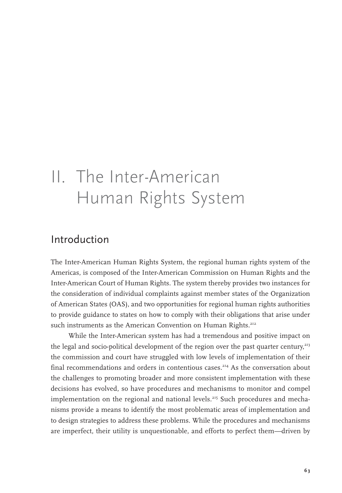# II. The Inter-American Human Rights System

# Introduction

The Inter-American Human Rights System, the regional human rights system of the Americas, is composed of the Inter-American Commission on Human Rights and the Inter-American Court of Human Rights. The system thereby provides two instances for the consideration of individual complaints against member states of the Organization of American States (OAS), and two opportunities for regional human rights authorities to provide guidance to states on how to comply with their obligations that arise under such instruments as the American Convention on Human Rights.<sup>212</sup>

While the Inter-American system has had a tremendous and positive impact on the legal and socio-political development of the region over the past quarter century, $2^{13}$ the commission and court have struggled with low levels of implementation of their final recommendations and orders in contentious cases.<sup>214</sup> As the conversation about the challenges to promoting broader and more consistent implementation with these decisions has evolved, so have procedures and mechanisms to monitor and compel implementation on the regional and national levels. $215$  Such procedures and mechanisms provide a means to identify the most problematic areas of implementation and to design strategies to address these problems. While the procedures and mechanisms are imperfect, their utility is unquestionable, and efforts to perfect them—driven by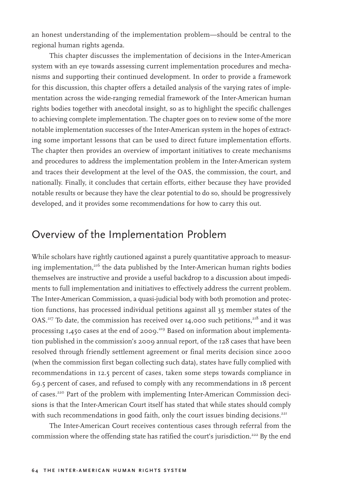an honest understanding of the implementation problem—should be central to the regional human rights agenda.

This chapter discusses the implementation of decisions in the Inter-American system with an eye towards assessing current implementation procedures and mechanisms and supporting their continued development. In order to provide a framework for this discussion, this chapter offers a detailed analysis of the varying rates of implementation across the wide-ranging remedial framework of the Inter-American human rights bodies together with anecdotal insight, so as to highlight the specific challenges to achieving complete implementation. The chapter goes on to review some of the more notable implementation successes of the Inter-American system in the hopes of extracting some important lessons that can be used to direct future implementation efforts. The chapter then provides an overview of important initiatives to create mechanisms and procedures to address the implementation problem in the Inter-American system and traces their development at the level of the OAS, the commission, the court, and nationally. Finally, it concludes that certain efforts, either because they have provided notable results or because they have the clear potential to do so, should be progressively developed, and it provides some recommendations for how to carry this out.

# Overview of the Implementation Problem

While scholars have rightly cautioned against a purely quantitative approach to measuring implementation,<sup>216</sup> the data published by the Inter-American human rights bodies themselves are instructive and provide a useful backdrop to a discussion about impediments to full implementation and initiatives to effectively address the current problem. The Inter-American Commission, a quasi-judicial body with both promotion and protection functions, has processed individual petitions against all 35 member states of the OAS.<sup>217</sup> To date, the commission has received over 14,000 such petitions,<sup>218</sup> and it was processing  $1,450$  cases at the end of 2009.<sup>219</sup> Based on information about implementation published in the commission's 2009 annual report, of the 128 cases that have been resolved through friendly settlement agreement or final merits decision since 2000 (when the commission first began collecting such data), states have fully complied with recommendations in 12.5 percent of cases, taken some steps towards compliance in 69.5 percent of cases, and refused to comply with any recommendations in 18 percent of cases.220 Part of the problem with implementing Inter-American Commission decisions is that the Inter-American Court itself has stated that while states should comply with such recommendations in good faith, only the court issues binding decisions.<sup>221</sup>

The Inter-American Court receives contentious cases through referral from the commission where the offending state has ratified the court's jurisdiction.<sup>222</sup> By the end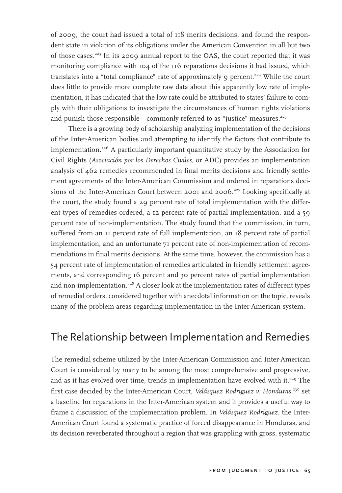of 2009, the court had issued a total of 118 merits decisions, and found the respondent state in violation of its obligations under the American Convention in all but two of those cases.223 In its 2009 annual report to the OAS, the court reported that it was monitoring compliance with 104 of the 116 reparations decisions it had issued, which translates into a "total compliance" rate of approximately  $\varphi$  percent.<sup>224</sup> While the court does little to provide more complete raw data about this apparently low rate of implementation, it has indicated that the low rate could be attributed to states' failure to comply with their obligations to investigate the circumstances of human rights violations and punish those responsible—commonly referred to as "justice" measures.<sup>225</sup>

There is a growing body of scholarship analyzing implementation of the decisions of the Inter-American bodies and attempting to identify the factors that contribute to implementation.<sup>226</sup> A particularly important quantitative study by the Association for Civil Rights (*Asociación por los Derechos Civiles*, or ADC) provides an implementation analysis of 462 remedies recommended in final merits decisions and friendly settlement agreements of the Inter-American Commission and ordered in reparations decisions of the Inter-American Court between 2001 and 2006.<sup>227</sup> Looking specifically at the court, the study found a 29 percent rate of total implementation with the different types of remedies ordered, a 12 percent rate of partial implementation, and a 59 percent rate of non-implementation. The study found that the commission, in turn, suffered from an 11 percent rate of full implementation, an 18 percent rate of partial implementation, and an unfortunate 71 percent rate of non-implementation of recommendations in final merits decisions. At the same time, however, the commission has a 54 percent rate of implementation of remedies articulated in friendly settlement agreements, and corresponding 16 percent and 30 percent rates of partial implementation and non-implementation.<sup>228</sup> A closer look at the implementation rates of different types of remedial orders, considered together with anecdotal information on the topic, reveals many of the problem areas regarding implementation in the Inter-American system.

# The Relationship between Implementation and Remedies

The remedial scheme utilized by the Inter-American Commission and Inter-American Court is considered by many to be among the most comprehensive and progressive, and as it has evolved over time, trends in implementation have evolved with it.<sup>229</sup> The first case decided by the Inter-American Court, Velásquez Rodriguez v. Honduras,<sup>230</sup> set a baseline for reparations in the Inter-American system and it provides a useful way to frame a discussion of the implementation problem. In *Velásquez Rodriguez*, the Inter-American Court found a systematic practice of forced disappearance in Honduras, and its decision reverberated throughout a region that was grappling with gross, systematic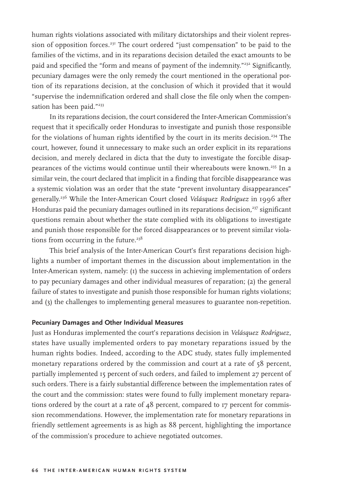human rights violations associated with military dictatorships and their violent repression of opposition forces.<sup> $231$ </sup> The court ordered "just compensation" to be paid to the families of the victims, and in its reparations decision detailed the exact amounts to be paid and specified the "form and means of payment of the indemnity."<sup>232</sup> Significantly, pecuniary damages were the only remedy the court mentioned in the operational portion of its reparations decision, at the conclusion of which it provided that it would "supervise the indemnification ordered and shall close the file only when the compensation has been paid."<sup>233</sup>

In its reparations decision, the court considered the Inter-American Commission's request that it specifically order Honduras to investigate and punish those responsible for the violations of human rights identified by the court in its merits decision.234 The court, however, found it unnecessary to make such an order explicit in its reparations decision, and merely declared in dicta that the duty to investigate the forcible disappearances of the victims would continue until their whereabouts were known.<sup>235</sup> In a similar vein, the court declared that implicit in a finding that forcible disappearance was a systemic violation was an order that the state "prevent involuntary disappearances" generally.236 While the Inter-American Court closed *Velásquez Rodriguez* in 1996 after Honduras paid the pecuniary damages outlined in its reparations decision,<sup>237</sup> significant questions remain about whether the state complied with its obligations to investigate and punish those responsible for the forced disappearances or to prevent similar violations from occurring in the future. $238$ 

This brief analysis of the Inter-American Court's first reparations decision highlights a number of important themes in the discussion about implementation in the Inter-American system, namely: (1) the success in achieving implementation of orders to pay pecuniary damages and other individual measures of reparation; (2) the general failure of states to investigate and punish those responsible for human rights violations; and (3) the challenges to implementing general measures to guarantee non-repetition.

#### **Pecuniary Damages and Other Individual Measures**

Just as Honduras implemented the court's reparations decision in *Velásquez Rodriguez*, states have usually implemented orders to pay monetary reparations issued by the human rights bodies. Indeed, according to the ADC study, states fully implemented monetary reparations ordered by the commission and court at a rate of 58 percent, partially implemented 15 percent of such orders, and failed to implement 27 percent of such orders. There is a fairly substantial difference between the implementation rates of the court and the commission: states were found to fully implement monetary reparations ordered by the court at a rate of  $48$  percent, compared to 17 percent for commission recommendations. However, the implementation rate for monetary reparations in friendly settlement agreements is as high as 88 percent, highlighting the importance of the commission's procedure to achieve negotiated outcomes.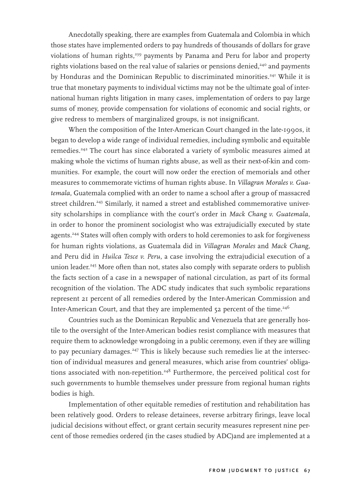Anecdotally speaking, there are examples from Guatemala and Colombia in which those states have implemented orders to pay hundreds of thousands of dollars for grave violations of human rights,<sup>239</sup> payments by Panama and Peru for labor and property rights violations based on the real value of salaries or pensions denied,<sup>240</sup> and payments by Honduras and the Dominican Republic to discriminated minorities.<sup>241</sup> While it is true that monetary payments to individual victims may not be the ultimate goal of international human rights litigation in many cases, implementation of orders to pay large sums of money, provide compensation for violations of economic and social rights, or give redress to members of marginalized groups, is not insignificant.

When the composition of the Inter-American Court changed in the late-1990s, it began to develop a wide range of individual remedies, including symbolic and equitable remedies.242 The court has since elaborated a variety of symbolic measures aimed at making whole the victims of human rights abuse, as well as their next-of-kin and communities. For example, the court will now order the erection of memorials and other measures to commemorate victims of human rights abuse. In *Villagran Morales v. Guatemala*, Guatemala complied with an order to name a school after a group of massacred street children.<sup>243</sup> Similarly, it named a street and established commemorative university scholarships in compliance with the court's order in *Mack Chang v. Guatemala*, in order to honor the prominent sociologist who was extrajudicially executed by state agents.<sup>244</sup> States will often comply with orders to hold ceremonies to ask for forgiveness for human rights violations, as Guatemala did in *Villagran Morales* and *Mack Chang*, and Peru did in *Huilca Tesce v. Peru*, a case involving the extrajudicial execution of a union leader.<sup>245</sup> More often than not, states also comply with separate orders to publish the facts section of a case in a newspaper of national circulation, as part of its formal recognition of the violation. The ADC study indicates that such symbolic reparations represent 21 percent of all remedies ordered by the Inter-American Commission and Inter-American Court, and that they are implemented 52 percent of the time.<sup>246</sup>

Countries such as the Dominican Republic and Venezuela that are generally hostile to the oversight of the Inter-American bodies resist compliance with measures that require them to acknowledge wrongdoing in a public ceremony, even if they are willing to pay pecuniary damages.<sup>247</sup> This is likely because such remedies lie at the intersection of individual measures and general measures, which arise from countries' obligations associated with non-repetition.<sup>248</sup> Furthermore, the perceived political cost for such governments to humble themselves under pressure from regional human rights bodies is high.

Implementation of other equitable remedies of restitution and rehabilitation has been relatively good. Orders to release detainees, reverse arbitrary firings, leave local judicial decisions without effect, or grant certain security measures represent nine percent of those remedies ordered (in the cases studied by ADC)and are implemented at a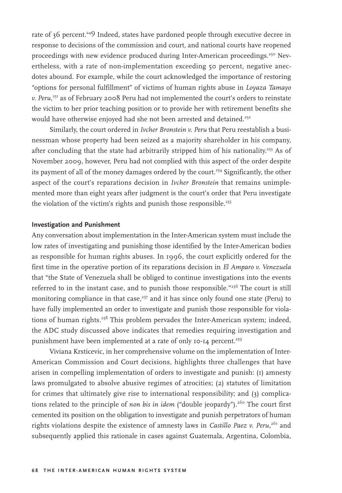rate of 36 percent.<sup>249</sup> Indeed, states have pardoned people through executive decree in response to decisions of the commission and court, and national courts have reopened proceedings with new evidence produced during Inter-American proceedings.<sup>250</sup> Nevertheless, with a rate of non-implementation exceeding 50 percent, negative anecdotes abound. For example, while the court acknowledged the importance of restoring "options for personal fulfillment" of victims of human rights abuse in *Loyaza Tamayo v. Peru*, 251 as of February 2008 Peru had not implemented the court's orders to reinstate the victim to her prior teaching position or to provide her with retirement benefits she would have otherwise enjoyed had she not been arrested and detained.<sup>252</sup>

Similarly, the court ordered in *Ivcher Bronstein v. Peru* that Peru reestablish a businessman whose property had been seized as a majority shareholder in his company, after concluding that the state had arbitrarily stripped him of his nationality.<sup>253</sup> As of November 2009, however, Peru had not complied with this aspect of the order despite its payment of all of the money damages ordered by the court.254 Significantly, the other aspect of the court's reparations decision in *Ivcher Bronstein* that remains unimplemented more than eight years after judgment is the court's order that Peru investigate the violation of the victim's rights and punish those responsible.<sup>255</sup>

#### **Investigation and Punishment**

Any conversation about implementation in the Inter-American system must include the low rates of investigating and punishing those identified by the Inter-American bodies as responsible for human rights abuses. In 1996, the court explicitly ordered for the first time in the operative portion of its reparations decision in *El Amparo v. Venezuela* that "the State of Venezuela shall be obliged to continue investigations into the events referred to in the instant case, and to punish those responsible."<sup>256</sup> The court is still monitoring compliance in that case, $257$  and it has since only found one state (Peru) to have fully implemented an order to investigate and punish those responsible for violations of human rights.<sup>258</sup> This problem pervades the Inter-American system; indeed, the ADC study discussed above indicates that remedies requiring investigation and punishment have been implemented at a rate of only 10-14 percent.<sup>259</sup>

Viviana Krsticevic, in her comprehensive volume on the implementation of Inter-American Commission and Court decisions, highlights three challenges that have arisen in compelling implementation of orders to investigate and punish: (1) amnesty laws promulgated to absolve abusive regimes of atrocities; (2) statutes of limitation for crimes that ultimately give rise to international responsibility; and (3) complications related to the principle of *non bis in idem* ("double jeopardy").<sup>260</sup> The court first cemented its position on the obligation to investigate and punish perpetrators of human rights violations despite the existence of amnesty laws in *Castillo Paez v. Peru*, 261 and subsequently applied this rationale in cases against Guatemala, Argentina, Colombia,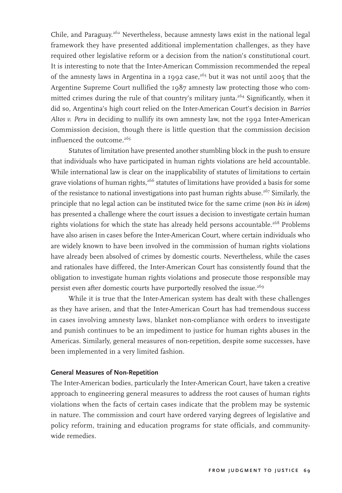Chile, and Paraguay.<sup>262</sup> Nevertheless, because amnesty laws exist in the national legal framework they have presented additional implementation challenges, as they have required other legislative reform or a decision from the nation's constitutional court. It is interesting to note that the Inter-American Commission recommended the repeal of the amnesty laws in Argentina in a 1992 case, $263$  but it was not until 2005 that the Argentine Supreme Court nullified the 1987 amnesty law protecting those who committed crimes during the rule of that country's military junta.<sup>264</sup> Significantly, when it did so, Argentina's high court relied on the Inter-American Court's decision in *Barrios Altos v. Peru* in deciding to nullify its own amnesty law, not the 1992 Inter-American Commission decision, though there is little question that the commission decision influenced the outcome.<sup>265</sup>

Statutes of limitation have presented another stumbling block in the push to ensure that individuals who have participated in human rights violations are held accountable. While international law is clear on the inapplicability of statutes of limitations to certain grave violations of human rights,<sup>266</sup> statutes of limitations have provided a basis for some of the resistance to national investigations into past human rights abuse.<sup>267</sup> Similarly, the principle that no legal action can be instituted twice for the same crime (*non bis in idem*) has presented a challenge where the court issues a decision to investigate certain human rights violations for which the state has already held persons accountable.<sup>268</sup> Problems have also arisen in cases before the Inter-American Court, where certain individuals who are widely known to have been involved in the commission of human rights violations have already been absolved of crimes by domestic courts. Nevertheless, while the cases and rationales have differed, the Inter-American Court has consistently found that the obligation to investigate human rights violations and prosecute those responsible may persist even after domestic courts have purportedly resolved the issue.<sup>269</sup>

While it is true that the Inter-American system has dealt with these challenges as they have arisen, and that the Inter-American Court has had tremendous success in cases involving amnesty laws, blanket non-compliance with orders to investigate and punish continues to be an impediment to justice for human rights abuses in the Americas. Similarly, general measures of non-repetition, despite some successes, have been implemented in a very limited fashion.

#### **General Measures of Non-Repetition**

The Inter-American bodies, particularly the Inter-American Court, have taken a creative approach to engineering general measures to address the root causes of human rights violations when the facts of certain cases indicate that the problem may be systemic in nature. The commission and court have ordered varying degrees of legislative and policy reform, training and education programs for state officials, and communitywide remedies.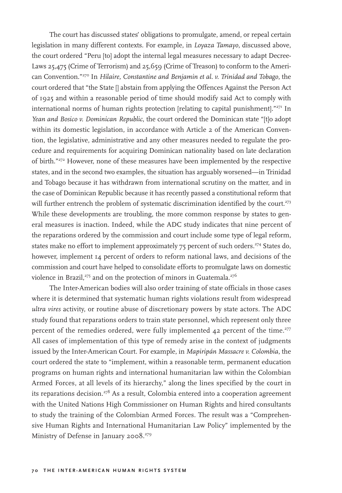The court has discussed states' obligations to promulgate, amend, or repeal certain legislation in many different contexts. For example, in *Loyaza Tamayo*, discussed above, the court ordered "Peru [to] adopt the internal legal measures necessary to adapt Decree-Laws 25,475 (Crime of Terrorism) and 25,659 (Crime of Treason) to conform to the American Convention."270 In *Hilaire, Constantine and Benjamin et al. v. Trinidad and Tobago*, the court ordered that "the State [] abstain from applying the Offences Against the Person Act of 1925 and within a reasonable period of time should modify said Act to comply with international norms of human rights protection [relating to capital punishment]."<sup>271</sup> In *Yean and Bosico v. Dominican Republic*, the court ordered the Dominican state "[t]o adopt within its domestic legislation, in accordance with Article 2 of the American Convention, the legislative, administrative and any other measures needed to regulate the procedure and requirements for acquiring Dominican nationality based on late declaration of birth."272 However, none of these measures have been implemented by the respective states, and in the second two examples, the situation has arguably worsened—in Trinidad and Tobago because it has withdrawn from international scrutiny on the matter, and in the case of Dominican Republic because it has recently passed a constitutional reform that will further entrench the problem of systematic discrimination identified by the court.<sup>273</sup> While these developments are troubling, the more common response by states to general measures is inaction. Indeed, while the ADC study indicates that nine percent of the reparations ordered by the commission and court include some type of legal reform, states make no effort to implement approximately  $75$  percent of such orders.<sup>274</sup> States do, however, implement 14 percent of orders to reform national laws, and decisions of the commission and court have helped to consolidate efforts to promulgate laws on domestic violence in Brazil, $275$  and on the protection of minors in Guatemala.<sup>276</sup>

The Inter-American bodies will also order training of state officials in those cases where it is determined that systematic human rights violations result from widespread *ultra vires* activity, or routine abuse of discretionary powers by state actors. The ADC study found that reparations orders to train state personnel, which represent only three percent of the remedies ordered, were fully implemented 42 percent of the time.<sup>277</sup> All cases of implementation of this type of remedy arise in the context of judgments issued by the Inter-American Court. For example, in *Mapiripán Massacre v. Colombia*, the court ordered the state to "implement, within a reasonable term, permanent education programs on human rights and international humanitarian law within the Colombian Armed Forces, at all levels of its hierarchy," along the lines specified by the court in its reparations decision.<sup>278</sup> As a result, Colombia entered into a cooperation agreement with the United Nations High Commissioner on Human Rights and hired consultants to study the training of the Colombian Armed Forces. The result was a "Comprehensive Human Rights and International Humanitarian Law Policy" implemented by the Ministry of Defense in January 2008.<sup>279</sup>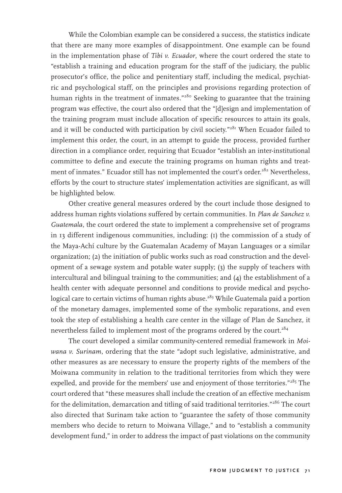While the Colombian example can be considered a success, the statistics indicate that there are many more examples of disappointment. One example can be found in the implementation phase of *Tibi v. Ecuador*, where the court ordered the state to "establish a training and education program for the staff of the judiciary, the public prosecutor's office, the police and penitentiary staff, including the medical, psychiatric and psychological staff, on the principles and provisions regarding protection of human rights in the treatment of inmates."<sup>280</sup> Seeking to guarantee that the training program was effective, the court also ordered that the "[d]esign and implementation of the training program must include allocation of specific resources to attain its goals, and it will be conducted with participation by civil society."<sup>281</sup> When Ecuador failed to implement this order, the court, in an attempt to guide the process, provided further direction in a compliance order, requiring that Ecuador "establish an inter-institutional committee to define and execute the training programs on human rights and treatment of inmates." Ecuador still has not implemented the court's order.<sup>282</sup> Nevertheless, efforts by the court to structure states' implementation activities are significant, as will be highlighted below.

Other creative general measures ordered by the court include those designed to address human rights violations suffered by certain communities. In *Plan de Sanchez v. Guatemala*, the court ordered the state to implement a comprehensive set of programs in 13 different indigenous communities, including: (1) the commission of a study of the Maya-Achí culture by the Guatemalan Academy of Mayan Languages or a similar organization; (2) the initiation of public works such as road construction and the development of a sewage system and potable water supply; (3) the supply of teachers with intercultural and bilingual training to the communities; and (4) the establishment of a health center with adequate personnel and conditions to provide medical and psychological care to certain victims of human rights abuse.<sup>283</sup> While Guatemala paid a portion of the monetary damages, implemented some of the symbolic reparations, and even took the step of establishing a health care center in the village of Plan de Sanchez, it nevertheless failed to implement most of the programs ordered by the court.<sup>284</sup>

The court developed a similar community-centered remedial framework in *Moiwana v. Surinam*, ordering that the state "adopt such legislative, administrative, and other measures as are necessary to ensure the property rights of the members of the Moiwana community in relation to the traditional territories from which they were expelled, and provide for the members' use and enjoyment of those territories."<sup>285</sup> The court ordered that "these measures shall include the creation of an effective mechanism for the delimitation, demarcation and titling of said traditional territories."<sup>286</sup> The court also directed that Surinam take action to "guarantee the safety of those community members who decide to return to Moiwana Village," and to "establish a community development fund," in order to address the impact of past violations on the community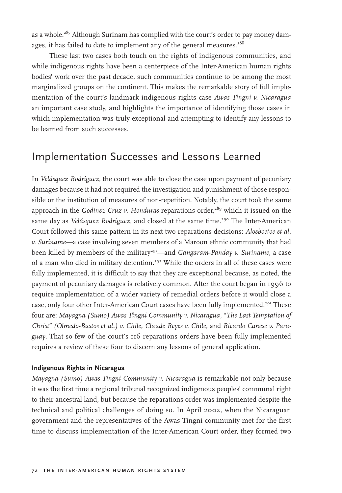as a whole.<sup>287</sup> Although Surinam has complied with the court's order to pay money damages, it has failed to date to implement any of the general measures.<sup>288</sup>

These last two cases both touch on the rights of indigenous communities, and while indigenous rights have been a centerpiece of the Inter-American human rights bodies' work over the past decade, such communities continue to be among the most marginalized groups on the continent. This makes the remarkable story of full implementation of the court's landmark indigenous rights case *Awas Tingni v. Nicaragua* an important case study, and highlights the importance of identifying those cases in which implementation was truly exceptional and attempting to identify any lessons to be learned from such successes.

## Implementation Successes and Lessons Learned

In *Velásquez Rodriguez*, the court was able to close the case upon payment of pecuniary damages because it had not required the investigation and punishment of those responsible or the institution of measures of non-repetition. Notably, the court took the same approach in the *Godinez Cruz v. Honduras* reparations order,<sup>289</sup> which it issued on the same day as *Velásquez Rodriguez*, and closed at the same time.<sup>290</sup> The Inter-American Court followed this same pattern in its next two reparations decisions: *Aloeboetoe et al. v. Suriname*—a case involving seven members of a Maroon ethnic community that had been killed by members of the military<sup>291</sup>—and *Gangaram-Panday v. Suriname*, a case of a man who died in military detention.<sup>292</sup> While the orders in all of these cases were fully implemented, it is difficult to say that they are exceptional because, as noted, the payment of pecuniary damages is relatively common. After the court began in 1996 to require implementation of a wider variety of remedial orders before it would close a case, only four other Inter-American Court cases have been fully implemented.<sup>293</sup> These four are: *Mayagna (Sumo) Awas Tingni Community v. Nicaragua*, "*The Last Temptation of Christ" (Olmedo-Bustos et al.) v. Chile*, *Claude Reyes v. Chile*, and *Ricardo Canese v. Paraguay*. That so few of the court's 116 reparations orders have been fully implemented requires a review of these four to discern any lessons of general application.

#### **Indigenous Rights in Nicaragua**

*Mayagna (Sumo) Awas Tingni Community v. Nicaragua* is remarkable not only because it was the first time a regional tribunal recognized indigenous peoples' communal right to their ancestral land, but because the reparations order was implemented despite the technical and political challenges of doing so. In April 2002, when the Nicaraguan government and the representatives of the Awas Tingni community met for the first time to discuss implementation of the Inter-American Court order, they formed two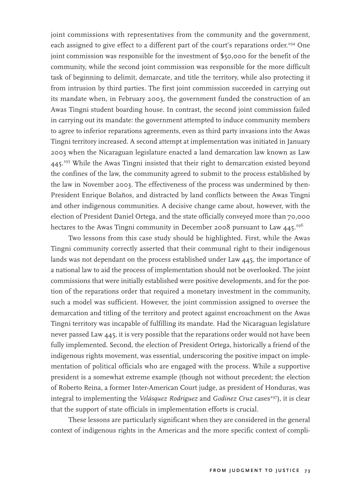joint commissions with representatives from the community and the government, each assigned to give effect to a different part of the court's reparations order.<sup>294</sup> One joint commission was responsible for the investment of \$50,000 for the benefit of the community, while the second joint commission was responsible for the more difficult task of beginning to delimit, demarcate, and title the territory, while also protecting it from intrusion by third parties. The first joint commission succeeded in carrying out its mandate when, in February 2003, the government funded the construction of an Awas Tingni student boarding house. In contrast, the second joint commission failed in carrying out its mandate: the government attempted to induce community members to agree to inferior reparations agreements, even as third party invasions into the Awas Tingni territory increased. A second attempt at implementation was initiated in January 2003 when the Nicaraguan legislature enacted a land demarcation law known as Law 445.<sup>295</sup> While the Awas Tingni insisted that their right to demarcation existed beyond the confines of the law, the community agreed to submit to the process established by the law in November 2003. The effectiveness of the process was undermined by then-President Enrique Bolaños, and distracted by land conflicts between the Awas Tingni and other indigenous communities. A decisive change came about, however, with the election of President Daniel Ortega, and the state officially conveyed more than 70,000 hectares to the Awas Tingni community in December 2008 pursuant to Law  $445.^{296}$ 

Two lessons from this case study should be highlighted. First, while the Awas Tingni community correctly asserted that their communal right to their indigenous lands was not dependant on the process established under Law 445, the importance of a national law to aid the process of implementation should not be overlooked. The joint commissions that were initially established were positive developments, and for the portion of the reparations order that required a monetary investment in the community, such a model was sufficient. However, the joint commission assigned to oversee the demarcation and titling of the territory and protect against encroachment on the Awas Tingni territory was incapable of fulfilling its mandate. Had the Nicaraguan legislature never passed Law 445, it is very possible that the reparations order would not have been fully implemented. Second, the election of President Ortega, historically a friend of the indigenous rights movement, was essential, underscoring the positive impact on implementation of political officials who are engaged with the process. While a supportive president is a somewhat extreme example (though not without precedent; the election of Roberto Reina, a former Inter-American Court judge, as president of Honduras, was integral to implementing the *Velásquez Rodriguez* and *Godinez Cruz* cases<sup>297</sup>), it is clear that the support of state officials in implementation efforts is crucial.

These lessons are particularly significant when they are considered in the general context of indigenous rights in the Americas and the more specific context of compli-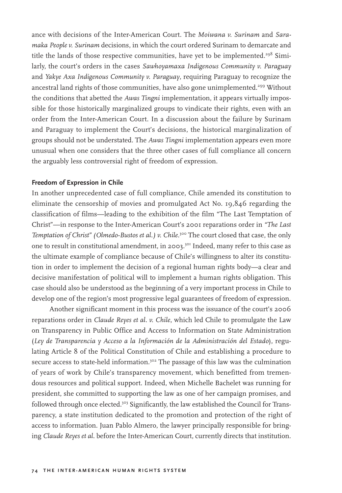ance with decisions of the Inter-American Court. The *Moiwana v. Surinam* and *Saramaka People v. Surinam* decisions, in which the court ordered Surinam to demarcate and title the lands of those respective communities, have yet to be implemented.<sup>298</sup> Similarly, the court's orders in the cases *Sawhoyamaxa Indigenous Community v. Paraguay* and *Yakye Axa Indigenous Community v. Paraguay*, requiring Paraguay to recognize the ancestral land rights of those communities, have also gone unimplemented.<sup>299</sup> Without the conditions that abetted the *Awas Tingni* implementation, it appears virtually impossible for those historically marginalized groups to vindicate their rights, even with an order from the Inter-American Court. In a discussion about the failure by Surinam and Paraguay to implement the Court's decisions, the historical marginalization of groups should not be understated. The *Awas Tingni* implementation appears even more unusual when one considers that the three other cases of full compliance all concern the arguably less controversial right of freedom of expression.

#### **Freedom of Expression in Chile**

In another unprecedented case of full compliance, Chile amended its constitution to eliminate the censorship of movies and promulgated Act No. 19,846 regarding the classification of films—leading to the exhibition of the film "The Last Temptation of Christ"—in response to the Inter-American Court's 2001 reparations order in *"The Last*  Temptation of Christ" (Olmedo-Bustos et al.) v. Chile.<sup>300</sup> The court closed that case, the only one to result in constitutional amendment, in 2003.301 Indeed, many refer to this case as the ultimate example of compliance because of Chile's willingness to alter its constitution in order to implement the decision of a regional human rights body—a clear and decisive manifestation of political will to implement a human rights obligation. This case should also be understood as the beginning of a very important process in Chile to develop one of the region's most progressive legal guarantees of freedom of expression.

Another significant moment in this process was the issuance of the court's 2006 reparations order in *Claude Reyes et al. v. Chile*, which led Chile to promulgate the Law on Transparency in Public Office and Access to Information on State Administration (*Ley de Transparencia y Acceso a la Información de la Administración del Estado*), regulating Article 8 of the Political Constitution of Chile and establishing a procedure to secure access to state-held information.<sup>302</sup> The passage of this law was the culmination of years of work by Chile's transparency movement, which benefitted from tremendous resources and political support. Indeed, when Michelle Bachelet was running for president, she committed to supporting the law as one of her campaign promises, and followed through once elected.<sup>303</sup> Significantly, the law established the Council for Transparency, a state institution dedicated to the promotion and protection of the right of access to information. Juan Pablo Almero, the lawyer principally responsible for bringing *Claude Reyes et al.* before the Inter-American Court, currently directs that institution.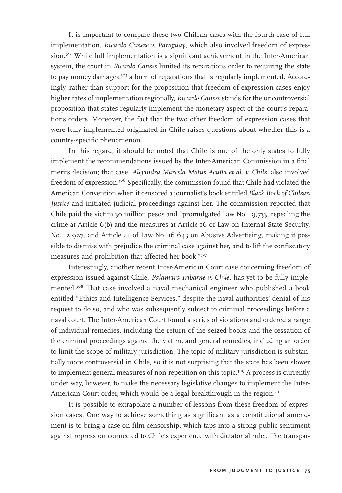It is important to compare these two Chilean cases with the fourth case of full implementation, *Ricardo Canese v. Paraguay*, which also involved freedom of expression.<sup>304</sup> While full implementation is a significant achievement in the Inter-American system, the court in *Ricardo Canese* limited its reparations order to requiring the state to pay money damages, $305$  a form of reparations that is regularly implemented. Accordingly, rather than support for the proposition that freedom of expression cases enjoy higher rates of implementation regionally, *Ricardo Canese* stands for the uncontroversial proposition that states regularly implement the monetary aspect of the court's reparations orders. Moreover, the fact that the two other freedom of expression cases that were fully implemented originated in Chile raises questions about whether this is a country-specific phenomenon.

In this regard, it should be noted that Chile is one of the only states to fully implement the recommendations issued by the Inter-American Commission in a final merits decision; that case, *Alejandra Marcela Matus Acuña et al. v. Chile*, also involved freedom of expression.<sup>306</sup> Specifically, the commission found that Chile had violated the American Convention when it censored a journalist's book entitled *Black Book of Chilean Justice* and initiated judicial proceedings against her. The commission reported that Chile paid the victim 30 million pesos and "promulgated Law No. 19,733, repealing the crime at Article 6(b) and the measures at Article 16 of Law on Internal State Security, No. 12,927, and Article 41 of Law No. 16,643 on Abusive Advertising, making it possible to dismiss with prejudice the criminal case against her, and to lift the confiscatory measures and prohibition that affected her book."<sup>307</sup>

Interestingly, another recent Inter-American Court case concerning freedom of expression issued against Chile, *Palamara-Iribarne v. Chile*, has yet to be fully implemented.308 That case involved a naval mechanical engineer who published a book entitled "Ethics and Intelligence Services," despite the naval authorities' denial of his request to do so, and who was subsequently subject to criminal proceedings before a naval court. The Inter-American Court found a series of violations and ordered a range of individual remedies, including the return of the seized books and the cessation of the criminal proceedings against the victim, and general remedies, including an order to limit the scope of military jurisdiction. The topic of military jurisdiction is substantially more controversial in Chile, so it is not surprising that the state has been slower to implement general measures of non-repetition on this topic.<sup>309</sup> A process is currently under way, however, to make the necessary legislative changes to implement the Inter-American Court order, which would be a legal breakthrough in the region.<sup>310</sup>

It is possible to extrapolate a number of lessons from these freedom of expression cases. One way to achieve something as significant as a constitutional amendment is to bring a case on film censorship, which taps into a strong public sentiment against repression connected to Chile's experience with dictatorial rule.. The transpar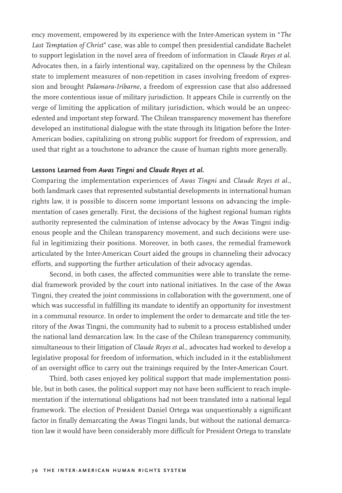ency movement, empowered by its experience with the Inter-American system in "*The Last Temptation of Christ*" case, was able to compel then presidential candidate Bachelet to support legislation in the novel area of freedom of information in *Claude Reyes et al.* Advocates then, in a fairly intentional way, capitalized on the openness by the Chilean state to implement measures of non-repetition in cases involving freedom of expression and brought *Palamara-Iribarne*, a freedom of expression case that also addressed the more contentious issue of military jurisdiction. It appears Chile is currently on the verge of limiting the application of military jurisdiction, which would be an unprecedented and important step forward. The Chilean transparency movement has therefore developed an institutional dialogue with the state through its litigation before the Inter-American bodies, capitalizing on strong public support for freedom of expression, and used that right as a touchstone to advance the cause of human rights more generally.

## **Lessons Learned from** *Awas Tingni* **and** *Claude Reyes et al***.**

Comparing the implementation experiences of *Awas Tingni* and *Claude Reyes et al.*, both landmark cases that represented substantial developments in international human rights law, it is possible to discern some important lessons on advancing the implementation of cases generally. First, the decisions of the highest regional human rights authority represented the culmination of intense advocacy by the Awas Tingni indigenous people and the Chilean transparency movement, and such decisions were useful in legitimizing their positions. Moreover, in both cases, the remedial framework articulated by the Inter-American Court aided the groups in channeling their advocacy efforts, and supporting the further articulation of their advocacy agendas.

Second, in both cases, the affected communities were able to translate the remedial framework provided by the court into national initiatives. In the case of the Awas Tingni, they created the joint commissions in collaboration with the government, one of which was successful in fulfilling its mandate to identify an opportunity for investment in a communal resource. In order to implement the order to demarcate and title the territory of the Awas Tingni, the community had to submit to a process established under the national land demarcation law. In the case of the Chilean transparency community, simultaneous to their litigation of *Claude Reyes et al.*, advocates had worked to develop a legislative proposal for freedom of information, which included in it the establishment of an oversight office to carry out the trainings required by the Inter-American Court.

Third, both cases enjoyed key political support that made implementation possible, but in both cases, the political support may not have been sufficient to reach implementation if the international obligations had not been translated into a national legal framework. The election of President Daniel Ortega was unquestionably a significant factor in finally demarcating the Awas Tingni lands, but without the national demarcation law it would have been considerably more difficult for President Ortega to translate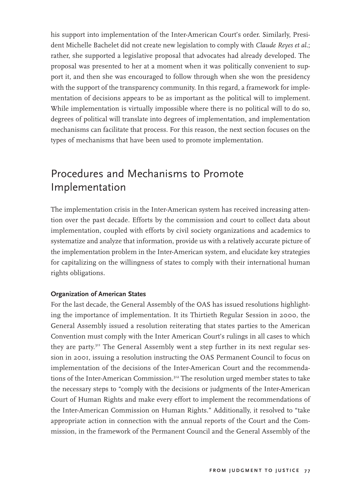his support into implementation of the Inter-American Court's order. Similarly, President Michelle Bachelet did not create new legislation to comply with *Claude Reyes et al.*; rather, she supported a legislative proposal that advocates had already developed. The proposal was presented to her at a moment when it was politically convenient to support it, and then she was encouraged to follow through when she won the presidency with the support of the transparency community. In this regard, a framework for implementation of decisions appears to be as important as the political will to implement. While implementation is virtually impossible where there is no political will to do so, degrees of political will translate into degrees of implementation, and implementation mechanisms can facilitate that process. For this reason, the next section focuses on the types of mechanisms that have been used to promote implementation.

# Procedures and Mechanisms to Promote Implementation

The implementation crisis in the Inter-American system has received increasing attention over the past decade. Efforts by the commission and court to collect data about implementation, coupled with efforts by civil society organizations and academics to systematize and analyze that information, provide us with a relatively accurate picture of the implementation problem in the Inter-American system, and elucidate key strategies for capitalizing on the willingness of states to comply with their international human rights obligations.

## **Organization of American States**

For the last decade, the General Assembly of the OAS has issued resolutions highlighting the importance of implementation. It its Thirtieth Regular Session in 2000, the General Assembly issued a resolution reiterating that states parties to the American Convention must comply with the Inter American Court's rulings in all cases to which they are party. $311$  The General Assembly went a step further in its next regular session in 2001, issuing a resolution instructing the OAS Permanent Council to focus on implementation of the decisions of the Inter-American Court and the recommendations of the Inter-American Commission.<sup>312</sup> The resolution urged member states to take the necessary steps to "comply with the decisions or judgments of the Inter-American Court of Human Rights and make every effort to implement the recommendations of the Inter-American Commission on Human Rights." Additionally, it resolved to "take appropriate action in connection with the annual reports of the Court and the Commission, in the framework of the Permanent Council and the General Assembly of the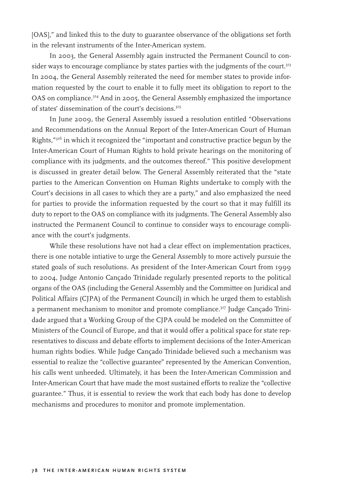[OAS]," and linked this to the duty to guarantee observance of the obligations set forth in the relevant instruments of the Inter-American system.

In 2003, the General Assembly again instructed the Permanent Council to consider ways to encourage compliance by states parties with the judgments of the court.<sup>313</sup> In 2004, the General Assembly reiterated the need for member states to provide information requested by the court to enable it to fully meet its obligation to report to the OAS on compliance.314 And in 2005, the General Assembly emphasized the importance of states' dissemination of the court's decisions.315

In June 2009, the General Assembly issued a resolution entitled "Observations and Recommendations on the Annual Report of the Inter-American Court of Human Rights,"316 in which it recognized the "important and constructive practice begun by the Inter-American Court of Human Rights to hold private hearings on the monitoring of compliance with its judgments, and the outcomes thereof." This positive development is discussed in greater detail below. The General Assembly reiterated that the "state parties to the American Convention on Human Rights undertake to comply with the Court's decisions in all cases to which they are a party," and also emphasized the need for parties to provide the information requested by the court so that it may fulfill its duty to report to the OAS on compliance with its judgments. The General Assembly also instructed the Permanent Council to continue to consider ways to encourage compliance with the court's judgments.

While these resolutions have not had a clear effect on implementation practices, there is one notable intiative to urge the General Assembly to more actively pursuie the stated goals of such resolutions. As president of the Inter-American Court from 1999 to 2004, Judge Antonio Cançado Trinidade regularly presented reports to the political organs of the OAS (including the General Assembly and the Committee on Juridical and Political Affairs (CJPA) of the Permanent Council) in which he urged them to establish a permanent mechanism to monitor and promote compliance.<sup>317</sup> Judge Cançado Trinidade argued that a Working Group of the CJPA could be modeled on the Committee of Ministers of the Council of Europe, and that it would offer a political space for state representatives to discuss and debate efforts to implement decisions of the Inter-American human rights bodies. While Judge Cançado Trinidade believed such a mechanism was essential to realize the "collective guarantee" represented by the American Convention, his calls went unheeded. Ultimately, it has been the Inter-American Commission and Inter-American Court that have made the most sustained efforts to realize the "collective guarantee." Thus, it is essential to review the work that each body has done to develop mechanisms and procedures to monitor and promote implementation.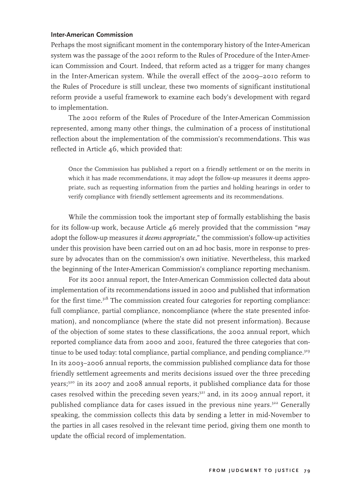## **Inter-American Commission**

Perhaps the most significant moment in the contemporary history of the Inter-American system was the passage of the 2001 reform to the Rules of Procedure of the Inter-American Commission and Court. Indeed, that reform acted as a trigger for many changes in the Inter-American system. While the overall effect of the 2009–2010 reform to the Rules of Procedure is still unclear, these two moments of significant institutional reform provide a useful framework to examine each body's development with regard to implementation.

The 2001 reform of the Rules of Procedure of the Inter-American Commission represented, among many other things, the culmination of a process of institutional reflection about the implementation of the commission's recommendations. This was reflected in Article 46, which provided that:

 Once the Commission has published a report on a friendly settlement or on the merits in which it has made recommendations, it may adopt the follow-up measures it deems appropriate, such as requesting information from the parties and holding hearings in order to verify compliance with friendly settlement agreements and its recommendations.

While the commission took the important step of formally establishing the basis for its follow-up work, because Article 46 merely provided that the commission "*may* adopt the follow-up measures *it deems appropriate*," the commission's follow-up activities under this provision have been carried out on an ad hoc basis, more in response to pressure by advocates than on the commission's own initiative. Nevertheless, this marked the beginning of the Inter-American Commission's compliance reporting mechanism.

For its 2001 annual report, the Inter-American Commission collected data about implementation of its recommendations issued in 2000 and published that information for the first time.<sup>318</sup> The commission created four categories for reporting compliance: full compliance, partial compliance, noncompliance (where the state presented information), and noncompliance (where the state did not present information). Because of the objection of some states to these classifications, the 2002 annual report, which reported compliance data from 2000 and 2001, featured the three categories that continue to be used today: total compliance, partial compliance, and pending compliance.<sup>319</sup> In its 2003–2006 annual reports, the commission published compliance data for those friendly settlement agreements and merits decisions issued over the three preceding years;320 in its 2007 and 2008 annual reports, it published compliance data for those cases resolved within the preceding seven years;<sup>321</sup> and, in its 2009 annual report, it published compliance data for cases issued in the previous nine years.<sup>322</sup> Generally speaking, the commission collects this data by sending a letter in mid-November to the parties in all cases resolved in the relevant time period, giving them one month to update the official record of implementation.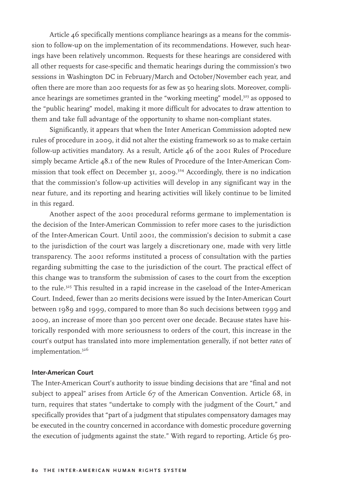Article 46 specifically mentions compliance hearings as a means for the commission to follow-up on the implementation of its recommendations. However, such hearings have been relatively uncommon. Requests for these hearings are considered with all other requests for case-specific and thematic hearings during the commission's two sessions in Washington DC in February/March and October/November each year, and often there are more than 200 requests for as few as 50 hearing slots. Moreover, compliance hearings are sometimes granted in the "working meeting" model, $3^{23}$  as opposed to the "public hearing" model, making it more difficult for advocates to draw attention to them and take full advantage of the opportunity to shame non-compliant states.

Significantly, it appears that when the Inter American Commission adopted new rules of procedure in 2009, it did not alter the existing framework so as to make certain follow-up activities mandatory. As a result, Article 46 of the 2001 Rules of Procedure simply became Article 48.1 of the new Rules of Procedure of the Inter-American Commission that took effect on December 31, 2009.<sup>324</sup> Accordingly, there is no indication that the commission's follow-up activities will develop in any significant way in the near future, and its reporting and hearing activities will likely continue to be limited in this regard.

Another aspect of the 2001 procedural reforms germane to implementation is the decision of the Inter-American Commission to refer more cases to the jurisdiction of the Inter-American Court. Until 2001, the commission's decision to submit a case to the jurisdiction of the court was largely a discretionary one, made with very little transparency. The 2001 reforms instituted a process of consultation with the parties regarding submitting the case to the jurisdiction of the court. The practical effect of this change was to transform the submission of cases to the court from the exception to the rule.<sup>325</sup> This resulted in a rapid increase in the caseload of the Inter-American Court. Indeed, fewer than 20 merits decisions were issued by the Inter-American Court between 1989 and 1999, compared to more than 80 such decisions between 1999 and 2009, an increase of more than 300 percent over one decade. Because states have historically responded with more seriousness to orders of the court, this increase in the court's output has translated into more implementation generally, if not better *rates* of implementation.<sup>326</sup>

#### **Inter-American Court**

The Inter-American Court's authority to issue binding decisions that are "final and not subject to appeal" arises from Article 67 of the American Convention. Article 68, in turn, requires that states "undertake to comply with the judgment of the Court," and specifically provides that "part of a judgment that stipulates compensatory damages may be executed in the country concerned in accordance with domestic procedure governing the execution of judgments against the state." With regard to reporting, Article 65 pro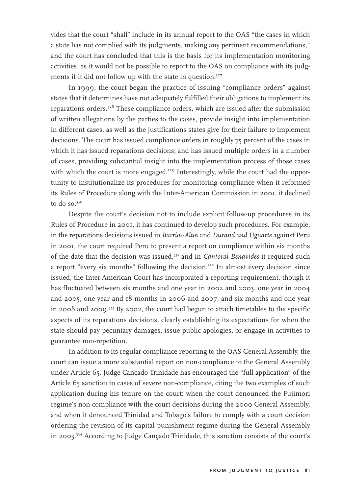vides that the court "shall" include in its annual report to the OAS "the cases in which a state has not complied with its judgments, making any pertinent recommendations," and the court has concluded that this is the basis for its implementation monitoring activities, as it would not be possible to report to the OAS on compliance with its judgments if it did not follow up with the state in question.<sup>327</sup>

In 1999, the court began the practice of issuing "compliance orders" against states that it determines have not adequately fulfilled their obligations to implement its reparations orders. $328$  These compliance orders, which are issued after the submission of written allegations by the parties to the cases, provide insight into implementation in different cases, as well as the justifications states give for their failure to implement decisions. The court has issued compliance orders in roughly 75 percent of the cases in which it has issued reparations decisions, and has issued multiple orders in a number of cases, providing substantial insight into the implementation process of those cases with which the court is more engaged.<sup>329</sup> Interestingly, while the court had the opportunity to institutionalize its procedures for monitoring compliance when it reformed its Rules of Procedure along with the Inter-American Commission in 2001, it declined to do so. $330$ 

Despite the court's decision not to include explicit follow-up procedures in its Rules of Procedure in 2001, it has continued to develop such procedures. For example, in the reparations decisions issued in *Barrios-Altos* and *Durand and Uguarte* against Peru in 2001, the court required Peru to present a report on compliance within six months of the date that the decision was issued,331 and in *Cantoral-Benavides* it required such a report "every six months" following the decision.332 In almost every decision since issued, the Inter-American Court has incorporated a reporting requirement, though it has fluctuated between six months and one year in 2002 and 2003, one year in 2004 and 2005, one year and 18 months in 2006 and 2007, and six months and one year in 2008 and 2009.333 By 2002, the court had begun to attach timetables to the specific aspects of its reparations decisions, clearly establishing its expectations for when the state should pay pecuniary damages, issue public apologies, or engage in activities to guarantee non-repetition.

In addition to its regular compliance reporting to the OAS General Assembly, the court can issue a more substantial report on non-compliance to the General Assembly under Article 65. Judge Cançado Trinidade has encouraged the "full application" of the Article 65 sanction in cases of severe non-compliance, citing the two examples of such application during his tenure on the court: when the court denounced the Fujimori regime's non-compliance with the court decisions during the 2000 General Assembly, and when it denounced Trinidad and Tobago's failure to comply with a court decision ordering the revision of its capital punishment regime during the General Assembly in 2003.334 According to Judge Cançado Trinidade, this sanction consists of the court's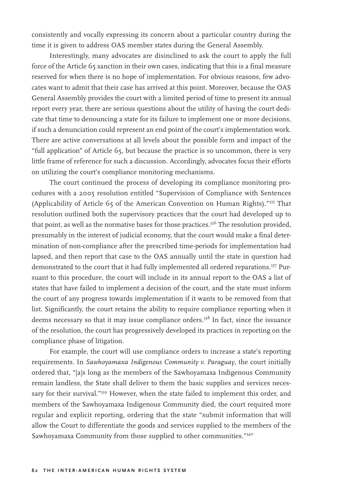consistently and vocally expressing its concern about a particular country during the time it is given to address OAS member states during the General Assembly.

Interestingly, many advocates are disinclined to ask the court to apply the full force of the Article 65 sanction in their own cases, indicating that this is a final measure reserved for when there is no hope of implementation. For obvious reasons, few advocates want to admit that their case has arrived at this point. Moreover, because the OAS General Assembly provides the court with a limited period of time to present its annual report every year, there are serious questions about the utility of having the court dedicate that time to denouncing a state for its failure to implement one or more decisions, if such a denunciation could represent an end point of the court's implementation work. There are active conversations at all levels about the possible form and impact of the "full application" of Article 65, but because the practice is so uncommon, there is very little frame of reference for such a discussion. Accordingly, advocates focus their efforts on utilizing the court's compliance monitoring mechanisms.

The court continued the process of developing its compliance monitoring procedures with a 2005 resolution entitled "Supervision of Compliance with Sentences (Applicability of Article 65 of the American Convention on Human Rights)."335 That resolution outlined both the supervisory practices that the court had developed up to that point, as well as the normative bases for those practices.<sup>336</sup> The resolution provided, presumably in the interest of judicial economy, that the court would make a final determination of non-compliance after the prescribed time-periods for implementation had lapsed, and then report that case to the OAS annually until the state in question had demonstrated to the court that it had fully implemented all ordered reparations.337 Pursuant to this procedure, the court will include in its annual report to the OAS a list of states that have failed to implement a decision of the court, and the state must inform the court of any progress towards implementation if it wants to be removed from that list. Significantly, the court retains the ability to require compliance reporting when it deems necessary so that it may issue compliance orders.<sup>338</sup> In fact, since the issuance of the resolution, the court has progressively developed its practices in reporting on the compliance phase of litigation.

For example, the court will use compliance orders to increase a state's reporting requirements. In *Sawhoyamaxa Indigenous Community v. Paraguay*, the court initially ordered that, "[a]s long as the members of the Sawhoyamaxa Indigenous Community remain landless, the State shall deliver to them the basic supplies and services necessary for their survival."<sup>339</sup> However, when the state failed to implement this order, and members of the Sawhoyamaxa Indigenous Community died, the court required more regular and explicit reporting, ordering that the state "submit information that will allow the Court to differentiate the goods and services supplied to the members of the Sawhoyamaxa Community from those supplied to other communities."<sup>340</sup>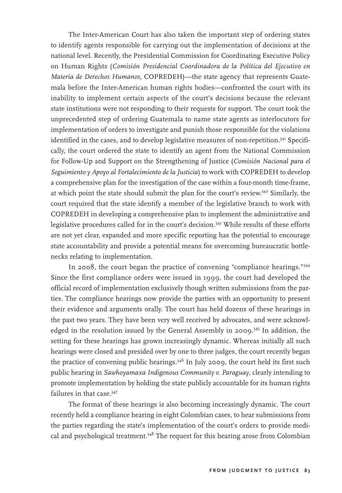The Inter-American Court has also taken the important step of ordering states to identify agents responsible for carrying out the implementation of decisions at the national level. Recently, the Presidential Commission for Coordinating Executive Policy on Human Rights (*Comisión Presidencial Coordinadora de la Política del Ejecutivo en Materia de Derechos Humanos*, COPREDEH)—the state agency that represents Guatemala before the Inter-American human rights bodies—confronted the court with its inability to implement certain aspects of the court's decisions because the relevant state institutions were not responding to their requests for support. The court took the unprecedented step of ordering Guatemala to name state agents as interlocutors for implementation of orders to investigate and punish those responsible for the violations identified in the cases, and to develop legislative measures of non-repetition.<sup>341</sup> Specifically, the court ordered the state to identify an agent from the National Commission for Follow-Up and Support on the Strengthening of Justice (*Comisión Nacional para el Seguimiento y Apoyo al Fortalecimiento de la Justicia*) to work with COPREDEH to develop a comprehensive plan for the investigation of the case within a four-month time-frame, at which point the state should submit the plan for the court's review.<sup>342</sup> Similarly, the court required that the state identify a member of the legislative branch to work with COPREDEH in developing a comprehensive plan to implement the administrative and legislative procedures called for in the court's decision.343 While results of these efforts are not yet clear, expanded and more specific reporting has the potential to encourage state accountability and provide a potential means for overcoming bureaucratic bottlenecks relating to implementation.

In 2008, the court began the practice of convening "compliance hearings."344 Since the first compliance orders were issued in 1999, the court had developed the official record of implementation exclusively though written submissions from the parties. The compliance hearings now provide the parties with an opportunity to present their evidence and arguments orally. The court has held dozens of these hearings in the past two years. They have been very well received by advocates, and were acknowledged in the resolution issued by the General Assembly in 2009.<sup>345</sup> In addition, the setting for these hearings has grown increasingly dynamic. Whereas initially all such hearings were closed and presided over by one to three judges, the court recently began the practice of convening public hearings.346 In July 2009, the court held its first such public hearing in *Sawhoyamaxa Indigenous Community v. Paraguay*, clearly intending to promote implementation by holding the state publicly accountable for its human rights failures in that case.347

The format of these hearings is also becoming increasingly dynamic. The court recently held a compliance hearing in eight Colombian cases, to hear submissions from the parties regarding the state's implementation of the court's orders to provide medical and psychological treatment.<sup>348</sup> The request for this hearing arose from Colombian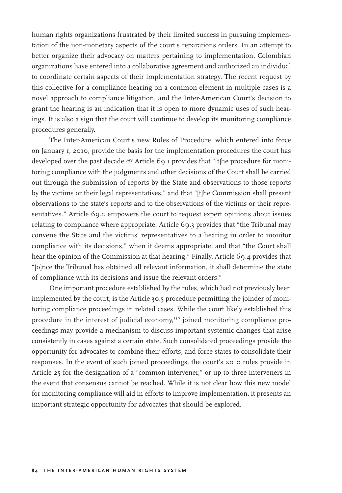human rights organizations frustrated by their limited success in pursuing implementation of the non-monetary aspects of the court's reparations orders. In an attempt to better organize their advocacy on matters pertaining to implementation, Colombian organizations have entered into a collaborative agreement and authorized an individual to coordinate certain aspects of their implementation strategy. The recent request by this collective for a compliance hearing on a common element in multiple cases is a novel approach to compliance litigation, and the Inter-American Court's decision to grant the hearing is an indication that it is open to more dynamic uses of such hearings. It is also a sign that the court will continue to develop its monitoring compliance procedures generally.

The Inter-American Court's new Rules of Procedure, which entered into force on January 1, 2010, provide the basis for the implementation procedures the court has developed over the past decade.349 Article 69.1 provides that "[t]he procedure for monitoring compliance with the judgments and other decisions of the Court shall be carried out through the submission of reports by the State and observations to those reports by the victims or their legal representatives," and that "[t]he Commission shall present observations to the state's reports and to the observations of the victims or their representatives." Article 69.2 empowers the court to request expert opinions about issues relating to compliance where appropriate. Article 69.3 provides that "the Tribunal may convene the State and the victims' representatives to a hearing in order to monitor compliance with its decisions," when it deems appropriate, and that "the Court shall hear the opinion of the Commission at that hearing." Finally, Article 69.4 provides that "[o]nce the Tribunal has obtained all relevant information, it shall determine the state of compliance with its decisions and issue the relevant orders."

One important procedure established by the rules, which had not previously been implemented by the court, is the Article 30.5 procedure permitting the joinder of monitoring compliance proceedings in related cases. While the court likely established this procedure in the interest of judicial economy,<sup>350</sup> joined monitoring compliance proceedings may provide a mechanism to discuss important systemic changes that arise consistently in cases against a certain state. Such consolidated proceedings provide the opportunity for advocates to combine their efforts, and force states to consolidate their responses. In the event of such joined proceedings, the court's 2010 rules provide in Article 25 for the designation of a "common intervener," or up to three interveners in the event that consensus cannot be reached. While it is not clear how this new model for monitoring compliance will aid in efforts to improve implementation, it presents an important strategic opportunity for advocates that should be explored.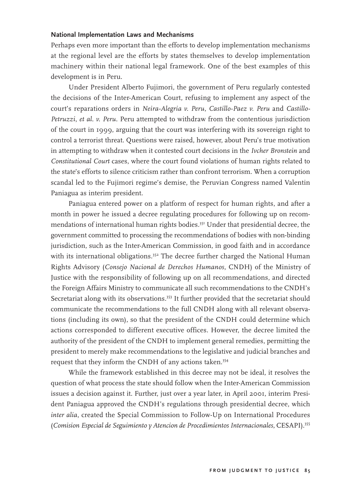## **National Implementation Laws and Mechanisms**

Perhaps even more important than the efforts to develop implementation mechanisms at the regional level are the efforts by states themselves to develop implementation machinery within their national legal framework. One of the best examples of this development is in Peru.

Under President Alberto Fujimori, the government of Peru regularly contested the decisions of the Inter-American Court, refusing to implement any aspect of the court's reparations orders in *Neira-Alegria v. Peru*, *Castillo-Paez v. Peru* and *Castillo-Petruzzi*, *et al. v. Peru*. Peru attempted to withdraw from the contentious jurisdiction of the court in 1999, arguing that the court was interfering with its sovereign right to control a terrorist threat. Questions were raised, however, about Peru's true motivation in attempting to withdraw when it contested court decisions in the *Ivcher Bronstein* and *Constitutional Court* cases, where the court found violations of human rights related to the state's efforts to silence criticism rather than confront terrorism. When a corruption scandal led to the Fujimori regime's demise, the Peruvian Congress named Valentin Paniagua as interim president.

Paniagua entered power on a platform of respect for human rights, and after a month in power he issued a decree regulating procedures for following up on recommendations of international human rights bodies.351 Under that presidential decree, the government committed to processing the recommendations of bodies with non-binding jurisdiction, such as the Inter-American Commission, in good faith and in accordance with its international obligations.<sup>352</sup> The decree further charged the National Human Rights Advisory (*Consejo Nacional de Derechos Humanos*, CNDH) of the Ministry of Justice with the responsibility of following up on all recommendations, and directed the Foreign Affairs Ministry to communicate all such recommendations to the CNDH's Secretariat along with its observations.353 It further provided that the secretariat should communicate the recommendations to the full CNDH along with all relevant observations (including its own), so that the president of the CNDH could determine which actions corresponded to different executive offices. However, the decree limited the authority of the president of the CNDH to implement general remedies, permitting the president to merely make recommendations to the legislative and judicial branches and request that they inform the CNDH of any actions taken.354

While the framework established in this decree may not be ideal, it resolves the question of what process the state should follow when the Inter-American Commission issues a decision against it. Further, just over a year later, in April 2001, interim President Paniagua approved the CNDH's regulations through presidential decree, which *inter alia*, created the Special Commission to Follow-Up on International Procedures (*Comision Especial de Seguimiento y Atencion de Procedimientos Internacionales*, CESAPI).355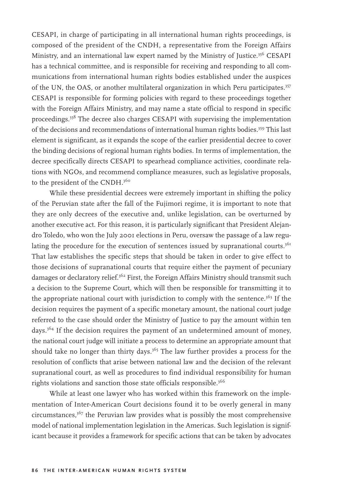CESAPI, in charge of participating in all international human rights proceedings, is composed of the president of the CNDH, a representative from the Foreign Affairs Ministry, and an international law expert named by the Ministry of Justice.<sup>356</sup> CESAPI has a technical committee, and is responsible for receiving and responding to all communications from international human rights bodies established under the auspices of the UN, the OAS, or another multilateral organization in which Peru participates.357 CESAPI is responsible for forming policies with regard to these proceedings together with the Foreign Affairs Ministry, and may name a state official to respond in specific proceedings.358 The decree also charges CESAPI with supervising the implementation of the decisions and recommendations of international human rights bodies.<sup>359</sup> This last element is significant, as it expands the scope of the earlier presidential decree to cover the binding decisions of regional human rights bodies. In terms of implementation, the decree specifically directs CESAPI to spearhead compliance activities, coordinate relations with NGOs, and recommend compliance measures, such as legislative proposals, to the president of the CNDH.<sup>360</sup>

While these presidential decrees were extremely important in shifting the policy of the Peruvian state after the fall of the Fujimori regime, it is important to note that they are only decrees of the executive and, unlike legislation, can be overturned by another executive act. For this reason, it is particularly significant that President Alejandro Toledo, who won the July 2001 elections in Peru, oversaw the passage of a law regulating the procedure for the execution of sentences issued by supranational courts. $3^{61}$ That law establishes the specific steps that should be taken in order to give effect to those decisions of supranational courts that require either the payment of pecuniary damages or declaratory relief. $3^{62}$  First, the Foreign Affairs Ministry should transmit such a decision to the Supreme Court, which will then be responsible for transmitting it to the appropriate national court with jurisdiction to comply with the sentence.<sup>363</sup> If the decision requires the payment of a specific monetary amount, the national court judge referred to the case should order the Ministry of Justice to pay the amount within ten days.<sup>364</sup> If the decision requires the payment of an undetermined amount of money, the national court judge will initiate a process to determine an appropriate amount that should take no longer than thirty days.<sup>365</sup> The law further provides a process for the resolution of conflicts that arise between national law and the decision of the relevant supranational court, as well as procedures to find individual responsibility for human rights violations and sanction those state officials responsible.<sup>366</sup>

While at least one lawyer who has worked within this framework on the implementation of Inter-American Court decisions found it to be overly general in many circumstances, $3^{67}$  the Peruvian law provides what is possibly the most comprehensive model of national implementation legislation in the Americas. Such legislation is significant because it provides a framework for specific actions that can be taken by advocates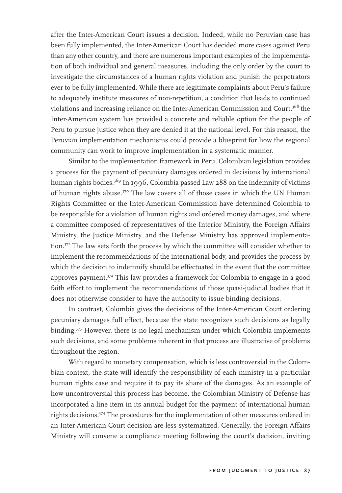after the Inter-American Court issues a decision. Indeed, while no Peruvian case has been fully implemented, the Inter-American Court has decided more cases against Peru than any other country, and there are numerous important examples of the implementation of both individual and general measures, including the only order by the court to investigate the circumstances of a human rights violation and punish the perpetrators ever to be fully implemented. While there are legitimate complaints about Peru's failure to adequately institute measures of non-repetition, a condition that leads to continued violations and increasing reliance on the Inter-American Commission and Court,<sup>368</sup> the Inter-American system has provided a concrete and reliable option for the people of Peru to pursue justice when they are denied it at the national level. For this reason, the Peruvian implementation mechanisms could provide a blueprint for how the regional community can work to improve implementation in a systematic manner.

Similar to the implementation framework in Peru, Colombian legislation provides a process for the payment of pecuniary damages ordered in decisions by international human rights bodies.<sup>369</sup> In 1996, Colombia passed Law 288 on the indemnity of victims of human rights abuse.<sup>370</sup> The law covers all of those cases in which the UN Human Rights Committee or the Inter-American Commission have determined Colombia to be responsible for a violation of human rights and ordered money damages, and where a committee composed of representatives of the Interior Ministry, the Foreign Affairs Ministry, the Justice Ministry, and the Defense Ministry has approved implementation.371 The law sets forth the process by which the committee will consider whether to implement the recommendations of the international body, and provides the process by which the decision to indemnify should be effectuated in the event that the committee approves payment.372 This law provides a framework for Colombia to engage in a good faith effort to implement the recommendations of those quasi-judicial bodies that it does not otherwise consider to have the authority to issue binding decisions.

In contrast, Colombia gives the decisions of the Inter-American Court ordering pecuniary damages full effect, because the state recognizes such decisions as legally binding.<sup>373</sup> However, there is no legal mechanism under which Colombia implements such decisions, and some problems inherent in that process are illustrative of problems throughout the region.

With regard to monetary compensation, which is less controversial in the Colombian context, the state will identify the responsibility of each ministry in a particular human rights case and require it to pay its share of the damages. As an example of how uncontroversial this process has become, the Colombian Ministry of Defense has incorporated a line item in its annual budget for the payment of international human rights decisions.374 The procedures for the implementation of other measures ordered in an Inter-American Court decision are less systematized. Generally, the Foreign Affairs Ministry will convene a compliance meeting following the court's decision, inviting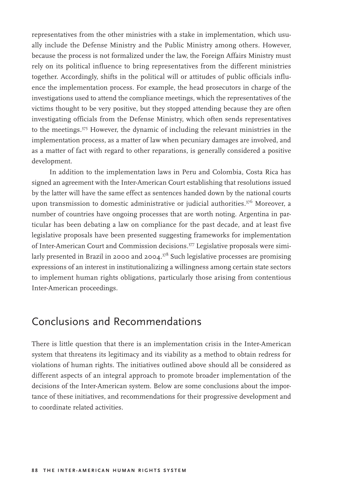representatives from the other ministries with a stake in implementation, which usually include the Defense Ministry and the Public Ministry among others. However, because the process is not formalized under the law, the Foreign Affairs Ministry must rely on its political influence to bring representatives from the different ministries together. Accordingly, shifts in the political will or attitudes of public officials influence the implementation process. For example, the head prosecutors in charge of the investigations used to attend the compliance meetings, which the representatives of the victims thought to be very positive, but they stopped attending because they are often investigating officials from the Defense Ministry, which often sends representatives to the meetings.<sup>375</sup> However, the dynamic of including the relevant ministries in the implementation process, as a matter of law when pecuniary damages are involved, and as a matter of fact with regard to other reparations, is generally considered a positive development.

In addition to the implementation laws in Peru and Colombia, Costa Rica has signed an agreement with the Inter-American Court establishing that resolutions issued by the latter will have the same effect as sentences handed down by the national courts upon transmission to domestic administrative or judicial authorities.<sup>376</sup> Moreover, a number of countries have ongoing processes that are worth noting. Argentina in particular has been debating a law on compliance for the past decade, and at least five legislative proposals have been presented suggesting frameworks for implementation of Inter-American Court and Commission decisions.377 Legislative proposals were similarly presented in Brazil in 2000 and 2004.<sup>378</sup> Such legislative processes are promising expressions of an interest in institutionalizing a willingness among certain state sectors to implement human rights obligations, particularly those arising from contentious Inter-American proceedings.

## Conclusions and Recommendations

There is little question that there is an implementation crisis in the Inter-American system that threatens its legitimacy and its viability as a method to obtain redress for violations of human rights. The initiatives outlined above should all be considered as different aspects of an integral approach to promote broader implementation of the decisions of the Inter-American system. Below are some conclusions about the importance of these initiatives, and recommendations for their progressive development and to coordinate related activities.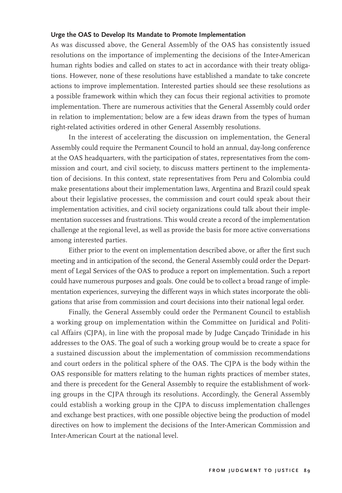## **Urge the OAS to Develop Its Mandate to Promote Implementation**

As was discussed above, the General Assembly of the OAS has consistently issued resolutions on the importance of implementing the decisions of the Inter-American human rights bodies and called on states to act in accordance with their treaty obligations. However, none of these resolutions have established a mandate to take concrete actions to improve implementation. Interested parties should see these resolutions as a possible framework within which they can focus their regional activities to promote implementation. There are numerous activities that the General Assembly could order in relation to implementation; below are a few ideas drawn from the types of human right-related activities ordered in other General Assembly resolutions.

In the interest of accelerating the discussion on implementation, the General Assembly could require the Permanent Council to hold an annual, day-long conference at the OAS headquarters, with the participation of states, representatives from the commission and court, and civil society, to discuss matters pertinent to the implementation of decisions. In this context, state representatives from Peru and Colombia could make presentations about their implementation laws, Argentina and Brazil could speak about their legislative processes, the commission and court could speak about their implementation activities, and civil society organizations could talk about their implementation successes and frustrations. This would create a record of the implementation challenge at the regional level, as well as provide the basis for more active conversations among interested parties.

Either prior to the event on implementation described above, or after the first such meeting and in anticipation of the second, the General Assembly could order the Department of Legal Services of the OAS to produce a report on implementation. Such a report could have numerous purposes and goals. One could be to collect a broad range of implementation experiences, surveying the different ways in which states incorporate the obligations that arise from commission and court decisions into their national legal order.

Finally, the General Assembly could order the Permanent Council to establish a working group on implementation within the Committee on Juridical and Political Affairs (CJPA), in line with the proposal made by Judge Cançado Trinidade in his addresses to the OAS. The goal of such a working group would be to create a space for a sustained discussion about the implementation of commission recommendations and court orders in the political sphere of the OAS. The CJPA is the body within the OAS responsible for matters relating to the human rights practices of member states, and there is precedent for the General Assembly to require the establishment of working groups in the CJPA through its resolutions. Accordingly, the General Assembly could establish a working group in the CJPA to discuss implementation challenges and exchange best practices, with one possible objective being the production of model directives on how to implement the decisions of the Inter-American Commission and Inter-American Court at the national level.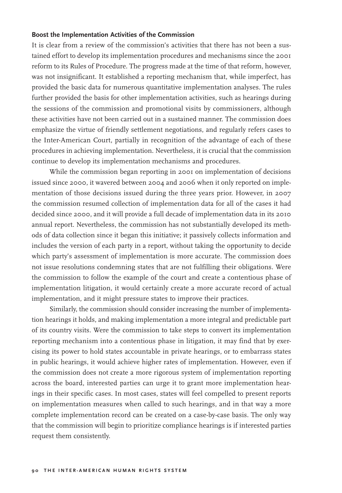## **Boost the Implementation Activities of the Commission**

It is clear from a review of the commission's activities that there has not been a sustained effort to develop its implementation procedures and mechanisms since the 2001 reform to its Rules of Procedure. The progress made at the time of that reform, however, was not insignificant. It established a reporting mechanism that, while imperfect, has provided the basic data for numerous quantitative implementation analyses. The rules further provided the basis for other implementation activities, such as hearings during the sessions of the commission and promotional visits by commissioners, although these activities have not been carried out in a sustained manner. The commission does emphasize the virtue of friendly settlement negotiations, and regularly refers cases to the Inter-American Court, partially in recognition of the advantage of each of these procedures in achieving implementation. Nevertheless, it is crucial that the commission continue to develop its implementation mechanisms and procedures.

While the commission began reporting in 2001 on implementation of decisions issued since 2000, it wavered between 2004 and 2006 when it only reported on implementation of those decisions issued during the three years prior. However, in 2007 the commission resumed collection of implementation data for all of the cases it had decided since 2000, and it will provide a full decade of implementation data in its 2010 annual report. Nevertheless, the commission has not substantially developed its methods of data collection since it began this initiative; it passively collects information and includes the version of each party in a report, without taking the opportunity to decide which party's assessment of implementation is more accurate. The commission does not issue resolutions condemning states that are not fulfilling their obligations. Were the commission to follow the example of the court and create a contentious phase of implementation litigation, it would certainly create a more accurate record of actual implementation, and it might pressure states to improve their practices.

Similarly, the commission should consider increasing the number of implementation hearings it holds, and making implementation a more integral and predictable part of its country visits. Were the commission to take steps to convert its implementation reporting mechanism into a contentious phase in litigation, it may find that by exercising its power to hold states accountable in private hearings, or to embarrass states in public hearings, it would achieve higher rates of implementation. However, even if the commission does not create a more rigorous system of implementation reporting across the board, interested parties can urge it to grant more implementation hearings in their specific cases. In most cases, states will feel compelled to present reports on implementation measures when called to such hearings, and in that way a more complete implementation record can be created on a case-by-case basis. The only way that the commission will begin to prioritize compliance hearings is if interested parties request them consistently.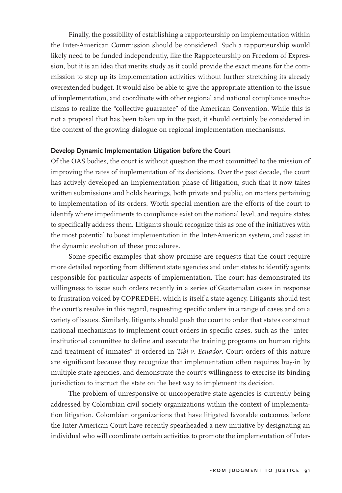Finally, the possibility of establishing a rapporteurship on implementation within the Inter-American Commission should be considered. Such a rapporteurship would likely need to be funded independently, like the Rapporteurship on Freedom of Expression, but it is an idea that merits study as it could provide the exact means for the commission to step up its implementation activities without further stretching its already overextended budget. It would also be able to give the appropriate attention to the issue of implementation, and coordinate with other regional and national compliance mechanisms to realize the "collective guarantee" of the American Convention. While this is not a proposal that has been taken up in the past, it should certainly be considered in the context of the growing dialogue on regional implementation mechanisms.

#### **Develop Dynamic Implementation Litigation before the Court**

Of the OAS bodies, the court is without question the most committed to the mission of improving the rates of implementation of its decisions. Over the past decade, the court has actively developed an implementation phase of litigation, such that it now takes written submissions and holds hearings, both private and public, on matters pertaining to implementation of its orders. Worth special mention are the efforts of the court to identify where impediments to compliance exist on the national level, and require states to specifically address them. Litigants should recognize this as one of the initiatives with the most potential to boost implementation in the Inter-American system, and assist in the dynamic evolution of these procedures.

Some specific examples that show promise are requests that the court require more detailed reporting from different state agencies and order states to identify agents responsible for particular aspects of implementation. The court has demonstrated its willingness to issue such orders recently in a series of Guatemalan cases in response to frustration voiced by COPREDEH, which is itself a state agency. Litigants should test the court's resolve in this regard, requesting specific orders in a range of cases and on a variety of issues. Similarly, litigants should push the court to order that states construct national mechanisms to implement court orders in specific cases, such as the "interinstitutional committee to define and execute the training programs on human rights and treatment of inmates" it ordered in *Tibi v. Ecuador*. Court orders of this nature are significant because they recognize that implementation often requires buy-in by multiple state agencies, and demonstrate the court's willingness to exercise its binding jurisdiction to instruct the state on the best way to implement its decision.

The problem of unresponsive or uncooperative state agencies is currently being addressed by Colombian civil society organizations within the context of implementation litigation. Colombian organizations that have litigated favorable outcomes before the Inter-American Court have recently spearheaded a new initiative by designating an individual who will coordinate certain activities to promote the implementation of Inter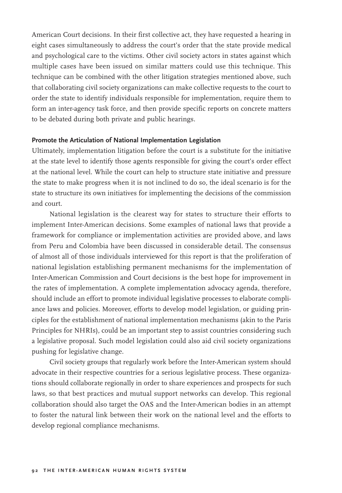American Court decisions. In their first collective act, they have requested a hearing in eight cases simultaneously to address the court's order that the state provide medical and psychological care to the victims. Other civil society actors in states against which multiple cases have been issued on similar matters could use this technique. This technique can be combined with the other litigation strategies mentioned above, such that collaborating civil society organizations can make collective requests to the court to order the state to identify individuals responsible for implementation, require them to form an inter-agency task force, and then provide specific reports on concrete matters to be debated during both private and public hearings.

## **Promote the Articulation of National Implementation Legislation**

Ultimately, implementation litigation before the court is a substitute for the initiative at the state level to identify those agents responsible for giving the court's order effect at the national level. While the court can help to structure state initiative and pressure the state to make progress when it is not inclined to do so, the ideal scenario is for the state to structure its own initiatives for implementing the decisions of the commission and court.

National legislation is the clearest way for states to structure their efforts to implement Inter-American decisions. Some examples of national laws that provide a framework for compliance or implementation activities are provided above, and laws from Peru and Colombia have been discussed in considerable detail. The consensus of almost all of those individuals interviewed for this report is that the proliferation of national legislation establishing permanent mechanisms for the implementation of Inter-American Commission and Court decisions is the best hope for improvement in the rates of implementation. A complete implementation advocacy agenda, therefore, should include an effort to promote individual legislative processes to elaborate compliance laws and policies. Moreover, efforts to develop model legislation, or guiding principles for the establishment of national implementation mechanisms (akin to the Paris Principles for NHRIs), could be an important step to assist countries considering such a legislative proposal. Such model legislation could also aid civil society organizations pushing for legislative change.

Civil society groups that regularly work before the Inter-American system should advocate in their respective countries for a serious legislative process. These organizations should collaborate regionally in order to share experiences and prospects for such laws, so that best practices and mutual support networks can develop. This regional collaboration should also target the OAS and the Inter-American bodies in an attempt to foster the natural link between their work on the national level and the efforts to develop regional compliance mechanisms.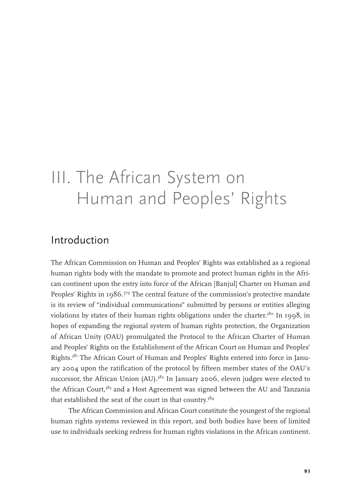# III. The African System on Human and Peoples' Rights

# Introduction

The African Commission on Human and Peoples' Rights was established as a regional human rights body with the mandate to promote and protect human rights in the African continent upon the entry into force of the African [Banjul] Charter on Human and Peoples' Rights in 1986.<sup>379</sup> The central feature of the commission's protective mandate is its review of "individual communications" submitted by persons or entities alleging violations by states of their human rights obligations under the charter.<sup>380</sup> In 1998, in hopes of expanding the regional system of human rights protection, the Organization of African Unity (OAU) promulgated the Protocol to the African Charter of Human and Peoples' Rights on the Establishment of the African Court on Human and Peoples' Rights.381 The African Court of Human and Peoples' Rights entered into force in January 2004 upon the ratification of the protocol by fifteen member states of the OAU's successor, the African Union  $(AU)$ .<sup>382</sup> In January 2006, eleven judges were elected to the African Court,<sup>383</sup> and a Host Agreement was signed between the AU and Tanzania that established the seat of the court in that country.<sup>384</sup>

The African Commission and African Court constitute the youngest of the regional human rights systems reviewed in this report, and both bodies have been of limited use to individuals seeking redress for human rights violations in the African continent.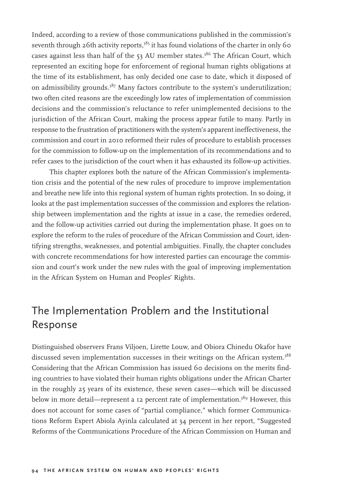Indeed, according to a review of those communications published in the commission's seventh through 26th activity reports, $3^{85}$  it has found violations of the charter in only 60 cases against less than half of the  $53$  AU member states.<sup>386</sup> The African Court, which represented an exciting hope for enforcement of regional human rights obligations at the time of its establishment, has only decided one case to date, which it disposed of on admissibility grounds. $387$  Many factors contribute to the system's underutilization; two often cited reasons are the exceedingly low rates of implementation of commission decisions and the commission's reluctance to refer unimplemented decisions to the jurisdiction of the African Court, making the process appear futile to many. Partly in response to the frustration of practitioners with the system's apparent ineffectiveness, the commission and court in 2010 reformed their rules of procedure to establish processes for the commission to follow-up on the implementation of its recommendations and to refer cases to the jurisdiction of the court when it has exhausted its follow-up activities.

This chapter explores both the nature of the African Commission's implementation crisis and the potential of the new rules of procedure to improve implementation and breathe new life into this regional system of human rights protection. In so doing, it looks at the past implementation successes of the commission and explores the relationship between implementation and the rights at issue in a case, the remedies ordered, and the follow-up activities carried out during the implementation phase. It goes on to explore the reform to the rules of procedure of the African Commission and Court, identifying strengths, weaknesses, and potential ambiguities. Finally, the chapter concludes with concrete recommendations for how interested parties can encourage the commission and court's work under the new rules with the goal of improving implementation in the African System on Human and Peoples' Rights.

# The Implementation Problem and the Institutional Response

Distinguished observers Frans Viljoen, Lirette Louw, and Obiora Chinedu Okafor have discussed seven implementation successes in their writings on the African system.<sup>388</sup> Considering that the African Commission has issued 60 decisions on the merits finding countries to have violated their human rights obligations under the African Charter in the roughly 25 years of its existence, these seven cases—which will be discussed below in more detail—represent a 12 percent rate of implementation.<sup>389</sup> However, this does not account for some cases of "partial compliance," which former Communications Reform Expert Abiola Ayinla calculated at 34 percent in her report, "Suggested Reforms of the Communications Procedure of the African Commission on Human and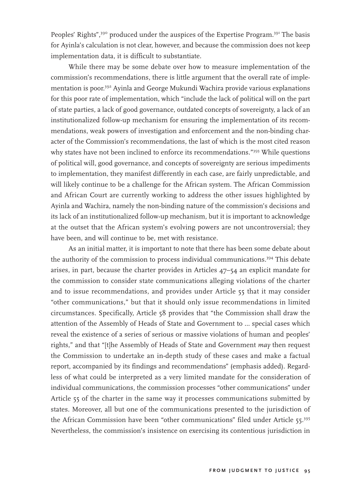Peoples' Rights",<sup>390</sup> produced under the auspices of the Expertise Program.<sup>391</sup> The basis for Ayinla's calculation is not clear, however, and because the commission does not keep implementation data, it is difficult to substantiate.

While there may be some debate over how to measure implementation of the commission's recommendations, there is little argument that the overall rate of implementation is poor.392 Ayinla and George Mukundi Wachira provide various explanations for this poor rate of implementation, which "include the lack of political will on the part of state parties, a lack of good governance, outdated concepts of sovereignty, a lack of an institutionalized follow-up mechanism for ensuring the implementation of its recommendations, weak powers of investigation and enforcement and the non-binding character of the Commission's recommendations, the last of which is the most cited reason why states have not been inclined to enforce its recommendations."393 While questions of political will, good governance, and concepts of sovereignty are serious impediments to implementation, they manifest differently in each case, are fairly unpredictable, and will likely continue to be a challenge for the African system. The African Commission and African Court are currently working to address the other issues highlighted by Ayinla and Wachira, namely the non-binding nature of the commission's decisions and its lack of an institutionalized follow-up mechanism, but it is important to acknowledge at the outset that the African system's evolving powers are not uncontroversial; they have been, and will continue to be, met with resistance.

As an initial matter, it is important to note that there has been some debate about the authority of the commission to process individual communications.<sup>394</sup> This debate arises, in part, because the charter provides in Articles 47–54 an explicit mandate for the commission to consider state communications alleging violations of the charter and to issue recommendations, and provides under Article 55 that it may consider "other communications," but that it should only issue recommendations in limited circumstances. Specifically, Article 58 provides that "the Commission shall draw the attention of the Assembly of Heads of State and Government to … special cases which reveal the existence of a series of serious or massive violations of human and peoples' rights," and that "[t]he Assembly of Heads of State and Government *may* then request the Commission to undertake an in-depth study of these cases and make a factual report, accompanied by its findings and recommendations" (emphasis added). Regardless of what could be interpreted as a very limited mandate for the consideration of individual communications, the commission processes "other communications" under Article 55 of the charter in the same way it processes communications submitted by states. Moreover, all but one of the communications presented to the jurisdiction of the African Commission have been "other communications" filed under Article 55.395 Nevertheless, the commission's insistence on exercising its contentious jurisdiction in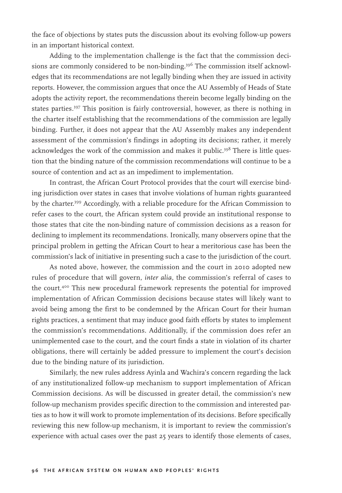the face of objections by states puts the discussion about its evolving follow-up powers in an important historical context.

Adding to the implementation challenge is the fact that the commission decisions are commonly considered to be non-binding.<sup>396</sup> The commission itself acknowledges that its recommendations are not legally binding when they are issued in activity reports. However, the commission argues that once the AU Assembly of Heads of State adopts the activity report, the recommendations therein become legally binding on the states parties.397 This position is fairly controversial, however, as there is nothing in the charter itself establishing that the recommendations of the commission are legally binding. Further, it does not appear that the AU Assembly makes any independent assessment of the commission's findings in adopting its decisions; rather, it merely acknowledges the work of the commission and makes it public.<sup>398</sup> There is little question that the binding nature of the commission recommendations will continue to be a source of contention and act as an impediment to implementation.

In contrast, the African Court Protocol provides that the court will exercise binding jurisdiction over states in cases that involve violations of human rights guaranteed by the charter.399 Accordingly, with a reliable procedure for the African Commission to refer cases to the court, the African system could provide an institutional response to those states that cite the non-binding nature of commission decisions as a reason for declining to implement its recommendations. Ironically, many observers opine that the principal problem in getting the African Court to hear a meritorious case has been the commission's lack of initiative in presenting such a case to the jurisdiction of the court.

As noted above, however, the commission and the court in 2010 adopted new rules of procedure that will govern, *inter alia*, the commission's referral of cases to the court.400 This new procedural framework represents the potential for improved implementation of African Commission decisions because states will likely want to avoid being among the first to be condemned by the African Court for their human rights practices, a sentiment that may induce good faith efforts by states to implement the commission's recommendations. Additionally, if the commission does refer an unimplemented case to the court, and the court finds a state in violation of its charter obligations, there will certainly be added pressure to implement the court's decision due to the binding nature of its jurisdiction.

Similarly, the new rules address Ayinla and Wachira's concern regarding the lack of any institutionalized follow-up mechanism to support implementation of African Commission decisions. As will be discussed in greater detail, the commission's new follow-up mechanism provides specific direction to the commission and interested parties as to how it will work to promote implementation of its decisions. Before specifically reviewing this new follow-up mechanism, it is important to review the commission's experience with actual cases over the past 25 years to identify those elements of cases,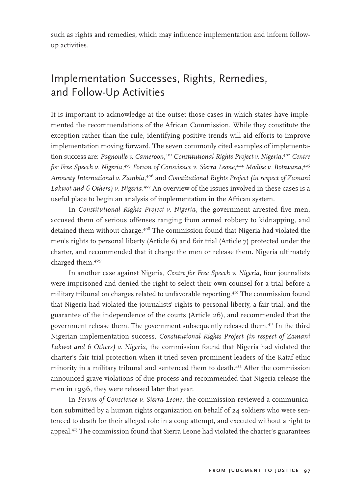such as rights and remedies, which may influence implementation and inform followup activities.

# Implementation Successes, Rights, Remedies, and Follow-Up Activities

It is important to acknowledge at the outset those cases in which states have implemented the recommendations of the African Commission. While they constitute the exception rather than the rule, identifying positive trends will aid efforts to improve implementation moving forward. The seven commonly cited examples of implementation success are: *Pagnoulle v. Cameroon*, <sup>401</sup> *Constitutional Rights Project v. Nigeria*, <sup>402</sup> *Centre for Free Speech v. Nigeria*, <sup>403</sup> *Forum of Conscience v. Sierra Leone*, <sup>404</sup> *Modise v. Botswana*, 405 *Amnesty International v. Zambia*, 406 and *Constitutional Rights Project (in respect of Zamani*  Lakwot and 6 Others) v. Nigeria.<sup>407</sup> An overview of the issues involved in these cases is a useful place to begin an analysis of implementation in the African system.

In *Constitutional Rights Project v. Nigeria*, the government arrested five men, accused them of serious offenses ranging from armed robbery to kidnapping, and detained them without charge.<sup>408</sup> The commission found that Nigeria had violated the men's rights to personal liberty (Article 6) and fair trial (Article 7) protected under the charter, and recommended that it charge the men or release them. Nigeria ultimately charged them.409

In another case against Nigeria, *Centre for Free Speech v. Nigeria*, four journalists were imprisoned and denied the right to select their own counsel for a trial before a military tribunal on charges related to unfavorable reporting.410 The commission found that Nigeria had violated the journalists' rights to personal liberty, a fair trial, and the guarantee of the independence of the courts (Article 26), and recommended that the government release them. The government subsequently released them.411 In the third Nigerian implementation success, *Constitutional Rights Project (in respect of Zamani Lakwot and 6 Others) v. Nigeria*, the commission found that Nigeria had violated the charter's fair trial protection when it tried seven prominent leaders of the Kataf ethic minority in a military tribunal and sentenced them to death.412 After the commission announced grave violations of due process and recommended that Nigeria release the men in 1996, they were released later that year.

In *Forum of Conscience v. Sierra Leone*, the commission reviewed a communication submitted by a human rights organization on behalf of 24 soldiers who were sentenced to death for their alleged role in a coup attempt, and executed without a right to appeal.<sup>413</sup> The commission found that Sierra Leone had violated the charter's guarantees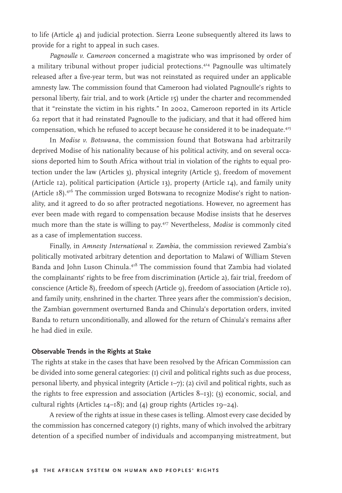to life (Article 4) and judicial protection. Sierra Leone subsequently altered its laws to provide for a right to appeal in such cases.

*Pagnoulle v. Cameroon* concerned a magistrate who was imprisoned by order of a military tribunal without proper judicial protections.<sup>414</sup> Pagnoulle was ultimately released after a five-year term, but was not reinstated as required under an applicable amnesty law. The commission found that Cameroon had violated Pagnoulle's rights to personal liberty, fair trial, and to work (Article 15) under the charter and recommended that it "reinstate the victim in his rights." In 2002, Cameroon reported in its Article 62 report that it had reinstated Pagnoulle to the judiciary, and that it had offered him compensation, which he refused to accept because he considered it to be inadequate.<sup>415</sup>

In *Modise v. Botswana*, the commission found that Botswana had arbitrarily deprived Modise of his nationality because of his political activity, and on several occasions deported him to South Africa without trial in violation of the rights to equal protection under the law (Articles 3), physical integrity (Article 5), freedom of movement (Article 12), political participation (Article 13), property (Article 14), and family unity (Article 18).416 The commission urged Botswana to recognize Modise's right to nationality, and it agreed to do so after protracted negotiations. However, no agreement has ever been made with regard to compensation because Modise insists that he deserves much more than the state is willing to pay.417 Nevertheless, *Modise* is commonly cited as a case of implementation success.

Finally, in *Amnesty International v. Zambia*, the commission reviewed Zambia's politically motivated arbitrary detention and deportation to Malawi of William Steven Banda and John Luson Chinula.418 The commission found that Zambia had violated the complainants' rights to be free from discrimination (Article 2), fair trial, freedom of conscience (Article 8), freedom of speech (Article 9), freedom of association (Article 10), and family unity, enshrined in the charter. Three years after the commission's decision, the Zambian government overturned Banda and Chinula's deportation orders, invited Banda to return unconditionally, and allowed for the return of Chinula's remains after he had died in exile.

#### **Observable Trends in the Rights at Stake**

The rights at stake in the cases that have been resolved by the African Commission can be divided into some general categories: (1) civil and political rights such as due process, personal liberty, and physical integrity (Article 1–7); (2) civil and political rights, such as the rights to free expression and association (Articles  $8-13$ ); (3) economic, social, and cultural rights (Articles  $I_4$ – $I_8$ ); and (4) group rights (Articles  $I_9$ –24).

A review of the rights at issue in these cases is telling. Almost every case decided by the commission has concerned category (1) rights, many of which involved the arbitrary detention of a specified number of individuals and accompanying mistreatment, but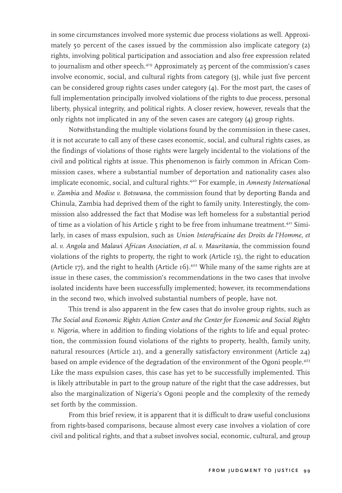in some circumstances involved more systemic due process violations as well. Approximately 50 percent of the cases issued by the commission also implicate category (2) rights, involving political participation and association and also free expression related to journalism and other speech.<sup>419</sup> Approximately 25 percent of the commission's cases involve economic, social, and cultural rights from category (3), while just five percent can be considered group rights cases under category (4). For the most part, the cases of full implementation principally involved violations of the rights to due process, personal liberty, physical integrity, and political rights. A closer review, however, reveals that the only rights not implicated in any of the seven cases are category (4) group rights.

Notwithstanding the multiple violations found by the commission in these cases, it is not accurate to call any of these cases economic, social, and cultural rights cases, as the findings of violations of those rights were largely incidental to the violations of the civil and political rights at issue. This phenomenon is fairly common in African Commission cases, where a substantial number of deportation and nationality cases also implicate economic, social, and cultural rights.420 For example, in *Amnesty International v. Zambia* and *Modise v. Botswana*, the commission found that by deporting Banda and Chinula, Zambia had deprived them of the right to family unity. Interestingly, the commission also addressed the fact that Modise was left homeless for a substantial period of time as a violation of his Article 5 right to be free from inhumane treatment.421 Similarly, in cases of mass expulsion, such as *Union Interafricaine des Droits de l'Homme, et al. v. Angola* and *Malawi African Association, et al. v. Mauritania*, the commission found violations of the rights to property, the right to work (Article 15), the right to education (Article 17), and the right to health (Article 16).<sup>422</sup> While many of the same rights are at issue in these cases, the commission's recommendations in the two cases that involve isolated incidents have been successfully implemented; however, its recommendations in the second two, which involved substantial numbers of people, have not.

This trend is also apparent in the few cases that do involve group rights, such as *The Social and Economic Rights Action Center and the Center for Economic and Social Rights v. Nigeria*, where in addition to finding violations of the rights to life and equal protection, the commission found violations of the rights to property, health, family unity, natural resources (Article 21), and a generally satisfactory environment (Article 24) based on ample evidence of the degradation of the environment of the Ogoni people.423 Like the mass expulsion cases, this case has yet to be successfully implemented. This is likely attributable in part to the group nature of the right that the case addresses, but also the marginalization of Nigeria's Ogoni people and the complexity of the remedy set forth by the commission.

From this brief review, it is apparent that it is difficult to draw useful conclusions from rights-based comparisons, because almost every case involves a violation of core civil and political rights, and that a subset involves social, economic, cultural, and group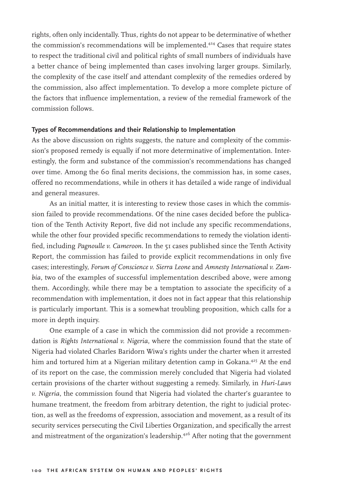rights, often only incidentally. Thus, rights do not appear to be determinative of whether the commission's recommendations will be implemented.<sup>424</sup> Cases that require states to respect the traditional civil and political rights of small numbers of individuals have a better chance of being implemented than cases involving larger groups. Similarly, the complexity of the case itself and attendant complexity of the remedies ordered by the commission, also affect implementation. To develop a more complete picture of the factors that influence implementation, a review of the remedial framework of the commission follows.

#### **Types of Recommendations and their Relationship to Implementation**

As the above discussion on rights suggests, the nature and complexity of the commission's proposed remedy is equally if not more determinative of implementation. Interestingly, the form and substance of the commission's recommendations has changed over time. Among the 60 final merits decisions, the commission has, in some cases, offered no recommendations, while in others it has detailed a wide range of individual and general measures.

As an initial matter, it is interesting to review those cases in which the commission failed to provide recommendations. Of the nine cases decided before the publication of the Tenth Activity Report, five did not include any specific recommendations, while the other four provided specific recommendations to remedy the violation identified, including *Pagnoulle v. Cameroon*. In the 51 cases published since the Tenth Activity Report, the commission has failed to provide explicit recommendations in only five cases; interestingly, *Forum of Conscience v. Sierra Leone* and *Amnesty International v. Zambia*, two of the examples of successful implementation described above, were among them. Accordingly, while there may be a temptation to associate the specificity of a recommendation with implementation, it does not in fact appear that this relationship is particularly important. This is a somewhat troubling proposition, which calls for a more in depth inquiry.

One example of a case in which the commission did not provide a recommendation is *Rights International v. Nigeria*, where the commission found that the state of Nigeria had violated Charles Baridorn Wiwa's rights under the charter when it arrested him and tortured him at a Nigerian military detention camp in Gokana.<sup>425</sup> At the end of its report on the case, the commission merely concluded that Nigeria had violated certain provisions of the charter without suggesting a remedy. Similarly, in *Huri-Laws v. Nigeria*, the commission found that Nigeria had violated the charter's guarantee to humane treatment, the freedom from arbitrary detention, the right to judicial protection, as well as the freedoms of expression, association and movement, as a result of its security services persecuting the Civil Liberties Organization, and specifically the arrest and mistreatment of the organization's leadership.<sup>426</sup> After noting that the government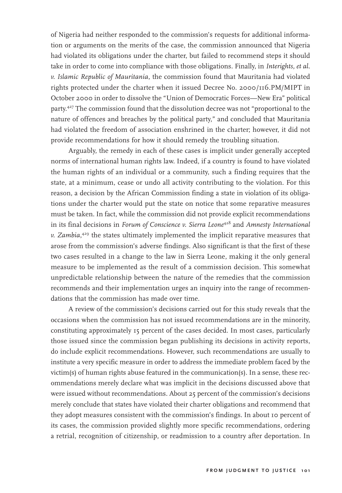of Nigeria had neither responded to the commission's requests for additional information or arguments on the merits of the case, the commission announced that Nigeria had violated its obligations under the charter, but failed to recommend steps it should take in order to come into compliance with those obligations. Finally, in *Interights, et al. v. Islamic Republic of Mauritania*, the commission found that Mauritania had violated rights protected under the charter when it issued Decree No. 2000/116.PM/MIPT in October 2000 in order to dissolve the "Union of Democratic Forces—New Era" political party.427 The commission found that the dissolution decree was not "proportional to the nature of offences and breaches by the political party," and concluded that Mauritania had violated the freedom of association enshrined in the charter; however, it did not provide recommendations for how it should remedy the troubling situation.

Arguably, the remedy in each of these cases is implicit under generally accepted norms of international human rights law. Indeed, if a country is found to have violated the human rights of an individual or a community, such a finding requires that the state, at a minimum, cease or undo all activity contributing to the violation. For this reason, a decision by the African Commission finding a state in violation of its obligations under the charter would put the state on notice that some reparative measures must be taken. In fact, while the commission did not provide explicit recommendations in its final decisions in *Forum of Conscience v. Sierra Leone*428 and *Amnesty International*  v. Zambia,<sup>429</sup> the states ultimately implemented the implicit reparative measures that arose from the commission's adverse findings. Also significant is that the first of these two cases resulted in a change to the law in Sierra Leone, making it the only general measure to be implemented as the result of a commission decision. This somewhat unpredictable relationship between the nature of the remedies that the commission recommends and their implementation urges an inquiry into the range of recommendations that the commission has made over time.

A review of the commission's decisions carried out for this study reveals that the occasions when the commission has not issued recommendations are in the minority, constituting approximately 15 percent of the cases decided. In most cases, particularly those issued since the commission began publishing its decisions in activity reports, do include explicit recommendations. However, such recommendations are usually to institute a very specific measure in order to address the immediate problem faced by the victim(s) of human rights abuse featured in the communication(s). In a sense, these recommendations merely declare what was implicit in the decisions discussed above that were issued without recommendations. About 25 percent of the commission's decisions merely conclude that states have violated their charter obligations and recommend that they adopt measures consistent with the commission's findings. In about 10 percent of its cases, the commission provided slightly more specific recommendations, ordering a retrial, recognition of citizenship, or readmission to a country after deportation. In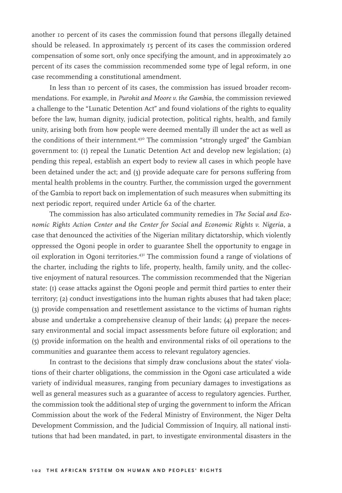another 10 percent of its cases the commission found that persons illegally detained should be released. In approximately 15 percent of its cases the commission ordered compensation of some sort, only once specifying the amount, and in approximately 20 percent of its cases the commission recommended some type of legal reform, in one case recommending a constitutional amendment.

In less than 10 percent of its cases, the commission has issued broader recommendations. For example, in *Purohit and Moore v. the Gambia*, the commission reviewed a challenge to the "Lunatic Detention Act" and found violations of the rights to equality before the law, human dignity, judicial protection, political rights, health, and family unity, arising both from how people were deemed mentally ill under the act as well as the conditions of their internment.<sup>430</sup> The commission "strongly urged" the Gambian government to:  $(i)$  repeal the Lunatic Detention Act and develop new legislation;  $(2)$ pending this repeal, establish an expert body to review all cases in which people have been detained under the act; and (3) provide adequate care for persons suffering from mental health problems in the country. Further, the commission urged the government of the Gambia to report back on implementation of such measures when submitting its next periodic report, required under Article 62 of the charter.

The commission has also articulated community remedies in *The Social and Economic Rights Action Center and the Center for Social and Economic Rights v. Nigeria*, a case that denounced the activities of the Nigerian military dictatorship, which violently oppressed the Ogoni people in order to guarantee Shell the opportunity to engage in oil exploration in Ogoni territories.431 The commission found a range of violations of the charter, including the rights to life, property, health, family unity, and the collective enjoyment of natural resources. The commission recommended that the Nigerian state: (1) cease attacks against the Ogoni people and permit third parties to enter their territory; (2) conduct investigations into the human rights abuses that had taken place; (3) provide compensation and resettlement assistance to the victims of human rights abuse and undertake a comprehensive cleanup of their lands;  $(4)$  prepare the necessary environmental and social impact assessments before future oil exploration; and (5) provide information on the health and environmental risks of oil operations to the communities and guarantee them access to relevant regulatory agencies.

In contrast to the decisions that simply draw conclusions about the states' violations of their charter obligations, the commission in the Ogoni case articulated a wide variety of individual measures, ranging from pecuniary damages to investigations as well as general measures such as a guarantee of access to regulatory agencies. Further, the commission took the additional step of urging the government to inform the African Commission about the work of the Federal Ministry of Environment, the Niger Delta Development Commission, and the Judicial Commission of Inquiry, all national institutions that had been mandated, in part, to investigate environmental disasters in the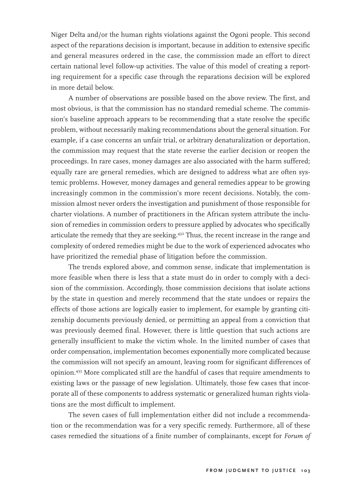Niger Delta and/or the human rights violations against the Ogoni people. This second aspect of the reparations decision is important, because in addition to extensive specific and general measures ordered in the case, the commission made an effort to direct certain national level follow-up activities. The value of this model of creating a reporting requirement for a specific case through the reparations decision will be explored in more detail below.

A number of observations are possible based on the above review. The first, and most obvious, is that the commission has no standard remedial scheme. The commission's baseline approach appears to be recommending that a state resolve the specific problem, without necessarily making recommendations about the general situation. For example, if a case concerns an unfair trial, or arbitrary denaturalization or deportation, the commission may request that the state reverse the earlier decision or reopen the proceedings. In rare cases, money damages are also associated with the harm suffered; equally rare are general remedies, which are designed to address what are often systemic problems. However, money damages and general remedies appear to be growing increasingly common in the commission's more recent decisions. Notably, the commission almost never orders the investigation and punishment of those responsible for charter violations. A number of practitioners in the African system attribute the inclusion of remedies in commission orders to pressure applied by advocates who specifically articulate the remedy that they are seeking.432 Thus, the recent increase in the range and complexity of ordered remedies might be due to the work of experienced advocates who have prioritized the remedial phase of litigation before the commission.

The trends explored above, and common sense, indicate that implementation is more feasible when there is less that a state must do in order to comply with a decision of the commission. Accordingly, those commission decisions that isolate actions by the state in question and merely recommend that the state undoes or repairs the effects of those actions are logically easier to implement, for example by granting citizenship documents previously denied, or permitting an appeal from a conviction that was previously deemed final. However, there is little question that such actions are generally insufficient to make the victim whole. In the limited number of cases that order compensation, implementation becomes exponentially more complicated because the commission will not specify an amount, leaving room for significant differences of opinion.433 More complicated still are the handful of cases that require amendments to existing laws or the passage of new legislation. Ultimately, those few cases that incorporate all of these components to address systematic or generalized human rights violations are the most difficult to implement.

The seven cases of full implementation either did not include a recommendation or the recommendation was for a very specific remedy. Furthermore, all of these cases remedied the situations of a finite number of complainants, except for *Forum of*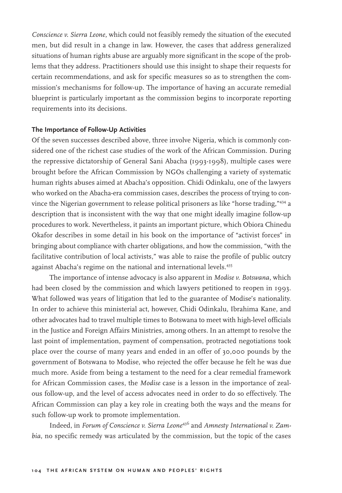*Conscience v. Sierra Leone*, which could not feasibly remedy the situation of the executed men, but did result in a change in law. However, the cases that address generalized situations of human rights abuse are arguably more significant in the scope of the problems that they address. Practitioners should use this insight to shape their requests for certain recommendations, and ask for specific measures so as to strengthen the commission's mechanisms for follow-up. The importance of having an accurate remedial blueprint is particularly important as the commission begins to incorporate reporting requirements into its decisions.

#### **The Importance of Follow-Up Activities**

Of the seven successes described above, three involve Nigeria, which is commonly considered one of the richest case studies of the work of the African Commission. During the repressive dictatorship of General Sani Abacha (1993-1998), multiple cases were brought before the African Commission by NGOs challenging a variety of systematic human rights abuses aimed at Abacha's opposition. Chidi Odinkalu, one of the lawyers who worked on the Abacha-era commission cases, describes the process of trying to convince the Nigerian government to release political prisoners as like "horse trading,"434 a description that is inconsistent with the way that one might ideally imagine follow-up procedures to work. Nevertheless, it paints an important picture, which Obiora Chinedu Okafor describes in some detail in his book on the importance of "activist forces" in bringing about compliance with charter obligations, and how the commission, "with the facilitative contribution of local activists," was able to raise the profile of public outcry against Abacha's regime on the national and international levels.<sup>435</sup>

The importance of intense advocacy is also apparent in *Modise v. Botswana*, which had been closed by the commission and which lawyers petitioned to reopen in 1993. What followed was years of litigation that led to the guarantee of Modise's nationality. In order to achieve this ministerial act, however, Chidi Odinkalu, Ibrahima Kane, and other advocates had to travel multiple times to Botswana to meet with high-level officials in the Justice and Foreign Affairs Ministries, among others. In an attempt to resolve the last point of implementation, payment of compensation, protracted negotiations took place over the course of many years and ended in an offer of 30,000 pounds by the government of Botswana to Modise, who rejected the offer because he felt he was due much more. Aside from being a testament to the need for a clear remedial framework for African Commission cases, the *Modise* case is a lesson in the importance of zealous follow-up, and the level of access advocates need in order to do so effectively. The African Commission can play a key role in creating both the ways and the means for such follow-up work to promote implementation.

Indeed, in *Forum of Conscience v. Sierra Leone*436 and *Amnesty International v. Zambia*, no specific remedy was articulated by the commission, but the topic of the cases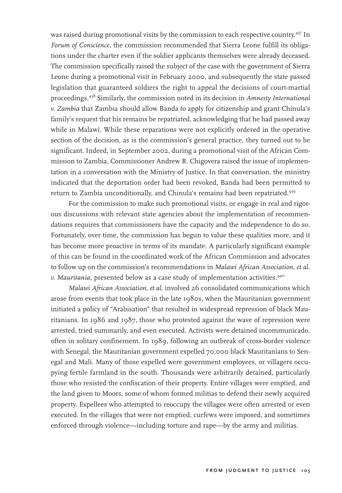was raised during promotional visits by the commission to each respective country.437 In *Forum of Conscience*, the commission recommended that Sierra Leone fulfill its obligations under the charter even if the soldier applicants themselves were already deceased. The commission specifically raised the subject of the case with the government of Sierra Leone during a promotional visit in February 2000, and subsequently the state passed legislation that guaranteed soldiers the right to appeal the decisions of court-martial proceedings.438 Similarly, the commission noted in its decision in *Amnesty International v. Zambia* that Zambia should allow Banda to apply for citizenship and grant Chinula's family's request that his remains be repatriated, acknowledging that he had passed away while in Malawi. While these reparations were not explicitly ordered in the operative section of the decision, as is the commission's general practice, they turned out to be significant. Indeed, in September 2002, during a promotional visit of the African Commission to Zambia, Commissioner Andrew R. Chigovera raised the issue of implementation in a conversation with the Ministry of Justice. In that conversation, the ministry indicated that the deportation order had been revoked, Banda had been permitted to return to Zambia unconditionally, and Chinula's remains had been repatriated.439

For the commission to make such promotional visits, or engage in real and rigorous discussions with relevant state agencies about the implementation of recommendations requires that commissioners have the capacity and the independence to do so. Fortunately, over time, the commission has begun to value these qualities more, and it has become more proactive in terms of its mandate. A particularly significant example of this can be found in the coordinated work of the African Commission and advocates to follow up on the commission's recommendations in *Malawi African Association, et al. v. Mauritania*, presented below as a case study of implementation activities.<sup>440</sup>

*Malawi African Association, et al.* involved 26 consolidated communications which arose from events that took place in the late 1980s, when the Mauritanian government initiated a policy of "Arabisation" that resulted in widespread repression of black Mauritanians. In 1986 and 1987, those who protested against the wave of repression were arrested, tried summarily, and even executed. Activists were detained incommunicado, often in solitary confinement. In 1989, following an outbreak of cross-border violence with Senegal, the Mauritanian government expelled 70,000 black Mauritanians to Senegal and Mali. Many of those expelled were government employees, or villagers occupying fertile farmland in the south. Thousands were arbitrarily detained, particularly those who resisted the confiscation of their property. Entire villages were emptied, and the land given to Moors, some of whom formed militias to defend their newly acquired property. Expellees who attempted to reoccupy the villages were often arrested or even executed. In the villages that were not emptied, curfews were imposed, and sometimes enforced through violence—including torture and rape—by the army and militias.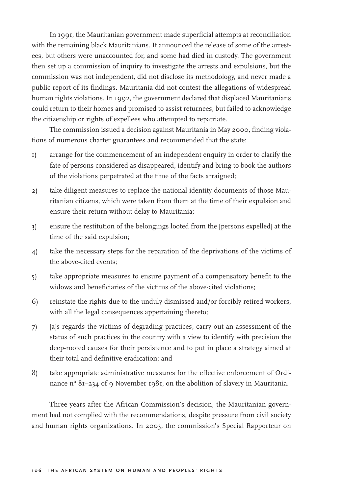In 1991, the Mauritanian government made superficial attempts at reconciliation with the remaining black Mauritanians. It announced the release of some of the arrestees, but others were unaccounted for, and some had died in custody. The government then set up a commission of inquiry to investigate the arrests and expulsions, but the commission was not independent, did not disclose its methodology, and never made a public report of its findings. Mauritania did not contest the allegations of widespread human rights violations. In 1992, the government declared that displaced Mauritanians could return to their homes and promised to assist returnees, but failed to acknowledge the citizenship or rights of expellees who attempted to repatriate.

The commission issued a decision against Mauritania in May 2000, finding violations of numerous charter guarantees and recommended that the state:

- 1) arrange for the commencement of an independent enquiry in order to clarify the fate of persons considered as disappeared, identify and bring to book the authors of the violations perpetrated at the time of the facts arraigned;
- 2) take diligent measures to replace the national identity documents of those Mauritanian citizens, which were taken from them at the time of their expulsion and ensure their return without delay to Mauritania;
- 3) ensure the restitution of the belongings looted from the [persons expelled] at the time of the said expulsion;
- 4) take the necessary steps for the reparation of the deprivations of the victims of the above-cited events;
- 5) take appropriate measures to ensure payment of a compensatory benefit to the widows and beneficiaries of the victims of the above-cited violations;
- 6) reinstate the rights due to the unduly dismissed and/or forcibly retired workers, with all the legal consequences appertaining thereto;
- 7) [a]s regards the victims of degrading practices, carry out an assessment of the status of such practices in the country with a view to identify with precision the deep-rooted causes for their persistence and to put in place a strategy aimed at their total and definitive eradication; and
- 8) take appropriate administrative measures for the effective enforcement of Ordinance nº 81–234 of 9 November 1981, on the abolition of slavery in Mauritania.

Three years after the African Commission's decision, the Mauritanian government had not complied with the recommendations, despite pressure from civil society and human rights organizations. In 2003, the commission's Special Rapporteur on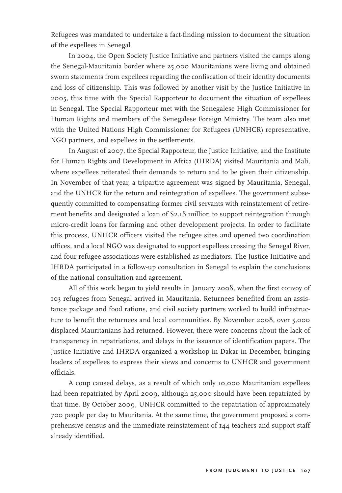Refugees was mandated to undertake a fact-finding mission to document the situation of the expellees in Senegal.

In 2004, the Open Society Justice Initiative and partners visited the camps along the Senegal-Mauritania border where 25,000 Mauritanians were living and obtained sworn statements from expellees regarding the confiscation of their identity documents and loss of citizenship. This was followed by another visit by the Justice Initiative in 2005, this time with the Special Rapporteur to document the situation of expellees in Senegal. The Special Rapporteur met with the Senegalese High Commissioner for Human Rights and members of the Senegalese Foreign Ministry. The team also met with the United Nations High Commissioner for Refugees (UNHCR) representative, NGO partners, and expellees in the settlements.

In August of 2007, the Special Rapporteur, the Justice Initiative, and the Institute for Human Rights and Development in Africa (IHRDA) visited Mauritania and Mali, where expellees reiterated their demands to return and to be given their citizenship. In November of that year, a tripartite agreement was signed by Mauritania, Senegal, and the UNHCR for the return and reintegration of expellees. The government subsequently committed to compensating former civil servants with reinstatement of retirement benefits and designated a loan of \$2.18 million to support reintegration through micro-credit loans for farming and other development projects. In order to facilitate this process, UNHCR officers visited the refugee sites and opened two coordination offices, and a local NGO was designated to support expellees crossing the Senegal River, and four refugee associations were established as mediators. The Justice Initiative and IHRDA participated in a follow-up consultation in Senegal to explain the conclusions of the national consultation and agreement.

All of this work began to yield results in January 2008, when the first convoy of 103 refugees from Senegal arrived in Mauritania. Returnees benefited from an assistance package and food rations, and civil society partners worked to build infrastructure to benefit the returnees and local communities. By November 2008, over 5,000 displaced Mauritanians had returned. However, there were concerns about the lack of transparency in repatriations, and delays in the issuance of identification papers. The Justice Initiative and IHRDA organized a workshop in Dakar in December, bringing leaders of expellees to express their views and concerns to UNHCR and government officials.

A coup caused delays, as a result of which only 10,000 Mauritanian expellees had been repatriated by April 2009, although 25,000 should have been repatriated by that time. By October 2009, UNHCR committed to the repatriation of approximately 700 people per day to Mauritania. At the same time, the government proposed a comprehensive census and the immediate reinstatement of 144 teachers and support staff already identified.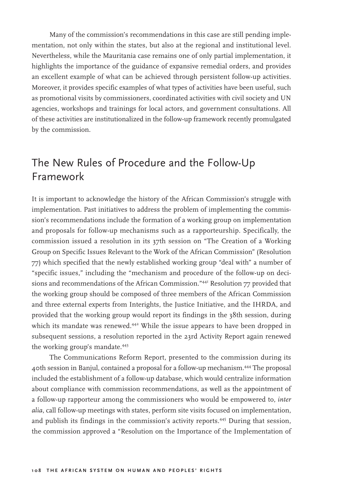Many of the commission's recommendations in this case are still pending implementation, not only within the states, but also at the regional and institutional level. Nevertheless, while the Mauritania case remains one of only partial implementation, it highlights the importance of the guidance of expansive remedial orders, and provides an excellent example of what can be achieved through persistent follow-up activities. Moreover, it provides specific examples of what types of activities have been useful, such as promotional visits by commissioners, coordinated activities with civil society and UN agencies, workshops and trainings for local actors, and government consultations. All of these activities are institutionalized in the follow-up framework recently promulgated by the commission.

## The New Rules of Procedure and the Follow-Up Framework

It is important to acknowledge the history of the African Commission's struggle with implementation. Past initiatives to address the problem of implementing the commission's recommendations include the formation of a working group on implementation and proposals for follow-up mechanisms such as a rapporteurship. Specifically, the commission issued a resolution in its 37th session on "The Creation of a Working Group on Specific Issues Relevant to the Work of the African Commission" (Resolution 77) which specified that the newly established working group "deal with" a number of "specific issues," including the "mechanism and procedure of the follow-up on decisions and recommendations of the African Commission."441 Resolution 77 provided that the working group should be composed of three members of the African Commission and three external experts from Interights, the Justice Initiative, and the IHRDA, and provided that the working group would report its findings in the 38th session, during which its mandate was renewed.<sup>442</sup> While the issue appears to have been dropped in subsequent sessions, a resolution reported in the 23rd Activity Report again renewed the working group's mandate.<sup>443</sup>

The Communications Reform Report, presented to the commission during its 40th session in Banjul, contained a proposal for a follow-up mechanism.444 The proposal included the establishment of a follow-up database, which would centralize information about compliance with commission recommendations, as well as the appointment of a follow-up rapporteur among the commissioners who would be empowered to, *inter alia*, call follow-up meetings with states, perform site visits focused on implementation, and publish its findings in the commission's activity reports.<sup>445</sup> During that session, the commission approved a "Resolution on the Importance of the Implementation of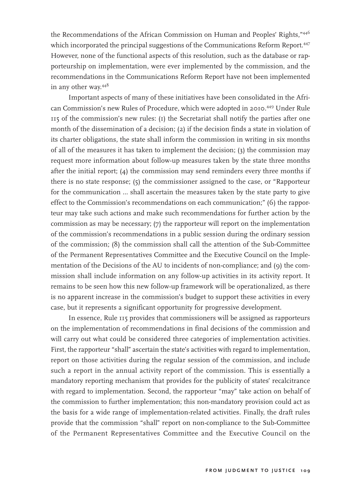the Recommendations of the African Commission on Human and Peoples' Rights,"446 which incorporated the principal suggestions of the Communications Reform Report.<sup>447</sup> However, none of the functional aspects of this resolution, such as the database or rapporteurship on implementation, were ever implemented by the commission, and the recommendations in the Communications Reform Report have not been implemented in any other way.448

Important aspects of many of these initiatives have been consolidated in the African Commission's new Rules of Procedure, which were adopted in 2010.449 Under Rule 115 of the commission's new rules: (1) the Secretariat shall notify the parties after one month of the dissemination of a decision; (2) if the decision finds a state in violation of its charter obligations, the state shall inform the commission in writing in six months of all of the measures it has taken to implement the decision; (3) the commission may request more information about follow-up measures taken by the state three months after the initial report;  $(4)$  the commission may send reminders every three months if there is no state response; (5) the commissioner assigned to the case, or "Rapporteur for the communication … shall ascertain the measures taken by the state party to give effect to the Commission's recommendations on each communication;" (6) the rapporteur may take such actions and make such recommendations for further action by the commission as may be necessary; (7) the rapporteur will report on the implementation of the commission's recommendations in a public session during the ordinary session of the commission; (8) the commission shall call the attention of the Sub-Committee of the Permanent Representatives Committee and the Executive Council on the Implementation of the Decisions of the AU to incidents of non-compliance; and (9) the commission shall include information on any follow-up activities in its activity report. It remains to be seen how this new follow-up framework will be operationalized, as there is no apparent increase in the commission's budget to support these activities in every case, but it represents a significant opportunity for progressive development.

In essence, Rule 115 provides that commissioners will be assigned as rapporteurs on the implementation of recommendations in final decisions of the commission and will carry out what could be considered three categories of implementation activities. First, the rapporteur "shall" ascertain the state's activities with regard to implementation, report on those activities during the regular session of the commission, and include such a report in the annual activity report of the commission. This is essentially a mandatory reporting mechanism that provides for the publicity of states' recalcitrance with regard to implementation. Second, the rapporteur "may" take action on behalf of the commission to further implementation; this non-mandatory provision could act as the basis for a wide range of implementation-related activities. Finally, the draft rules provide that the commission "shall" report on non-compliance to the Sub-Committee of the Permanent Representatives Committee and the Executive Council on the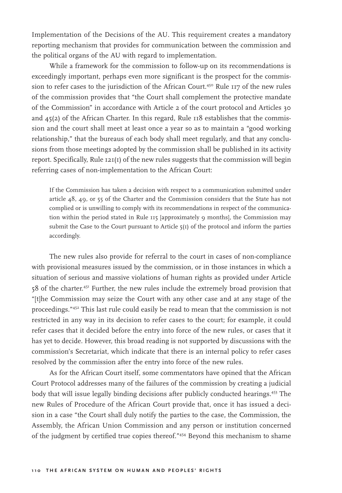Implementation of the Decisions of the AU. This requirement creates a mandatory reporting mechanism that provides for communication between the commission and the political organs of the AU with regard to implementation.

While a framework for the commission to follow-up on its recommendations is exceedingly important, perhaps even more significant is the prospect for the commission to refer cases to the jurisdiction of the African Court.<sup>450</sup> Rule 117 of the new rules of the commission provides that "the Court shall complement the protective mandate of the Commission" in accordance with Article 2 of the court protocol and Articles 30 and  $45(2)$  of the African Charter. In this regard, Rule  $118$  establishes that the commission and the court shall meet at least once a year so as to maintain a "good working relationship," that the bureaus of each body shall meet regularly, and that any conclusions from those meetings adopted by the commission shall be published in its activity report. Specifically, Rule  $12I(I)$  of the new rules suggests that the commission will begin referring cases of non-implementation to the African Court:

 If the Commission has taken a decision with respect to a communication submitted under article 48, 49, or 55 of the Charter and the Commission considers that the State has not complied or is unwilling to comply with its recommendations in respect of the communication within the period stated in Rule 115 [approximately 9 months], the Commission may submit the Case to the Court pursuant to Article  $\zeta(I)$  of the protocol and inform the parties accordingly.

The new rules also provide for referral to the court in cases of non-compliance with provisional measures issued by the commission, or in those instances in which a situation of serious and massive violations of human rights as provided under Article 58 of the charter.451 Further, the new rules include the extremely broad provision that "[t]he Commission may seize the Court with any other case and at any stage of the proceedings."452 This last rule could easily be read to mean that the commission is not restricted in any way in its decision to refer cases to the court; for example, it could refer cases that it decided before the entry into force of the new rules, or cases that it has yet to decide. However, this broad reading is not supported by discussions with the commission's Secretariat, which indicate that there is an internal policy to refer cases resolved by the commission after the entry into force of the new rules.

As for the African Court itself, some commentators have opined that the African Court Protocol addresses many of the failures of the commission by creating a judicial body that will issue legally binding decisions after publicly conducted hearings.453 The new Rules of Procedure of the African Court provide that, once it has issued a decision in a case "the Court shall duly notify the parties to the case, the Commission, the Assembly, the African Union Commission and any person or institution concerned of the judgment by certified true copies thereof."454 Beyond this mechanism to shame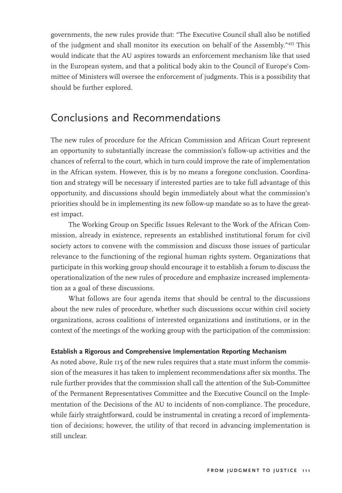governments, the new rules provide that: "The Executive Council shall also be notified of the judgment and shall monitor its execution on behalf of the Assembly."455 This would indicate that the AU aspires towards an enforcement mechanism like that used in the European system, and that a political body akin to the Council of Europe's Committee of Ministers will oversee the enforcement of judgments. This is a possibility that should be further explored.

### Conclusions and Recommendations

The new rules of procedure for the African Commission and African Court represent an opportunity to substantially increase the commission's follow-up activities and the chances of referral to the court, which in turn could improve the rate of implementation in the African system. However, this is by no means a foregone conclusion. Coordination and strategy will be necessary if interested parties are to take full advantage of this opportunity, and discussions should begin immediately about what the commission's priorities should be in implementing its new follow-up mandate so as to have the greatest impact.

The Working Group on Specific Issues Relevant to the Work of the African Commission, already in existence, represents an established institutional forum for civil society actors to convene with the commission and discuss those issues of particular relevance to the functioning of the regional human rights system. Organizations that participate in this working group should encourage it to establish a forum to discuss the operationalization of the new rules of procedure and emphasize increased implementation as a goal of these discussions.

What follows are four agenda items that should be central to the discussions about the new rules of procedure, whether such discussions occur within civil society organizations, across coalitions of interested organizations and institutions, or in the context of the meetings of the working group with the participation of the commission:

#### **Establish a Rigorous and Comprehensive Implementation Reporting Mechanism**

As noted above, Rule 115 of the new rules requires that a state must inform the commission of the measures it has taken to implement recommendations after six months. The rule further provides that the commission shall call the attention of the Sub-Committee of the Permanent Representatives Committee and the Executive Council on the Implementation of the Decisions of the AU to incidents of non-compliance. The procedure, while fairly straightforward, could be instrumental in creating a record of implementation of decisions; however, the utility of that record in advancing implementation is still unclear.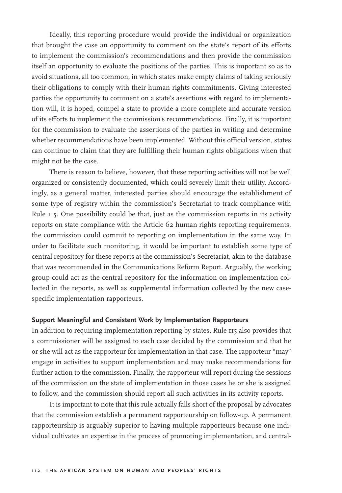Ideally, this reporting procedure would provide the individual or organization that brought the case an opportunity to comment on the state's report of its efforts to implement the commission's recommendations and then provide the commission itself an opportunity to evaluate the positions of the parties. This is important so as to avoid situations, all too common, in which states make empty claims of taking seriously their obligations to comply with their human rights commitments. Giving interested parties the opportunity to comment on a state's assertions with regard to implementation will, it is hoped, compel a state to provide a more complete and accurate version of its efforts to implement the commission's recommendations. Finally, it is important for the commission to evaluate the assertions of the parties in writing and determine whether recommendations have been implemented. Without this official version, states can continue to claim that they are fulfilling their human rights obligations when that might not be the case.

There is reason to believe, however, that these reporting activities will not be well organized or consistently documented, which could severely limit their utility. Accordingly, as a general matter, interested parties should encourage the establishment of some type of registry within the commission's Secretariat to track compliance with Rule 115. One possibility could be that, just as the commission reports in its activity reports on state compliance with the Article 62 human rights reporting requirements, the commission could commit to reporting on implementation in the same way. In order to facilitate such monitoring, it would be important to establish some type of central repository for these reports at the commission's Secretariat, akin to the database that was recommended in the Communications Reform Report. Arguably, the working group could act as the central repository for the information on implementation collected in the reports, as well as supplemental information collected by the new casespecific implementation rapporteurs.

#### **Support Meaningful and Consistent Work by Implementation Rapporteurs**

In addition to requiring implementation reporting by states, Rule 115 also provides that a commissioner will be assigned to each case decided by the commission and that he or she will act as the rapporteur for implementation in that case. The rapporteur "may" engage in activities to support implementation and may make recommendations for further action to the commission. Finally, the rapporteur will report during the sessions of the commission on the state of implementation in those cases he or she is assigned to follow, and the commission should report all such activities in its activity reports.

It is important to note that this rule actually falls short of the proposal by advocates that the commission establish a permanent rapporteurship on follow-up. A permanent rapporteurship is arguably superior to having multiple rapporteurs because one individual cultivates an expertise in the process of promoting implementation, and central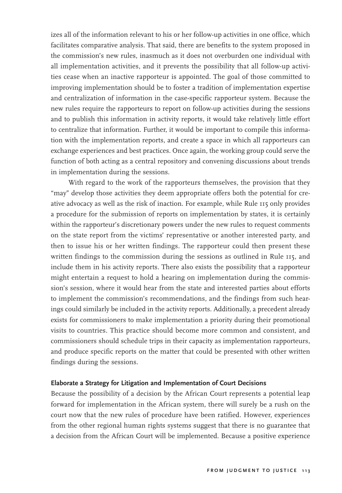izes all of the information relevant to his or her follow-up activities in one office, which facilitates comparative analysis. That said, there are benefits to the system proposed in the commission's new rules, inasmuch as it does not overburden one individual with all implementation activities, and it prevents the possibility that all follow-up activities cease when an inactive rapporteur is appointed. The goal of those committed to improving implementation should be to foster a tradition of implementation expertise and centralization of information in the case-specific rapporteur system. Because the new rules require the rapporteurs to report on follow-up activities during the sessions and to publish this information in activity reports, it would take relatively little effort to centralize that information. Further, it would be important to compile this information with the implementation reports, and create a space in which all rapporteurs can exchange experiences and best practices. Once again, the working group could serve the function of both acting as a central repository and convening discussions about trends in implementation during the sessions.

With regard to the work of the rapporteurs themselves, the provision that they "may" develop those activities they deem appropriate offers both the potential for creative advocacy as well as the risk of inaction. For example, while Rule 115 only provides a procedure for the submission of reports on implementation by states, it is certainly within the rapporteur's discretionary powers under the new rules to request comments on the state report from the victims' representative or another interested party, and then to issue his or her written findings. The rapporteur could then present these written findings to the commission during the sessions as outlined in Rule 115, and include them in his activity reports. There also exists the possibility that a rapporteur might entertain a request to hold a hearing on implementation during the commission's session, where it would hear from the state and interested parties about efforts to implement the commission's recommendations, and the findings from such hearings could similarly be included in the activity reports. Additionally, a precedent already exists for commissioners to make implementation a priority during their promotional visits to countries. This practice should become more common and consistent, and commissioners should schedule trips in their capacity as implementation rapporteurs, and produce specific reports on the matter that could be presented with other written findings during the sessions.

#### **Elaborate a Strategy for Litigation and Implementation of Court Decisions**

Because the possibility of a decision by the African Court represents a potential leap forward for implementation in the African system, there will surely be a rush on the court now that the new rules of procedure have been ratified. However, experiences from the other regional human rights systems suggest that there is no guarantee that a decision from the African Court will be implemented. Because a positive experience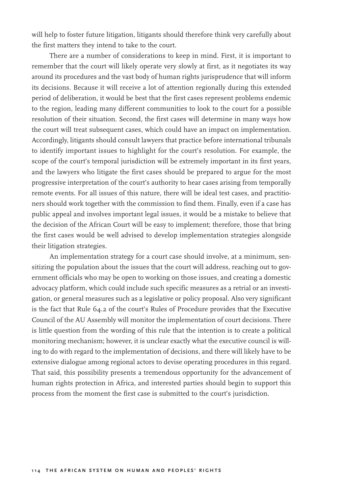will help to foster future litigation, litigants should therefore think very carefully about the first matters they intend to take to the court.

There are a number of considerations to keep in mind. First, it is important to remember that the court will likely operate very slowly at first, as it negotiates its way around its procedures and the vast body of human rights jurisprudence that will inform its decisions. Because it will receive a lot of attention regionally during this extended period of deliberation, it would be best that the first cases represent problems endemic to the region, leading many different communities to look to the court for a possible resolution of their situation. Second, the first cases will determine in many ways how the court will treat subsequent cases, which could have an impact on implementation. Accordingly, litigants should consult lawyers that practice before international tribunals to identify important issues to highlight for the court's resolution. For example, the scope of the court's temporal jurisdiction will be extremely important in its first years, and the lawyers who litigate the first cases should be prepared to argue for the most progressive interpretation of the court's authority to hear cases arising from temporally remote events. For all issues of this nature, there will be ideal test cases, and practitioners should work together with the commission to find them. Finally, even if a case has public appeal and involves important legal issues, it would be a mistake to believe that the decision of the African Court will be easy to implement; therefore, those that bring the first cases would be well advised to develop implementation strategies alongside their litigation strategies.

An implementation strategy for a court case should involve, at a minimum, sensitizing the population about the issues that the court will address, reaching out to government officials who may be open to working on those issues, and creating a domestic advocacy platform, which could include such specific measures as a retrial or an investigation, or general measures such as a legislative or policy proposal. Also very significant is the fact that Rule 64.2 of the court's Rules of Procedure provides that the Executive Council of the AU Assembly will monitor the implementation of court decisions. There is little question from the wording of this rule that the intention is to create a political monitoring mechanism; however, it is unclear exactly what the executive council is willing to do with regard to the implementation of decisions, and there will likely have to be extensive dialogue among regional actors to devise operating procedures in this regard. That said, this possibility presents a tremendous opportunity for the advancement of human rights protection in Africa, and interested parties should begin to support this process from the moment the first case is submitted to the court's jurisdiction.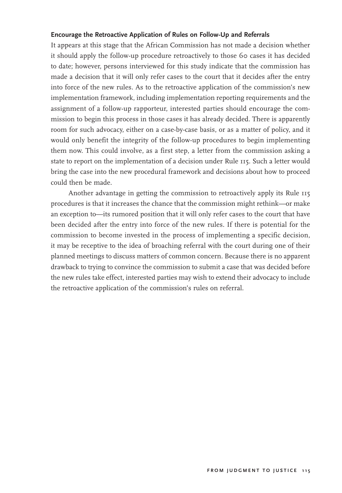#### **Encourage the Retroactive Application of Rules on Follow-Up and Referrals**

It appears at this stage that the African Commission has not made a decision whether it should apply the follow-up procedure retroactively to those 60 cases it has decided to date; however, persons interviewed for this study indicate that the commission has made a decision that it will only refer cases to the court that it decides after the entry into force of the new rules. As to the retroactive application of the commission's new implementation framework, including implementation reporting requirements and the assignment of a follow-up rapporteur, interested parties should encourage the commission to begin this process in those cases it has already decided. There is apparently room for such advocacy, either on a case-by-case basis, or as a matter of policy, and it would only benefit the integrity of the follow-up procedures to begin implementing them now. This could involve, as a first step, a letter from the commission asking a state to report on the implementation of a decision under Rule 115. Such a letter would bring the case into the new procedural framework and decisions about how to proceed could then be made.

Another advantage in getting the commission to retroactively apply its Rule 115 procedures is that it increases the chance that the commission might rethink—or make an exception to—its rumored position that it will only refer cases to the court that have been decided after the entry into force of the new rules. If there is potential for the commission to become invested in the process of implementing a specific decision, it may be receptive to the idea of broaching referral with the court during one of their planned meetings to discuss matters of common concern. Because there is no apparent drawback to trying to convince the commission to submit a case that was decided before the new rules take effect, interested parties may wish to extend their advocacy to include the retroactive application of the commission's rules on referral.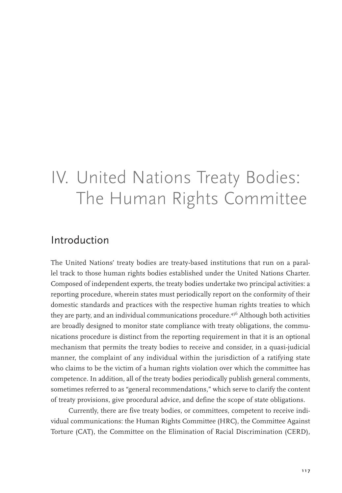# IV. United Nations Treaty Bodies: The Human Rights Committee

### Introduction

The United Nations' treaty bodies are treaty-based institutions that run on a parallel track to those human rights bodies established under the United Nations Charter. Composed of independent experts, the treaty bodies undertake two principal activities: a reporting procedure, wherein states must periodically report on the conformity of their domestic standards and practices with the respective human rights treaties to which they are party, and an individual communications procedure.456 Although both activities are broadly designed to monitor state compliance with treaty obligations, the communications procedure is distinct from the reporting requirement in that it is an optional mechanism that permits the treaty bodies to receive and consider, in a quasi-judicial manner, the complaint of any individual within the jurisdiction of a ratifying state who claims to be the victim of a human rights violation over which the committee has competence. In addition, all of the treaty bodies periodically publish general comments, sometimes referred to as "general recommendations," which serve to clarify the content of treaty provisions, give procedural advice, and define the scope of state obligations.

Currently, there are five treaty bodies, or committees, competent to receive individual communications: the Human Rights Committee (HRC), the Committee Against Torture (CAT), the Committee on the Elimination of Racial Discrimination (CERD),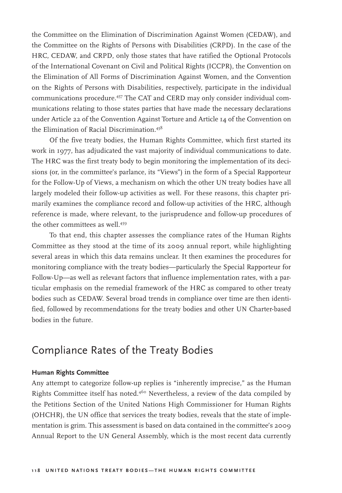the Committee on the Elimination of Discrimination Against Women (CEDAW), and the Committee on the Rights of Persons with Disabilities (CRPD). In the case of the HRC, CEDAW, and CRPD, only those states that have ratified the Optional Protocols of the International Covenant on Civil and Political Rights (ICCPR), the Convention on the Elimination of All Forms of Discrimination Against Women, and the Convention on the Rights of Persons with Disabilities, respectively, participate in the individual communications procedure.457 The CAT and CERD may only consider individual communications relating to those states parties that have made the necessary declarations under Article 22 of the Convention Against Torture and Article 14 of the Convention on the Elimination of Racial Discrimination.458

Of the five treaty bodies, the Human Rights Committee, which first started its work in 1977, has adjudicated the vast majority of individual communications to date. The HRC was the first treaty body to begin monitoring the implementation of its decisions (or, in the committee's parlance, its "Views") in the form of a Special Rapporteur for the Follow-Up of Views, a mechanism on which the other UN treaty bodies have all largely modeled their follow-up activities as well. For these reasons, this chapter primarily examines the compliance record and follow-up activities of the HRC, although reference is made, where relevant, to the jurisprudence and follow-up procedures of the other committees as well.459

To that end, this chapter assesses the compliance rates of the Human Rights Committee as they stood at the time of its 2009 annual report, while highlighting several areas in which this data remains unclear. It then examines the procedures for monitoring compliance with the treaty bodies—particularly the Special Rapporteur for Follow-Up—as well as relevant factors that influence implementation rates, with a particular emphasis on the remedial framework of the HRC as compared to other treaty bodies such as CEDAW. Several broad trends in compliance over time are then identified, followed by recommendations for the treaty bodies and other UN Charter-based bodies in the future.

### Compliance Rates of the Treaty Bodies

#### **Human Rights Committee**

Any attempt to categorize follow-up replies is "inherently imprecise," as the Human Rights Committee itself has noted. $4^{60}$  Nevertheless, a review of the data compiled by the Petitions Section of the United Nations High Commissioner for Human Rights (OHCHR), the UN office that services the treaty bodies, reveals that the state of implementation is grim. This assessment is based on data contained in the committee's 2009 Annual Report to the UN General Assembly, which is the most recent data currently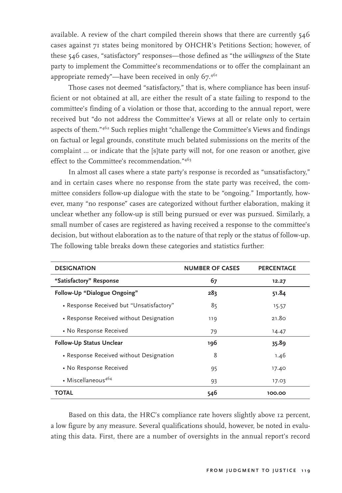available. A review of the chart compiled therein shows that there are currently 546 cases against 71 states being monitored by OHCHR's Petitions Section; however, of these 546 cases, "satisfactory" responses—those defined as "the *willingness* of the State party to implement the Committee's recommendations or to offer the complainant an appropriate remedy"—have been received in only 67.461

Those cases not deemed "satisfactory," that is, where compliance has been insufficient or not obtained at all, are either the result of a state failing to respond to the committee's finding of a violation or those that, according to the annual report, were received but "do not address the Committee's Views at all or relate only to certain aspects of them."462 Such replies might "challenge the Committee's Views and findings on factual or legal grounds, constitute much belated submissions on the merits of the complaint … or indicate that the [s]tate party will not, for one reason or another, give effect to the Committee's recommendation."463

In almost all cases where a state party's response is recorded as "unsatisfactory," and in certain cases where no response from the state party was received, the committee considers follow-up dialogue with the state to be "ongoing." Importantly, however, many "no response" cases are categorized without further elaboration, making it unclear whether any follow-up is still being pursued or ever was pursued. Similarly, a small number of cases are registered as having received a response to the committee's decision, but without elaboration as to the nature of that reply or the status of follow-up. The following table breaks down these categories and statistics further:

| <b>DESIGNATION</b>                       | <b>NUMBER OF CASES</b> | <b>PERCENTAGE</b> |
|------------------------------------------|------------------------|-------------------|
| "Satisfactory" Response                  | 67                     | 12.27             |
| Follow-Up "Dialogue Ongoing"             | 283                    | 51.84             |
| • Response Received but "Unsatisfactory" | 85                     | 15.57             |
| • Response Received without Designation  | 119                    | 21.80             |
| • No Response Received                   | 79                     | 14.47             |
| <b>Follow-Up Status Unclear</b>          | 196                    | 35.89             |
| • Response Received without Designation  | 8                      | 1.46              |
| • No Response Received                   | 95                     | 17.40             |
| $\cdot$ Miscellaneous <sup>464</sup>     | 93                     | 17.03             |
| TOTAL                                    | 546                    | 100.00            |

Based on this data, the HRC's compliance rate hovers slightly above 12 percent, a low figure by any measure. Several qualifications should, however, be noted in evaluating this data. First, there are a number of oversights in the annual report's record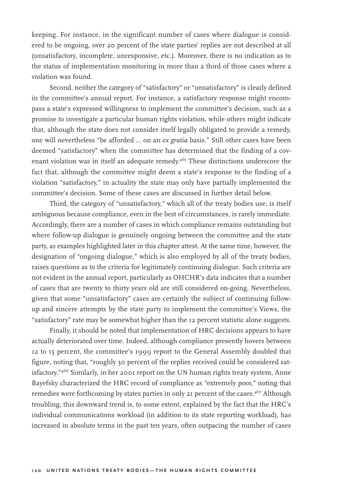keeping. For instance, in the significant number of cases where dialogue is considered to be ongoing, over 20 percent of the state parties' replies are not described at all (unsatisfactory, incomplete, unresponsive, etc.). Moreover, there is no indication as to the status of implementation monitoring in more than a third of those cases where a violation was found.

Second, neither the category of "satisfactory" or "unsatisfactory" is clearly defined in the committee's annual report. For instance, a satisfactory response might encompass a state's expressed willingness to implement the committee's decision, such as a promise to investigate a particular human rights violation, while others might indicate that, although the state does not consider itself legally obligated to provide a remedy, one will nevertheless "be afforded … on an *ex gratia* basis." Still other cases have been deemed "satisfactory" when the committee has determined that the finding of a covenant violation was in itself an adequate remedy.465 These distinctions underscore the fact that, although the committee might deem a state's response to the finding of a violation "satisfactory," in actuality the state may only have partially implemented the committee's decision. Some of these cases are discussed in further detail below.

Third, the category of "unsatisfactory," which all of the treaty bodies use, is itself ambiguous because compliance, even in the best of circumstances, is rarely immediate. Accordingly, there are a number of cases in which compliance remains outstanding but where follow-up dialogue is genuinely ongoing between the committee and the state party, as examples highlighted later in this chapter attest. At the same time, however, the designation of "ongoing dialogue," which is also employed by all of the treaty bodies, raises questions as to the criteria for legitimately continuing dialogue. Such criteria are not evident in the annual report, particularly as OHCHR's data indicates that a number of cases that are twenty to thirty years old are still considered on-going. Nevertheless, given that some "unsatisfactory" cases are certainly the subject of continuing followup and sincere attempts by the state party to implement the committee's Views, the "satisfactory" rate may be somewhat higher than the 12 percent statistic alone suggests.

Finally, it should be noted that implementation of HRC decisions appears to have actually deteriorated over time. Indeed, although compliance presently hovers between 12 to 15 percent, the committee's 1999 report to the General Assembly doubled that figure, noting that, "roughly 30 percent of the replies received could be considered satisfactory."466 Similarly, in her 2001 report on the UN human rights treaty system, Anne Bayefsky characterized the HRC record of compliance as "extremely poor," noting that remedies were forthcoming by states parties in only 21 percent of the cases.<sup>467</sup> Although troubling, this downward trend is, to some extent, explained by the fact that the HRC's individual communications workload (in addition to its state reporting workload), has increased in absolute terms in the past ten years, often outpacing the number of cases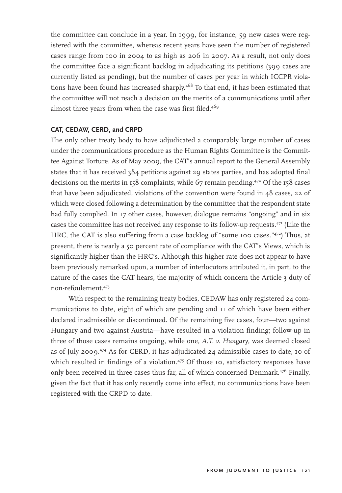the committee can conclude in a year. In 1999, for instance, 59 new cases were registered with the committee, whereas recent years have seen the number of registered cases range from 100 in 2004 to as high as 206 in 2007. As a result, not only does the committee face a significant backlog in adjudicating its petitions (399 cases are currently listed as pending), but the number of cases per year in which ICCPR violations have been found has increased sharply.<sup>468</sup> To that end, it has been estimated that the committee will not reach a decision on the merits of a communications until after almost three years from when the case was first filed.<sup>469</sup>

#### **CAT, CEDAW, CERD, and CRPD**

The only other treaty body to have adjudicated a comparably large number of cases under the communications procedure as the Human Rights Committee is the Committee Against Torture. As of May 2009, the CAT's annual report to the General Assembly states that it has received 384 petitions against 29 states parties, and has adopted final decisions on the merits in 158 complaints, while 67 remain pending.<sup>470</sup> Of the 158 cases that have been adjudicated, violations of the convention were found in 48 cases, 22 of which were closed following a determination by the committee that the respondent state had fully complied. In 17 other cases, however, dialogue remains "ongoing" and in six cases the committee has not received any response to its follow-up requests.471 (Like the HRC, the CAT is also suffering from a case backlog of "some 100 cases."472) Thus, at present, there is nearly a 50 percent rate of compliance with the CAT's Views, which is significantly higher than the HRC's. Although this higher rate does not appear to have been previously remarked upon, a number of interlocutors attributed it, in part, to the nature of the cases the CAT hears, the majority of which concern the Article 3 duty of non-refoulement.473

With respect to the remaining treaty bodies, CEDAW has only registered 24 communications to date, eight of which are pending and 11 of which have been either declared inadmissible or discontinued. Of the remaining five cases, four—two against Hungary and two against Austria—have resulted in a violation finding; follow-up in three of those cases remains ongoing, while one, *A.T. v. Hungary*, was deemed closed as of July 2009.474 As for CERD, it has adjudicated 24 admissible cases to date, 10 of which resulted in findings of a violation.<sup>475</sup> Of those 10, satisfactory responses have only been received in three cases thus far, all of which concerned Denmark.476 Finally, given the fact that it has only recently come into effect, no communications have been registered with the CRPD to date.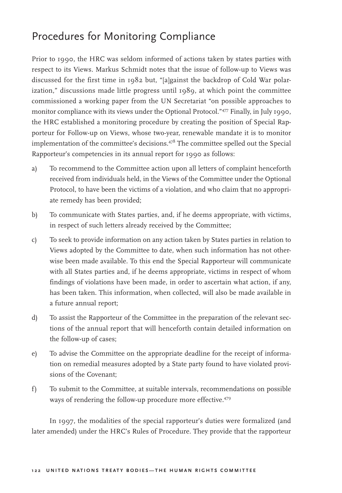# Procedures for Monitoring Compliance

Prior to 1990, the HRC was seldom informed of actions taken by states parties with respect to its Views. Markus Schmidt notes that the issue of follow-up to Views was discussed for the first time in 1982 but, "[a]gainst the backdrop of Cold War polarization," discussions made little progress until 1989, at which point the committee commissioned a working paper from the UN Secretariat "on possible approaches to monitor compliance with its views under the Optional Protocol."477 Finally, in July 1990, the HRC established a monitoring procedure by creating the position of Special Rapporteur for Follow-up on Views, whose two-year, renewable mandate it is to monitor implementation of the committee's decisions. $478$  The committee spelled out the Special Rapporteur's competencies in its annual report for 1990 as follows:

- a) To recommend to the Committee action upon all letters of complaint henceforth received from individuals held, in the Views of the Committee under the Optional Protocol, to have been the victims of a violation, and who claim that no appropriate remedy has been provided;
- b) To communicate with States parties, and, if he deems appropriate, with victims, in respect of such letters already received by the Committee;
- c) To seek to provide information on any action taken by States parties in relation to Views adopted by the Committee to date, when such information has not otherwise been made available. To this end the Special Rapporteur will communicate with all States parties and, if he deems appropriate, victims in respect of whom findings of violations have been made, in order to ascertain what action, if any, has been taken. This information, when collected, will also be made available in a future annual report;
- d) To assist the Rapporteur of the Committee in the preparation of the relevant sections of the annual report that will henceforth contain detailed information on the follow-up of cases;
- e) To advise the Committee on the appropriate deadline for the receipt of information on remedial measures adopted by a State party found to have violated provisions of the Covenant;
- f) To submit to the Committee, at suitable intervals, recommendations on possible ways of rendering the follow-up procedure more effective.479

In 1997, the modalities of the special rapporteur's duties were formalized (and later amended) under the HRC's Rules of Procedure. They provide that the rapporteur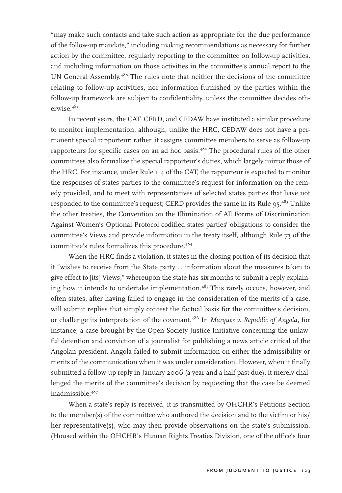"may make such contacts and take such action as appropriate for the due performance of the follow-up mandate," including making recommendations as necessary for further action by the committee, regularly reporting to the committee on follow-up activities, and including information on those activities in the committee's annual report to the UN General Assembly.480 The rules note that neither the decisions of the committee relating to follow-up activities, nor information furnished by the parties within the follow-up framework are subject to confidentiality, unless the committee decides otherwise.481

In recent years, the CAT, CERD, and CEDAW have instituted a similar procedure to monitor implementation, although, unlike the HRC, CEDAW does not have a permanent special rapporteur; rather, it assigns committee members to serve as follow-up rapporteurs for specific cases on an ad hoc basis. $482$  The procedural rules of the other committees also formalize the special rapporteur's duties, which largely mirror those of the HRC. For instance, under Rule  $II_4$  of the CAT, the rapporteur is expected to monitor the responses of states parties to the committee's request for information on the remedy provided, and to meet with representatives of selected states parties that have not responded to the committee's request; CERD provides the same in its Rule 95.<sup>483</sup> Unlike the other treaties, the Convention on the Elimination of All Forms of Discrimination Against Women's Optional Protocol codified states parties' obligations to consider the committee's Views and provide information in the treaty itself, although Rule 73 of the committee's rules formalizes this procedure.<sup>484</sup>

When the HRC finds a violation, it states in the closing portion of its decision that it "wishes to receive from the State party … information about the measures taken to give effect to [its] Views," whereupon the state has six months to submit a reply explaining how it intends to undertake implementation.<sup>485</sup> This rarely occurs, however, and often states, after having failed to engage in the consideration of the merits of a case, will submit replies that simply contest the factual basis for the committee's decision, or challenge its interpretation of the covenant.486 In *Marques v. Republic of Angola*, for instance, a case brought by the Open Society Justice Initiative concerning the unlawful detention and conviction of a journalist for publishing a news article critical of the Angolan president, Angola failed to submit information on either the admissibility or merits of the communication when it was under consideration. However, when it finally submitted a follow-up reply in January 2006 (a year and a half past due), it merely challenged the merits of the committee's decision by requesting that the case be deemed inadmissible <sup>487</sup>

When a state's reply is received, it is transmitted by OHCHR's Petitions Section to the member(s) of the committee who authored the decision and to the victim or his/ her representative(s), who may then provide observations on the state's submission. (Housed within the OHCHR's Human Rights Treaties Division, one of the office's four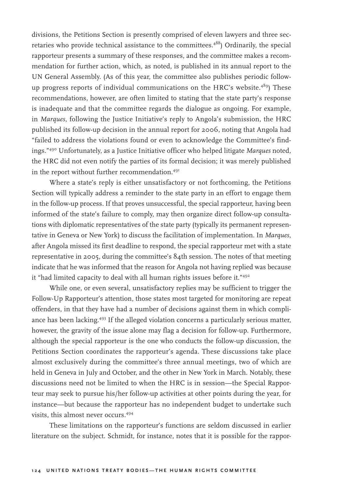divisions, the Petitions Section is presently comprised of eleven lawyers and three secretaries who provide technical assistance to the committees.488) Ordinarily, the special rapporteur presents a summary of these responses, and the committee makes a recommendation for further action, which, as noted, is published in its annual report to the UN General Assembly. (As of this year, the committee also publishes periodic followup progress reports of individual communications on the HRC's website. $489$  These recommendations, however, are often limited to stating that the state party's response is inadequate and that the committee regards the dialogue as ongoing. For example, in *Marques*, following the Justice Initiative's reply to Angola's submission, the HRC published its follow-up decision in the annual report for 2006, noting that Angola had "failed to address the violations found or even to acknowledge the Committee's findings."490 Unfortunately, as a Justice Initiative officer who helped litigate *Marques* noted, the HRC did not even notify the parties of its formal decision; it was merely published in the report without further recommendation.<sup>491</sup>

Where a state's reply is either unsatisfactory or not forthcoming, the Petitions Section will typically address a reminder to the state party in an effort to engage them in the follow-up process. If that proves unsuccessful, the special rapporteur, having been informed of the state's failure to comply, may then organize direct follow-up consultations with diplomatic representatives of the state party (typically its permanent representative in Geneva or New York) to discuss the facilitation of implementation. In *Marques*, after Angola missed its first deadline to respond, the special rapporteur met with a state representative in 2005, during the committee's 84th session. The notes of that meeting indicate that he was informed that the reason for Angola not having replied was because it "had limited capacity to deal with all human rights issues before it."<sup>492</sup>

While one, or even several, unsatisfactory replies may be sufficient to trigger the Follow-Up Rapporteur's attention, those states most targeted for monitoring are repeat offenders, in that they have had a number of decisions against them in which compliance has been lacking.493 If the alleged violation concerns a particularly serious matter, however, the gravity of the issue alone may flag a decision for follow-up. Furthermore, although the special rapporteur is the one who conducts the follow-up discussion, the Petitions Section coordinates the rapporteur's agenda. These discussions take place almost exclusively during the committee's three annual meetings, two of which are held in Geneva in July and October, and the other in New York in March. Notably, these discussions need not be limited to when the HRC is in session—the Special Rapporteur may seek to pursue his/her follow-up activities at other points during the year, for instance—but because the rapporteur has no independent budget to undertake such visits, this almost never occurs.494

These limitations on the rapporteur's functions are seldom discussed in earlier literature on the subject. Schmidt, for instance, notes that it is possible for the rappor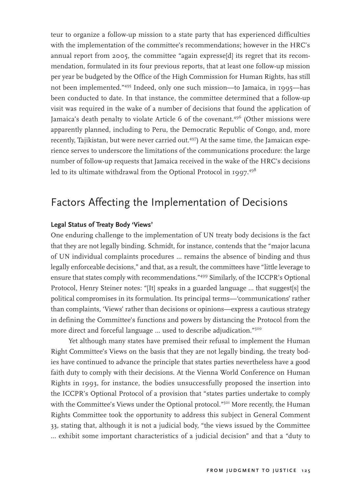teur to organize a follow-up mission to a state party that has experienced difficulties with the implementation of the committee's recommendations; however in the HRC's annual report from 2005, the committee "again expresse[d] its regret that its recommendation, formulated in its four previous reports, that at least one follow-up mission per year be budgeted by the Office of the High Commission for Human Rights, has still not been implemented."495 Indeed, only one such mission—to Jamaica, in 1995—has been conducted to date. In that instance, the committee determined that a follow-up visit was required in the wake of a number of decisions that found the application of Jamaica's death penalty to violate Article 6 of the covenant.496 (Other missions were apparently planned, including to Peru, the Democratic Republic of Congo, and, more recently, Tajikistan, but were never carried out.<sup>497</sup>) At the same time, the Jamaican experience serves to underscore the limitations of the communications procedure: the large number of follow-up requests that Jamaica received in the wake of the HRC's decisions led to its ultimate withdrawal from the Optional Protocol in 1997.<sup>498</sup>

# Factors Affecting the Implementation of Decisions

#### **Legal Status of Treaty Body 'Views'**

One enduring challenge to the implementation of UN treaty body decisions is the fact that they are not legally binding. Schmidt, for instance, contends that the "major lacuna of UN individual complaints procedures … remains the absence of binding and thus legally enforceable decisions," and that, as a result, the committees have "little leverage to ensure that states comply with recommendations."499 Similarly, of the ICCPR's Optional Protocol, Henry Steiner notes: "[It] speaks in a guarded language ... that suggest[s] the political compromises in its formulation. Its principal terms—'communications' rather than complaints, 'Views' rather than decisions or opinions—express a cautious strategy in defining the Committee's functions and powers by distancing the Protocol from the more direct and forceful language ... used to describe adjudication."<sup>500</sup>

Yet although many states have premised their refusal to implement the Human Right Committee's Views on the basis that they are not legally binding, the treaty bodies have continued to advance the principle that states parties nevertheless have a good faith duty to comply with their decisions. At the Vienna World Conference on Human Rights in 1993, for instance, the bodies unsuccessfully proposed the insertion into the ICCPR's Optional Protocol of a provision that "states parties undertake to comply with the Committee's Views under the Optional protocol."<sup>501</sup> More recently, the Human Rights Committee took the opportunity to address this subject in General Comment 33, stating that, although it is not a judicial body, "the views issued by the Committee … exhibit some important characteristics of a judicial decision" and that a "duty to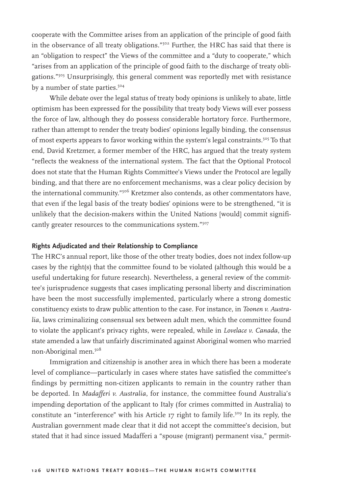cooperate with the Committee arises from an application of the principle of good faith in the observance of all treaty obligations."<sup>502</sup> Further, the HRC has said that there is an "obligation to respect" the Views of the committee and a "duty to cooperate," which "arises from an application of the principle of good faith to the discharge of treaty obligations."503 Unsurprisingly, this general comment was reportedly met with resistance by a number of state parties.<sup>504</sup>

While debate over the legal status of treaty body opinions is unlikely to abate, little optimism has been expressed for the possibility that treaty body Views will ever possess the force of law, although they do possess considerable hortatory force. Furthermore, rather than attempt to render the treaty bodies' opinions legally binding, the consensus of most experts appears to favor working within the system's legal constraints.<sup>505</sup> To that end, David Kretzmer, a former member of the HRC, has argued that the treaty system "reflects the weakness of the international system. The fact that the Optional Protocol does not state that the Human Rights Committee's Views under the Protocol are legally binding, and that there are no enforcement mechanisms, was a clear policy decision by the international community."<sup>506</sup> Kretzmer also contends, as other commentators have, that even if the legal basis of the treaty bodies' opinions were to be strengthened, "it is unlikely that the decision-makers within the United Nations [would] commit significantly greater resources to the communications system."507

#### **Rights Adjudicated and their Relationship to Compliance**

The HRC's annual report, like those of the other treaty bodies, does not index follow-up cases by the right(s) that the committee found to be violated (although this would be a useful undertaking for future research). Nevertheless, a general review of the committee's jurisprudence suggests that cases implicating personal liberty and discrimination have been the most successfully implemented, particularly where a strong domestic constituency exists to draw public attention to the case. For instance, in *Toonen v. Australia*, laws criminalizing consensual sex between adult men, which the committee found to violate the applicant's privacy rights, were repealed, while in *Lovelace v. Canada*, the state amended a law that unfairly discriminated against Aboriginal women who married non-Aboriginal men.508

Immigration and citizenship is another area in which there has been a moderate level of compliance—particularly in cases where states have satisfied the committee's findings by permitting non-citizen applicants to remain in the country rather than be deported. In *Madafferi v. Australia*, for instance, the committee found Australia's impending deportation of the applicant to Italy (for crimes committed in Australia) to constitute an "interference" with his Article 17 right to family life.<sup>509</sup> In its reply, the Australian government made clear that it did not accept the committee's decision, but stated that it had since issued Madafferi a "spouse (migrant) permanent visa," permit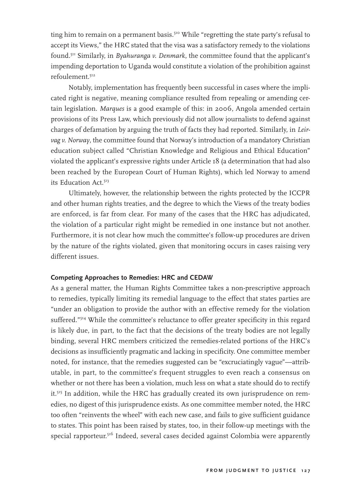ting him to remain on a permanent basis.<sup>510</sup> While "regretting the state party's refusal to accept its Views," the HRC stated that the visa was a satisfactory remedy to the violations found.511 Similarly, in *Byahuranga v. Denmark*, the committee found that the applicant's impending deportation to Uganda would constitute a violation of the prohibition against refoulement.512

Notably, implementation has frequently been successful in cases where the implicated right is negative, meaning compliance resulted from repealing or amending certain legislation. *Marques* is a good example of this: in 2006, Angola amended certain provisions of its Press Law, which previously did not allow journalists to defend against charges of defamation by arguing the truth of facts they had reported. Similarly, in *Leirvag v. Norway*, the committee found that Norway's introduction of a mandatory Christian education subject called "Christian Knowledge and Religious and Ethical Education" violated the applicant's expressive rights under Article 18 (a determination that had also been reached by the European Court of Human Rights), which led Norway to amend its Education Act.<sup>513</sup>

Ultimately, however, the relationship between the rights protected by the ICCPR and other human rights treaties, and the degree to which the Views of the treaty bodies are enforced, is far from clear. For many of the cases that the HRC has adjudicated, the violation of a particular right might be remedied in one instance but not another. Furthermore, it is not clear how much the committee's follow-up procedures are driven by the nature of the rights violated, given that monitoring occurs in cases raising very different issues.

#### **Competing Approaches to Remedies: HRC and CEDAW**

As a general matter, the Human Rights Committee takes a non-prescriptive approach to remedies, typically limiting its remedial language to the effect that states parties are "under an obligation to provide the author with an effective remedy for the violation suffered."<sup>514</sup> While the committee's reluctance to offer greater specificity in this regard is likely due, in part, to the fact that the decisions of the treaty bodies are not legally binding, several HRC members criticized the remedies-related portions of the HRC's decisions as insufficiently pragmatic and lacking in specificity. One committee member noted, for instance, that the remedies suggested can be "excruciatingly vague"—attributable, in part, to the committee's frequent struggles to even reach a consensus on whether or not there has been a violation, much less on what a state should do to rectify it.515 In addition, while the HRC has gradually created its own jurisprudence on remedies, no digest of this jurisprudence exists. As one committee member noted, the HRC too often "reinvents the wheel" with each new case, and fails to give sufficient guidance to states. This point has been raised by states, too, in their follow-up meetings with the special rapporteur.<sup>516</sup> Indeed, several cases decided against Colombia were apparently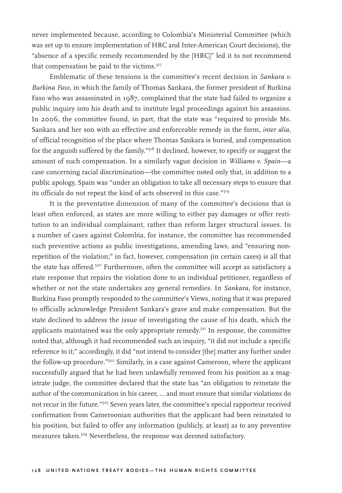never implemented because, according to Colombia's Ministerial Committee (which was set up to ensure implementation of HRC and Inter-American Court decisions), the "absence of a specific remedy recommended by the [HRC]" led it to not recommend that compensation be paid to the victims.<sup>517</sup>

Emblematic of these tensions is the committee's recent decision in *Sankara v. Burkina Faso*, in which the family of Thomas Sankara, the former president of Burkina Faso who was assassinated in 1987, complained that the state had failed to organize a public inquiry into his death and to institute legal proceedings against his assassins. In 2006, the committee found, in part, that the state was "required to provide Ms. Sankara and her son with an effective and enforceable remedy in the form, *inter alia*, of official recognition of the place where Thomas Sankara is buried, and compensation for the anguish suffered by the family."518 It declined, however, to specify or suggest the amount of such compensation. In a similarly vague decision in *Williams v. Spain*—a case concerning racial discrimination—the committee noted only that, in addition to a public apology, Spain was "under an obligation to take all necessary steps to ensure that its officials do not repeat the kind of acts observed in this case."519

It is the preventative dimension of many of the committee's decisions that is least often enforced, as states are more willing to either pay damages or offer restitution to an individual complainant, rather than reform larger structural issues. In a number of cases against Colombia, for instance, the committee has recommended such preventive actions as public investigations, amending laws, and "ensuring nonrepetition of the violation;" in fact, however, compensation (in certain cases) is all that the state has offered.<sup>520</sup> Furthermore, often the committee will accept as satisfactory a state response that repairs the violation done to an individual petitioner, regardless of whether or not the state undertakes any general remedies. In *Sankara*, for instance, Burkina Faso promptly responded to the committee's Views, noting that it was prepared to officially acknowledge President Sankara's grave and make compensation. But the state declined to address the issue of investigating the cause of his death, which the applicants maintained was the only appropriate remedy.<sup>521</sup> In response, the committee noted that, although it had recommended such an inquiry, "it did not include a specific reference to it;" accordingly, it did "not intend to consider [the] matter any further under the follow-up procedure."522 Similarly, in a case against Cameroon, where the applicant successfully argued that he had been unlawfully removed from his position as a magistrate judge, the committee declared that the state has "an obligation to reinstate the author of the communication in his career, … and must ensure that similar violations do not recur in the future."523 Seven years later, the committee's special rapporteur received confirmation from Cameroonian authorities that the applicant had been reinstated to his position, but failed to offer any information (publicly, at least) as to any preventive measures taken.<sup>524</sup> Nevertheless, the response was deemed satisfactory.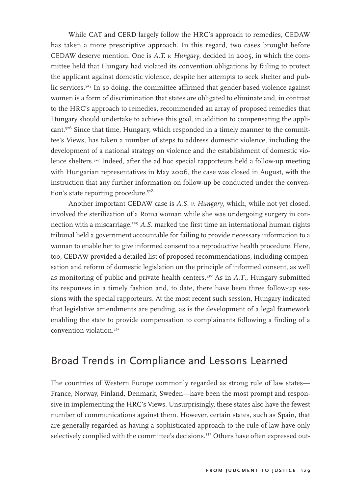While CAT and CERD largely follow the HRC's approach to remedies, CEDAW has taken a more prescriptive approach. In this regard, two cases brought before CEDAW deserve mention. One is *A.T. v. Hungary*, decided in 2005, in which the committee held that Hungary had violated its convention obligations by failing to protect the applicant against domestic violence, despite her attempts to seek shelter and public services.<sup>525</sup> In so doing, the committee affirmed that gender-based violence against women is a form of discrimination that states are obligated to eliminate and, in contrast to the HRC's approach to remedies, recommended an array of proposed remedies that Hungary should undertake to achieve this goal, in addition to compensating the applicant.<sup>526</sup> Since that time, Hungary, which responded in a timely manner to the committee's Views, has taken a number of steps to address domestic violence, including the development of a national strategy on violence and the establishment of domestic violence shelters.527 Indeed, after the ad hoc special rapporteurs held a follow-up meeting with Hungarian representatives in May 2006, the case was closed in August, with the instruction that any further information on follow-up be conducted under the convention's state reporting procedure.<sup>528</sup>

Another important CEDAW case is *A.S. v. Hungary*, which, while not yet closed, involved the sterilization of a Roma woman while she was undergoing surgery in connection with a miscarriage.529 *A.S.* marked the first time an international human rights tribunal held a government accountable for failing to provide necessary information to a woman to enable her to give informed consent to a reproductive health procedure. Here, too, CEDAW provided a detailed list of proposed recommendations, including compensation and reform of domestic legislation on the principle of informed consent, as well as monitoring of public and private health centers.530 As in *A.T*., Hungary submitted its responses in a timely fashion and, to date, there have been three follow-up sessions with the special rapporteurs. At the most recent such session, Hungary indicated that legislative amendments are pending, as is the development of a legal framework enabling the state to provide compensation to complainants following a finding of a convention violation.531

# Broad Trends in Compliance and Lessons Learned

The countries of Western Europe commonly regarded as strong rule of law states— France, Norway, Finland, Denmark, Sweden—have been the most prompt and responsive in implementing the HRC's Views. Unsurprisingly, these states also have the fewest number of communications against them. However, certain states, such as Spain, that are generally regarded as having a sophisticated approach to the rule of law have only selectively complied with the committee's decisions.<sup>532</sup> Others have often expressed out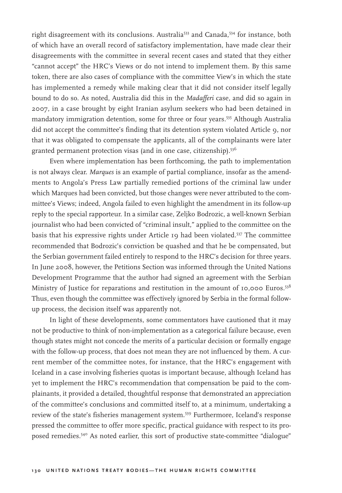right disagreement with its conclusions. Australia<sup>533</sup> and Canada,<sup>534</sup> for instance, both of which have an overall record of satisfactory implementation, have made clear their disagreements with the committee in several recent cases and stated that they either "cannot accept" the HRC's Views or do not intend to implement them. By this same token, there are also cases of compliance with the committee View's in which the state has implemented a remedy while making clear that it did not consider itself legally bound to do so. As noted, Australia did this in the *Madafferi* case, and did so again in 2007, in a case brought by eight Iranian asylum seekers who had been detained in mandatory immigration detention, some for three or four years.535 Although Australia did not accept the committee's finding that its detention system violated Article 9, nor that it was obligated to compensate the applicants, all of the complainants were later granted permanent protection visas (and in one case, citizenship).<sup>536</sup>

Even where implementation has been forthcoming, the path to implementation is not always clear. *Marques* is an example of partial compliance, insofar as the amendments to Angola's Press Law partially remedied portions of the criminal law under which Marques had been convicted, but those changes were never attributed to the committee's Views; indeed, Angola failed to even highlight the amendment in its follow-up reply to the special rapporteur. In a similar case, Zeljko Bodrozic, a well-known Serbian journalist who had been convicted of "criminal insult," applied to the committee on the basis that his expressive rights under Article 19 had been violated.537 The committee recommended that Bodrozic's conviction be quashed and that he be compensated, but the Serbian government failed entirely to respond to the HRC's decision for three years. In June 2008, however, the Petitions Section was informed through the United Nations Development Programme that the author had signed an agreement with the Serbian Ministry of Justice for reparations and restitution in the amount of 10,000 Euros.<sup>538</sup> Thus, even though the committee was effectively ignored by Serbia in the formal followup process, the decision itself was apparently not.

In light of these developments, some commentators have cautioned that it may not be productive to think of non-implementation as a categorical failure because, even though states might not concede the merits of a particular decision or formally engage with the follow-up process, that does not mean they are not influenced by them. A current member of the committee notes, for instance, that the HRC's engagement with Iceland in a case involving fisheries quotas is important because, although Iceland has yet to implement the HRC's recommendation that compensation be paid to the complainants, it provided a detailed, thoughtful response that demonstrated an appreciation of the committee's conclusions and committed itself to, at a minimum, undertaking a review of the state's fisheries management system.<sup>539</sup> Furthermore, Iceland's response pressed the committee to offer more specific, practical guidance with respect to its proposed remedies.540 As noted earlier, this sort of productive state-committee "dialogue"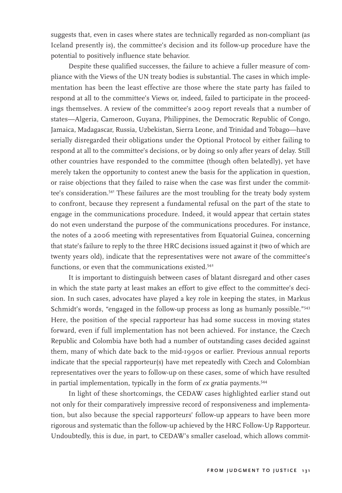suggests that, even in cases where states are technically regarded as non-compliant (as Iceland presently is), the committee's decision and its follow-up procedure have the potential to positively influence state behavior.

Despite these qualified successes, the failure to achieve a fuller measure of compliance with the Views of the UN treaty bodies is substantial. The cases in which implementation has been the least effective are those where the state party has failed to respond at all to the committee's Views or, indeed, failed to participate in the proceedings themselves. A review of the committee's 2009 report reveals that a number of states—Algeria, Cameroon, Guyana, Philippines, the Democratic Republic of Congo, Jamaica, Madagascar, Russia, Uzbekistan, Sierra Leone, and Trinidad and Tobago—have serially disregarded their obligations under the Optional Protocol by either failing to respond at all to the committee's decisions, or by doing so only after years of delay. Still other countries have responded to the committee (though often belatedly), yet have merely taken the opportunity to contest anew the basis for the application in question, or raise objections that they failed to raise when the case was first under the committee's consideration.<sup>541</sup> These failures are the most troubling for the treaty body system to confront, because they represent a fundamental refusal on the part of the state to engage in the communications procedure. Indeed, it would appear that certain states do not even understand the purpose of the communications procedures. For instance, the notes of a 2006 meeting with representatives from Equatorial Guinea, concerning that state's failure to reply to the three HRC decisions issued against it (two of which are twenty years old), indicate that the representatives were not aware of the committee's functions, or even that the communications existed.<sup>542</sup>

It is important to distinguish between cases of blatant disregard and other cases in which the state party at least makes an effort to give effect to the committee's decision. In such cases, advocates have played a key role in keeping the states, in Markus Schmidt's words, "engaged in the follow-up process as long as humanly possible."<sup>543</sup> Here, the position of the special rapporteur has had some success in moving states forward, even if full implementation has not been achieved. For instance, the Czech Republic and Colombia have both had a number of outstanding cases decided against them, many of which date back to the mid-1990s or earlier. Previous annual reports indicate that the special rapporteur(s) have met repeatedly with Czech and Colombian representatives over the years to follow-up on these cases, some of which have resulted in partial implementation, typically in the form of *ex gratia* payments.<sup>544</sup>

In light of these shortcomings, the CEDAW cases highlighted earlier stand out not only for their comparatively impressive record of responsiveness and implementation, but also because the special rapporteurs' follow-up appears to have been more rigorous and systematic than the follow-up achieved by the HRC Follow-Up Rapporteur. Undoubtedly, this is due, in part, to CEDAW's smaller caseload, which allows commit-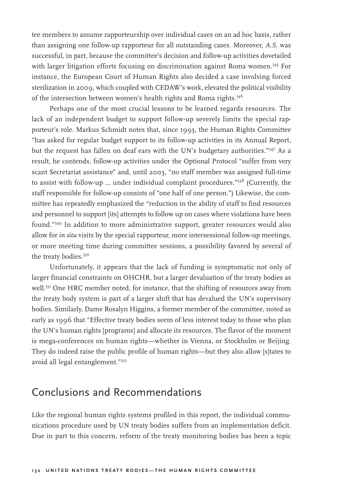tee members to assume rapporteurship over individual cases on an ad hoc basis, rather than assigning one follow-up rapporteur for all outstanding cases. Moreover, *A.S.* was successful, in part, because the committee's decision and follow-up activities dovetailed with larger litigation efforts focusing on discrimination against Roma women.<sup>545</sup> For instance, the European Court of Human Rights also decided a case involving forced sterilization in 2009, which coupled with CEDAW's work, elevated the political visibility of the intersection between women's health rights and Roma rights.<sup>546</sup>

Perhaps one of the most crucial lessons to be learned regards resources. The lack of an independent budget to support follow-up severely limits the special rapporteur's role. Markus Schmidt notes that, since 1993, the Human Rights Committee "has asked for regular budget support to its follow-up activities in its Annual Report, but the request has fallen on deaf ears with the UN's budgetary authorities."547 As a result, he contends, follow-up activities under the Optional Protocol "suffer from very scant Secretariat assistance" and, until 2003, "no staff member was assigned full-time to assist with follow-up … under individual complaint procedures."548 (Currently, the staff responsible for follow-up consists of "one half of one person.") Likewise, the committee has repeatedly emphasized the "reduction in the ability of staff to find resources and personnel to support [its] attempts to follow up on cases where violations have been found."549 In addition to more administrative support, greater resources would also allow for *in situ* visits by the special rapporteur, more intersessional follow-up meetings, or more meeting time during committee sessions, a possibility favored by several of the treaty bodies.<sup>550</sup>

Unfortunately, it appears that the lack of funding is symptomatic not only of larger financial constraints on OHCHR, but a larger devaluation of the treaty bodies as well.<sup>551</sup> One HRC member noted, for instance, that the shifting of resources away from the treaty body system is part of a larger shift that has devalued the UN's supervisory bodies. Similarly, Dame Rosalyn Higgins, a former member of the committee, noted as early as 1996 that "Effective treaty bodies seem of less interest today to those who plan the UN's human rights [programs] and allocate its resources. The flavor of the moment is mega-conferences on human rights—whether in Vienna, or Stockholm or Beijing. They do indeed raise the public profile of human rights—but they also allow [s]tates to avoid all legal entanglement."552

# Conclusions and Recommendations

Like the regional human rights systems profiled in this report, the individual communications procedure used by UN treaty bodies suffers from an implementation deficit. Due in part to this concern, reform of the treaty monitoring bodies has been a topic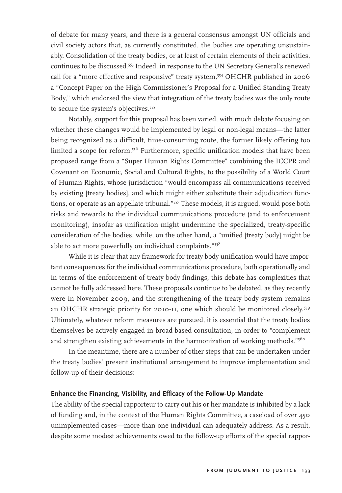of debate for many years, and there is a general consensus amongst UN officials and civil society actors that, as currently constituted, the bodies are operating unsustainably. Consolidation of the treaty bodies, or at least of certain elements of their activities, continues to be discussed.553 Indeed, in response to the UN Secretary General's renewed call for a "more effective and responsive" treaty system,554 OHCHR published in 2006 a "Concept Paper on the High Commissioner's Proposal for a Unified Standing Treaty Body," which endorsed the view that integration of the treaty bodies was the only route to secure the system's objectives.<sup>555</sup>

Notably, support for this proposal has been varied, with much debate focusing on whether these changes would be implemented by legal or non-legal means—the latter being recognized as a difficult, time-consuming route, the former likely offering too limited a scope for reform.556 Furthermore, specific unification models that have been proposed range from a "Super Human Rights Committee" combining the ICCPR and Covenant on Economic, Social and Cultural Rights, to the possibility of a World Court of Human Rights, whose jurisdiction "would encompass all communications received by existing [treaty bodies], and which might either substitute their adjudication functions, or operate as an appellate tribunal."557 These models, it is argued, would pose both risks and rewards to the individual communications procedure (and to enforcement monitoring), insofar as unification might undermine the specialized, treaty-specific consideration of the bodies, while, on the other hand, a "unified [treaty body] might be able to act more powerfully on individual complaints."558

While it is clear that any framework for treaty body unification would have important consequences for the individual communications procedure, both operationally and in terms of the enforcement of treaty body findings, this debate has complexities that cannot be fully addressed here. These proposals continue to be debated, as they recently were in November 2009, and the strengthening of the treaty body system remains an OHCHR strategic priority for 2010-11, one which should be monitored closely.<sup>559</sup> Ultimately, whatever reform measures are pursued, it is essential that the treaty bodies themselves be actively engaged in broad-based consultation, in order to "complement and strengthen existing achievements in the harmonization of working methods."<sup>560</sup>

In the meantime, there are a number of other steps that can be undertaken under the treaty bodies' present institutional arrangement to improve implementation and follow-up of their decisions:

#### **Enhance the Financing, Visibility, and Efficacy of the Follow-Up Mandate**

The ability of the special rapporteur to carry out his or her mandate is inhibited by a lack of funding and, in the context of the Human Rights Committee, a caseload of over 450 unimplemented cases—more than one individual can adequately address. As a result, despite some modest achievements owed to the follow-up efforts of the special rappor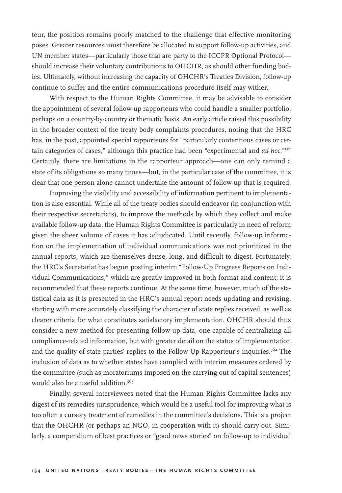teur, the position remains poorly matched to the challenge that effective monitoring poses. Greater resources must therefore be allocated to support follow-up activities, and UN member states—particularly those that are party to the ICCPR Optional Protocol should increase their voluntary contributions to OHCHR, as should other funding bodies. Ultimately, without increasing the capacity of OHCHR's Treaties Division, follow-up continue to suffer and the entire communications procedure itself may wither.

With respect to the Human Rights Committee, it may be advisable to consider the appointment of several follow-up rapporteurs who could handle a smaller portfolio, perhaps on a country-by-country or thematic basis. An early article raised this possibility in the broader context of the treaty body complaints procedures, noting that the HRC has, in the past, appointed special rapporteurs for "particularly contentious cases or certain categories of cases," although this practice had been "experimental and *ad hoc*."561 Certainly, there are limitations in the rapporteur approach—one can only remind a state of its obligations so many times—but, in the particular case of the committee, it is clear that one person alone cannot undertake the amount of follow-up that is required.

Improving the visibility and accessibility of information pertinent to implementation is also essential. While all of the treaty bodies should endeavor (in conjunction with their respective secretariats), to improve the methods by which they collect and make available follow-up data, the Human Rights Committee is particularly in need of reform given the sheer volume of cases it has adjudicated. Until recently, follow-up information on the implementation of individual communications was not prioritized in the annual reports, which are themselves dense, long, and difficult to digest. Fortunately, the HRC's Secretariat has begun posting interim "Follow-Up Progress Reports on Individual Communications," which are greatly improved in both format and content; it is recommended that these reports continue. At the same time, however, much of the statistical data as it is presented in the HRC's annual report needs updating and revising, starting with more accurately classifying the character of state replies received, as well as clearer criteria for what constitutes satisfactory implementation. OHCHR should thus consider a new method for presenting follow-up data, one capable of centralizing all compliance-related information, but with greater detail on the status of implementation and the quality of state parties' replies to the Follow-Up Rapporteur's inquiries.<sup>562</sup> The inclusion of data as to whether states have complied with interim measures ordered by the committee (such as moratoriums imposed on the carrying out of capital sentences) would also be a useful addition.<sup>563</sup>

Finally, several interviewees noted that the Human Rights Committee lacks any digest of its remedies jurisprudence, which would be a useful tool for improving what is too often a cursory treatment of remedies in the committee's decisions. This is a project that the OHCHR (or perhaps an NGO, in cooperation with it) should carry out. Similarly, a compendium of best practices or "good news stories" on follow-up to individual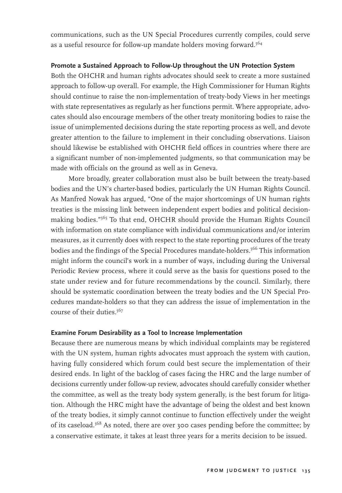communications, such as the UN Special Procedures currently compiles, could serve as a useful resource for follow-up mandate holders moving forward.<sup>564</sup>

#### **Promote a Sustained Approach to Follow-Up throughout the UN Protection System**

Both the OHCHR and human rights advocates should seek to create a more sustained approach to follow-up overall. For example, the High Commissioner for Human Rights should continue to raise the non-implementation of treaty-body Views in her meetings with state representatives as regularly as her functions permit. Where appropriate, advocates should also encourage members of the other treaty monitoring bodies to raise the issue of unimplemented decisions during the state reporting process as well, and devote greater attention to the failure to implement in their concluding observations. Liaison should likewise be established with OHCHR field offices in countries where there are a significant number of non-implemented judgments, so that communication may be made with officials on the ground as well as in Geneva.

More broadly, greater collaboration must also be built between the treaty-based bodies and the UN's charter-based bodies, particularly the UN Human Rights Council. As Manfred Nowak has argued, "One of the major shortcomings of UN human rights treaties is the missing link between independent expert bodies and political decisionmaking bodies."565 To that end, OHCHR should provide the Human Rights Council with information on state compliance with individual communications and/or interim measures, as it currently does with respect to the state reporting procedures of the treaty bodies and the findings of the Special Procedures mandate-holders.<sup>566</sup> This information might inform the council's work in a number of ways, including during the Universal Periodic Review process, where it could serve as the basis for questions posed to the state under review and for future recommendations by the council. Similarly, there should be systematic coordination between the treaty bodies and the UN Special Procedures mandate-holders so that they can address the issue of implementation in the course of their duties.<sup>567</sup>

#### **Examine Forum Desirability as a Tool to Increase Implementation**

Because there are numerous means by which individual complaints may be registered with the UN system, human rights advocates must approach the system with caution, having fully considered which forum could best secure the implementation of their desired ends. In light of the backlog of cases facing the HRC and the large number of decisions currently under follow-up review, advocates should carefully consider whether the committee, as well as the treaty body system generally, is the best forum for litigation. Although the HRC might have the advantage of being the oldest and best known of the treaty bodies, it simply cannot continue to function effectively under the weight of its caseload.<sup>568</sup> As noted, there are over 300 cases pending before the committee; by a conservative estimate, it takes at least three years for a merits decision to be issued.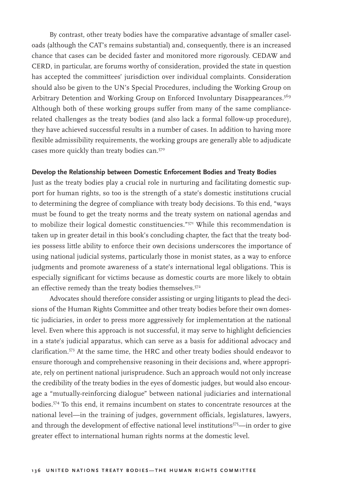By contrast, other treaty bodies have the comparative advantage of smaller caseloads (although the CAT's remains substantial) and, consequently, there is an increased chance that cases can be decided faster and monitored more rigorously. CEDAW and CERD, in particular, are forums worthy of consideration, provided the state in question has accepted the committees' jurisdiction over individual complaints. Consideration should also be given to the UN's Special Procedures, including the Working Group on Arbitrary Detention and Working Group on Enforced Involuntary Disappearances.<sup>569</sup> Although both of these working groups suffer from many of the same compliancerelated challenges as the treaty bodies (and also lack a formal follow-up procedure), they have achieved successful results in a number of cases. In addition to having more flexible admissibility requirements, the working groups are generally able to adjudicate cases more quickly than treaty bodies can.570

#### **Develop the Relationship between Domestic Enforcement Bodies and Treaty Bodies**

Just as the treaty bodies play a crucial role in nurturing and facilitating domestic support for human rights, so too is the strength of a state's domestic institutions crucial to determining the degree of compliance with treaty body decisions. To this end, "ways must be found to get the treaty norms and the treaty system on national agendas and to mobilize their logical domestic constituencies."<sup>571</sup> While this recommendation is taken up in greater detail in this book's concluding chapter, the fact that the treaty bodies possess little ability to enforce their own decisions underscores the importance of using national judicial systems, particularly those in monist states, as a way to enforce judgments and promote awareness of a state's international legal obligations. This is especially significant for victims because as domestic courts are more likely to obtain an effective remedy than the treaty bodies themselves.<sup>572</sup>

Advocates should therefore consider assisting or urging litigants to plead the decisions of the Human Rights Committee and other treaty bodies before their own domestic judiciaries, in order to press more aggressively for implementation at the national level. Even where this approach is not successful, it may serve to highlight deficiencies in a state's judicial apparatus, which can serve as a basis for additional advocacy and clarification.573 At the same time, the HRC and other treaty bodies should endeavor to ensure thorough and comprehensive reasoning in their decisions and, where appropriate, rely on pertinent national jurisprudence. Such an approach would not only increase the credibility of the treaty bodies in the eyes of domestic judges, but would also encourage a "mutually-reinforcing dialogue" between national judiciaries and international bodies.574 To this end, it remains incumbent on states to concentrate resources at the national level—in the training of judges, government officials, legislatures, lawyers, and through the development of effective national level institutions $575$ —in order to give greater effect to international human rights norms at the domestic level.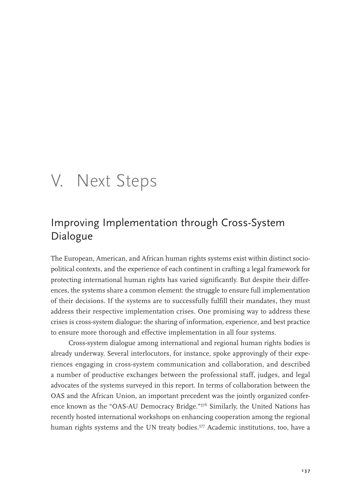# V. Next Steps

### Improving Implementation through Cross-System Dialogue

The European, American, and African human rights systems exist within distinct sociopolitical contexts, and the experience of each continent in crafting a legal framework for protecting international human rights has varied significantly. But despite their differences, the systems share a common element: the struggle to ensure full implementation of their decisions. If the systems are to successfully fulfill their mandates, they must address their respective implementation crises. One promising way to address these crises is cross-system dialogue: the sharing of information, experience, and best practice to ensure more thorough and effective implementation in all four systems.

Cross-system dialogue among international and regional human rights bodies is already underway. Several interlocutors, for instance, spoke approvingly of their experiences engaging in cross-system communication and collaboration, and described a number of productive exchanges between the professional staff, judges, and legal advocates of the systems surveyed in this report. In terms of collaboration between the OAS and the African Union, an important precedent was the jointly organized conference known as the "OAS-AU Democracy Bridge."576 Similarly, the United Nations has recently hosted international workshops on enhancing cooperation among the regional human rights systems and the UN treaty bodies.577 Academic institutions, too, have a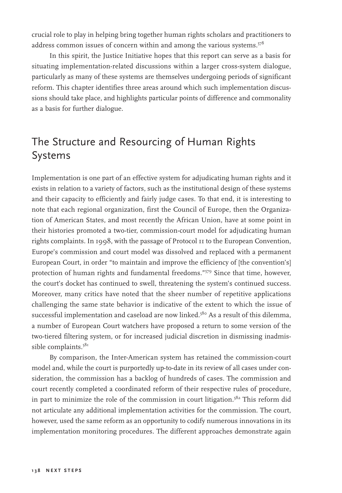crucial role to play in helping bring together human rights scholars and practitioners to address common issues of concern within and among the various systems.<sup>578</sup>

In this spirit, the Justice Initiative hopes that this report can serve as a basis for situating implementation-related discussions within a larger cross-system dialogue, particularly as many of these systems are themselves undergoing periods of significant reform. This chapter identifies three areas around which such implementation discussions should take place, and highlights particular points of difference and commonality as a basis for further dialogue.

# The Structure and Resourcing of Human Rights Systems

Implementation is one part of an effective system for adjudicating human rights and it exists in relation to a variety of factors, such as the institutional design of these systems and their capacity to efficiently and fairly judge cases. To that end, it is interesting to note that each regional organization, first the Council of Europe, then the Organization of American States, and most recently the African Union, have at some point in their histories promoted a two-tier, commission-court model for adjudicating human rights complaints. In 1998, with the passage of Protocol 11 to the European Convention, Europe's commission and court model was dissolved and replaced with a permanent European Court, in order "to maintain and improve the efficiency of [the convention's] protection of human rights and fundamental freedoms."579 Since that time, however, the court's docket has continued to swell, threatening the system's continued success. Moreover, many critics have noted that the sheer number of repetitive applications challenging the same state behavior is indicative of the extent to which the issue of successful implementation and caseload are now linked.<sup>580</sup> As a result of this dilemma, a number of European Court watchers have proposed a return to some version of the two-tiered filtering system, or for increased judicial discretion in dismissing inadmissible complaints.<sup>581</sup>

By comparison, the Inter-American system has retained the commission-court model and, while the court is purportedly up-to-date in its review of all cases under consideration, the commission has a backlog of hundreds of cases. The commission and court recently completed a coordinated reform of their respective rules of procedure, in part to minimize the role of the commission in court litigation.<sup>582</sup> This reform did not articulate any additional implementation activities for the commission. The court, however, used the same reform as an opportunity to codify numerous innovations in its implementation monitoring procedures. The different approaches demonstrate again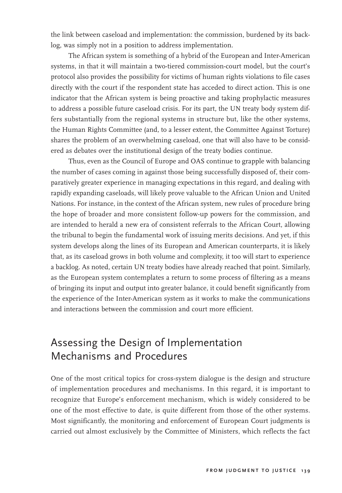the link between caseload and implementation: the commission, burdened by its backlog, was simply not in a position to address implementation.

The African system is something of a hybrid of the European and Inter-American systems, in that it will maintain a two-tiered commission-court model, but the court's protocol also provides the possibility for victims of human rights violations to file cases directly with the court if the respondent state has acceded to direct action. This is one indicator that the African system is being proactive and taking prophylactic measures to address a possible future caseload crisis. For its part, the UN treaty body system differs substantially from the regional systems in structure but, like the other systems, the Human Rights Committee (and, to a lesser extent, the Committee Against Torture) shares the problem of an overwhelming caseload, one that will also have to be considered as debates over the institutional design of the treaty bodies continue.

Thus, even as the Council of Europe and OAS continue to grapple with balancing the number of cases coming in against those being successfully disposed of, their comparatively greater experience in managing expectations in this regard, and dealing with rapidly expanding caseloads, will likely prove valuable to the African Union and United Nations. For instance, in the context of the African system, new rules of procedure bring the hope of broader and more consistent follow-up powers for the commission, and are intended to herald a new era of consistent referrals to the African Court, allowing the tribunal to begin the fundamental work of issuing merits decisions. And yet, if this system develops along the lines of its European and American counterparts, it is likely that, as its caseload grows in both volume and complexity, it too will start to experience a backlog. As noted, certain UN treaty bodies have already reached that point. Similarly, as the European system contemplates a return to some process of filtering as a means of bringing its input and output into greater balance, it could benefit significantly from the experience of the Inter-American system as it works to make the communications and interactions between the commission and court more efficient.

# Assessing the Design of Implementation Mechanisms and Procedures

One of the most critical topics for cross-system dialogue is the design and structure of implementation procedures and mechanisms. In this regard, it is important to recognize that Europe's enforcement mechanism, which is widely considered to be one of the most effective to date, is quite different from those of the other systems. Most significantly, the monitoring and enforcement of European Court judgments is carried out almost exclusively by the Committee of Ministers, which reflects the fact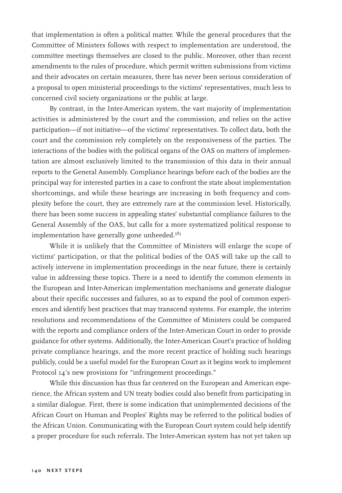that implementation is often a political matter. While the general procedures that the Committee of Ministers follows with respect to implementation are understood, the committee meetings themselves are closed to the public. Moreover, other than recent amendments to the rules of procedure, which permit written submissions from victims and their advocates on certain measures, there has never been serious consideration of a proposal to open ministerial proceedings to the victims' representatives, much less to concerned civil society organizations or the public at large.

By contrast, in the Inter-American system, the vast majority of implementation activities is administered by the court and the commission, and relies on the active participation—if not initiative—of the victims' representatives. To collect data, both the court and the commission rely completely on the responsiveness of the parties. The interactions of the bodies with the political organs of the OAS on matters of implementation are almost exclusively limited to the transmission of this data in their annual reports to the General Assembly. Compliance hearings before each of the bodies are the principal way for interested parties in a case to confront the state about implementation shortcomings, and while these hearings are increasing in both frequency and complexity before the court, they are extremely rare at the commission level. Historically, there has been some success in appealing states' substantial compliance failures to the General Assembly of the OAS, but calls for a more systematized political response to implementation have generally gone unheeded.<sup>583</sup>

While it is unlikely that the Committee of Ministers will enlarge the scope of victims' participation, or that the political bodies of the OAS will take up the call to actively intervene in implementation proceedings in the near future, there is certainly value in addressing these topics. There is a need to identify the common elements in the European and Inter-American implementation mechanisms and generate dialogue about their specific successes and failures, so as to expand the pool of common experiences and identify best practices that may transcend systems. For example, the interim resolutions and recommendations of the Committee of Ministers could be compared with the reports and compliance orders of the Inter-American Court in order to provide guidance for other systems. Additionally, the Inter-American Court's practice of holding private compliance hearings, and the more recent practice of holding such hearings publicly, could be a useful model for the European Court as it begins work to implement Protocol 14's new provisions for "infringement proceedings."

While this discussion has thus far centered on the European and American experience, the African system and UN treaty bodies could also benefit from participating in a similar dialogue. First, there is some indication that unimplemented decisions of the African Court on Human and Peoples' Rights may be referred to the political bodies of the African Union. Communicating with the European Court system could help identify a proper procedure for such referrals. The Inter-American system has not yet taken up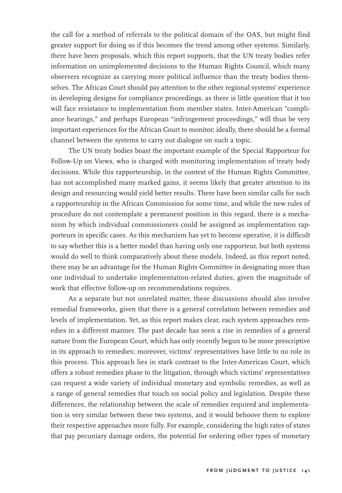the call for a method of referrals to the political domain of the OAS, but might find greater support for doing so if this becomes the trend among other systems. Similarly, there have been proposals, which this report supports, that the UN treaty bodies refer information on unimplemented decisions to the Human Rights Council, which many observers recognize as carrying more political influence than the treaty bodies themselves. The African Court should pay attention to the other regional systems' experience in developing designs for compliance proceedings, as there is little question that it too will face resistance to implementation from member states. Inter-American "compliance hearings," and perhaps European "infringement proceedings," will thus be very important experiences for the African Court to monitor; ideally, there should be a formal channel between the systems to carry out dialogue on such a topic.

The UN treaty bodies boast the important example of the Special Rapporteur for Follow-Up on Views, who is charged with monitoring implementation of treaty body decisions. While this rapporteurship, in the context of the Human Rights Committee, has not accomplished many marked gains, it seems likely that greater attention to its design and resourcing would yield better results. There have been similar calls for such a rapporteurship in the African Commission for some time, and while the new rules of procedure do not contemplate a permanent position in this regard, there is a mechanism by which individual commissioners could be assigned as implementation rapporteurs in specific cases. As this mechanism has yet to become operative, it is difficult to say whether this is a better model than having only one rapporteur, but both systems would do well to think comparatively about these models. Indeed, as this report noted, there may be an advantage for the Human Rights Committee in designating more than one individual to undertake implementation-related duties, given the magnitude of work that effective follow-up on recommendations requires.

As a separate but not unrelated matter, these discussions should also involve remedial frameworks, given that there is a general correlation between remedies and levels of implementation. Yet, as this report makes clear, each system approaches remedies in a different manner. The past decade has seen a rise in remedies of a general nature from the European Court, which has only recently begun to be more prescriptive in its approach to remedies; moreover, victims' representatives have little to no role in this process. This approach lies in stark contrast to the Inter-American Court, which offers a robust remedies phase to the litigation, through which victims' representatives can request a wide variety of individual monetary and symbolic remedies, as well as a range of general remedies that touch on social policy and legislation. Despite these differences, the relationship between the scale of remedies required and implementation is very similar between these two systems, and it would behoove them to explore their respective approaches more fully. For example, considering the high rates of states that pay pecuniary damage orders, the potential for ordering other types of monetary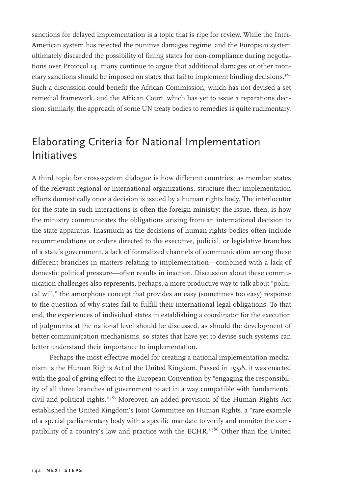sanctions for delayed implementation is a topic that is ripe for review. While the Inter-American system has rejected the punitive damages regime, and the European system ultimately discarded the possibility of fining states for non-compliance during negotiations over Protocol 14, many continue to argue that additional damages or other monetary sanctions should be imposed on states that fail to implement binding decisions.<sup>584</sup> Such a discussion could benefit the African Commission, which has not devised a set remedial framework, and the African Court, which has yet to issue a reparations decision; similarly, the approach of some UN treaty bodies to remedies is quite rudimentary.

# Elaborating Criteria for National Implementation Initiatives

A third topic for cross-system dialogue is how different countries, as member states of the relevant regional or international organizations, structure their implementation efforts domestically once a decision is issued by a human rights body. The interlocutor for the state in such interactions is often the foreign ministry; the issue, then, is how the ministry communicates the obligations arising from an international decision to the state apparatus. Inasmuch as the decisions of human rights bodies often include recommendations or orders directed to the executive, judicial, or legislative branches of a state's government, a lack of formalized channels of communication among these different branches in matters relating to implementation—combined with a lack of domestic political pressure—often results in inaction. Discussion about these communication challenges also represents, perhaps, a more productive way to talk about "political will," the amorphous concept that provides an easy (sometimes too easy) response to the question of why states fail to fulfill their international legal obligations. To that end, the experiences of individual states in establishing a coordinator for the execution of judgments at the national level should be discussed, as should the development of better communication mechanisms, so states that have yet to devise such systems can better understand their importance to implementation.

Perhaps the most effective model for creating a national implementation mechanism is the Human Rights Act of the United Kingdom. Passed in 1998, it was enacted with the goal of giving effect to the European Convention by "engaging the responsibility of all three branches of government to act in a way compatible with fundamental civil and political rights."585 Moreover, an added provision of the Human Rights Act established the United Kingdom's Joint Committee on Human Rights, a "rare example of a special parliamentary body with a specific mandate to verify and monitor the compatibility of a country's law and practice with the ECHR."<sup>586</sup> Other than the United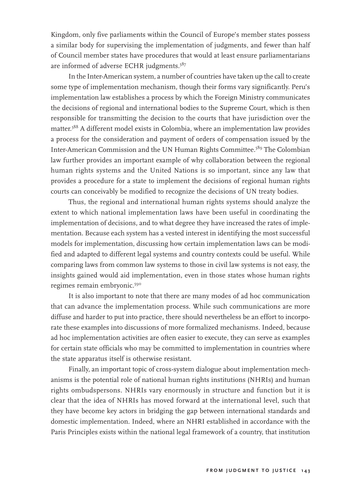Kingdom, only five parliaments within the Council of Europe's member states possess a similar body for supervising the implementation of judgments, and fewer than half of Council member states have procedures that would at least ensure parliamentarians are informed of adverse ECHR judgments.<sup>587</sup>

In the Inter-American system, a number of countries have taken up the call to create some type of implementation mechanism, though their forms vary significantly. Peru's implementation law establishes a process by which the Foreign Ministry communicates the decisions of regional and international bodies to the Supreme Court, which is then responsible for transmitting the decision to the courts that have jurisdiction over the matter.588 A different model exists in Colombia, where an implementation law provides a process for the consideration and payment of orders of compensation issued by the Inter-American Commission and the UN Human Rights Committee.589 The Colombian law further provides an important example of why collaboration between the regional human rights systems and the United Nations is so important, since any law that provides a procedure for a state to implement the decisions of regional human rights courts can conceivably be modified to recognize the decisions of UN treaty bodies.

Thus, the regional and international human rights systems should analyze the extent to which national implementation laws have been useful in coordinating the implementation of decisions, and to what degree they have increased the rates of implementation. Because each system has a vested interest in identifying the most successful models for implementation, discussing how certain implementation laws can be modified and adapted to different legal systems and country contexts could be useful. While comparing laws from common law systems to those in civil law systems is not easy, the insights gained would aid implementation, even in those states whose human rights regimes remain embryonic.<sup>590</sup>

It is also important to note that there are many modes of ad hoc communication that can advance the implementation process. While such communications are more diffuse and harder to put into practice, there should nevertheless be an effort to incorporate these examples into discussions of more formalized mechanisms. Indeed, because ad hoc implementation activities are often easier to execute, they can serve as examples for certain state officials who may be committed to implementation in countries where the state apparatus itself is otherwise resistant.

Finally, an important topic of cross-system dialogue about implementation mechanisms is the potential role of national human rights institutions (NHRIs) and human rights ombudspersons. NHRIs vary enormously in structure and function but it is clear that the idea of NHRIs has moved forward at the international level, such that they have become key actors in bridging the gap between international standards and domestic implementation. Indeed, where an NHRI established in accordance with the Paris Principles exists within the national legal framework of a country, that institution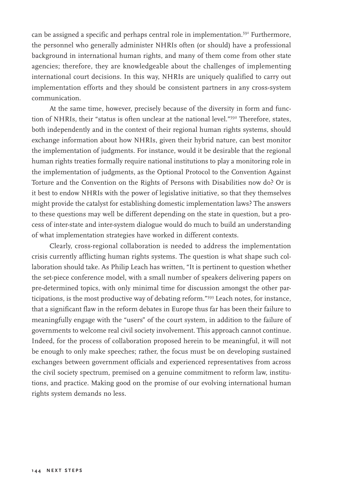can be assigned a specific and perhaps central role in implementation.<sup>591</sup> Furthermore, the personnel who generally administer NHRIs often (or should) have a professional background in international human rights, and many of them come from other state agencies; therefore, they are knowledgeable about the challenges of implementing international court decisions. In this way, NHRIs are uniquely qualified to carry out implementation efforts and they should be consistent partners in any cross-system communication.

At the same time, however, precisely because of the diversity in form and function of NHRIs, their "status is often unclear at the national level."<sup>592</sup> Therefore, states, both independently and in the context of their regional human rights systems, should exchange information about how NHRIs, given their hybrid nature, can best monitor the implementation of judgments. For instance, would it be desirable that the regional human rights treaties formally require national institutions to play a monitoring role in the implementation of judgments, as the Optional Protocol to the Convention Against Torture and the Convention on the Rights of Persons with Disabilities now do? Or is it best to endow NHRIs with the power of legislative initiative, so that they themselves might provide the catalyst for establishing domestic implementation laws? The answers to these questions may well be different depending on the state in question, but a process of inter-state and inter-system dialogue would do much to build an understanding of what implementation strategies have worked in different contexts.

Clearly, cross-regional collaboration is needed to address the implementation crisis currently afflicting human rights systems. The question is what shape such collaboration should take. As Philip Leach has written, "It is pertinent to question whether the set-piece conference model, with a small number of speakers delivering papers on pre-determined topics, with only minimal time for discussion amongst the other participations, is the most productive way of debating reform."593 Leach notes, for instance, that a significant flaw in the reform debates in Europe thus far has been their failure to meaningfully engage with the "users" of the court system, in addition to the failure of governments to welcome real civil society involvement. This approach cannot continue. Indeed, for the process of collaboration proposed herein to be meaningful, it will not be enough to only make speeches; rather, the focus must be on developing sustained exchanges between government officials and experienced representatives from across the civil society spectrum, premised on a genuine commitment to reform law, institutions, and practice. Making good on the promise of our evolving international human rights system demands no less.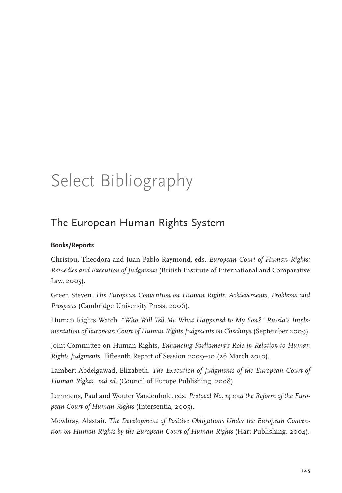# Select Bibliography

### The European Human Rights System

### **Books/Reports**

Christou, Theodora and Juan Pablo Raymond, eds. *European Court of Human Rights: Remedies and Execution of Judgments* (British Institute of International and Comparative Law, 2005).

Greer, Steven. *The European Convention on Human Rights: Achievements, Problems and Prospects* (Cambridge University Press, 2006).

Human Rights Watch. *"Who Will Tell Me What Happened to My Son?" Russia's Implementation of European Court of Human Rights Judgments on Chechnya* (September 2009).

Joint Committee on Human Rights, *Enhancing Parliament's Role in Relation to Human Rights Judgments*, Fifteenth Report of Session 2009–10 (26 March 2010).

Lambert-Abdelgawad, Elizabeth. *The Execution of Judgments of the European Court of Human Rights, 2nd ed.* (Council of Europe Publishing, 2008).

Lemmens, Paul and Wouter Vandenhole, eds. *Protocol No. 14 and the Reform of the European Court of Human Rights* (Intersentia, 2005).

Mowbray, Alastair. *The Development of Positive Obligations Under the European Convention on Human Rights by the European Court of Human Rights* (Hart Publishing, 2004).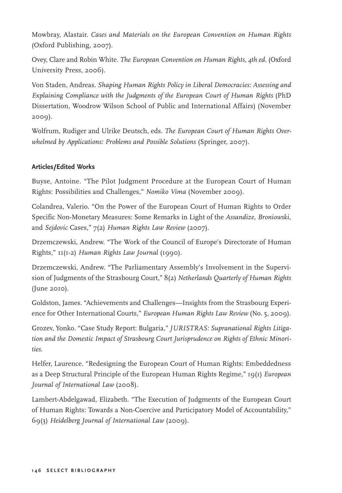Mowbray, Alastair. *Cases and Materials on the European Convention on Human Rights* (Oxford Publishing, 2007).

Ovey, Clare and Robin White. *The European Convention on Human Rights, 4th ed.* (Oxford University Press, 2006).

Von Staden, Andreas. *Shaping Human Rights Policy in Liberal Democracies: Assessing and Explaining Compliance with the Judgments of the European Court of Human Rights (PhD)* Dissertation, Woodrow Wilson School of Public and International Affairs) (November 2009).

Wolfrum, Rudiger and Ulrike Deutsch, eds. *The European Court of Human Rights Overwhelmed by Applications: Problems and Possible Solutions* (Springer, 2007).

### **Articles/Edited Works**

Buyse, Antoine. "The Pilot Judgment Procedure at the European Court of Human Rights: Possibilities and Challenges," *Nomiko Vima* (November 2009).

Colandrea, Valerio. "On the Power of the European Court of Human Rights to Order Specific Non-Monetary Measures: Some Remarks in Light of the *Assandize*, *Broniowski*, and *Sejdovic* Cases," 7(2) *Human Rights Law Review* (2007).

Drzemczewski, Andrew. "The Work of the Council of Europe's Directorate of Human Rights," 11(1-2) *Human Rights Law Journal* (1990).

Drzemczewski, Andrew. "The Parliamentary Assembly's Involvement in the Supervision of Judgments of the Strasbourg Court," 8(2) *Netherlands Quarterly of Human Rights* (June 2010).

Goldston, James. "Achievements and Challenges—Insights from the Strasbourg Experience for Other International Courts," *European Human Rights Law Review* (No. 5, 2009).

Grozev, Yonko. "Case Study Report: Bulgaria," *JURISTRAS: Supranational Rights Litigation and the Domestic Impact of Strasbourg Court Jurisprudence on Rights of Ethnic Minorities*.

Helfer, Laurence. "Redesigning the European Court of Human Rights: Embeddedness as a Deep Structural Principle of the European Human Rights Regime," 19(1) *European Journal of International Law* (2008).

Lambert-Abdelgawad, Elizabeth. "The Execution of Judgments of the European Court of Human Rights: Towards a Non-Coercive and Participatory Model of Accountability," 69(3) *Heidelberg Journal of International Law* (2009).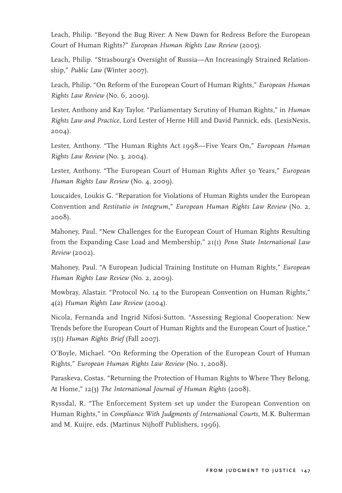Leach, Philip. "Beyond the Bug River: A New Dawn for Redress Before the European Court of Human Rights?" *European Human Rights Law Review* (2005).

Leach, Philip. "Strasbourg's Oversight of Russia—An Increasingly Strained Relationship," *Public Law* (Winter 2007).

Leach, Philip. "On Reform of the European Court of Human Rights," *European Human Rights Law Review* (No. 6, 2009).

Lester, Anthony and Kay Taylor. "Parliamentary Scrutiny of Human Rights," in *Human Rights Law and Practice*, Lord Lester of Herne Hill and David Pannick, eds. (LexisNexis, 2004).

Lester, Anthony. "The Human Rights Act 1998—Five Years On," *European Human Rights Law Review* (No. 3, 2004).

Lester, Anthony. "The European Court of Human Rights After 50 Years," *European Human Rights Law Review* (No. 4, 2009).

Loucaides, Loukis G. "Reparation for Violations of Human Rights under the European Convention and *Restitutio in Integrum*," *European Human Rights Law Review* (No. 2, 2008).

Mahoney, Paul. "New Challenges for the European Court of Human Rights Resulting from the Expanding Case Load and Membership," 21(1) *Penn State International Law Review* (2002).

Mahoney, Paul. "A European Judicial Training Institute on Human Rights," *European Human Rights Law Review* (No. 2, 2009).

Mowbray, Alastair. "Protocol No. 14 to the European Convention on Human Rights," 4(2) *Human Rights Law Review* (2004).

Nicola, Fernanda and Ingrid Nifosi-Sutton. "Assessing Regional Cooperation: New Trends before the European Court of Human Rights and the European Court of Justice," 15(1) *Human Rights Brief* (Fall 2007).

O'Boyle, Michael. "On Reforming the Operation of the European Court of Human Rights," *European Human Rights Law Review* (No. 1, 2008).

Paraskeva, Costas. "Returning the Protection of Human Rights to Where They Belong, At Home," 12(3) *The International Journal of Human Rights* (2008).

Ryssdal, R. "The Enforcement System set up under the European Convention on Human Rights," in *Compliance With Judgments of International Courts*, M.K. Bulterman and M. Kuijre, eds. (Martinus Nijhoff Publishers, 1996).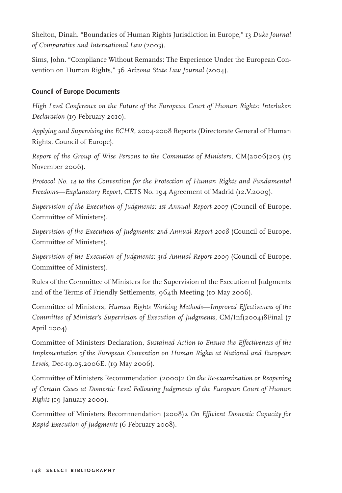Shelton, Dinah. "Boundaries of Human Rights Jurisdiction in Europe," 13 *Duke Journal of Comparative and International Law* (2003).

Sims, John. "Compliance Without Remands: The Experience Under the European Convention on Human Rights," 36 *Arizona State Law Journal* (2004).

### **Council of Europe Documents**

*High Level Conference on the Future of the European Court of Human Rights: Interlaken Declaration* (19 February 2010).

*Applying and Supervising the ECHR*, 2004-2008 Reports (Directorate General of Human Rights, Council of Europe).

*Report of the Group of Wise Persons to the Committee of Ministers*, CM(2006)203 (15 November 2006).

*Protocol No. 14 to the Convention for the Protection of Human Rights and Fundamental Freedoms—Explanatory Report*, CETS No. 194 Agreement of Madrid (12.V.2009).

*Supervision of the Execution of Judgments: 1st Annual Report 2007* (Council of Europe, Committee of Ministers).

*Supervision of the Execution of Judgments: 2nd Annual Report 2008* (Council of Europe, Committee of Ministers).

*Supervision of the Execution of Judgments: 3rd Annual Report 2009* (Council of Europe, Committee of Ministers).

Rules of the Committee of Ministers for the Supervision of the Execution of Judgments and of the Terms of Friendly Settlements, 964th Meeting (10 May 2006).

Committee of Ministers, *Human Rights Working Methods—Improved Effectiveness of the Committee of Minister's Supervision of Execution of Judgments*, CM/Inf(2004)8Final (7 April 2004).

Committee of Ministers Declaration, *Sustained Action to Ensure the Effectiveness of the Implementation of the European Convention on Human Rights at National and European Levels*, Dec-19.05.2006E, (19 May 2006).

Committee of Ministers Recommendation (2000)2 *On the Re-examination or Reopening of Certain Cases at Domestic Level Following Judgments of the European Court of Human Rights* (19 January 2000).

Committee of Ministers Recommendation (2008)2 *On Efficient Domestic Capacity for Rapid Execution of Judgments* (6 February 2008).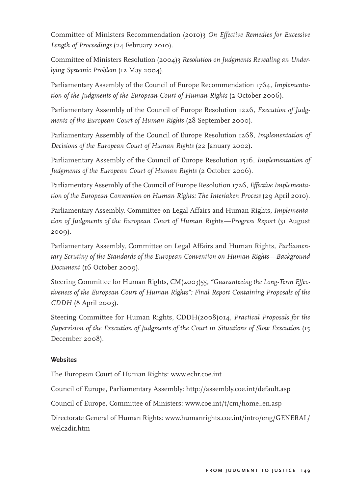Committee of Ministers Recommendation (2010)3 *On Effective Remedies for Excessive Length of Proceedings* (24 February 2010).

Committee of Ministers Resolution (2004)3 *Resolution on Judgments Revealing an Underlying Systemic Problem* (12 May 2004).

Parliamentary Assembly of the Council of Europe Recommendation 1764, *Implementation of the Judgments of the European Court of Human Rights* (2 October 2006).

Parliamentary Assembly of the Council of Europe Resolution 1226, *Execution of Judgments of the European Court of Human Rights* (28 September 2000).

Parliamentary Assembly of the Council of Europe Resolution 1268, *Implementation of Decisions of the European Court of Human Rights* (22 January 2002).

Parliamentary Assembly of the Council of Europe Resolution 1516, *Implementation of Judgments of the European Court of Human Rights (2 October 2006).* 

Parliamentary Assembly of the Council of Europe Resolution 1726, *Effective Implementation of the European Convention on Human Rights: The Interlaken Process* (29 April 2010).

Parliamentary Assembly, Committee on Legal Affairs and Human Rights, *Implementation of Judgments of the European Court of Human Right*s*—Progress Report* (31 August 2009).

Parliamentary Assembly, Committee on Legal Affairs and Human Rights, *Parliamentary Scrutiny of the Standards of the European Convention on Human Rights—Background Document* (16 October 2009).

Steering Committee for Human Rights, CM(2003)55, *"Guaranteeing the Long-Term Effectiveness of the European Court of Human Rights": Final Report Containing Proposals of the CDDH* (8 April 2003).

Steering Committee for Human Rights, CDDH(2008)014, *Practical Proposals for the Supervision of the Execution of Judgments of the Court in Situations of Slow Execution* (15 December 2008).

### **Websites**

The European Court of Human Rights: www.echr.coe.int

Council of Europe, Parliamentary Assembly: http://assembly.coe.int/default.asp

Council of Europe, Committee of Ministers: www.coe.int/t/cm/home\_en.asp

Directorate General of Human Rights: www.humanrights.coe.int/intro/eng/GENERAL/ welc2dir.htm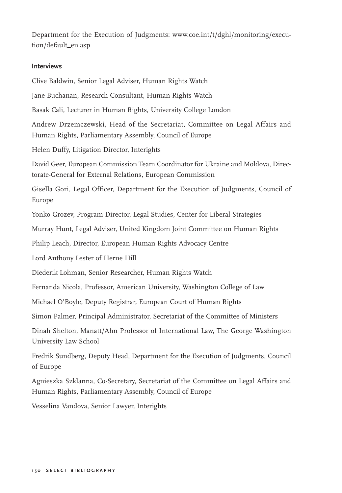Department for the Execution of Judgments: www.coe.int/t/dghl/monitoring/execution/default\_en.asp

#### **Interviews**

Clive Baldwin, Senior Legal Adviser, Human Rights Watch

Jane Buchanan, Research Consultant, Human Rights Watch

Basak Cali, Lecturer in Human Rights, University College London

Andrew Drzemczewski, Head of the Secretariat, Committee on Legal Affairs and Human Rights, Parliamentary Assembly, Council of Europe

Helen Duffy, Litigation Director, Interights

David Geer, European Commission Team Coordinator for Ukraine and Moldova, Directorate-General for External Relations, European Commission

Gisella Gori, Legal Officer, Department for the Execution of Judgments, Council of Europe

Yonko Grozev, Program Director, Legal Studies, Center for Liberal Strategies

Murray Hunt, Legal Adviser, United Kingdom Joint Committee on Human Rights

Philip Leach, Director, European Human Rights Advocacy Centre

Lord Anthony Lester of Herne Hill

Diederik Lohman, Senior Researcher, Human Rights Watch

Fernanda Nicola, Professor, American University, Washington College of Law

Michael O'Boyle, Deputy Registrar, European Court of Human Rights

Simon Palmer, Principal Administrator, Secretariat of the Committee of Ministers

Dinah Shelton, Manatt/Ahn Professor of International Law, The George Washington University Law School

Fredrik Sundberg, Deputy Head, Department for the Execution of Judgments, Council of Europe

Agnieszka Szklanna, Co-Secretary, Secretariat of the Committee on Legal Affairs and Human Rights, Parliamentary Assembly, Council of Europe

Vesselina Vandova, Senior Lawyer, Interights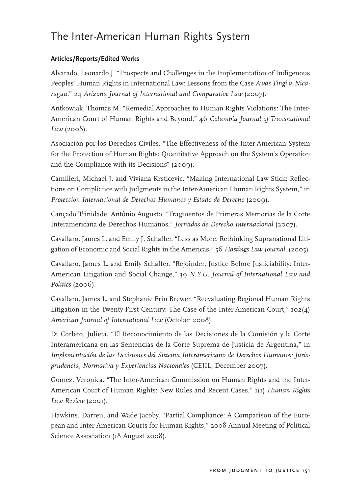### The Inter-American Human Rights System

### **Articles/Reports/Edited Works**

Alvarado, Leonardo J. "Prospects and Challenges in the Implementation of Indigenous Peoples' Human Rights in International Law: Lessons from the Case *Awas Tingi v. Nicaragua*," 24 *Arizona Journal of International and Comparative Law* (2007).

Antkowiak, Thomas M. "Remedial Approaches to Human Rights Violations: The Inter-American Court of Human Rights and Beyond," 46 *Columbia Journal of Transnational Law* (2008).

Asociación por los Derechos Civiles. "The Effectiveness of the Inter-American System for the Protection of Human Rights: Quantitative Approach on the System's Operation and the Compliance with its Decisions" (2009).

Camilleri, Michael J. and Viviana Krsticevic. "Making International Law Stick: Reflections on Compliance with Judgments in the Inter-American Human Rights System," in *Proteccion Internacional de Derechos Humanos y Estado de Derecho* (2009).

Cançado Trinidade, Antônio Augusto. "Fragmentos de Primeras Memorias de la Corte Interamericana de Derechos Humanos," *Jornadas de Derecho Internacional* (2007).

Cavallaro, James L. and Emily J. Schaffer. "Less as More: Rethinking Supranational Litigation of Economic and Social Rights in the Americas," 56 *Hastings Law Journal*. (2005).

Cavallaro, James L. and Emily Schaffer. "Rejoinder: Justice Before Justiciability: Inter-American Litigation and Social Change," 39 *N.Y.U. Journal of International Law and Politics* (2006).

Cavallaro, James L. and Stephanie Erin Brewer. "Reevaluating Regional Human Rights Litigation in the Twenty-First Century: The Case of the Inter-American Court," 102(4) *American Journal of International Law* (October 2008).

Di Corleto, Julieta. "El Reconocimiento de las Decisiones de la Comisión y la Corte Interamericana en las Sentencias de la Corte Suprema de Justicia de Argentina," in *Implementación de las Decisiones del Sistema Interamericano de Derechos Humanos; Jurisprudencia, Normativa y Experiencias Nacionales* (CEJIL, December 2007).

Gomez, Veronica. "The Inter-American Commission on Human Rights and the Inter-American Court of Human Rights: New Rules and Recent Cases," 1(1) *Human Rights Law Review* (2001).

Hawkins, Darren, and Wade Jacoby. "Partial Compliance: A Comparison of the European and Inter-American Courts for Human Rights," 2008 Annual Meeting of Political Science Association (18 August 2008).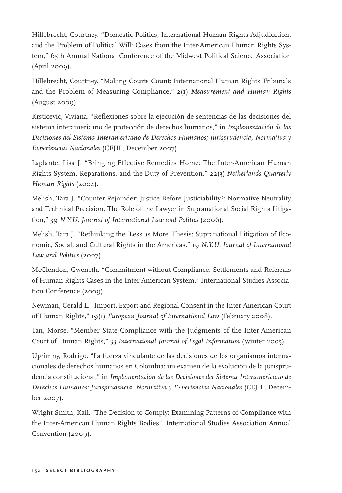Hillebrecht, Courtney. "Domestic Politics, International Human Rights Adjudication, and the Problem of Political Will: Cases from the Inter-American Human Rights System," 65th Annual National Conference of the Midwest Political Science Association (April 2009).

Hillebrecht, Courtney. "Making Courts Count: International Human Rights Tribunals and the Problem of Measuring Compliance," 2(1) *Measurement and Human Rights* (August 2009).

Krsticevic, Viviana. "Reflexiones sobre la ejecución de sentencias de las decisiones del sistema interamericano de protección de derechos humanos," in *Implementación de las Decisiones del Sistema Interamericano de Derechos Humanos; Jurisprudencia, Normativa y Experiencias Nacionales* (CEJIL, December 2007).

Laplante, Lisa J. "Bringing Effective Remedies Home: The Inter-American Human Rights System, Reparations, and the Duty of Prevention," 22(3) *Netherlands Quarterly Human Rights* (2004).

Melish, Tara J. "Counter-Rejoinder: Justice Before Justiciability?: Normative Neutrality and Technical Precision, The Role of the Lawyer in Supranational Social Rights Litigation," 39 *N.Y.U. Journal of International Law and Politics* (2006).

Melish, Tara J. "Rethinking the 'Less as More' Thesis: Supranational Litigation of Economic, Social, and Cultural Rights in the Americas," 19 *N.Y.U. Journal of International Law and Politics* (2007).

McClendon, Gweneth. "Commitment without Compliance: Settlements and Referrals of Human Rights Cases in the Inter-American System," International Studies Association Conference (2009).

Newman, Gerald L. "Import, Export and Regional Consent in the Inter-American Court of Human Rights," 19(1) *European Journal of International Law* (February 2008).

Tan, Morse. "Member State Compliance with the Judgments of the Inter-American Court of Human Rights," 33 *International Journal of Legal Information* (Winter 2005).

Uprimny, Rodrigo. "La fuerza vinculante de las decisiones de los organismos internacionales de derechos humanos en Colombia: un examen de la evolución de la jurisprudencia constitucional," in *Implementación de las Decisiones del Sistema Interamericano de Derechos Humanos; Jurisprudencia, Normativa y Experiencias Nacionales* (CEJIL, December 2007).

Wright-Smith, Kali. "The Decision to Comply: Examining Patterns of Compliance with the Inter-American Human Rights Bodies," International Studies Association Annual Convention (2009).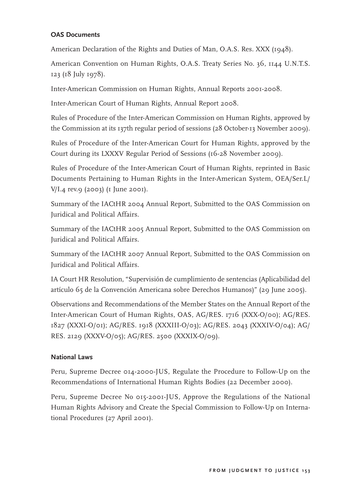### **OAS Documents**

American Declaration of the Rights and Duties of Man, O.A.S. Res. XXX (1948).

American Convention on Human Rights, O.A.S. Treaty Series No. 36, 1144 U.N.T.S. 123 (18 July 1978).

Inter-American Commission on Human Rights, Annual Reports 2001-2008.

Inter-American Court of Human Rights, Annual Report 2008.

Rules of Procedure of the Inter-American Commission on Human Rights, approved by the Commission at its 137th regular period of sessions (28 October-13 November 2009).

Rules of Procedure of the Inter-American Court for Human Rights, approved by the Court during its LXXXV Regular Period of Sessions (16-28 November 2009).

Rules of Procedure of the Inter-American Court of Human Rights, reprinted in Basic Documents Pertaining to Human Rights in the Inter-American System, OEA/Ser.L/ V/I.4 rev.9 (2003) (1 June 2001).

Summary of the IACtHR 2004 Annual Report, Submitted to the OAS Commission on Juridical and Political Affairs.

Summary of the IACtHR 2005 Annual Report, Submitted to the OAS Commission on Juridical and Political Affairs.

Summary of the IACtHR 2007 Annual Report, Submitted to the OAS Commission on Juridical and Political Affairs.

IA Court HR Resolution, "Supervisión de cumplimiento de sentencias (Aplicabilidad del artículo 65 de la Convención Americana sobre Derechos Humanos)" (29 June 2005).

Observations and Recommendations of the Member States on the Annual Report of the Inter-American Court of Human Rights, OAS, AG/RES. 1716 (XXX-O/00); AG/RES. 1827 (XXXI-O/01); AG/RES. 1918 (XXXIII-O/03); AG/RES. 2043 (XXXIV-O/04); AG/ RES. 2129 (XXXV-O/05); AG/RES. 2500 (XXXIX-O/09).

### **National Laws**

Peru, Supreme Decree 014-2000-JUS, Regulate the Procedure to Follow-Up on the Recommendations of International Human Rights Bodies (22 December 2000).

Peru, Supreme Decree No 015-2001-JUS, Approve the Regulations of the National Human Rights Advisory and Create the Special Commission to Follow-Up on International Procedures (27 April 2001).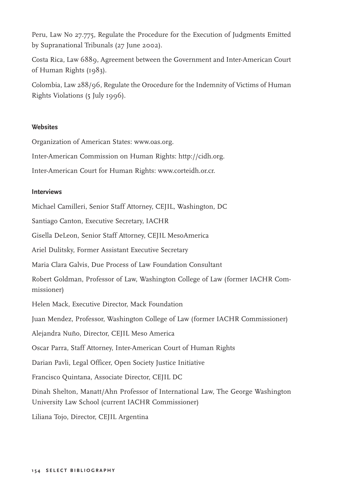Peru, Law No 27.775, Regulate the Procedure for the Execution of Judgments Emitted by Supranational Tribunals (27 June 2002).

Costa Rica, Law 6889, Agreement between the Government and Inter-American Court of Human Rights (1983).

Colombia, Law 288/96, Regulate the Orocedure for the Indemnity of Victims of Human Rights Violations (5 July 1996).

#### **Websites**

Organization of American States: www.oas.org.

Inter-American Commission on Human Rights: http://cidh.org.

Inter-American Court for Human Rights: www.corteidh.or.cr.

#### **Interviews**

Michael Camilleri, Senior Staff Attorney, CEJIL, Washington, DC

Santiago Canton, Executive Secretary, IACHR

Gisella DeLeon, Senior Staff Attorney, CEJIL MesoAmerica

Ariel Dulitsky, Former Assistant Executive Secretary

Maria Clara Galvis, Due Process of Law Foundation Consultant

Robert Goldman, Professor of Law, Washington College of Law (former IACHR Commissioner)

Helen Mack, Executive Director, Mack Foundation

Juan Mendez, Professor, Washington College of Law (former IACHR Commissioner)

Alejandra Nuño, Director, CEJIL Meso America

Oscar Parra, Staff Attorney, Inter-American Court of Human Rights

Darian Pavli, Legal Officer, Open Society Justice Initiative

Francisco Quintana, Associate Director, CEJIL DC

Dinah Shelton, Manatt/Ahn Professor of International Law, The George Washington University Law School (current IACHR Commissioner)

Liliana Tojo, Director, CEJIL Argentina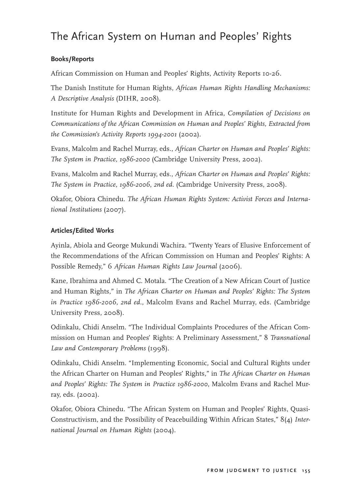### The African System on Human and Peoples' Rights

### **Books/Reports**

African Commission on Human and Peoples' Rights, Activity Reports 10-26.

The Danish Institute for Human Rights, *African Human Rights Handling Mechanisms: A Descriptive Analysis* (DIHR, 2008).

Institute for Human Rights and Development in Africa, *Compilation of Decisions on Communications of the African Commission on Human and Peoples' Rights, Extracted from the Commission's Activity Reports 1994-2001* (2002).

Evans, Malcolm and Rachel Murray, eds., *African Charter on Human and Peoples' Rights: The System in Practice, 1986-2000* (Cambridge University Press, 2002).

Evans, Malcolm and Rachel Murray, eds., *African Charter on Human and Peoples' Rights: The System in Practice, 1986-2006*, *2nd ed.* (Cambridge University Press, 2008).

Okafor, Obiora Chinedu. *The African Human Rights System: Activist Forces and International Institutions* (2007)*.*

### **Articles/Edited Works**

Ayinla, Abiola and George Mukundi Wachira. "Twenty Years of Elusive Enforcement of the Recommendations of the African Commission on Human and Peoples' Rights: A Possible Remedy," 6 *African Human Rights Law Journal* (2006).

Kane, Ibrahima and Ahmed C. Motala. "The Creation of a New African Court of Justice and Human Rights," in *The African Charter on Human and Peoples' Rights: The System in Practice 1986-2006*, *2nd ed.*, Malcolm Evans and Rachel Murray, eds. (Cambridge University Press, 2008).

Odinkalu, Chidi Anselm. "The Individual Complaints Procedures of the African Commission on Human and Peoples' Rights: A Preliminary Assessment," 8 *Transnational Law and Contemporary Problems* (1998).

Odinkalu, Chidi Anselm. "Implementing Economic, Social and Cultural Rights under the African Charter on Human and Peoples' Rights," in *The African Charter on Human and Peoples' Rights: The System in Practice 1986-2000*, Malcolm Evans and Rachel Murray, eds. (2002).

Okafor, Obiora Chinedu. "The African System on Human and Peoples' Rights, Quasi-Constructivism, and the Possibility of Peacebuilding Within African States," 8(4) *International Journal on Human Rights* (2004).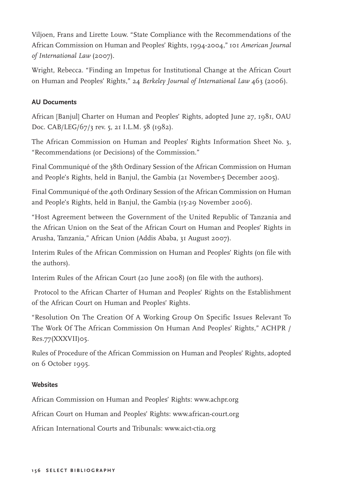Viljoen, Frans and Lirette Louw. "State Compliance with the Recommendations of the African Commission on Human and Peoples' Rights, 1994-2004," 101 *American Journal of International Law* (2007).

Wright, Rebecca. "Finding an Impetus for Institutional Change at the African Court on Human and Peoples' Rights," 24 *Berkeley Journal of International Law* 463 (2006).

### **AU Documents**

African [Banjul] Charter on Human and Peoples' Rights, adopted June 27, 1981, OAU Doc. CAB/LEG/67/3 rev. 5, 21 I.L.M. 58 (1982).

The African Commission on Human and Peoples' Rights Information Sheet No. 3, "Recommendations (or Decisions) of the Commission."

Final Communiqué of the 38th Ordinary Session of the African Commission on Human and People's Rights, held in Banjul, the Gambia (21 November-5 December 2005).

Final Communiqué of the 40th Ordinary Session of the African Commission on Human and People's Rights, held in Banjul, the Gambia (15-29 November 2006).

"Host Agreement between the Government of the United Republic of Tanzania and the African Union on the Seat of the African Court on Human and Peoples' Rights in Arusha, Tanzania," African Union (Addis Ababa, 31 August 2007).

Interim Rules of the African Commission on Human and Peoples' Rights (on file with the authors).

Interim Rules of the African Court (20 June 2008) (on file with the authors).

 Protocol to the African Charter of Human and Peoples' Rights on the Establishment of the African Court on Human and Peoples' Rights.

"Resolution On The Creation Of A Working Group On Specific Issues Relevant To The Work Of The African Commission On Human And Peoples' Rights," ACHPR / Res.77(XXXVII)05.

Rules of Procedure of the African Commission on Human and Peoples' Rights, adopted on 6 October 1995.

### **Websites**

African Commission on Human and Peoples' Rights: www.achpr.org

African Court on Human and Peoples' Rights: www.african-court.org

African International Courts and Tribunals: www.aict-ctia.org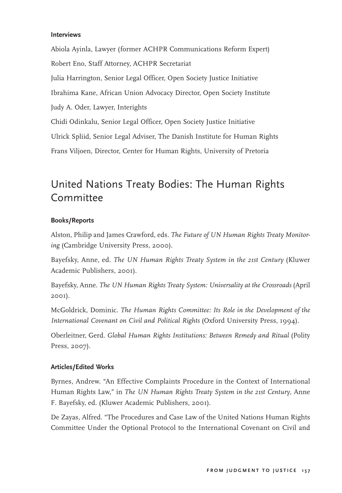#### **Interviews**

Abiola Ayinla, Lawyer (former ACHPR Communications Reform Expert) Robert Eno, Staff Attorney, ACHPR Secretariat Julia Harrington, Senior Legal Officer, Open Society Justice Initiative Ibrahima Kane, African Union Advocacy Director, Open Society Institute Judy A. Oder, Lawyer, Interights Chidi Odinkalu, Senior Legal Officer, Open Society Justice Initiative Ulrick Spliid, Senior Legal Adviser, The Danish Institute for Human Rights Frans Viljoen, Director, Center for Human Rights, University of Pretoria

### United Nations Treaty Bodies: The Human Rights Committee

### **Books/Reports**

Alston, Philip and James Crawford, eds. *The Future of UN Human Rights Treaty Monitoring* (Cambridge University Press, 2000).

Bayefsky, Anne, ed. *The UN Human Rights Treaty System in the 21st Century* (Kluwer Academic Publishers, 2001).

Bayefsky, Anne. *The UN Human Rights Treaty System: Universality at the Crossroads* (April 2001).

McGoldrick, Dominic. *The Human Rights Committee: Its Role in the Development of the International Covenant on Civil and Political Rights* (Oxford University Press, 1994).

Oberleitner, Gerd. *Global Human Rights Institutions: Between Remedy and Ritual* (Polity Press, 2007).

### **Articles/Edited Works**

Byrnes, Andrew. "An Effective Complaints Procedure in the Context of International Human Rights Law," in *The UN Human Rights Treaty System in the 21st Century*, Anne F. Bayefsky, ed. (Kluwer Academic Publishers, 2001).

De Zayas, Alfred. "The Procedures and Case Law of the United Nations Human Rights Committee Under the Optional Protocol to the International Covenant on Civil and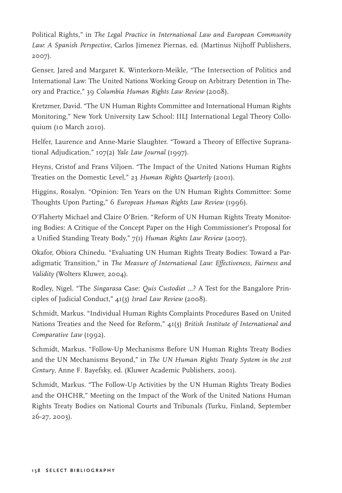Political Rights," in *The Legal Practice in International Law and European Community Law: A Spanish Perspective*, Carlos Jimenez Piernas, ed. (Martinus Nijhoff Publishers, 2007).

Genser, Jared and Margaret K. Winterkorn-Meikle, "The Intersection of Politics and International Law: The United Nations Working Group on Arbitrary Detention in Theory and Practice," 39 *Columbia Human Rights Law Review* (2008).

Kretzmer, David. "The UN Human Rights Committee and International Human Rights Monitoring," New York University Law School: IILJ International Legal Theory Colloquium (10 March 2010).

Helfer, Laurence and Anne-Marie Slaughter. "Toward a Theory of Effective Supranational Adjudication," 107(2) *Yale Law Journal* (1997).

Heyns, Cristof and Frans Viljoen. "The Impact of the United Nations Human Rights Treaties on the Domestic Level," 23 *Human Rights Quarterly* (2001).

Higgins, Rosalyn. "Opinion: Ten Years on the UN Human Rights Committee: Some Thoughts Upon Parting," 6 *European Human Rights Law Review* (1996).

O'Flaherty Michael and Claire O'Brien. "Reform of UN Human Rights Treaty Monitoring Bodies: A Critique of the Concept Paper on the High Commissioner's Proposal for a Unified Standing Treaty Body," 7(1) *Human Rights Law Review* (2007).

Okafor, Obiora Chinedu. "Evaluating UN Human Rights Treaty Bodies: Toward a Paradigmatic Transition," in *The Measure of International Law: Effectiveness, Fairness and Validity* (Wolters Kluwer, 2004).

Rodley, Nigel. "The *Singarasa* Case: *Quis Custodiet* …? A Test for the Bangalore Principles of Judicial Conduct," 41(3) *Israel Law Review* (2008).

Schmidt, Markus. "Individual Human Rights Complaints Procedures Based on United Nations Treaties and the Need for Reform," 41(3) *British Institute of International and Comparative Law* (1992).

Schmidt, Markus. "Follow-Up Mechanisms Before UN Human Rights Treaty Bodies and the UN Mechanisms Beyond," in *The UN Human Rights Treaty System in the 21st Century*, Anne F. Bayefsky, ed. (Kluwer Academic Publishers, 2001).

Schmidt, Markus. "The Follow-Up Activities by the UN Human Rights Treaty Bodies and the OHCHR," Meeting on the Impact of the Work of the United Nations Human Rights Treaty Bodies on National Courts and Tribunals (Turku, Finland, September 26-27, 2003).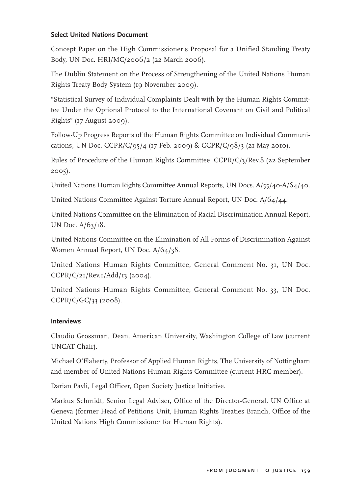### **Select United Nations Document**

Concept Paper on the High Commissioner's Proposal for a Unified Standing Treaty Body, UN Doc. HRI/MC/2006/2 (22 March 2006).

The Dublin Statement on the Process of Strengthening of the United Nations Human Rights Treaty Body System (19 November 2009).

"Statistical Survey of Individual Complaints Dealt with by the Human Rights Committee Under the Optional Protocol to the International Covenant on Civil and Political Rights" (17 August 2009).

Follow-Up Progress Reports of the Human Rights Committee on Individual Communications, UN Doc. CCPR/C/95/4 (17 Feb. 2009) & CCPR/C/98/3 (21 May 2010).

Rules of Procedure of the Human Rights Committee, CCPR/C/3/Rev.8 (22 September 2005).

United Nations Human Rights Committee Annual Reports, UN Docs. A/55/40-A/64/40.

United Nations Committee Against Torture Annual Report, UN Doc. A/64/44.

United Nations Committee on the Elimination of Racial Discrimination Annual Report, UN Doc. A/63/18.

United Nations Committee on the Elimination of All Forms of Discrimination Against Women Annual Report, UN Doc. A/64/38.

United Nations Human Rights Committee, General Comment No. 31, UN Doc. CCPR/C/21/Rev.1/Add/13 (2004).

United Nations Human Rights Committee, General Comment No. 33, UN Doc. CCPR/C/GC/33 (2008).

### **Interviews**

Claudio Grossman, Dean, American University, Washington College of Law (current UNCAT Chair).

Michael O'Flaherty, Professor of Applied Human Rights, The University of Nottingham and member of United Nations Human Rights Committee (current HRC member).

Darian Pavli, Legal Officer, Open Society Justice Initiative.

Markus Schmidt, Senior Legal Adviser, Office of the Director-General, UN Office at Geneva (former Head of Petitions Unit, Human Rights Treaties Branch, Office of the United Nations High Commissioner for Human Rights).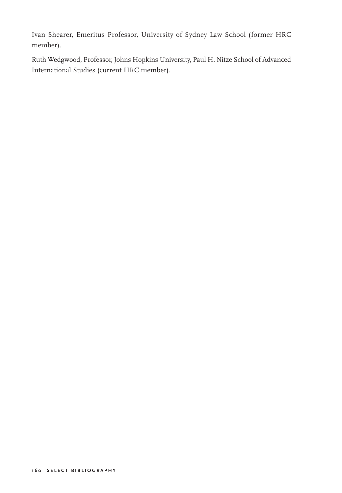Ivan Shearer, Emeritus Professor, University of Sydney Law School (former HRC member).

Ruth Wedgwood, Professor, Johns Hopkins University, Paul H. Nitze School of Advanced International Studies (current HRC member).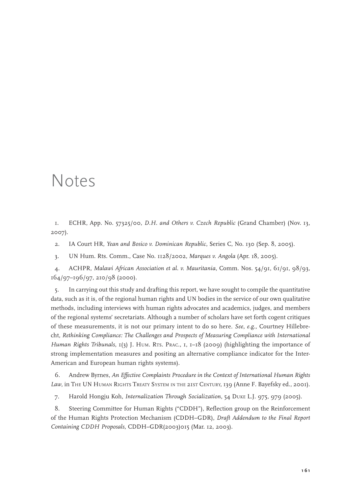## Notes

1. ECHR, App. No. 57325/00, *D.H. and Others v. Czech Republic* (Grand Chamber) (Nov. 13, 2007).

2. IA Court HR, *Yean and Bosico v. Dominican Republic*, Series C, No. 130 (Sep. 8, 2005).

3. UN Hum. Rts. Comm., Case No. 1128/2002, *Marques v. Angola* (Apr. 18, 2005).

4. ACHPR, *Malawi African Association et al. v. Mauritania*, Comm. Nos. 54/91, 61/91, 98/93, 164/97–196/97, 210/98 (2000).

5. In carrying out this study and drafting this report, we have sought to compile the quantitative data, such as it is, of the regional human rights and UN bodies in the service of our own qualitative methods, including interviews with human rights advocates and academics, judges, and members of the regional systems' secretariats. Although a number of scholars have set forth cogent critiques of these measurements, it is not our primary intent to do so here. *See, e.g.,* Courtney Hillebrecht, *Rethinking Compliance: The Challenges and Prospects of Measuring Compliance with International Human Rights Tribunals*,  $I(3)$  J. HUM. RTS. PRAC., I,  $I-I8$  (2009) (highlighting the importance of strong implementation measures and positing an alternative compliance indicator for the Inter-American and European human rights systems).

6. Andrew Byrnes, *An Effective Complaints Procedure in the Context of International Human Rights*  Law, in THE UN HUMAN RIGHTS TREATY SYSTEM IN THE 21ST CENTURY, 139 (Anne F. Bayefsky ed., 2001).

7. Harold Hongju Koh, *Internalization Through Socialization*, 54 DUKE L.J. 975, 979 (2005).

8. Steering Committee for Human Rights ("CDDH"), Reflection group on the Reinforcement of the Human Rights Protection Mechanism (CDDH–GDR), *Draft Addendum to the Final Report Containing CDDH Proposals*, CDDH–GDR(2003)015 (Mar. 12, 2003).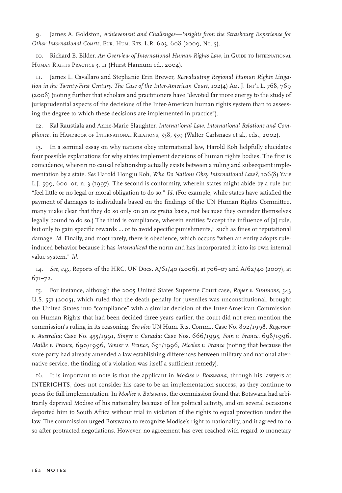9. James A. Goldston, *Achievement and Challenges—Insights from the Strasbourg Experience for Other International Courts*, EUR. HUM. RTS. L.R. 603, 608 (2009, No. 5).

10. Richard B. Bilder, *An Overview of International Human Rights Law*, in GUIDE TO INTERNATIONAL HUMAN RIGHTS PRACTICE 3, 11 (Hurst Hannum ed., 2004).

11. James L. Cavallaro and Stephanie Erin Brewer, *Reevaluating Regional Human Rights Litigation in the Twenty-First Century: The Case of the Inter-American Court*, 102(4) AM. J. INT'L L. 768, 769 (2008) (noting further that scholars and practitioners have "devoted far more energy to the study of jurisprudential aspects of the decisions of the Inter-American human rights system than to assessing the degree to which these decisions are implemented in practice").

12. Kal Raustiala and Anne-Marie Slaughter, *International Law, International Relations and Compliance*, in HANDBOOK OF INTERNATIONAL RELATIONS, 538, 539 (Walter Carlsnaes et al., eds., 2002).

13. In a seminal essay on why nations obey international law, Harold Koh helpfully elucidates four possible explanations for why states implement decisions of human rights bodies. The first is coincidence, wherein no causal relationship actually exists between a ruling and subsequent implementation by a state. *See* Harold Hongju Koh, *Who Do Nations Obey International Law?*, 106(8) YALE L.J. 599, 600–01, n. 3 (1997). The second is conformity, wherein states might abide by a rule but "feel little or no legal or moral obligation to do so." *Id.* (For example, while states have satisfied the payment of damages to individuals based on the findings of the UN Human Rights Committee, many make clear that they do so only on an *ex gratia* basis, not because they consider themselves legally bound to do so.) The third is compliance, wherein entities "accept the influence of [a] rule, but only to gain specific rewards … or to avoid specific punishments," such as fines or reputational damage. *Id.* Finally, and most rarely, there is obedience, which occurs "when an entity adopts ruleinduced behavior because it has *internalized* the norm and has incorporated it into its own internal value system." *Id.*

14. *See, e.g.,* Reports of the HRC, UN Docs. A/61/40 (2006), at 706–07 and A/62/40 (2007), at 671–72.

15. For instance, although the 2005 United States Supreme Court case, *Roper v. Simmons*, 543 U.S. 551 (2005), which ruled that the death penalty for juveniles was unconstitutional, brought the United States into "compliance" with a similar decision of the Inter-American Commission on Human Rights that had been decided three years earlier, the court did not even mention the commission's ruling in its reasoning. *See also* UN Hum. Rts. Comm., Case No. 802/1998, *Rogerson v. Australia*; Case No. 455/1991, *Singer v. Canada*; Case Nos. 666/1995, *Foin v. France*, 698/1996, *Maille v. France*, 690/1996, *Venier v. France*, 691/1996, *Nicolas v. France* (noting that because the state party had already amended a law establishing differences between military and national alternative service, the finding of a violation was itself a sufficient remedy).

16. It is important to note is that the applicant in *Modise v. Botswana*, through his lawyers at INTERIGHTS, does not consider his case to be an implementation success, as they continue to press for full implementation. In *Modise v. Botswana*, the commission found that Botswana had arbitrarily deprived Modise of his nationality because of his political activity, and on several occasions deported him to South Africa without trial in violation of the rights to equal protection under the law. The commission urged Botswana to recognize Modise's right to nationality, and it agreed to do so after protracted negotiations. However, no agreement has ever reached with regard to monetary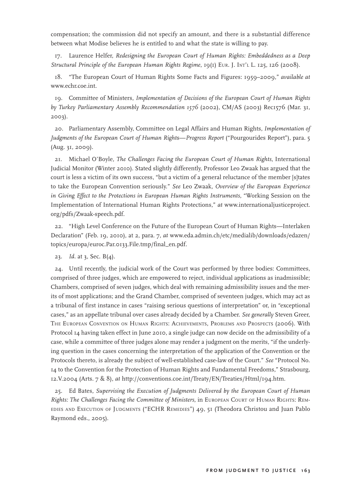compensation; the commission did not specify an amount, and there is a substantial difference between what Modise believes he is entitled to and what the state is willing to pay.

17. Laurence Helfer, *Redesigning the European Court of Human Rights: Embeddedness as a Deep Structural Principle of the European Human Rights Regime*, 19(1) EUR. J. INT'L L. 125, 126 (2008).

18. "The European Court of Human Rights Some Facts and Figures: 1959–2009," *available at* www.echr.coe.int.

19. Committee of Ministers, *Implementation of Decisions of the European Court of Human Rights by Turkey Parliamentary Assembly Recommendation 1576* (2002), CM/AS (2003) Rec1576 (Mar. 31, 2003).

20. Parliamentary Assembly, Committee on Legal Affairs and Human Rights, *Implementation of Judgments of the European Court of Human Right*s—*Progress Report* ("Pourgourides Report"), para. 5 (Aug. 31, 2009).

21. Michael O'Boyle, *The Challenges Facing the European Court of Human Rights*, International Judicial Monitor (Winter 2010). Stated slightly differently, Professor Leo Zwaak has argued that the court is less a victim of its own success, "but a victim of a general reluctance of the member [s]tates to take the European Convention seriously." *See* Leo Zwaak, *Overview of the European Experience in Giving Effect to the Protections in European Human Rights Instruments*, "Working Session on the Implementation of International Human Rights Protections," *at* www.internationaljusticeproject. org/pdfs/Zwaak-speech.pdf.

22. "High Level Conference on the Future of the European Court of Human Rights—Interlaken Declaration" (Feb. 19, 2010), at 2, para. 7, *at* www.eda.admin.ch/etc/medialib/downloads/edazen/ topics/europa/euroc.Par.0133.File.tmp/final\_en.pdf*.*

23. *Id.* at 3, Sec. B(4).

24. Until recently, the judicial work of the Court was performed by three bodies: Committees, comprised of three judges, which are empowered to reject, individual applications as inadmissible; Chambers, comprised of seven judges, which deal with remaining admissibility issues and the merits of most applications; and the Grand Chamber, comprised of seventeen judges, which may act as a tribunal of first instance in cases "raising serious questions of interpretation" or, in "exceptional cases," as an appellate tribunal over cases already decided by a Chamber. *See generally* Steven Greer, THE EUROPEAN CONVENTION ON HUMAN RIGHTS: ACHIEVEMENTS, PROBLEMS AND PROSPECTS (2006). With Protocol 14 having taken effect in June 2010, a single judge can now decide on the admissibility of a case, while a committee of three judges alone may render a judgment on the merits, "if the underlying question in the cases concerning the interpretation of the application of the Convention or the Protocols thereto, is already the subject of well-established case-law of the Court." *See* "Protocol No. 14 to the Convention for the Protection of Human Rights and Fundamental Freedoms," Strasbourg, 12.V.2004 (Arts. 7 & 8), *at* http://conventions.coe.int/Treaty/EN/Treaties/Html/194.htm.

25. Ed Bates, *Supervising the Execution of Judgments Delivered by the European Court of Human Rights: The Challenges Facing the Committee of Ministers*, in EUROPEAN COURT OF HUMAN RIGHTS: REM-EDIES AND EXECUTION OF JUDGMENTS ("ECHR REMEDIES") 49, 51 (Theodora Christou and Juan Pablo Raymond eds., 2005).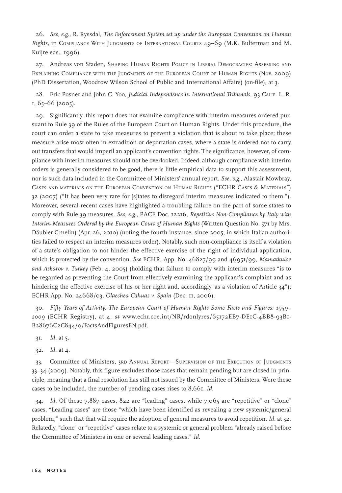26. *See, e.g.,* R. Ryssdal, *The Enforcement System set up under the European Convention on Human Rights*, in COMPLIANCE WITH JUDGMENTS OF INTERNATIONAL COURTS 49–69 (M.K. Bulterman and M. Kuijre eds., 1996).

27. Andreas von Staden, SHAPING HUMAN RIGHTS POLICY IN LIBERAL DEMOCRACIES: ASSESSING AND EXPLAINING COMPLIANCE WITH THE JUDGMENTS OF THE EUROPEAN COURT OF HUMAN RIGHTS (Nov. 2009) (PhD Dissertation, Woodrow Wilson School of Public and International Affairs) (on-file), at 3.

28. Eric Posner and John C. Yoo, *Judicial Independence in International Tribunals*, 93 CALIF. L. R. 1, 65–66 (2005).

29. Significantly, this report does not examine compliance with interim measures ordered pursuant to Rule 39 of the Rules of the European Court on Human Rights. Under this procedure, the court can order a state to take measures to prevent a violation that is about to take place; these measure arise most often in extradition or deportation cases, where a state is ordered not to carry out transfers that would imperil an applicant's convention rights. The significance, however, of compliance with interim measures should not be overlooked. Indeed, although compliance with interim orders is generally considered to be good, there is little empirical data to support this assessment, nor is such data included in the Committee of Ministers' annual report. *See, e.g.,* Alastair Mowbray, CASES AND MATERIALS ON THE EUROPEAN CONVENTION ON HUMAN RIGHTS ("ECHR CASES & MATERIALS") 32 (2007) ("It has been very rare for [s]tates to disregard interim measures indicated to them."). Moreover, several recent cases have highlighted a troubling failure on the part of some states to comply with Rule 39 measures. *See, e.g.,* PACE Doc. 12216, *Repetitive Non-Compliance by Italy with Interim Measures Ordered by the European Court of Human Rights* (Written Question No. 571 by Mrs. Däubler-Gmelin) (Apr. 26, 2010) (noting the fourth instance, since 2005, in which Italian authorities failed to respect an interim measures order). Notably, such non-compliance is itself a violation of a state's obligation to not hinder the effective exercise of the right of individual application, which is protected by the convention. *See* ECHR, App. No. 46827/99 and 46951/99, *Mamatkulov and Askarov v. Turkey* (Feb. 4, 2005) (holding that failure to comply with interim measures "is to be regarded as preventing the Court from effectively examining the applicant's complaint and as hindering the effective exercise of his or her right and, accordingly, as a violation of Article 34"); ECHR App. No. 24668/03, *Olaechea Cahuas v. Spain* (Dec. 11, 2006).

30. *Fifty Years of Activity: The European Court of Human Rights Some Facts and Figures: 1959– 2009* (ECHR Registry), at 4, *at* www.echr.coe.int/NR/rdonlyres/65172EB7-DE1C-4BB8-93B1- B28676C2C844/0/FactsAndFiguresEN.pdf.

31. *Id.* at 5.

 $32.$  *Id.* at  $4.$ 

33. Committee of Ministers, 3RD ANNUAL REPORT—SUPERVISION OF THE EXECUTION OF JUDGMENTS 33–34 (2009). Notably, this figure excludes those cases that remain pending but are closed in principle, meaning that a final resolution has still not issued by the Committee of Ministers. Were these cases to be included, the number of pending cases rises to 8,661. *Id.* 

34. *Id.* Of these 7,887 cases, 822 are "leading" cases, while 7,065 are "repetitive" or "clone" cases. "Leading cases" are those "which have been identified as revealing a new systemic/general problem," such that that will require the adoption of general measures to avoid repetition. *Id.* at 32. Relatedly, "clone" or "repetitive" cases relate to a systemic or general problem "already raised before the Committee of Ministers in one or several leading cases." *Id.*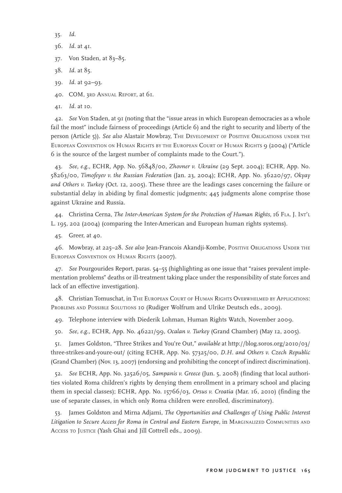- 35. *Id*.
- 36. *Id.* at 41.
- 37. Von Staden, at 83–85.
- 38. *Id.* at 85.
- 39. *Id.* at 92–93.
- 40. COM, 3RD ANNUAL REPORT, at 61.
- 41. *Id.* at 10.

42. *See* Von Staden, at 91 (noting that the "issue areas in which European democracies as a whole fail the most" include fairness of proceedings (Article 6) and the right to security and liberty of the person (Article 5)). *See also* Alastair Mowbray, THE DEVELOPMENT OF POSITIVE OBLIGATIONS UNDER THE EUROPEAN CONVENTION ON HUMAN RIGHTS BY THE EUROPEAN COURT OF HUMAN RIGHTS 9 (2004) ("Article 6 is the source of the largest number of complaints made to the Court.").

43. *See, e.g.,* ECHR, App. No. 56848/00, *Zhovner v. Ukraine* (29 Sept. 2004); ECHR, App. No. 58263/00, *Timofeyev v. the Russian Federation* (Jan. 23, 2004); ECHR, App. No. 36220/97, *Okyay and Others v. Turkey* (Oct. 12, 2005). These three are the leadings cases concerning the failure or substantial delay in abiding by final domestic judgments; 445 judgments alone comprise those against Ukraine and Russia.

44. Christina Cerna, *The Inter-American System for the Protection of Human Rights*, 16 FLA. J. INT'L L. 195, 202 (2004) (comparing the Inter-American and European human rights systems).

45. Greer, at 40.

46. Mowbray, at 225–28. *See also* Jean-Francois Akandji-Kombe, POSITIVE OBLIGATIONS UNDER THE EUROPEAN CONVENTION ON HUMAN RIGHTS (2007).

47. *See* Pourgourides Report, paras. 54–55 (highlighting as one issue that "raises prevalent implementation problems" deaths or ill-treatment taking place under the responsibility of state forces and lack of an effective investigation).

48. Christian Tomuschat, in THE EUROPEAN COURT OF HUMAN RIGHTS OVERWHELMED BY APPLICATIONS: PROBLEMS AND POSSIBLE SOLUTIONS 10 (Rudiger Wolfrum and Ulrike Deutsch eds., 2009).

49. Telephone interview with Diederik Lohman, Human Rights Watch, November 2009.

50. *See, e.g.,* ECHR, App. No. 46221/99, *Ocalan v. Turkey* (Grand Chamber) (May 12, 2005).

51. James Goldston, "Three Strikes and You're Out," *available* at http://blog.soros.org/2010/03/ three-strikes-and-youre-out/ (citing ECHR, App. No. 57325/00, *D.H. and Others v. Czech Republic* (Grand Chamber) (Nov. 13, 2007) (endorsing and prohibiting the concept of indirect discrimination).

52. *See* ECHR, App. No. 32526/05, *Sampanis v. Greece* (Jun. 5, 2008) (finding that local authorities violated Roma children's rights by denying them enrollment in a primary school and placing them in special classes); ECHR, App. No. 15766/03, *Orsus v. Croatia* (Mar. 16, 2010) (finding the use of separate classes, in which only Roma children were enrolled, discriminatory).

53. James Goldston and Mirna Adjami, *The Opportunities and Challenges of Using Public Interest Litigation to Secure Access for Roma in Central and Eastern Europe*, in MARGINALIZED COMMUNITIES AND ACCESS TO JUSTICE (Yash Ghai and Jill Cottrell eds., 2009).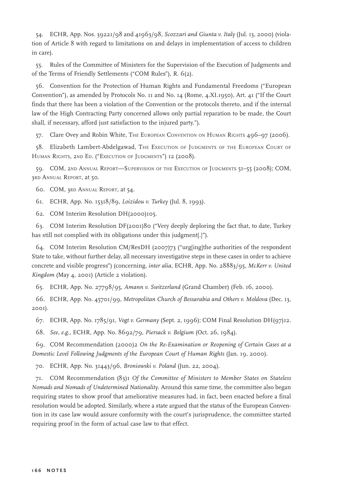54. ECHR, App. Nos. 39221/98 and 41963/98, *Scozzari and Giunta v. Italy* (Jul. 13, 2000) (violation of Article 8 with regard to limitations on and delays in implementation of access to children in care).

55. Rules of the Committee of Ministers for the Supervision of the Execution of Judgments and of the Terms of Friendly Settlements ("COM Rules"), R. 6(2).

56. Convention for the Protection of Human Rights and Fundamental Freedoms ("European Convention"), as amended by Protocols No. 11 and No. 14 (Rome, 4.XI.1950), Art. 41 ("If the Court finds that there has been a violation of the Convention or the protocols thereto, and if the internal law of the High Contracting Party concerned allows only partial reparation to be made, the Court shall, if necessary, afford just satisfaction to the injured party.").

57. Clare Ovey and Robin White, THE EUROPEAN CONVENTION ON HUMAN RIGHTS 496–97 (2006).

58. Elizabeth Lambert-Abdelgawad, THE EXECUTION OF JUDGMENTS OF THE EUROPEAN COURT OF HUMAN RIGHTS, 2ND ED. ("EXECUTION OF JUDGMENTS") 12 (2008).

59. COM, 2ND ANNUAL REPORT—SUPERVISION OF THE EXECUTION OF JUDGMENTS 51–55 (2008); COM, 3RD ANNUAL REPORT, at 50.

60. COM, 3RD ANNUAL REPORT, at 54.

61. ECHR, App. No. 15318/89, *Loizidou v. Turkey* (Jul. 8, 1993).

62. COM Interim Resolution DH(2000)105.

63. COM Interim Resolution DF(2001)80 ("Very deeply deploring the fact that, to date, Turkey has still not complied with its obligations under this judgment[.]").

64. COM Interim Resolution CM/ResDH (2007)73 ("urg[ing]the authorities of the respondent State to take, without further delay, all necessary investigative steps in these cases in order to achieve concrete and visible progress") (concerning, *inter alia*, ECHR, App. No. 28883/95, *McKerr v. United Kingdom* (May 4, 2001) (Article 2 violation).

65. ECHR, App. No. 27798/95, *Amann v. Switzerland* (Grand Chamber) (Feb. 16, 2000).

66. ECHR, App. No. 45701/99, *Metropolitan Church of Bessarabia and Others v. Moldova* (Dec. 13, 2001).

67. ECHR, App. No. 1785/91, *Vogt v. Germany* (Sept. 2, 1996); COM Final Resolution DH(97)12.

68. *See, e.g.,* ECHR, App. No. 8692/79, *Piersack v. Belgium* (Oct. 26, 1984).

69. COM Recommendation (2000)2 *On the Re-Examination or Reopening of Certain Cases at a Domestic Level Following Judgments of the European Court of Human Rights* (Jan. 19, 2000).

70. ECHR, App. No. 31443/96, *Broniowski v. Poland* (Jun. 22, 2004).

71. COM Recommendation (83)1 *Of the Committee of Ministers to Member States on Stateless Nomads and Nomads of Undetermined Nationality*. Around this same time, the committee also began requiring states to show proof that ameliorative measures had, in fact, been enacted before a final resolution would be adopted. Similarly, where a state argued that the status of the European Convention in its case law would assure conformity with the court's jurisprudence, the committee started requiring proof in the form of actual case law to that effect.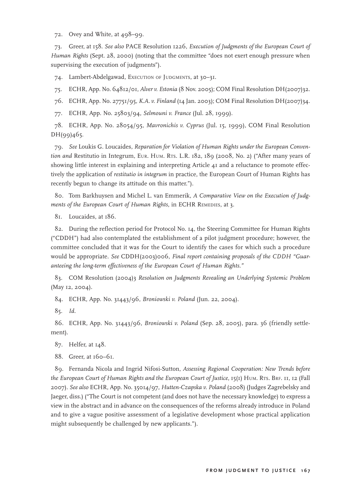72. Ovey and White, at 498–99.

73. Greer, at 158. *See also* PACE Resolution 1226, *Execution of Judgments of the European Court of Human Rights* (Sept. 28, 2000) (noting that the committee "does not exert enough pressure when supervising the execution of judgments").

74. Lambert-Abdelgawad, EXECUTION OF JUDGMENTS, at 30–31.

75. ECHR, App. No. 64812/01, *Alver v. Estonia* (8 Nov. 2005); COM Final Resolution DH(2007)32.

76. ECHR, App. No. 27751/95, *K.A. v. Finland* (14 Jan. 2003); COM Final Resolution DH(2007)34.

77. ECHR, App. No. 25803/94, *Selmouni v. France* (Jul. 28, 1999).

78. ECHR, App. No. 28054/95, *Mavronichis v. Cyprus* (Jul. 15, 1999), COM Final Resolution DH(99)465.

79. *See* Loukis G. Loucaides, *Reparation for Violation of Human Rights under the European Convention and* Restitutio in Integrum, EUR. HUM. RTS. L.R. 182, 189 (2008, No. 2) ("After many years of showing little interest in explaining and interpreting Article 41 and a reluctance to promote effectively the application of *restitutio in integrum* in practice, the European Court of Human Rights has recently begun to change its attitude on this matter.").

80. Tom Barkhuysen and Michel L. van Emmerik, *A Comparative View on the Execution of Judgments of the European Court of Human Rights,* in ECHR REMEDIES, at 3.

81. Loucaides, at 186.

82. During the reflection period for Protocol No. 14, the Steering Committee for Human Rights ("CDDH") had also contemplated the establishment of a pilot judgment procedure; however, the committee concluded that it was for the Court to identify the cases for which such a procedure would be appropriate. *See* CDDH(2003)006, *Final report containing proposals of the CDDH "Guaranteeing the long-term effectiveness of the European Court of Human Rights."*

83. COM Resolution (2004)3 *Resolution on Judgments Revealing an Underlying Systemic Problem* (May 12, 2004).

84. ECHR, App. No. 31443/96, *Broniowski v. Poland* (Jun. 22, 2004).

85. *Id.*

86. ECHR, App. No. 31443/96, *Broniowski v. Poland* (Sep. 28, 2005), para. 36 (friendly settlement).

87. Helfer, at 148.

88. Greer, at 160–61.

89. Fernanda Nicola and Ingrid Nifosi-Sutton, *Assessing Regional Cooperation: New Trends before the European Court of Human Rights and the European Court of Justice*, 15(1) HUM. RTS. BRF. 11, 12 (Fall 2007). *See also* ECHR, App. No. 35014/97, *Hutten-Czapska v. Poland* (2008) (Judges Zagrebelsky and Jaeger, diss.) ("The Court is not competent (and does not have the necessary knowledge) to express a view in the abstract and in advance on the consequences of the reforms already introduce in Poland and to give a vague positive assessment of a legislative development whose practical application might subsequently be challenged by new applicants.").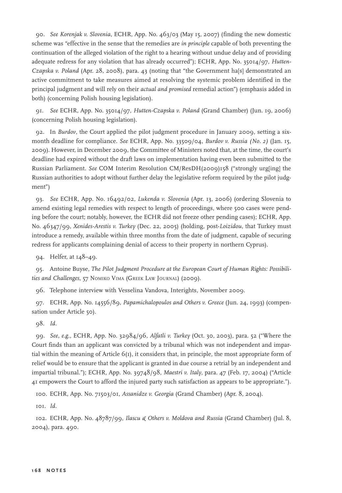90. *See Korenjak v. Slovenia*, ECHR, App. No. 463/03 (May 15, 2007) (finding the new domestic scheme was "effective in the sense that the remedies are *in principle* capable of both preventing the continuation of the alleged violation of the right to a hearing without undue delay and of providing adequate redress for any violation that has already occurred"); ECHR, App. No. 35014/97, *Hutten-Czapska v. Poland* (Apr. 28, 2008), para. 43 (noting that "the Government ha[s] demonstrated an active commitment to take measures aimed at resolving the systemic problem identified in the principal judgment and will rely on their *actual and promised* remedial action") (emphasis added in both) (concerning Polish housing legislation).

91. *See* ECHR, App. No. 35014/97, *Hutten-Czapska v. Poland* (Grand Chamber) (Jun. 19, 2006) (concerning Polish housing legislation).

92. In *Burdov*, the Court applied the pilot judgment procedure in January 2009, setting a sixmonth deadline for compliance. *See* ECHR, App. No. 33509/04, *Burdov v. Russia (No. 2)* (Jan. 15, 2009). However, in December 2009, the Committee of Ministers noted that, at the time, the court's deadline had expired without the draft laws on implementation having even been submitted to the Russian Parliament. *See* COM Interim Resolution CM/ResDH(2009)158 ("strongly urg[ing] the Russian authorities to adopt without further delay the legislative reform required by the pilot judgment")

93. *See* ECHR, App. No. 16492/02, *Lukenda v. Slovenia* (Apr. 13, 2006) (ordering Slovenia to amend existing legal remedies with respect to length of proceedings, where 500 cases were pending before the court; notably, however, the ECHR did not freeze other pending cases); ECHR, App. No. 46347/99, *Xenides-Arestis v. Turkey* (Dec. 22, 2005) (holding, post-*Loizidou*, that Turkey must introduce a remedy, available within three months from the date of judgment, capable of securing redress for applicants complaining denial of access to their property in northern Cyprus).

94. Helfer, at 148–49.

95. Antoine Buyse, *The Pilot Judgment Procedure at the European Court of Human Rights: Possibilities and Challenges*, 57 NOMIKO VIMA (GREEK LAW JOURNAL) (2009).

96. Telephone interview with Vesselina Vandova, Interights, November 2009.

97. ECHR, App. No. 14556/89, *Papamichalopoulos and Others v. Greece* (Jun. 24, 1993) (compensation under Article 50).

98. *Id.*

99. *See, e.g.,* ECHR, App. No. 32984/96, *Alfatli v. Turkey* (Oct. 30, 2003), para. 52 ("Where the Court finds than an applicant was convicted by a tribunal which was not independent and impartial within the meaning of Article  $6(1)$ , it considers that, in principle, the most appropriate form of relief would be to ensure that the applicant is granted in due course a retrial by an independent and impartial tribunal."); ECHR, App. No. 39748/98, *Maestri v. Italy*, para. 47 (Feb. 17, 2004) ("Article 41 empowers the Court to afford the injured party such satisfaction as appears to be appropriate.").

100. ECHR, App. No. 71503/01, *Assanidze v. Georgia* (Grand Chamber) (Apr. 8, 2004).

101. *Id.*

102. ECHR, App. No. 48787/99, *Ilascu & Others v. Moldova and Russia* (Grand Chamber) (Jul. 8, 2004), para. 490.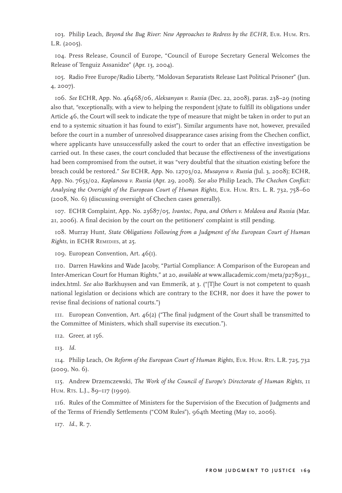103. Philip Leach, *Beyond the Bug River: New Approaches to Redress by the ECHR*, EUR. HUM. RTS. L.R. (2005).

104. Press Release, Council of Europe, "Council of Europe Secretary General Welcomes the Release of Tenguiz Assanidze" (Apr. 13, 2004).

105. Radio Free Europe/Radio Liberty, "Moldovan Separatists Release Last Political Prisoner" (Jun. 4, 2007).

106. *See* ECHR, App. No. 46468/06, *Aleksanyan v. Russia* (Dec. 22, 2008), paras. 238–29 (noting also that, "exceptionally, with a view to helping the respondent [s]tate to fulfill its obligations under Article 46, the Court will seek to indicate the type of measure that might be taken in order to put an end to a systemic situation it has found to exist"). Similar arguments have not, however, prevailed before the court in a number of unresolved disappearance cases arising from the Chechen conflict, where applicants have unsuccessfully asked the court to order that an effective investigation be carried out. In these cases, the court concluded that because the effectiveness of the investigations had been compromised from the outset, it was "very doubtful that the situation existing before the breach could be restored." *See* ECHR, App. No. 12703/02, *Musayeva v. Russia* (Jul. 3, 2008); ECHR, App. No. 7653/02, *Kaplanova v. Russia* (Apr. 29, 2008). *See also* Philip Leach, *The Chechen Conflict: Analysing the Oversight of the European Court of Human Rights*, EUR. HUM. RTS. L. R. 732, 758–60 (2008, No. 6) (discussing oversight of Chechen cases generally).

107. ECHR Complaint, App. No. 23687/05, *Ivantoc, Popa, and Others v. Moldova and Russia* (Mar. 21, 2006). A final decision by the court on the petitioners' complaint is still pending.

108. Murray Hunt, *State Obligations Following from a Judgment of the European Court of Human Rights*, in ECHR REMEDIES, at 25.

109. European Convention, Art. 46(1).

110. Darren Hawkins and Wade Jacoby, "Partial Compliance: A Comparison of the European and Inter-American Court for Human Rights," at 20, *available at* www.allacademic.com/meta/p278931\_ index.html. *See also* Barkhuysen and van Emmerik, at 3. ("[T]he Court is not competent to quash national legislation or decisions which are contrary to the ECHR, nor does it have the power to revise final decisions of national courts.")

111. European Convention, Art. 46(2) ("The final judgment of the Court shall be transmitted to the Committee of Ministers, which shall supervise its execution.").

112. Greer, at 156.

113. *Id.*

114. Philip Leach, *On Reform of the European Court of Human Rights*, EUR. HUM. RTS. L.R. 725, 732 (2009, No. 6).

115. Andrew Drzemczewski, *The Work of the Council of Europe's Directorate of Human Rights*, 11 HUM. RTS. L.J., 89–117 (1990).

116. Rules of the Committee of Ministers for the Supervision of the Execution of Judgments and of the Terms of Friendly Settlements ("COM Rules"), 964th Meeting (May 10, 2006).

117. *Id.*, R. 7.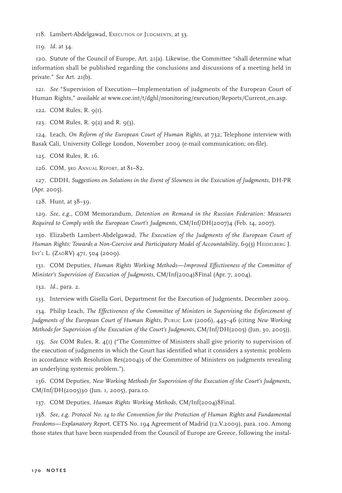118. Lambert-Abdelgawad, EXECUTION OF JUDGMENTS, at 33.

119. *Id.* at 34.

120. Statute of the Council of Europe, Art. 21(a). Likewise, the Committee "shall determine what information shall be published regarding the conclusions and discussions of a meeting held in private." *See* Art. 21(b).

121. *See* "Supervision of Execution—Implementation of judgments of the European Court of Human Rights," *available at* www.coe.int/t/dghl/monitoring/execution/Reports/Current\_en.asp.

122. COM Rules, R.  $Q(I)$ .

123. COM Rules, R.  $9(2)$  and R.  $9(3)$ .

124. Leach, *On Reform of the European Court of Human Rights*, at 732; Telephone interview with Basak Cali, University College London, November 2009 (e-mail communication; on-file).

125. COM Rules, R. 16.

126. COM, 3RD ANNUAL REPORT, at 81–82.

127. CDDH, *Suggestions on Solutions in the Event of Slowness in the Execution of Judgments*, DH-PR (Apr. 2005).

128. Hunt, at 38–39.

129. *See, e.g.,* COM Memorandum, *Detention on Remand in the Russian Federation: Measures Required to Comply with the European Court's Judgments*, CM/Inf/DH(2007)4 (Feb. 14, 2007).

130. Elizabeth Lambert-Abdelgawad, *The Execution of the Judgments of the European Court of Human Rights: Towards a Non-Coercive and Participatory Model of Accountability*, 69(3) HEIDELBERG J. INT'L L. (ZAÖRV) 471, 504 (2009).

131. COM Deputies, *Human Rights Working Methods—Improved Effectiveness of the Committee of Minister's Supervision of Execution of Judgments*, CM/Inf(2004)8Final (Apr. 7, 2004).

132. *Id.*, para. 2.

133. Interview with Gisella Gori, Department for the Execution of Judgments, December 2009.

134. Philip Leach, *The Effectiveness of the Committee of Ministers in Supervising the Enforcement of Judgments of the European Court of Human Rights*, PUBLIC LAW (2006), 445–46 (citing *New Working Methods for Supervision of the Execution of the Court's Judgments,* CM/Inf/DH(2005) (Jun. 30, 2005)).

135. *See* COM Rules, R. 4(1) ("The Committee of Ministers shall give priority to supervision of the execution of judgments in which the Court has identified what it considers a systemic problem in accordance with Resolution Res $(2004)3$  of the Committee of Ministers on judgments revealing an underlying systemic problem.").

136. COM Deputies, *New Working Methods for Supervision of the Execution of the Court's Judgments*, CM/Inf/DH(2005)30 (Jun. 1, 2005), para.10.

137. COM Deputies, *Human Rights Working Methods*, CM/Inf(2004)8Final.

138. *See, e.g. Protocol No. 14 to the Convention for the Protection of Human Rights and Fundamental Freedoms—Explanatory Report*, CETS No. 194 Agreement of Madrid (12.V.2009), para. 100. Among those states that have been suspended from the Council of Europe are Greece, following the instal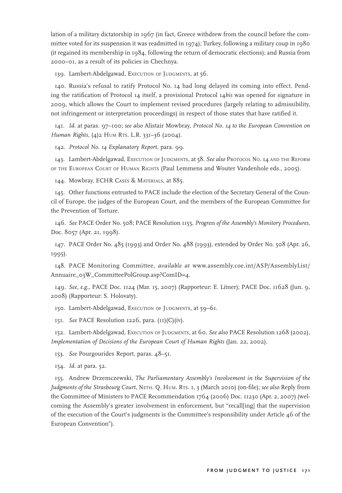lation of a military dictatorship in 1967 (in fact, Greece withdrew from the council before the committee voted for its suspension it was readmitted in 1974); Turkey, following a military coup in 1980 (it regained its membership in 1984, following the return of democratic elections); and Russia from 2000–01, as a result of its policies in Chechnya.

139. Lambert-Abdelgawad, EXECUTION OF JUDGMENTS, at 56.

140. Russia's refusal to ratify Protocol No. 14 had long delayed its coming into effect. Pending the ratification of Protocol 14 itself, a provisional Protocol 14*bis* was opened for signature in 2009, which allows the Court to implement revised procedures (largely relating to admissibility, not infringement or interpretation proceedings) in respect of those states that have ratified it.

141. *Id.* at paras. 97–100; *see also* Alistair Mowbray, *Protocol No. 14 to the European Convention on Human Rights*, (4)2 HUM RTS. L.R. 331–36 (2004).

142. *Protocol No. 14 Explanatory Report*, para. 99.

143. Lambert-Abdelgawad, EXECUTION OF JUDGMENTS, at 58. *See also* PROTOCOL NO. 14 AND THE REFORM OF THE EUROPEAN COURT OF HUMAN RIGHTS (Paul Lemmens and Wouter Vandenhole eds., 2005).

144. Mowbray, ECHR CASES & MATERIALS, at 885.

145. Other functions entrusted to PACE include the election of the Secretary General of the Council of Europe, the judges of the European Court, and the members of the European Committee for the Prevention of Torture.

146. *See* PACE Order No. 508; PACE Resolution 1155, *Progress of the Assembly's Monitory Procedures*, Doc. 8057 (Apr. 21, 1998).

147. PACE Order No. 485 (1993) and Order No. 488 (1993), extended by Order No. 508 (Apr. 26, 1995).

148. PACE Monitoring Committee, *available at* www.assembly.coe.int/ASP/AssemblyList/ Annuaire\_03W\_CommitteePolGroup.asp?ComID=4.

149. *See, e.g.,* PACE Doc. 1124 (Mar. 15, 2007) (Rapporteur: E. Litner); PACE Doc. 11628 (Jun. 9, 2008) (Rapporteur: S. Holovaty).

150. Lambert-Abdelgawad, EXECUTION OF JUDGMENTS, at 59–61.

151. *See* PACE Resolution 1226, para. (11)(C)(iv).

152. Lambert-Abdelgawad, EXECUTION OF JUDGMENTS, at 60. *See also* PACE Resolution 1268 (2002), *Implementation of Decisions of the European Court of Human Rights (Jan. 22, 2002).* 

153. *See* Pourgourides Report, paras. 48–51.

154. *Id.* at para. 52.

155. Andrew Drzemczewski, *The Parliamentary Assembly's Involvement in the Supervision of the Judgments of the Strasbourg Court*, NETH. Q. HUM. RTS. 1, 3 (March 2010) (on-file); *see also* Reply from the Committee of Ministers to PACE Recommendation 1764 (2006) Doc. 11230 (Apr. 2, 2007) (welcoming the Assembly's greater involvement in enforcement, but "recall[ing] that the supervision of the execution of the Court's judgments is the Committee's responsibility under Article 46 of the European Convention").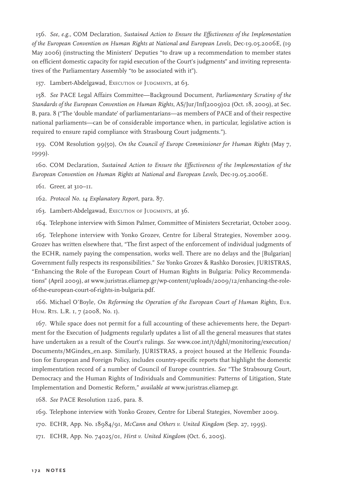156. *See, e.g.,* COM Declaration, *Sustained Action to Ensure the Effectiveness of the Implementation of the European Convention on Human Rights at National and European Levels*, Dec-19.05.2006E, (19 May 2006) (instructing the Ministers' Deputies "to draw up a recommendation to member states on efficient domestic capacity for rapid execution of the Court's judgments" and inviting representatives of the Parliamentary Assembly "to be associated with it").

157. Lambert-Abdelgawad, EXECUTION OF JUDGMENTS, at 63.

158. *See* PACE Legal Affairs Committee—Background Document, *Parliamentary Scrutiny of the Standards of the European Convention on Human Rights*, AS/Jur/Inf(2009)02 (Oct. 18, 2009), at Sec. B, para. 8 ("The 'double mandate' of parliamentarians—as members of PACE and of their respective national parliaments—can be of considerable importance when, in particular, legislative action is required to ensure rapid compliance with Strasbourg Court judgments.").

159. COM Resolution 99(50), *On the Council of Europe Commissioner for Human Rights* (May 7, 1999).

160. COM Declaration, *Sustained Action to Ensure the Effectiveness of the Implementation of the European Convention on Human Rights at National and European Levels*, Dec-19.05.2006E.

- 161. Greer, at 310–11.
- 162. *Protocol No. 14 Explanatory Report*, para. 87.
- 163. Lambert-Abdelgawad, EXECUTION OF JUDGMENTS, at 36.

164. Telephone interview with Simon Palmer, Committee of Ministers Secretariat, October 2009.

165. Telephone interview with Yonko Grozev, Centre for Liberal Strategies, November 2009. Grozev has written elsewhere that, "The first aspect of the enforcement of individual judgments of the ECHR, namely paying the compensation, works well. There are no delays and the [Bulgarian] Government fully respects its responsibilities." *See* Yonko Grozev & Rashko Dorosiev, JURISTRAS, "Enhancing the Role of the European Court of Human Rights in Bulgaria: Policy Recommendations" (April 2009), *at* www.juristras.eliamep.gr/wp-content/uploads/2009/12/enhancing-the-roleof-the-european-court-of-rights-in-bulgaria.pdf.

166. Michael O'Boyle, *On Reforming the Operation of the European Court of Human Rights*, EUR. HUM. RTS. L.R. 1, 7 (2008, No. 1).

167. While space does not permit for a full accounting of these achievements here, the Department for the Execution of Judgments regularly updates a list of all the general measures that states have undertaken as a result of the Court's rulings. *See* www.coe.int/t/dghl/monitoring/execution/ Documents/MGindex\_en.asp. Similarly, JURISTRAS, a project housed at the Hellenic Foundation for European and Foreign Policy, includes country-specific reports that highlight the domestic implementation record of a number of Council of Europe countries. *See* "The Strabsourg Court, Democracy and the Human Rights of Individuals and Communities: Patterns of Litigation, State Implementation and Domestic Reform," *available at* www.juristras.eliamep.gr.

168. *See* PACE Resolution 1226, para. 8.

169. Telephone interview with Yonko Grozev, Centre for Liberal Stategies, November 2009.

170. ECHR, App. No. 18984/91, *McCann and Others v. United Kingdom* (Sep. 27, 1995).

171. ECHR, App. No. 74025/01, *Hirst v. United Kingdom* (Oct. 6, 2005).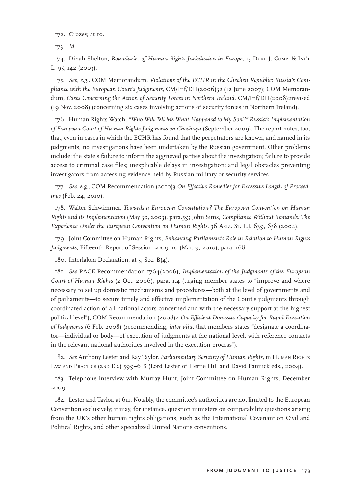172. Grozev, at 10.

173. *Id.*

174. Dinah Shelton, *Boundaries of Human Rights Jurisdiction in Europe*, 13 DUKE J. COMP. & INT'L L. 95, 142 (2003).

175. *See, e.g.,* COM Memorandum, *Violations of the ECHR in the Chechen Republic: Russia's Compliance with the European Court's Judgments*, CM/Inf/DH(2006)32 (12 June 2007); COM Memorandum, *Cases Concerning the Action of Security Forces in Northern Ireland*, CM/Inf/DH(2008)2revised (19 Nov. 2008) (concerning six cases involving actions of security forces in Northern Ireland).

176. Human Rights Watch, *"Who Will Tell Me What Happened to My Son?" Russia's Implementation of European Court of Human Rights Judgments on Chechnya* (September 2009). The report notes, too, that, even in cases in which the ECHR has found that the perpetrators are known, and named in its judgments, no investigations have been undertaken by the Russian government. Other problems include: the state's failure to inform the aggrieved parties about the investigation; failure to provide access to criminal case files; inexplicable delays in investigation; and legal obstacles preventing investigators from accessing evidence held by Russian military or security services.

177. *See, e.g.,* COM Recommendation (2010)3 *On Effective Remedies for Excessive Length of Proceedings* (Feb. 24, 2010).

178. Walter Schwimmer, *Towards a European Constitution? The European Convention on Human Rights and its Implementation* (May 30, 2003), para.59; John Sims, *Compliance Without Remands: The Experience Under the European Convention on Human Rights*, 36 ARIZ. ST. L.J. 639, 658 (2004).

179. Joint Committee on Human Rights, *Enhancing Parliament's Role in Relation to Human Rights Judgments,* Fifteenth Report of Session 2009–10 (Mar. 9, 2010), para. 168.

180. Interlaken Declaration, at 3, Sec. B(4).

181. *See* PACE Recommendation 1764(2006), *Implementation of the Judgments of the European Court of Human Rights* (2 Oct. 2006), para. 1.4 (urging member states to "improve and where necessary to set up domestic mechanisms and procedures—both at the level of governments and of parliaments—to secure timely and effective implementation of the Court's judgments through coordinated action of all national actors concerned and with the necessary support at the highest political level"); COM Recommendation (2008)2 *On Efficient Domestic Capacity for Rapid Execution of Judgments* (6 Feb. 2008) (recommending, *inter alia*, that members states "designate a coordinator—individual or body—of execution of judgments at the national level, with reference contacts in the relevant national authorities involved in the execution process").

182. *See* Anthony Lester and Kay Taylor, *Parliamentary Scrutiny of Human Rights*, in HUMAN RIGHTS LAW AND PRACTICE (2ND ED.) 599–618 (Lord Lester of Herne Hill and David Pannick eds., 2004).

183. Telephone interview with Murray Hunt, Joint Committee on Human Rights, December 2009.

184. Lester and Taylor, at 611. Notably, the committee's authorities are not limited to the European Convention exclusively; it may, for instance, question ministers on compatability questions arising from the UK's other human rights obligations, such as the International Covenant on Civil and Political Rights, and other specialized United Nations conventions.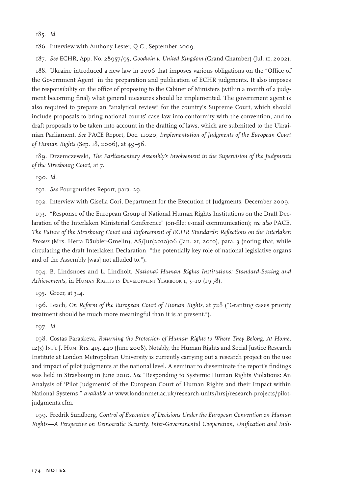185. *Id.* 

186. Interview with Anthony Lester, Q.C., September 2009.

187. *See* ECHR, App. No. 28957/95, *Goodwin v. United Kingdom* (Grand Chamber) (Jul. 11, 2002).

188. Ukraine introduced a new law in 2006 that imposes various obligations on the "Office of the Government Agent" in the preparation and publication of ECHR judgments. It also imposes the responsibility on the office of proposing to the Cabinet of Ministers (within a month of a judgment becoming final) what general measures should be implemented. The government agent is also required to prepare an "analytical review" for the country's Supreme Court, which should include proposals to bring national courts' case law into conformity with the convention, and to draft proposals to be taken into account in the drafting of laws, which are submitted to the Ukrainian Parliament. *See* PACE Report, Doc. 11020, *Implementation of Judgments of the European Court of Human Rights* (Sep. 18, 2006), at 49–56.

189. Drzemczewski, *The Parliamentary Assembly's Involvement in the Supervision of the Judgments of the Strasbourg Court*, at 7.

190. *Id.*

191. *See* Pourgourides Report, para. 29.

192. Interview with Gisella Gori, Department for the Execution of Judgments, December 2009.

193. "Response of the European Group of National Human Rights Institutions on the Draft Declaration of the Interlaken Ministerial Conference" (on-file; e-mail communication); *see also* PACE, *The Future of the Strasbourg Court and Enforcement of ECHR Standards: Reflections on the Interlaken Process* (Mrs. Herta Däubler-Gmelin), AS/Jur(2010)06 (Jan. 21, 2010), para. 3 (noting that, while circulating the draft Interlaken Declaration, "the potentially key role of national legislative organs and of the Assembly [was] not alluded to.").

194. B. Lindsnoes and L. Lindholt, *National Human Rights Institutions: Standard-Setting and Achievements*, in HUMAN RIGHTS IN DEVELOPMENT YEARBOOK 1, 3–10 (1998).

195. Greer, at 314.

196. Leach, *On Reform of the European Court of Human Rights*, at 728 ("Granting cases priority treatment should be much more meaningful than it is at present.").

197. *Id.*

198. Costas Paraskeva, *Returning the Protection of Human Rights to Where They Belong, At Home*, 12(3) INT'L J. HUM. RTS. 415, 440 (June 2008). Notably, the Human Rights and Social Justice Research Institute at London Metropolitan University is currently carrying out a research project on the use and impact of pilot judgments at the national level. A seminar to disseminate the report's findings was held in Strasbourg in June 2010. *See* "Responding to Systemic Human Rights Violations: An Analysis of 'Pilot Judgments' of the European Court of Human Rights and their Impact within National Systems," *available at* www.londonmet.ac.uk/research-units/hrsj/research-projects/pilotjudgments.cfm.

199. Fredrik Sundberg, *Control of Execution of Decisions Under the European Convention on Human Rights—A Perspective on Democratic Security, Inter-Governmental Cooperation, Unification and Indi-*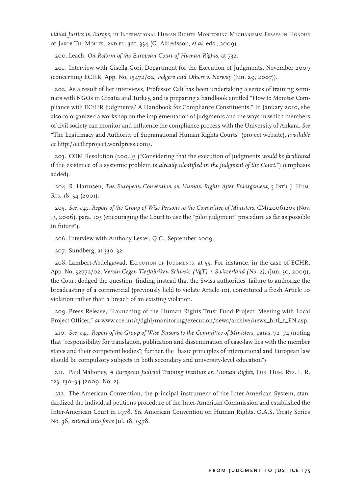*vidual Justice in Europe*, in INTERNATIONAL HUMAN RIGHTS MONITORING MECHANISMS: ESSAYS IN HONOUR OF JAKOB TH. MÖLLER, 2ND ED. 321, 334 (G. Alfredsson, *et al.* eds., 2009).

200. Leach, *On Reform of the European Court of Human Rights*, at 732.

201. Interview with Gisella Gori, Department for the Execution of Judgments, November 2009 (concerning ECHR, App. No, 15472/02, *Folgero and Others v. Norway* (Jun. 29, 2007)).

202. As a result of her interviews, Professor Cali has been undertaking a series of training seminars with NGOs in Croatia and Turkey, and is preparing a handbook entitled "How to Monitor Compliance with ECtHR Judgments? A Handbook for Compliance Constituents." In January 2010, she also co-organized a workshop on the implementation of judgments and the ways in which members of civil society can monitor and influence the compliance process with the University of Ankara. *See*  "The Legitimacy and Authority of Supranational Human Rights Courts" (project website), *available at* http://ecthrproject.wordpress.com/.

203. COM Resolution (2004)3 ("Considering that the execution of judgments *would be facilitated* if the existence of a systemic problem is *already identified in the judgment of the Court*.") (emphasis added).

204. R. Harmsen, *The European Convention on Human Rights After Enlargement*, 5 INT'L J. HUM. RTS. 18, 34 (2001).

205. *See, e.g., Report of the Group of Wise Persons to the Committee of Ministers*, CM(2006)203 (Nov. 15, 2006), para. 105 (encouraging the Court to use the "pilot judgment" procedure as far as possible in future").

206. Interview with Anthony Lester, Q.C., September 2009.

207. Sundberg, at 330–32.

208. Lambert-Abdelgawad, EXECUTION OF JUDGMENTS, at 55. For instance, in the case of ECHR, App. No. 32772/02, V*erein Gegen Tierfabriken Schweiz (VgT) v. Switzerland (No. 2)*, (Jun. 30, 2009), the Court dodged the question, finding instead that the Swiss authorities' failure to authorize the broadcasting of a commercial (previously held to violate Article 10), constituted a fresh Article 10 violation rather than a breach of an existing violation.

209. Press Release, "Launching of the Human Rights Trust Fund Project: Meeting with Local Project Officer," *at* www.coe.int/t/dghl/monitoring/execution/news/archive/news\_hrtf\_1\_EN.asp.

210. *See, e.g., Report of the Group of Wise Persons to the Committee of Ministers*, paras. 72–74 (noting that "responsibility for translation, publication and dissemination of case-law lies with the member states and their competent bodies"; further, the "basic principles of international and European law should be compulsory subjects in both secondary and university-level education").

211. Paul Mahoney, *A European Judicial Training Institute on Human Rights*, EUR. HUM. RTS. L. R. 123, 130–34 (2009, No. 2).

212. The American Convention, the principal instrument of the Inter-American System, standardized the individual petitions procedure of the Inter-American Commission and established the Inter-American Court in 1978. *See* American Convention on Human Rights, O.A.S. Treaty Series No. 36, *entered into force* Jul. 18, 1978.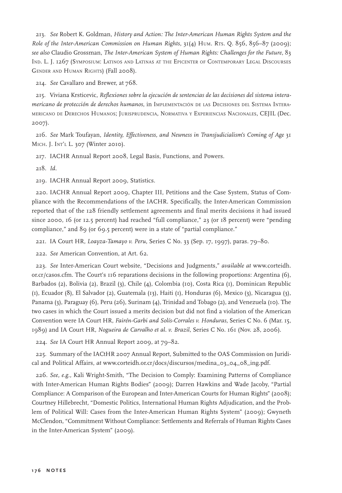213. *See* Robert K. Goldman, *History and Action: The Inter-American Human Rights System and the Role of the Inter-American Commission on Human Rights*, 31(4) HUM. RTS. Q. 856, 856–87 (2009); *see also* Claudio Grossman, *The Inter-American System of Human Rights: Challenges for the Future*, 83 IND. L. J. 1267 (SYMPOSIUM: LATINOS AND LATINAS AT THE EPICENTER OF CONTEMPORARY LEGAL DISCOURSES GENDER AND HUMAN RIGHTS) (Fall 2008).

214. *See* Cavallaro and Brewer, at 768.

215. Viviana Krsticevic, *Reflexiones sobre la ejecución de sentencias de las decisiones del sistema interamericano de protección de derechos humanos*, in IMPLEMENTACIÓN DE LAS DECISIONES DEL SISTEMA INTERA-MERICANO DE DERECHOS HUMANOS; JURISPRUDENCIA, NORMATIVA Y EXPERIENCIAS NACIONALES, CEJIL (Dec. 2007).

216. *See* Mark Toufayan, *Identity, Effectiveness, and Newness in Transjudicialism's Coming of Age* 31 MICH. J. INT'L L. 307 (Winter 2010).

217. IACHR Annual Report 2008, Legal Basis, Functions, and Powers.

218. *Id.*

219. IACHR Annual Report 2009, Statistics.

220. IACHR Annual Report 2009, Chapter III, Petitions and the Case System, Status of Compliance with the Recommendations of the IACHR. Specifically, the Inter-American Commission reported that of the 128 friendly settlement agreements and final merits decisions it had issued since 2000, 16 (or 12.5 percent) had reached "full compliance," 23 (or 18 percent) were "pending compliance," and 89 (or 69.5 percent) were in a state of "partial compliance."

221. IA Court HR, *Loayza-Tamayo v. Peru*, Series C No. 33 (Sep. 17, 1997), paras. 79–80.

222. *See* American Convention, at Art. 62.

223. *See* Inter-American Court website, "Decisions and Judgments," *available at* www.corteidh. or.cr/casos.cfm. The Court's 116 reparations decisions in the following proportions: Argentina (6), Barbados (2), Bolivia (2), Brazil (3), Chile (4), Colombia (10), Costa Rica (1), Dominican Republic (1), Ecuador (8), El Salvador (2), Guatemala (13), Haiti (1), Honduras (6), Mexico (3), Nicaragua (3), Panama (3), Paraguay (6), Peru (26), Surinam (4), Trinidad and Tobago (2), and Venezuela (10). The two cases in which the Court issued a merits decision but did not find a violation of the American Convention were IA Court HR, *Fairén-Garbi and Solís-Corrales v. Honduras*, Series C No. 6 (Mar. 15, 1989) and IA Court HR, *Nogueira de Carvalho et al. v. Brazil*, Series C No. 161 (Nov. 28, 2006).

224. *See* IA Court HR Annual Report 2009, at 79–82.

225. Summary of the IACtHR 2007 Annual Report, Submitted to the OAS Commission on Juridical and Political Affairs, *at* www.corteidh.or.cr/docs/discursos/medina\_03\_04\_08\_ing.pdf.

226. *See, e.g.,* Kali Wright-Smith, "The Decision to Comply: Examining Patterns of Compliance with Inter-American Human Rights Bodies" (2009); Darren Hawkins and Wade Jacoby, "Partial Compliance: A Comparison of the European and Inter-American Courts for Human Rights" (2008); Courtney Hillebrecht, "Domestic Politics, International Human Rights Adjudication, and the Problem of Political Will: Cases from the Inter-American Human Rights System" (2009); Gwyneth McClendon, "Commitment Without Compliance: Settlements and Referrals of Human Rights Cases in the Inter-American System" (2009).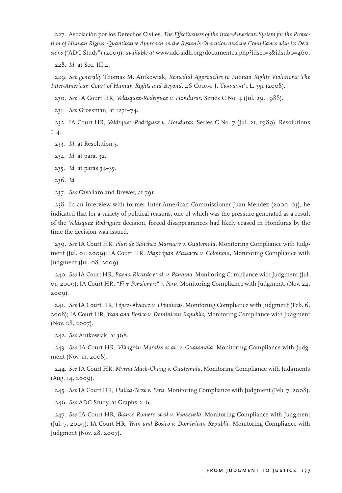227. Asociación por los Derechos Civiles, *The Effectiveness of the Inter-American System for the Protection of Human Rights: Quantitative Approach on the System's Operation and the Compliance with its Decisions* ("ADC Study") (2009), *available at* www.adc-sidh.org/documentos.php?idsec=3&idsub0=460.

228. *Id*. at Sec. III.4.

229. *See generally* Thomas M. Antkowiak, *Remedial Approaches to Human Rights Violations: The Inter-American Court of Human Rights and Beyond*, 46 COLUM. J. TRANSNAT'L L. 351 (2008).

230. *See* IA Court HR, *Velásquez-Rodríguez v. Honduras*, Series C No. 4 (Jul. 29, 1988).

231. *See* Grossman, at 1271–74.

232. IA Court HR, *Velásquez-Rodríguez v. Honduras*, Series C No. 7 (Jul. 21, 1989), Resolutions 1–4.

233. *Id*. at Resolution 5.

234. *Id*. at para. 32.

235. *Id*. at paras 34–35.

236. *Id*.

237. *See* Cavallaro and Brewer, at 791.

238. In an interview with former Inter-American Commissioner Juan Mendez (2000–03), he indicated that for a variety of political reasons, one of which was the pressure generated as a result of the *Velásquez Rodriguez* decision, forced disappearances had likely ceased in Honduras by the time the decision was issued.

239. *See* IA Court HR, *Plan de Sánchez Massacre v. Guatemala*, Monitoring Compliance with Judgment (Jul. 01, 2009); IA Court HR, *Mapiripán Massacre v. Colombia*, Monitoring Compliance with Judgment (Jul. 08, 2009).

240. *See* IA Court HR, *Baena-Ricardo et al. v. Panama*, Monitoring Compliance with Judgment (Jul. 01, 2009); IA Court HR, *"Five Pensioners" v. Peru*, Monitoring Compliance with Judgment, (Nov. 24, 2009).

241. *See* IA Court HR, *López-Álvarez v. Honduras*, Monitoring Compliance with Judgment (Feb. 6, 2008); IA Court HR, *Yean and Bosico v. Dominican Republic*, Monitoring Compliance with Judgment (Nov. 28, 2007).

242. *See* Antkowiak, at 368.

243. *See* IA Court HR, *Villagrán-Morales et al. v. Guatemala*, Monitoring Compliance with Judgment (Nov. 11, 2008).

244. *See* IA Court HR, *Myrna Mack-Chang v. Guatemala*, Monitoring Compliance with Judgments (Aug. 14, 2009).

245. *See* IA Court HR, *Huilca-Tecse v. Peru*. Monitoring Compliance with Judgment (Feb. 7, 2008).

246. *See* ADC Study, at Graphs 2, 6.

247. *See* IA Court HR, *Blanco-Romero et al v. Venezuela*, Monitoring Compliance with Judgment (Jul. 7, 2009); IA Court HR, *Yean and Bosico v. Dominican Republic*, Monitoring Compliance with Judgment (Nov. 28, 2007).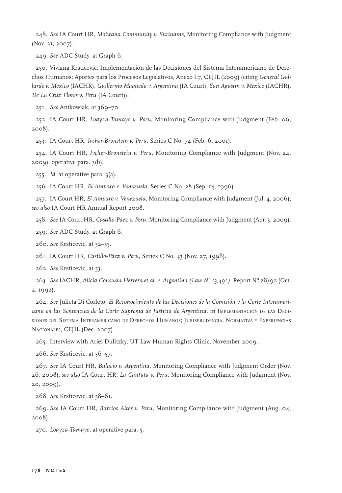248. *See* IA Court HR, *Moiwana Community v. Suriname*, Monitoring Compliance with Judgment (Nov. 21, 2007).

249. *See* ADC Study, at Graph 6.

250. Viviana Krsticevic, Implementación de las Decisiones del Sistema Interamericano de Derechos Humanos; Aportes para los Procesos Legislativos, Anexo I.7, CEJIL (2009) (citing *General Gallardo v. Mexico* (IACHR), *Guillermo Maqueda v. Argentina* (IA Court), *San Agustin v. Mexico* (IACHR), *De La Cruz Flores v. Peru* (IA Court)).

251. *See* Antkowiak, at 369–70

252. IA Court HR, *Loayza-Tamayo v. Peru*, Monitoring Compliance with Judgment (Feb. 06, 2008).

253. IA Court HR, *Ivcher-Bronstein v. Peru*, Series C No. 74 (Feb. 6, 2001).

254. IA Court HR, *Ivcher-Bronstein v. Peru*, Monitoring Compliance with Judgment (Nov. 24, 2009), operative para. 3(b).

255. *Id*. at operative para. 3(a).

256. IA Court HR, *El Amparo v. Venezuela*, Series C No. 28 (Sep. 14, 1996).

257. IA Court HR, *El Amparo v. Venezuela*, Monitoring Compliance with Judgment (Jul. 4, 2006); *see also* IA Court HR Annual Report 2008.

258. *See* IA Court HR, *Castillo-Páez v. Peru*, Monitoring Compliance with Judgment (Apr. 3, 2009).

259. *See* ADC Study, at Graph 6.

260. *See* Krsticevic, at 52–55.

261. IA Court HR, *Castillo-Páez v. Peru*, Series C No. 43 (Nov. 27, 1998).

262. *See* Krsticevic, at 53.

263. *See* IACHR, *Alicia Consuela Herrera et al. v. Argentina (Law Nº 23,492)*, Report Nº 28/92 (Oct. 2, 1992).

264. *See* Julieta Di Corleto, *El Reconocimiento de las Decisiones de la Comisión y la Corte Interamericana en las Sentencias de la Corte Suprema de Justicia de Argentina*, in IMPLEMENTACIÓN DE LAS DECI-SIONES DEL SISTEMA INTERAMERICANO DE DERECHOS HUMANOS; JURISPRUDENCIA, NORMATIVA Y EXPERIENCIAS NACIONALES, CEJIL (Dec. 2007).

265. Interview with Ariel Dulitzky, UT Law Human Rights Clinic, November 2009.

266. *See* Krsticevic, at 56–57.

267. *See* IA Court HR, *Bulacio v. Argentina*, Monitoring Compliance with Judgment Order (Nov. 26, 2008); *see also* IA Court HR, *La Cantuta v. Peru*, Monitoring Compliance with Judgment (Nov. 20, 2009).

268. *See* Krsticevic, at 58–61.

269. *See* IA Court HR, *Barrios Altos v. Peru*, Monitoring Compliance with Judgment (Aug. 04, 2008).

270. *Loayza-Tamayo*, at operative para. 5.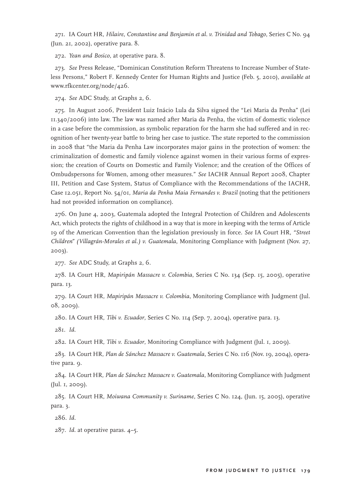271. IA Court HR, *Hilaire, Constantine and Benjamin et al. v. Trinidad and Tobago*, Series C No. 94 (Jun. 21, 2002), operative para. 8.

272. *Yean and Bosico*, at operative para. 8.

273. *See* Press Release, "Dominican Constitution Reform Threatens to Increase Number of Stateless Persons," Robert F. Kennedy Center for Human Rights and Justice (Feb. 5, 2010), *available at* www.rfkcenter.org/node/426.

274. *See* ADC Study, at Graphs 2, 6.

275. In August 2006, President Luiz Inácio Lula da Silva signed the "Lei Maria da Penha" (Lei 11.340/2006) into law. The law was named after Maria da Penha, the victim of domestic violence in a case before the commission, as symbolic reparation for the harm she had suffered and in recognition of her twenty-year battle to bring her case to justice. The state reported to the commission in 2008 that "the Maria da Penha Law incorporates major gains in the protection of women: the criminalization of domestic and family violence against women in their various forms of expression; the creation of Courts on Domestic and Family Violence; and the creation of the Offices of Ombudspersons for Women, among other measures." *See* IACHR Annual Report 2008, Chapter III, Petition and Case System, Status of Compliance with the Recommendations of the IACHR, Case 12.051, Report No. 54/01, *Maria da Penha Maia Fernandes v. Brazil* (noting that the petitioners had not provided information on compliance).

276. On June 4, 2003, Guatemala adopted the Integral Protection of Children and Adolescents Act, which protects the rights of childhood in a way that is more in keeping with the terms of Article 19 of the American Convention than the legislation previously in force. *See* IA Court HR, *"Street Children" (Villagrán-Morales et al.) v. Guatemala*, Monitoring Compliance with Judgment (Nov. 27, 2003).

277. *See* ADC Study, at Graphs 2, 6.

278. IA Court HR, *Mapiripán Massacre v. Colombia*, Series C No. 134 (Sep. 15, 2005), operative para. 13.

279. IA Court HR, *Mapiripán Massacre v. Colombia*, Monitoring Compliance with Judgment (Jul. 08, 2009).

280. IA Court HR, *Tibi v. Ecuador*, Series C No. 114 (Sep. 7, 2004), operative para. 13.

281. *Id*.

282. IA Court HR, *Tibi v. Ecuador*, Monitoring Compliance with Judgment (Jul. 1, 2009).

283. IA Court HR, *Plan de Sánchez Massacre v. Guatemala*, Series C No. 116 (Nov. 19, 2004), operative para. 9.

284. IA Court HR, *Plan de Sánchez Massacre v. Guatemala*, Monitoring Compliance with Judgment (Jul. 1, 2009).

285. IA Court HR, *Moiwana Community v. Suriname*, Series C No. 124, (Jun. 15, 2005), operative para. 3.

286. *Id.*

287. *Id*. at operative paras. 4–5.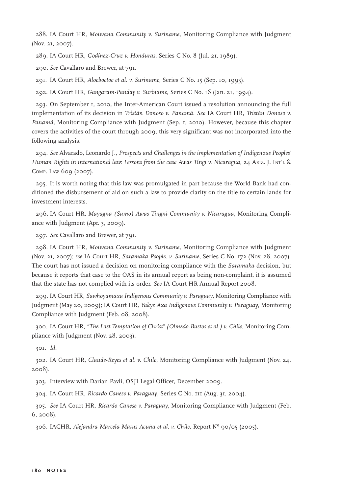288. IA Court HR, *Moiwana Community v. Suriname*, Monitoring Compliance with Judgment (Nov. 21, 2007).

289. IA Court HR, *Godínez-Cruz v. Honduras*, Series C No. 8 (Jul. 21, 1989).

290. *See* Cavallaro and Brewer, at 791.

291. IA Court HR, *Aloeboetoe et al. v. Suriname*, Series C No. 15 (Sep. 10, 1993).

292. IA Court HR, *Gangaram-Panday v. Suriname*, Series C No. 16 (Jan. 21, 1994).

293. On September 1, 2010, the Inter-American Court issued a resolution announcing the full implementation of its decision in *Tristán Donoso v. Panamá*. *See* IA Court HR, *Tristán Donoso v. Panamá*, Monitoring Compliance with Judgment (Sep. 1, 2010). However, because this chapter covers the activities of the court through 2009, this very significant was not incorporated into the following analysis.

294. *See* Alvarado, Leonardo J., *Prospects and Challenges in the implementation of Indigenous Peoples' Human Rights in international law: Lessons from the case Awas Tingi v. Nicaragua*, 24 ARIZ. J. INT'L & COMP. LAW 609 (2007).

295. It is worth noting that this law was promulgated in part because the World Bank had conditioned the disbursement of aid on such a law to provide clarity on the title to certain lands for investment interests.

296. IA Court HR, *Mayagna (Sumo) Awas Tingni Community v. Nicaragua*, Monitoring Compliance with Judgment (Apr. 3, 2009).

297. *See* Cavallaro and Brewer, at 791.

298. IA Court HR, *Moiwana Community v. Suriname*, Monitoring Compliance with Judgment (Nov. 21, 2007); *see* IA Court HR, *Saramaka People. v. Suriname*, Series C No. 172 (Nov. 28, 2007). The court has not issued a decision on monitoring compliance with the *Saramaka* decision, but because it reports that case to the OAS in its annual report as being non-complaint, it is assumed that the state has not complied with its order. *See* IA Court HR Annual Report 2008.

299. IA Court HR, *Sawhoyamaxa Indigenous Community v. Paraguay*, Monitoring Compliance with Judgment (May 20, 2009); IA Court HR, *Yakye Axa Indigenous Community v. Paraguay*, Monitoring Compliance with Judgment (Feb. 08, 2008).

300. IA Court HR, *"The Last Temptation of Christ" (Olmedo-Bustos et al.) v. Chile*, Monitoring Compliance with Judgment (Nov. 28, 2003).

301. *Id*.

302. IA Court HR, *Claude-Reyes et al. v. Chile*, Monitoring Compliance with Judgment (Nov. 24, 2008).

303. Interview with Darian Pavli, OSJI Legal Officer, December 2009.

304. IA Court HR, *Ricardo Canese v. Paraguay*, Series C No. 111 (Aug. 31, 2004).

305. *See* IA Court HR, *Ricardo Canese v. Paraguay*, Monitoring Compliance with Judgment (Feb. 6, 2008).

306. IACHR, *Alejandra Marcela Matus Acuña et al. v. Chile*, Report Nº 90/05 (2005).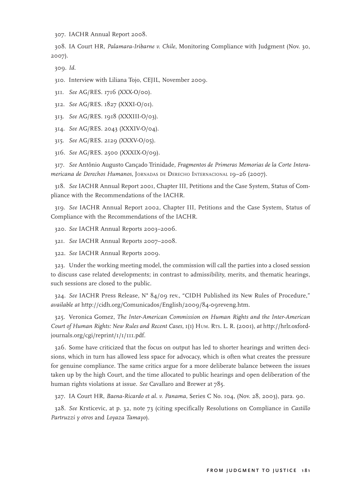307. IACHR Annual Report 2008.

308. IA Court HR, *Palamara-Iribarne v. Chile*, Monitoring Compliance with Judgment (Nov. 30, 2007).

309. *Id*.

310. Interview with Liliana Tojo, CEJIL, November 2009.

311. *See* AG/RES. 1716 (XXX-O/00).

312. *See* AG/RES. 1827 (XXXI-O/01).

313. *See* AG/RES. 1918 (XXXIII-O/03).

314. *See* AG/RES. 2043 (XXXIV-O/04).

315. *See* AG/RES. 2129 (XXXV-O/05).

316. *See* AG/RES. 2500 (XXXIX-O/09).

317. *See* Antônio Augusto Cançado Trinidade, *Fragmentos de Primeras Memorias de la Corte Interamericana de Derechos Humanos*, JORNADAS DE DERECHO INTERNACIONAL 19–26 (2007).

318. *See* IACHR Annual Report 2001, Chapter III, Petitions and the Case System, Status of Compliance with the Recommendations of the IACHR.

319. *See* IACHR Annual Report 2002, Chapter III, Petitions and the Case System, Status of Compliance with the Recommendations of the IACHR.

320. *See* IACHR Annual Reports 2003–2006.

321. *See* IACHR Annual Reports 2007–2008.

322. *See* IACHR Annual Reports 2009.

323. Under the working meeting model, the commission will call the parties into a closed session to discuss case related developments; in contrast to admissibility, merits, and thematic hearings, such sessions are closed to the public.

324. *See* IACHR Press Release, N° 84/09 rev., "CIDH Published its New Rules of Procedure," *available at* http://cidh.org/Comunicados/English/2009/84-09reveng.htm.

325. Veronica Gomez, *The Inter-American Commission on Human Rights and the Inter-American Court of Human Rights: New Rules and Recent Cases*, 1(1) HUM. RTS. L. R. (2001), *at* http://hrlr.oxfordjournals.org/cgi/reprint/1/1/111.pdf.

326. Some have criticized that the focus on output has led to shorter hearings and written decisions, which in turn has allowed less space for advocacy, which is often what creates the pressure for genuine compliance. The same critics argue for a more deliberate balance between the issues taken up by the high Court, and the time allocated to public hearings and open deliberation of the human rights violations at issue. *See* Cavallaro and Brewer at 785.

327. IA Court HR, *Baena-Ricardo et al. v. Panama*, Series C No. 104, (Nov. 28, 2003), para. 90.

328. *See* Krsticevic, at p. 32, note 73 (citing specifically Resolutions on Compliance in *Castillo Partruzzi y otros* and *Loyaza Tamayo*).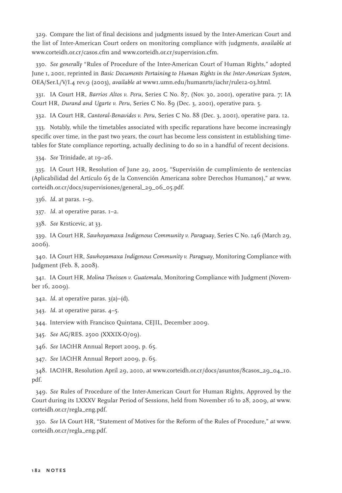329. Compare the list of final decisions and judgments issued by the Inter-American Court and the list of Inter-American Court orders on monitoring compliance with judgments, *available at*  www.corteidh.or.cr/casos.cfm and www.corteidh.or.cr/supervision.cfm.

330. *See generally* "Rules of Procedure of the Inter-American Court of Human Rights," adopted June 1, 2001, reprinted in *Basic Documents Pertaining to Human Rights in the Inter-American System*, OEA/Ser.L/V/I.4 rev.9 (2003), *available at* www1.umn.edu/humanrts/iachr/rule12-03.html.

331. IA Court HR, *Barrios Altos v. Peru*, Series C No. 87, (Nov. 30, 2001), operative para. 7; IA Court HR, *Durand and Ugarte v. Peru*, Series C No. 89 (Dec. 3, 2001), operative para. 5.

332. IA Court HR, *Cantoral-Benavides v. Peru*, Series C No. 88 (Dec. 3, 2001), operative para. 12.

333. Notably, while the timetables associated with specific reparations have become increasingly specific over time, in the past two years, the court has become less consistent in establishing timetables for State compliance reporting, actually declining to do so in a handful of recent decisions.

334. *See* Trinidade, at 19–26.

335. IA Court HR, Resolution of June 29, 2005, "Supervisión de cumplimiento de sentencias (Aplicabilidad del Artículo 65 de la Convención Americana sobre Derechos Humanos)," *at* www. corteidh.or.cr/docs/supervisiones/general\_29\_06\_05.pdf.

336. *Id*. at paras. 1–9.

337. *Id*. at operative paras. 1–2.

338. *See* Krsticevic, at 33.

339. IA Court HR, *Sawhoyamaxa Indigenous Community v. Paraguay*, Series C No. 146 (March 29, 2006).

340. IA Court HR, *Sawhoyamaxa Indigenous Community v. Paraguay*, Monitoring Compliance with Judgment (Feb. 8, 2008).

341. IA Court HR, *Molina Theissen v. Guatemala*, Monitoring Compliance with Judgment (November 16, 2009).

342. *Id*. at operative paras. 3(a)–(d).

343. *Id*. at operative paras. 4–5.

344. Interview with Francisco Quintana, CEJIL, December 2009.

345. *See* AG/RES. 2500 (XXXIX-O/09).

346. *See* IACtHR Annual Report 2009, p. 65.

347. *See* IACtHR Annual Report 2009, p. 65.

348. IACtHR, Resolution April 29, 2010, *at* www.corteidh.or.cr/docs/asuntos/8casos\_29\_04\_10. pdf.

349. *See* Rules of Procedure of the Inter-American Court for Human Rights, Approved by the Court during its LXXXV Regular Period of Sessions, held from November 16 to 28, 2009, *at* www. corteidh.or.cr/regla\_eng.pdf.

350. *See* IA Court HR, "Statement of Motives for the Reform of the Rules of Procedure," *at* www. corteidh.or.cr/regla\_eng.pdf.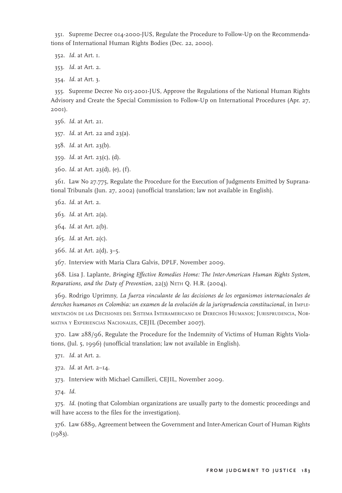351. Supreme Decree 014-2000-JUS, Regulate the Procedure to Follow-Up on the Recommendations of International Human Rights Bodies (Dec. 22, 2000).

352. *Id*. at Art. 1.

353. *Id.* at Art. 2.

354. *Id*. at Art. 3.

355. Supreme Decree No 015-2001-JUS, Approve the Regulations of the National Human Rights Advisory and Create the Special Commission to Follow-Up on International Procedures (Apr. 27, 2001).

- 356. *Id*. at Art. 21.
- 357. *Id*. at Art. 22 and 23(a).
- 358. *Id*. at Art. 23(b).
- 359. *Id*. at Art. 23(c), (d).
- 360. *Id*. at Art. 23(d), (e), (f).

361. Law No 27.775, Regulate the Procedure for the Execution of Judgments Emitted by Supranational Tribunals (Jun. 27, 2002) (unofficial translation; law not available in English).

- 362. *Id*. at Art. 2.
- 363. *Id*. at Art. 2(a).
- 364. *Id*. at Art. 2(b).
- 365. *Id*. at Art. 2(c).
- 366. *Id*. at Art. 2(d), 3–5.

367. Interview with Maria Clara Galvis, DPLF, November 2009.

368. Lisa J. Laplante, *Bringing Effective Remedies Home: The Inter-American Human Rights System, Reparations, and the Duty of Prevention*, 22(3) NETH Q. H.R. (2004).

369. Rodrigo Uprimny, *La fuerza vinculante de las decisiones de los organismos internacionales de derechos humanos en Colombia: un examen de la evolución de la jurisprudencia constitucional*, in IMPLE-MENTACIÓN DE LAS DECISIONES DEL SISTEMA INTERAMERICANO DE DERECHOS HUMANOS; JURISPRUDENCIA, NOR-MATIVA Y EXPERIENCIAS NACIONALES, CEJIL (December 2007).

370. Law 288/96, Regulate the Procedure for the Indemnity of Victims of Human Rights Violations, (Jul. 5, 1996) (unofficial translation; law not available in English).

- 371. *Id*. at Art. 2.
- 372. *Id*. at Art. 2–14.

373. Interview with Michael Camilleri, CEJIL, November 2009.

374. *Id*.

375. *Id*. (noting that Colombian organizations are usually party to the domestic proceedings and will have access to the files for the investigation).

376. Law 6889, Agreement between the Government and Inter-American Court of Human Rights  $(1983)$ .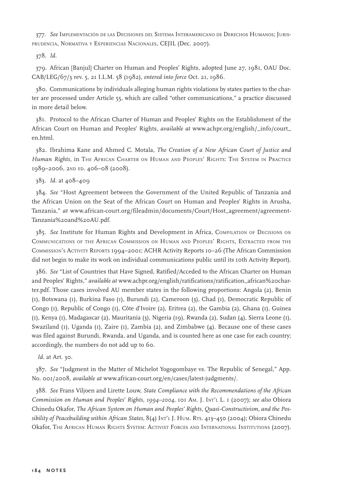377. *See* IMPLEMENTACIÓN DE LAS DECISIONES DEL SISTEMA INTERAMERICANO DE DERECHOS HUMANOS; JURIS-PRUDENCIA, NORMATIVA Y EXPERIENCIAS NACIONALES, CEJIL (Dec. 2007).

378. *Id*.

379. African [Banjul] Charter on Human and Peoples' Rights, adopted June 27, 1981, OAU Doc. CAB/LEG/67/3 rev. 5, 21 I.L.M. 58 (1982), *entered into force* Oct. 21, 1986.

380. Communications by individuals alleging human rights violations by states parties to the charter are processed under Article 55, which are called "other communications," a practice discussed in more detail below.

381. Protocol to the African Charter of Human and Peoples' Rights on the Establishment of the African Court on Human and Peoples' Rights, *available at* www.achpr.org/english/\_info/court\_ en.html.

382. Ibrahima Kane and Ahmed C. Motala, *The Creation of a New African Court of Justice and Human Rights*, in THE AFRICAN CHARTER ON HUMAN AND PEOPLES' RIGHTS: THE SYSTEM IN PRACTICE 1989–2006, 2ND ED. 406–08 (2008).

383. *Id*. at 408–409

384. *See* "Host Agreement between the Government of the United Republic of Tanzania and the African Union on the Seat of the African Court on Human and Peoples' Rights in Arusha, Tanzania," *at* www.african-court.org/fileadmin/documents/Court/Host\_agreement/agreement-Tanzania%20and%20AU.pdf.

385. *See* Institute for Human Rights and Development in Africa, COMPILATION OF DECISIONS ON COMMUNICATIONS OF THE AFRICAN COMMISSION ON HUMAN AND PEOPLES' RIGHTS, EXTRACTED FROM THE COMMISSION'S ACTIVITY REPORTS 1994–2001; ACHR Activity Reports 10–26 (The African Commission did not begin to make its work on individual communications public until its 10th Activity Report).

386. *See* "List of Countries that Have Signed, Ratified/Acceded to the African Charter on Human and Peoples' Rights," *available at* www.achpr.org/english/ratifications/ratification\_african%20charter.pdf. Those cases involved AU member states in the following proportions: Angola (2), Benin (1), Botswana (1), Burkina Faso (1), Burundi (2), Cameroon (3), Chad (1), Democratic Republic of Congo (1), Republic of Congo (1), Côte d'Ivoire (2), Eritrea (2), the Gambia (2), Ghana (1), Guinea (1), Kenya (1), Madagascar (2), Mauritania (3), Nigeria (19), Rwanda (2), Sudan (4), Sierra Leone (1), Swaziland  $(I)$ , Uganda  $(I)$ , Zaire  $(I)$ , Zambia  $(2)$ , and Zimbabwe  $(4)$ . Because one of these cases was filed against Burundi, Rwanda, and Uganda, and is counted here as one case for each country; accordingly, the numbers do not add up to 60.

*Id*. at Art. 30.

387. *See* "Judgment in the Matter of Michelot Yogogombaye vs. The Republic of Senegal," App. No. 001/2008, *available at* www.african-court.org/en/cases/latest-judgments/.

388. *See* Frans Viljoen and Lirette Louw, *State Compliance with the Recommendations of the African Commission on Human and Peoples' Rights, 1994–2004*, 101 AM. J. INT'L L. 1 (2007); *see also* Obiora Chinedu Okafor, *The African System on Human and Peoples' Rights, Quasi-Constructivism, and the Possibility of Peacebuilding within African States*, 8(4) INT'L J. HUM. RTS. 413–450 (2004); Obiora Chinedu Okafor, THE AFRICAN HUMAN RIGHTS SYSTEM: ACTIVIST FORCES AND INTERNATIONAL INSTITUTIONS (2007).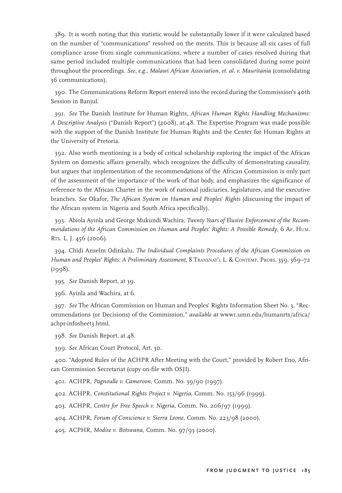389. It is worth noting that this statistic would be substantially lower if it were calculated based on the number of "communications" resolved on the merits. This is because all six cases of full compliance arose from single communications, where a number of cases resolved during that same period included multiple communications that had been consolidated during some point throughout the proceedings. *See, e.g., Malawi African Association, et. al. v. Mauritania* (consolidating 36 communications).

390. The Communications Reform Report entered into the record during the Commission's 40th Session in Banjul.

391. *See* The Danish Institute for Human Rights, *African Human Rights Handling Mechanisms: A Descriptive Analysis* ("Danish Report") (2008), at 48. The Expertise Program was made possible with the support of the Danish Institute for Human Rights and the Center for Human Rights at the University of Pretoria.

392. Also worth mentioning is a body of critical scholarship exploring the impact of the African System on domestic affairs generally, which recognizes the difficulty of demonstrating causality, but argues that implementation of the recommendations of the African Commission is only part of the assessment of the importance of the work of that body, and emphasizes the significance of reference to the African Charter in the work of national judiciaries, legislatures, and the executive branches. *See* Okafor, *The African System on Human and Peoples' Rights* (discussing the impact of the African system in Nigeria and South Africa specifically).

393. Abiola Ayinla and George Mukundi Wachira, *Twenty Years of Elusive Enforcement of the Recommendations of the African Commission on Human and Peoples' Rights: A Possible Remedy*, 6 AF. HUM. RTS. L. J. 456 (2006).

394. Chidi Anselm Odinkalu, *The Individual Complaints Procedures of the African Commission on Human and Peoples' Rights: A Preliminary Assessment*, 8 TRANSNAT'L L. & CONTEMP. PROBS. 359, 369–72  $(1998)$ .

395. *See* Danish Report, at 39.

396. Ayinla and Wachira, at 6.

397. *See* The African Commission on Human and Peoples' Rights Information Sheet No. 3, "Recommendations (or Decisions) of the Commission," *available at* www1.umn.edu/humanrts/africa/ achpr-infosheet3.html.

398. *See* Danish Report, at 48.

399. *See* African Court Protocol, Art. 30.

400. "Adopted Rules of the ACHPR After Meeting with the Court," provided by Robert Eno, African Commission Secretariat (copy on-file with OSJI).

401. ACHPR, *Pagnoulle v. Cameroon*, Comm. No. 39/90 (1997).

402. ACHPR, *Constitutional Rights Project v. Nigeria*, Comm. No. 153/96 (1999).

403. ACHPR, *Centre for Free Speech v. Nigeria*, Comm. No. 206/97 (1999).

404. ACHPR, *Forum of Conscience v. Sierra Leone*, Comm. No. 223/98 (2000).

405. ACPHR, *Modise v. Botswana*, Comm. No. 97/93 (2000).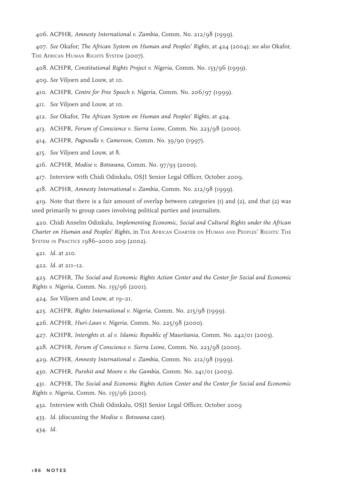406. ACPHR, *Amnesty International v. Zambia*, Comm. No. 212/98 (1999).

407. *See* Okafor; *The African System on Human and Peoples' Rights*, at 424 (2004); *see also* Okafor, THE AFRICAN HUMAN RIGHTS SYSTEM (2007).

408. ACHPR, *Constitutional Rights Project v. Nigeria*, Comm. No. 153/96 (1999).

409. *See* Viljoen and Louw, at 10.

410. ACHPR, *Centre for Free Speech v. Nigeria*, Comm. No. 206/97 (1999).

411. *See* Viljoen and Louw, at 10.

412. *See* Okafor, *The African System on Human and Peoples' Rights*, at 424.

413. ACHPR, *Forum of Conscience v. Sierra Leone*, Comm. No. 223/98 (2000).

- 414. ACHPR, *Pagnoulle v. Cameroon*, Comm. No. 39/90 (1997).
- 415. *See* Viljoen and Louw, at 8.
- 416. ACPHR, *Modise v. Botswana*, Comm. No. 97/93 (2000).

417. Interview with Chidi Odinkalu, OSJI Senior Legal Officer, October 2009.

418. ACPHR, *Amnesty International v. Zambia*, Comm. No. 212/98 (1999).

419. Note that there is a fair amount of overlap between categories (1) and (2), and that (2) was used primarily to group cases involving political parties and journalists.

420. Chidi Anselm Odinkalu, *Implementing Economic, Social and Cultural Rights under the African Charter on Human and Peoples' Rights*, in THE AFRICAN CHARTER ON HUMAN AND PEOPLES' RIGHTS: THE SYSTEM IN PRACTICE 1986–2000 209 (2002).

421. *Id*. at 210.

422. *Id*. at 211–12.

423. ACPHR, *The Social and Economic Rights Action Center and the Center for Social and Economic Rights v. Nigeria*, Comm. No. 155/96 (2001).

424. *See* Viljoen and Louw, at 19–21.

- 425. ACHPR, *Rights International v. Nigeria*, Comm. No. 215/98 (1999).
- 426. ACPHR, *Huri-Laws v. Nigeria*, Comm. No. 225/98 (2000).
- 427. ACHPR, *Interights et. al v. Islamic Republic of Mauritania*, Comm. No. 242/01 (2003).
- 428. ACPHR, *Forum of Conscience v. Sierra Leone*, Comm. No. 223/98 (2000).
- 429. ACPHR, *Amnesty International v. Zambia*, Comm. No. 212/98 (1999).
- 430. ACPHR, *Purohit and Moore v. the Gambia*, Comm. No. 241/01 (2003).

431. ACPHR, *The Social and Economic Rights Action Center and the Center for Social and Economic Rights v. Nigeria*, Comm. No. 155/96 (2001).

- 432. Interview with Chidi Odinkalu, OSJI Senior Legal Officer, October 2009
- 433. *Id*. (discussing the *Modise v. Botswana* case).

434. *Id*.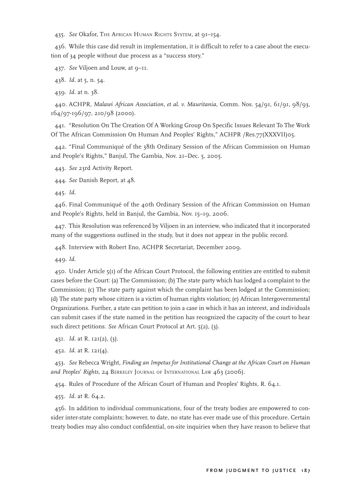435. *See* Okafor, THE AFRICAN HUMAN RIGHTS SYSTEM, at 91–154.

436. While this case did result in implementation, it is difficult to refer to a case about the execution of 34 people without due process as a "success story."

437. *See* Viljoen and Louw, at 9–11.

438. *Id.* at 5, n. 54.

439. *Id.* at n. 38.

440. ACHPR, *Malawi African Association, et al. v. Mauritania*, Comm. Nos. 54/91, 61/91, 98/93, 164/97-196/97, 210/98 (2000).

441. "Resolution On The Creation Of A Working Group On Specific Issues Relevant To The Work Of The African Commission On Human And Peoples' Rights," ACHPR /Res.77(XXXVII)05.

442. "Final Communiqué of the 38th Ordinary Session of the African Commission on Human and People's Rights," Banjul, The Gambia, Nov. 21–Dec. 5, 2005.

443. *See* 23rd Activity Report.

444. *See* Danish Report, at 48.

445. *Id*.

446. Final Communiqué of the 40th Ordinary Session of the African Commission on Human and People's Rights, held in Banjul, the Gambia, Nov. 15–19, 2006.

447. This Resolution was referenced by Viljoen in an interview, who indicated that it incorporated many of the suggestions outlined in the study, but it does not appear in the public record.

448. Interview with Robert Eno, ACHPR Secretariat, December 2009.

449. *Id.*

450. Under Article 5(1) of the African Court Protocol, the following entities are entitled to submit cases before the Court: (a) The Commission; (b) The state party which has lodged a complaint to the Commission; (c) The state party against which the complaint has been lodged at the Commission; (d) The state party whose citizen is a victim of human rights violation; (e) African Intergovernmental Organizations. Further, a state can petition to join a case in which it has an interest, and individuals can submit cases if the state named in the petition has recognized the capacity of the court to hear such direct petitions. *See* African Court Protocol at Art. 5(2), (3).

451. *Id*. at R. 121(2), (3).

452. *Id*. at R. 121(4).

453. *See* Rebecca Wright, *Finding an Impetus for Institutional Change at the African Court on Human and Peoples' Rights*, 24 BERKELEY JOURNAL OF INTERNATIONAL LAW 463 (2006).

454. Rules of Procedure of the African Court of Human and Peoples' Rights, R. 64.1.

455. *Id*. at R. 64.2.

456. In addition to individual communications, four of the treaty bodies are empowered to consider inter-state complaints; however, to date, no state has ever made use of this procedure. Certain treaty bodies may also conduct confidential, on-site inquiries when they have reason to believe that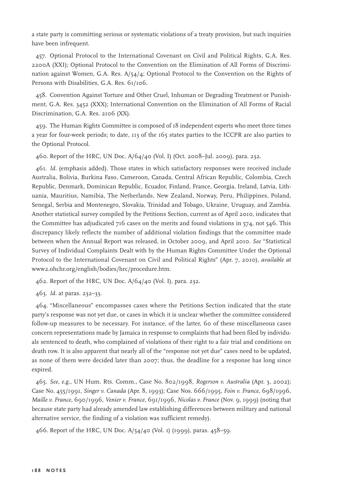a state party is committing serious or systematic violations of a treaty provision, but such inquiries have been infrequent.

457. Optional Protocol to the International Covenant on Civil and Political Rights, G.A. Res. 2200A (XXI); Optional Protocol to the Convention on the Elimination of All Forms of Discrimination against Women, G.A. Res. A/54/4; Optional Protocol to the Convention on the Rights of Persons with Disabilities, G.A. Res. 61/106.

458. Convention Against Torture and Other Cruel, Inhuman or Degrading Treatment or Punishment, G.A. Res. 3452 (XXX); International Convention on the Elimination of All Forms of Racial Discrimination, G.A. Res. 2106 (XX).

459. The Human Rights Committee is composed of 18 independent experts who meet three times a year for four-week periods; to date, 113 of the 165 states parties to the ICCPR are also parties to the Optional Protocol.

460. Report of the HRC, UN Doc. A/64/40 (Vol. I) (Oct. 2008–Jul. 2009), para. 232.

461. *Id.* (emphasis added). Those states in which satisfactory responses were received include Australia, Bolivia, Burkina Faso, Cameroon, Canada, Central African Republic, Colombia, Czech Republic, Denmark, Dominican Republic, Ecuador, Finland, France, Georgia, Ireland, Latvia, Lithuania, Mauritius, Namibia, The Netherlands, New Zealand, Norway, Peru, Philippines, Poland, Senegal, Serbia and Montenegro, Slovakia, Trinidad and Tobago, Ukraine, Uruguay, and Zambia. Another statistical survey compiled by the Petitions Section, current as of April 2010, indicates that the Committee has adjudicated  $716$  cases on the merits and found violations in  $574$ , not  $546$ . This discrepancy likely reflects the number of additional violation findings that the committee made between when the Annual Report was released, in October 2009, and April 2010. *See* "Statistical Survey of Individual Complaints Dealt with by the Human Rights Committee Under the Optional Protocol to the International Covenant on Civil and Political Rights" (Apr. 7, 2010), *available at*  www2.ohchr.org/english/bodies/hrc/procedure.htm.

 $462$ . Report of the HRC, UN Doc.  $A/64/40$  (Vol. I), para. 232.

463. *Id.* at paras. 232–33.

464. "Miscellaneous" encompasses cases where the Petitions Section indicated that the state party's response was not yet due, or cases in which it is unclear whether the committee considered follow-up measures to be necessary. For instance, of the latter, 60 of these miscellaneous cases concern representations made by Jamaica in response to complaints that had been filed by individuals sentenced to death, who complained of violations of their right to a fair trial and conditions on death row. It is also apparent that nearly all of the "response not yet due" cases need to be updated, as none of them were decided later than 2007; thus, the deadline for a response has long since expired.

465. *See, e.g.,* UN Hum. Rts. Comm., Case No. 802/1998, *Rogerson v. Australia* (Apr. 3, 2002); Case No. 455/1991, *Singer v. Canada* (Apr. 8, 1993); Case Nos. 666/1995, *Foin v. France*, 698/1996, *Maille v. France*, 690/1996, *Venier v. France*, 691/1996, *Nicolas v. France* (Nov. 9, 1999) (noting that because state party had already amended law establishing differences between military and national alternative service, the finding of a violation was sufficient remedy).

466. Report of the HRC, UN Doc. A/54/40 (Vol. 1) (1999), paras. 458–59.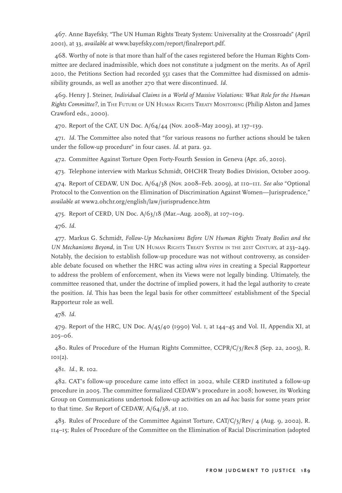467. Anne Bayefsky, "The UN Human Rights Treaty System: Universality at the Crossroads" (April 2001), at 33, *available at* www.bayefsky.com/report/finalreport.pdf.

468. Worthy of note is that more than half of the cases registered before the Human Rights Committee are declared inadmissible, which does not constitute a judgment on the merits. As of April 2010, the Petitions Section had recorded 551 cases that the Committee had dismissed on admissibility grounds, as well as another 270 that were discontinued. *Id.*

469. Henry J. Steiner, *Individual Claims in a World of Massive Violations: What Role for the Human Rights Committee?*, in THE FUTURE OF UN HUMAN RIGHTS TREATY MONITORING (Philip Alston and James Crawford eds., 2000).

470. Report of the CAT, UN Doc. A/64/44 (Nov. 2008–May 2009), at 137–139.

471. *Id.* The Committee also noted that "for various reasons no further actions should be taken under the follow-up procedure" in four cases. *Id.* at para. 92.

472. Committee Against Torture Open Forty-Fourth Session in Geneva (Apr. 26, 2010).

473. Telephone interview with Markus Schmidt, OHCHR Treaty Bodies Division, October 2009.

474. Report of CEDAW, UN Doc. A/64/38 (Nov. 2008–Feb. 2009), at 110–111. *See also* "Optional Protocol to the Convention on the Elimination of Discrimination Against Women—Jurisprudence," *available at* www2.ohchr.org/english/law/jurisprudence.htm

475. Report of CERD, UN Doc. A/63/18 (Mar.–Aug. 2008), at 107–109.

476. *Id.*

477. Markus G. Schmidt, *Follow-Up Mechanisms Before UN Human Rights Treaty Bodies and the UN Mechanisms Beyond*, in THE UN HUMAN RIGHTS TREATY SYSTEM IN THE 21ST CENTURY, at 233–249. Notably, the decision to establish follow-up procedure was not without controversy, as considerable debate focused on whether the HRC was acting *ultra vires* in creating a Special Rapporteur to address the problem of enforcement, when its Views were not legally binding. Ultimately, the committee reasoned that, under the doctrine of implied powers, it had the legal authority to create the position. *Id.* This has been the legal basis for other committees' establishment of the Special Rapporteur role as well.

478. *Id.*

479. Report of the HRC, UN Doc.  $A/45/40$  (1990) Vol. 1, at  $144-45$  and Vol. II, Appendix XI, at 205–06.

480. Rules of Procedure of the Human Rights Committee, CCPR/C/3/Rev.8 (Sep. 22, 2005), R.  $IOI(2).$ 

481. *Id.*, R. 102.

482. CAT's follow-up procedure came into effect in 2002, while CERD instituted a follow-up procedure in 2005. The committee formalized CEDAW's procedure in 2008; however, its Working Group on Communications undertook follow-up activities on an *ad hoc* basis for some years prior to that time. *See* Report of CEDAW, A/64/38, at 110.

483. Rules of Procedure of the Committee Against Torture, CAT/C/3/Rev/ 4 (Aug. 9, 2002), R. 114–15; Rules of Procedure of the Committee on the Elimination of Racial Discrimination (adopted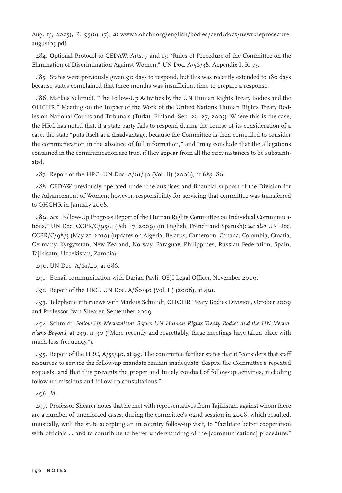Aug. 15, 2005), R. 95(6)–(7), *at* www2.ohchr.org/english/bodies/cerd/docs/newruleprocedureaugust05.pdf.

484. Optional Protocol to CEDAW, Arts. 7 and 13; "Rules of Procedure of the Committee on the Elimination of Discrimination Against Women," UN Doc. A/56/38, Appendix I, R. 73.

485. States were previously given 90 days to respond, but this was recently extended to 180 days because states complained that three months was insufficient time to prepare a response.

486. Markus Schmidt, "The Follow-Up Activities by the UN Human Rights Treaty Bodies and the OHCHR," Meeting on the Impact of the Work of the United Nations Human Rights Treaty Bodies on National Courts and Tribunals (Turku, Finland, Sep. 26–27, 2003). Where this is the case, the HRC has noted that, if a state party fails to respond during the course of its consideration of a case, the state "puts itself at a disadvantage, because the Committee is then compelled to consider the communication in the absence of full information," and "may conclude that the allegations contained in the communication are true, if they appear from all the circumstances to be substantiated."

487. Report of the HRC, UN Doc. A/61/40 (Vol. II) (2006), at 685–86.

488. CEDAW previously operated under the auspices and financial support of the Division for the Advancement of Women; however, responsibility for servicing that committee was transferred to OHCHR in January 2008.

489. *See* "Follow-Up Progress Report of the Human Rights Committee on Individual Communications," UN Doc. CCPR/C/95/4 (Feb. 17, 2009) (in English, French and Spanish); *see also* UN Doc. CCPR/C/98/3 (May 21, 2010) (updates on Algeria, Belarus, Cameroon, Canada, Colombia, Croatia, Germany, Kyrgyzstan, New Zealand, Norway, Paraguay, Philippines, Russian Federation, Spain, Tajikisatn, Uzbekistan, Zambia).

490. UN Doc. A/61/40, at 686.

491. E-mail communication with Darian Pavli, OSJI Legal Officer, November 2009.

492. Report of the HRC, UN Doc. A/60/40 (Vol. II) (2006), at 491.

493. Telephone interviews with Markus Schmidt, OHCHR Treaty Bodies Division, October 2009 and Professor Ivan Shearer, September 2009.

494. Schmidt, *Follow-Up Mechanisms Before UN Human Rights Treaty Bodies and the UN Mechanisms Beyond*, at 239, n. 30 ("More recently and regrettably, these meetings have taken place with much less frequency.").

495. Report of the HRC, A/55/40, at 99. The committee further states that it "considers that staff resources to service the follow-up mandate remain inadequate, despite the Committee's repeated requests, and that this prevents the proper and timely conduct of follow-up activities, including follow-up missions and follow-up consultations."

496. *Id.*

497. Professor Shearer notes that he met with representatives from Tajikistan, against whom there are a number of unenforced cases, during the committee's 92nd session in 2008, which resulted, unusually, with the state accepting an in country follow-up visit, to "facilitate better cooperation with officials … and to contribute to better understanding of the [communications] procedure."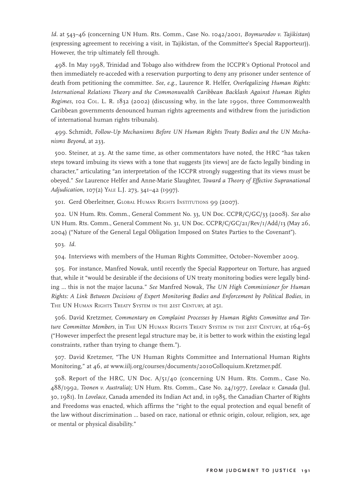*Id.* at 543–46 (concerning UN Hum. Rts. Comm., Case No. 1042/2001, *Boymurodov v. Tajikistan*) (expressing agreement to receiving a visit, in Tajikistan, of the Committee's Special Rapporteur)). However, the trip ultimately fell through.

498. In May 1998, Trinidad and Tobago also withdrew from the ICCPR's Optional Protocol and then immediately re-acceded with a reservation purporting to deny any prisoner under sentence of death from petitioning the committee. *See, e.g.,* Laurence R. Helfer, *Overlegalizing Human Rights: International Relations Theory and the Commonwealth Caribbean Backlash Against Human Rights Regimes*, 102 COL. L. R. 1832 (2002) (discussing why, in the late 1990s, three Commonwealth Caribbean governments denounced human rights agreements and withdrew from the jurisdiction of international human rights tribunals).

499. Schmidt, *Follow-Up Mechanisms Before UN Human Rights Treaty Bodies and the UN Mechanisms Beyond*, at 233.

500. Steiner, at 23. At the same time, as other commentators have noted, the HRC "has taken steps toward imbuing its views with a tone that suggests [its views] are de facto legally binding in character," articulating "an interpretation of the ICCPR strongly suggesting that its views must be obeyed." *See* Laurence Helfer and Anne-Marie Slaughter, *Toward a Theory of Effective Supranational Adjudication*, 107(2) YALE L.J. 273, 341–42 (1997).

501. Gerd Oberleitner, GLOBAL HUMAN RIGHTS INSTITUTIONS 99 (2007).

502. UN Hum. Rts. Comm., General Comment No. 33, UN Doc. CCPR/C/GC/33 (2008). *See also*  UN Hum. Rts. Comm., General Comment No. 31, UN Doc. CCPR/C/GC/21/Rev/1/Add/13 (May 26, 2004) ("Nature of the General Legal Obligation Imposed on States Parties to the Covenant").

503. *Id.*

504. Interviews with members of the Human Rights Committee, October–November 2009.

505. For instance, Manfred Nowak, until recently the Special Rapporteur on Torture, has argued that, while it "would be desirable if the decisions of UN treaty monitoring bodies were legally binding … this is not the major lacuna." *See* Manfred Nowak, *The UN High Commissioner for Human Rights: A Link Between Decisions of Expert Monitoring Bodies and Enforcement by Political Bodies*, in THE UN HUMAN RIGHTS TREATY SYSTEM IN THE 21ST CENTURY, at 251.

506. David Kretzmer, *Commentary on Complaint Processes by Human Rights Committee and Torture Committee Members*, in THE UN HUMAN RIGHTS TREATY SYSTEM IN THE 21ST CENTURY, at 164–65 ("However imperfect the present legal structure may be, it is better to work within the existing legal constraints, rather than trying to change them.").

507. David Kretzmer, "The UN Human Rights Committee and International Human Rights Monitoring," at 46, *at* www.iilj.org/courses/documents/2010Colloquium.Kretzmer.pdf.

508. Report of the HRC, UN Doc. A/51/40 (concerning UN Hum. Rts. Comm., Case No. 488/1992, *Toonen v. Australia*); UN Hum. Rts. Comm., Case No. 24/1977, *Lovelace v. Canada* (Jul. 30, 1981). In *Lovelace,* Canada amended its Indian Act and, in 1985, the Canadian Charter of Rights and Freedoms was enacted, which affirms the "right to the equal protection and equal benefit of the law without discrimination … based on race, national or ethnic origin, colour, religion, sex, age or mental or physical disability."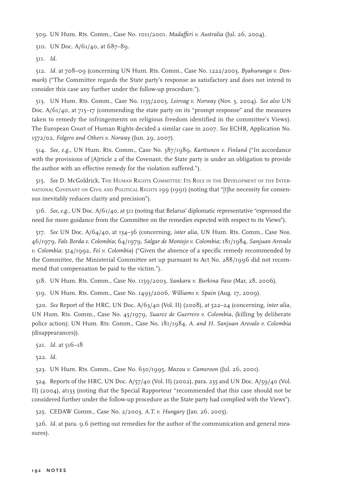509. UN Hum. Rts. Comm., Case No. 1011/2001, *Madafferi v. Australia* (Jul. 26, 2004).

510. UN Doc. A/61/40, at 687–89.

511. *Id.*

512. *Id.* at 708–09 (concerning UN Hum. Rts. Comm., Case No. 1222/2003, *Byahuranga v. Denmark*) ("The Committee regards the State party's response as satisfactory and does not intend to consider this case any further under the follow-up procedure.").

513. UN Hum. Rts. Comm., Case No. 1155/2003, *Leirvag v. Norway* (Nov. 3, 2004). *See also* UN Doc.  $A/61/40$ , at  $715$ – $17$  (commending the state party on its "prompt response" and the measures taken to remedy the infringements on religious freedom identified in the committee's Views). The European Court of Human Rights decided a similar case in 2007. *See* ECHR, Application No. 1572/02, *Folgero and Others v. Norway* (Jun. 29, 2007).

514. *See, e.g.,* UN Hum. Rts. Comm., Case No. 387/1989, *Karttunen v. Finland* ("In accordance with the provisions of [A]rticle 2 of the Covenant, the State party is under an obligation to provide the author with an effective remedy for the violation suffered.").

515. *See* D. McGoldrick, THE HUMAN RIGHTS COMMITTEE: ITS ROLE IN THE DEVELOPMENT OF THE INTER-NATIONAL COVENANT ON CIVIL AND POLITICAL RIGHTS 199 (1991) (noting that "[t]he necessity for consensus inevitably reduces clarity and precision").

516. *See, e.g.,* UN Doc. A/61/40, at 511 (noting that Belarus' diplomatic representative "expressed the need for more guidance from the Committee on the remedies expected with respect to its Views").

517. *See* UN Doc. A/64/40, at 134–36 (concerning, *inter alia*, UN Hum. Rts. Comm., Case Nos. 46/1979, *Fals Borda v. Colombia*; 64/1979, *Salgar de Montejo v. Colombia*; 181/1984, *Sanjuan Arevalo v. Colombia*; 514/1992, *Fei v. Colombia*) ("Given the absence of a specific remedy recommended by the Committee, the Ministerial Committee set up pursuant to Act No. 288/1996 did not recommend that compensation be paid to the victim.").

518. UN Hum. Rts. Comm., Case No. 1159/2003, *Sankara v. Burkina Faso* (Mar, 28, 2006).

519. UN Hum. Rts. Comm., Case No. 1493/2006, *Williams v. Spain* (Aug. 17, 2009).

520. *See* Report of the HRC, UN Doc. A/63/40 (Vol. II) (2008), at 522–24 (concerning, *inter alia*, UN Hum. Rts. Comm., Case No. 45/1979, *Suarez de Guerrero v. Colombia*, (killing by deliberate police action); UN Hum. Rts. Comm., Case No. 181/1984, *A. and H. Sanjuan Arevalo v. Colombia* (disappearances)).

521. *Id.* at 516–18

522. *Id.*

523. UN Hum. Rts. Comm., Case No. 630/1995, *Mazou v. Cameroon* (Jul. 26, 2001).

524. Reports of the HRC, UN Doc. A/57/40 (Vol. II) (2002), para. 235 and UN Doc. A/59/40 (Vol. II) (2004), at133 (noting that the Special Rapporteur "recommended that this case should not be considered further under the follow-up procedure as the State party had complied with the Views").

525. CEDAW Comm., Case No. 2/2003, *A.T. v. Hungary* (Jan. 26, 2005).

526. *Id.* at para. 9.6 (setting out remedies for the author of the communication and general measures).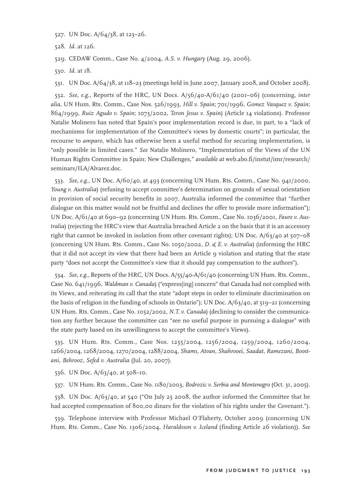527. UN Doc. A/64/38, at 123–26.

528. *Id.* at 126.

529. CEDAW Comm., Case No. 4/2004, *A.S. v. Hungary* (Aug. 29, 2006).

530. *Id.* at 18.

531. UN Doc. A/64/38, at 118–23 (meetings held in June 2007, January 2008, and October 2008).

532. *See, e.g.,* Reports of the HRC, UN Docs. A/56/40-A/61/40 (2001–06) (concerning, *inter alia*, UN Hum. Rts. Comm., Case Nos. 526/1993, *Hill v. Spain*; 701/1996, *Gomez Vasquez v. Spain*; 864/1999, *Ruiz Agudo v. Spain*; 1073/2002, *Teron Jesus v. Spain*) (Article 14 violations). Professor Natalie Molinero has noted that Spain's poor implementation record is due, in part, to a "lack of mechanisms for implementation of the Committee's views by domestic courts"; in particular, the recourse to *amparo*, which has otherwise been a useful method for securing implementation, is "only possible in limited cases." *See* Natalie Molinero, "Implementation of the Views of the UN Human Rights Committee in Spain: New Challenges," *available at* web.abo.fi/instut/imr/research/ seminars/ILA/Alvarez.doc.

533. *See, e.g.,* UN Doc. A/60/40, at 493 (concerning UN Hum. Rts. Comm., Case No. 941/2000, *Young v. Australia*) (refusing to accept committee's determination on grounds of sexual orientation in provision of social security benefits in 2007, Australia informed the committee that "further dialogue on this matter would not be fruitful and declines the offer to provide more information"); UN Doc. A/61/40 at 690–92 (concerning UN Hum. Rts. Comm., Case No. 1036/2001, *Faure v. Australia*) (rejecting the HRC's view that Australia breached Article 2 on the basis that it is an accessory right that cannot be invoked in isolation from other covenant rights); UN Doc. A/63/40 at 507–08 (concerning UN Hum. Rts. Comm., Case No. 1050/2002, *D. & E. v. Australia*) (informing the HRC that it did not accept its view that there had been an Article 9 violation and stating that the state party "does not accept the Committee's view that it should pay compensation to the authors").

534. *See, e.g.,* Reports of the HRC, UN Docs. A/55/40-A/61/40 (concerning UN Hum. Rts. Comm., Case No. 641/1996, *Waldman v. Canada*) ("express[ing] concern" that Canada had not complied with its Views, and reiterating its call that the state "adopt steps in order to eliminate discrimination on the basis of religion in the funding of schools in Ontario"); UN Doc.  $A/63/40$ , at  $519-21$  (concerning UN Hum. Rts. Comm., Case No. 1052/2002, *N.T. v. Canada*) (declining to consider the communication any further because the committee can "see no useful purpose in pursuing a dialogue" with the state party based on its unwillingness to accept the committee's Views).

535. UN Hum. Rts. Comm., Case Nos. 1255/2004, 1256/2004, 1259/2004, 1260/2004, 1266/2004, 1268/2004, 1270/2004, 1288/2004, *Shams, Atvan, Shahrooei, Saadat, Ramezani, Boostani, Behrooz, Sefed v. Australia* (Jul. 20, 2007).

536. UN Doc. A/63/40, at 508–10.

537. UN Hum. Rts. Comm., Case No. 1180/2003, *Bodrozic v. Serbia and Montenegro* (Oct. 31, 2005).

538. UN Doc.  $A/63/40$ , at 540 ("On July 25 2008, the author informed the Committee that he had accepted compensation of 800,00 dinars for the violation of his rights under the Covenant.").

539. Telephone interview with Professor Michael O'Flaherty, October 2009 (concerning UN Hum. Rts. Comm., Case No. 1306/2004, *Haraldsson v. Iceland* (finding Article 26 violation)). *See*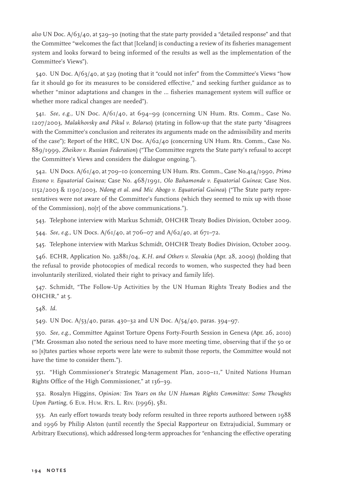*also* UN Doc. A/63/40, at 529–30 (noting that the state party provided a "detailed response" and that the Committee "welcomes the fact that [Iceland] is conducting a review of its fisheries management system and looks forward to being informed of the results as well as the implementation of the Committee's Views").

540. UN Doc. A/63/40, at 529 (noting that it "could not infer" from the Committee's Views "how far it should go for its measures to be considered effective," and seeking further guidance as to whether "minor adaptations and changes in the … fisheries management system will suffice or whether more radical changes are needed").

541. *See, e.g.,* UN Doc. A/61/40, at 694–99 (concerning UN Hum. Rts. Comm., Case No. 1207/2003, *Malakhovsky and Pikul v. Belarus*) (stating in follow-up that the state party "disagrees with the Committee's conclusion and reiterates its arguments made on the admissibility and merits of the case"); Report of the HRC, UN Doc. A/62/40 (concerning UN Hum. Rts. Comm., Case No. 889/1999, *Zheikov v. Russian Federation*) ("The Committee regrets the State party's refusal to accept the Committee's Views and considers the dialogue ongoing.").

542. UN Docs. A/61/40, at 709–10 (concerning UN Hum. Rts. Comm., Case No.414/1990, *Primo Essono v. Equatorial Guinea*; Case No. 468/1991, *Olo Bahamonde v. Equatorial Guinea*; Case Nos. 1152/2003 & 1190/2003, *Ndong et al. and Mic Abogo v. Equatorial Guinea*) ("The State party representatives were not aware of the Committee's functions (which they seemed to mix up with those of the Commission), no[r] of the above communications.").

543. Telephone interview with Markus Schmidt, OHCHR Treaty Bodies Division, October 2009.

544. *See, e.g.,* UN Docs. A/61/40, at 706–07 and A/62/40, at 671–72.

545. Telephone interview with Markus Schmidt, OHCHR Treaty Bodies Division, October 2009.

546. ECHR, Application No. 32881/04, *K.H. and Others v. Slovakia* (Apr. 28, 2009) (holding that the refusal to provide photocopies of medical records to women, who suspected they had been involuntarily sterilized, violated their right to privacy and family life).

547. Schmidt, "The Follow-Up Activities by the UN Human Rights Treaty Bodies and the OHCHR," at 5.

548. *Id.*

549. UN Doc. A/53/40, paras. 430–32 and UN Doc. A/54/40, paras. 394–97.

550. *See, e.g.,* Committee Against Torture Opens Forty-Fourth Session in Geneva (Apr. 26, 2010) ("Mr. Grossman also noted the serious need to have more meeting time, observing that if the 50 or so [s]tates parties whose reports were late were to submit those reports, the Committee would not have the time to consider them.").

551. "High Commissioner's Strategic Management Plan, 2010–11," United Nations Human Rights Office of the High Commissioner," at 136–39.

552. Rosalyn Higgins, *Opinion: Ten Years on the UN Human Rights Committee: Some Thoughts Upon Parting*, 6 EUR. HUM. RTS. L. REV. (1996), 581.

553. An early effort towards treaty body reform resulted in three reports authored between 1988 and 1996 by Philip Alston (until recently the Special Rapporteur on Extrajudicial, Summary or Arbitrary Executions), which addressed long-term approaches for "enhancing the effective operating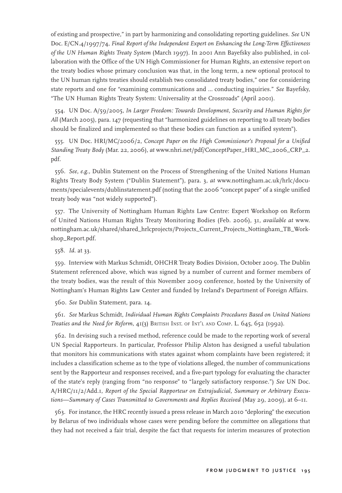of existing and prospective," in part by harmonizing and consolidating reporting guidelines. *See* UN Doc. E/CN.4/1997/74, *Final Report of the Independent Expert on Enhancing the Long-Term Effectiveness of the UN Human Rights Treaty System* (March 1997). In 2001 Ann Bayefsky also published, in collaboration with the Office of the UN High Commissioner for Human Rights, an extensive report on the treaty bodies whose primary conclusion was that, in the long term, a new optional protocol to the UN human rights treaties should establish two consolidated treaty bodies," one for considering state reports and one for "examining communications and … conducting inquiries." *See* Bayefsky, "The UN Human Rights Treaty System: Universality at the Crossroads" (April 2001).

554. UN Doc. A/59/2005, *In Larger Freedom: Towards Development, Security and Human Rights for All* (March 2005), para. 147 (requesting that "harmonized guidelines on reporting to all treaty bodies should be finalized and implemented so that these bodies can function as a unified system").

555. UN Doc. HRI/MC/2006/2, *Concept Paper on the High Commissioner's Proposal for a Unified Standing Treaty Body* (Mar. 22, 2006), *at* www.nhri.net/pdf/ConceptPaper\_HRI\_MC\_2006\_CRP\_2. pdf.

556. *See, e.g.,* Dublin Statement on the Process of Strengthening of the United Nations Human Rights Treaty Body System ("Dublin Statement"), para. 3, *at* www.nottingham.ac.uk/hrlc/documents/specialevents/dublinstatement.pdf (noting that the 2006 "concept paper" of a single unified treaty body was "not widely supported").

557. The University of Nottingham Human Rights Law Centre: Expert Workshop on Reform of United Nations Human Rights Treaty Monitoring Bodies (Feb. 2006), 31, *available at* www. nottingham.ac.uk/shared/shared\_hrlcprojects/Projects\_Current\_Projects\_Nottingham\_TB\_Workshop\_Report.pdf.

558. *Id.* at 33.

559. Interview with Markus Schmidt, OHCHR Treaty Bodies Division, October 2009. The Dublin Statement referenced above, which was signed by a number of current and former members of the treaty bodies, was the result of this November 2009 conference, hosted by the University of Nottingham's Human Rights Law Center and funded by Ireland's Department of Foreign Affairs.

560. *See* Dublin Statement, para. 14.

561. *See* Markus Schmidt, *Individual Human Rights Complaints Procedures Based on United Nations Treaties and the Need for Reform*, 41(3) BRITISH INST. OF INT'L AND COMP. L. 645, 652 (1992).

562. In devising such a revised method, reference could be made to the reporting work of several UN Special Rapporteurs. In particular, Professor Philip Alston has designed a useful tabulation that monitors his communications with states against whom complaints have been registered; it includes a classification scheme as to the type of violations alleged, the number of communications sent by the Rapporteur and responses received, and a five-part typology for evaluating the character of the state's reply (ranging from "no response" to "largely satisfactory response.") *See* UN Doc. A/HRC/11/2/Add.1, *Report of the Special Rapporteur on Extrajudicial, Summary or Arbitrary Executions—Summary of Cases Transmitted to Governments and Replies Received* (May 29, 2009), at 6–11.

563. For instance, the HRC recently issued a press release in March 2010 "deploring" the execution by Belarus of two individuals whose cases were pending before the committee on allegations that they had not received a fair trial, despite the fact that requests for interim measures of protection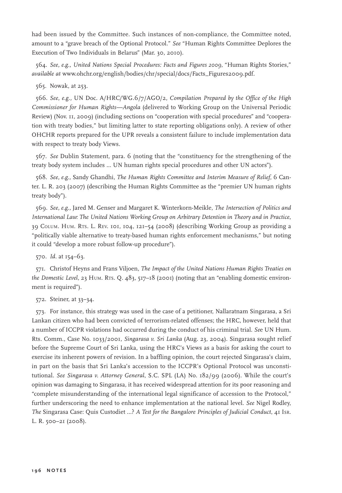had been issued by the Committee. Such instances of non-compliance, the Committee noted, amount to a "grave breach of the Optional Protocol." *See* "Human Rights Committee Deplores the Execution of Two Individuals in Belarus" (Mar. 30, 2010).

564. *See, e.g., United Nations Special Procedures: Facts and Figures 2009*, "Human Rights Stories," *available at* www.ohchr.org/english/bodies/chr/special/docs/Facts\_Figures2009.pdf.

### 565. Nowak, at 253.

566. *See, e.g.,* UN Doc. A/HRC/WG.6/7/AGO/2, *Compilation Prepared by the Office of the High Commissioner for Human Rights—Angola* (delivered to Working Group on the Universal Periodic Review) (Nov. 11, 2009) (including sections on "cooperation with special procedures" and "cooperation with treaty bodies," but limiting latter to state reporting obligations only). A review of other OHCHR reports prepared for the UPR reveals a consistent failure to include implementation data with respect to treaty body Views.

567. *See* Dublin Statement, para. 6 (noting that the "constituency for the strengthening of the treaty body system includes … UN human rights special procedures and other UN actors").

568. *See, e.g.,* Sandy Ghandhi, *The Human Rights Committee and Interim Measure of Relief*, 6 Canter. L. R. 203 (2007) (describing the Human Rights Committee as the "premier UN human rights treaty body").

569. *See, e.g.,* Jared M. Genser and Margaret K. Winterkorn-Meikle, *The Intersection of Politics and International Law: The United Nations Working Group on Arbitrary Detention in Theory and in Practice*, 39 COLUM. HUM. RTS. L. REV. 101, 104, 121–54 (2008) (describing Working Group as providing a "politically viable alternative to treaty-based human rights enforcement mechanisms," but noting it could "develop a more robust follow-up procedure").

570. *Id.* at 154–63.

571. Christof Heyns and Frans Viljoen, *The Impact of the United Nations Human Rights Treaties on the Domestic Level*, 23 HUM. RTS. Q. 483, 517–18 (2001) (noting that an "enabling domestic environment is required").

572. Steiner, at 33–34.

573. For instance, this strategy was used in the case of a petitioner, Nallaratnam Singarasa, a Sri Lankan citizen who had been convicted of terrorism-related offenses; the HRC, however, held that a number of ICCPR violations had occurred during the conduct of his criminal trial. *Se*e UN Hum. Rts. Comm., Case No. 1033/2001, *Singarasa v. Sri Lanka* (Aug. 23, 2004). Singarasa sought relief before the Supreme Court of Sri Lanka, using the HRC's Views as a basis for asking the court to exercise its inherent powers of revision. In a baffling opinion, the court rejected Singarasa's claim, in part on the basis that Sri Lanka's accession to the ICCPR's Optional Protocol was unconstitutional. *See Singarasa v. Attorney General*, S.C. SPL (LA) No. 182/99 (2006). While the court's opinion was damaging to Singarasa, it has received widespread attention for its poor reasoning and "complete misunderstanding of the international legal significance of accession to the Protocol," further underscoring the need to enhance implementation at the national level. *See* Nigel Rodley, *The* Singarasa Case: Quis Custodiet …? *A Test for the Bangalore Principles of Judicial Conduct*, 41 ISR. L. R. 500–21 (2008).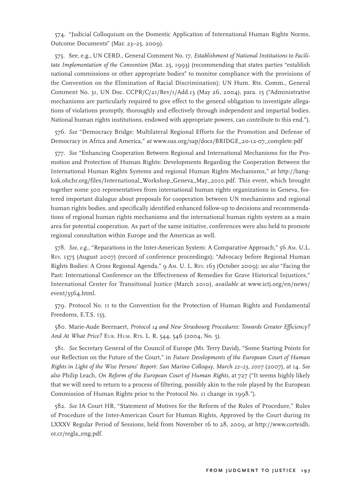574. "Judicial Colloquium on the Domestic Application of International Human Rights Norms, Outcome Documents" (Mar. 23–25, 2009).

575. See, e.g., UN CERD., General Comment No. 17, *Establishment of National Institutions to Facilitate Implementation of the Convention* (Mar. 25, 1993) (recommending that states parties "establish national commissions or other appropriate bodies" to monitor compliance with the provisions of the Convention on the Elimination of Racial Discrimination); UN Hum. Rts. Comm., General Comment No. 31, UN Doc. CCPR/C/21/Rev/1/Add.13 (May 26, 2004), para. 15 ("Administrative mechanisms are particularly required to give effect to the general obligation to investigate allegations of violations promptly, thoroughly and effectively through independent and impartial bodies. National human rights institutions, endowed with appropriate powers, can contribute to this end.").

576. *See* "Democracy Bridge: Multilateral Regional Efforts for the Promotion and Defense of Democracy in Africa and America," *at* www.oas.org/sap/docs/BRIDGE\_20-12-07\_complete.pdf

577. *See* "Enhancing Cooperation Between Regional and International Mechanisms for the Promotion and Protection of Human Rights: Developments Regarding the Cooperation Between the International Human Rights Systems and regional Human Rights Mechanisms," *at* http://bangkok.ohchr.org/files/International\_Workshop\_Geneva\_May\_2010.pdf. This event, which brought together some 300 representatives from international human rights organizations in Geneva, fostered important dialogue about proposals for cooperation between UN mechanisms and regional human rights bodies, and specifically identified enhanced follow-up to decisions and recommendations of regional human rights mechanisms and the international human rights system as a main area for potential cooperation. As part of the same initiative, conferences were also held to promote regional consultation within Europe and the Americas as well.

578. *See, e.g.,* "Reparations in the Inter-American System: A Comparative Approach," 56 AM. U.L. REV. 1375 (August 2007) (record of conference proceedings); "Advocacy before Regional Human Rights Bodies: A Cross Regional Agenda," 9 AM. U. L. REV. 163 (October 2009); *see also* "Facing the Past: International Conference on the Effectiveness of Remedies for Grave Historical Injustices," International Center for Transitional Justice (March 2010), *available at* www.ictj.org/en/news/ event/3564.html.

579. Protocol No. 11 to the Convention for the Protection of Human Rights and Fundamental Freedoms, E.T.S. 155.

580. Marie-Aude Beernaert, *Protocol 14 and New Strasbourg Procedures: Towards Greater Efficiency? And At What Price?* EUR. HUM. RTS. L. R. 544, 546 (2004, No. 5).

581. *See* Secretary General of the Council of Europe (Mr. Terry David), "Some Starting Points for our Reflection on the Future of the Court," in *Future Developments of the European Court of Human Rights in Light of the Wise Persons' Report: San Marino Colloquy*, *March 22–23, 2007* (2007), at 14. *See also* Philip Leach, *On Reform of the European Court of Human Rights*, at 727 ("It seems highly likely that we will need to return to a process of filtering, possibly akin to the role played by the European Commission of Human Rights prior to the Protocol No. 11 change in 1998.").

582. *See* IA Court HR, "Statement of Motives for the Reform of the Rules of Procedure," Rules of Procedure of the Inter-American Court for Human Rights, Approved by the Court during its LXXXV Regular Period of Sessions, held from November 16 to 28, 2009, *at* http://www.corteidh. or.cr/regla\_eng.pdf.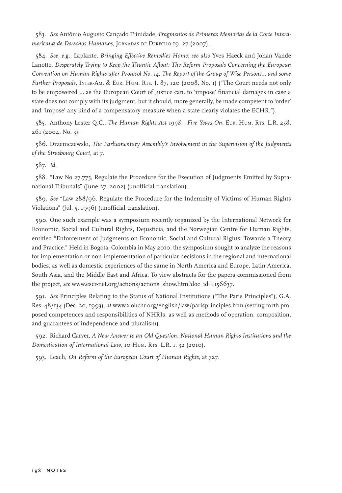583. *See* Antônio Augusto Cançado Trinidade, *Fragmentos de Primeras Memorias de la Corte Interamericana de Derechos Humanos*, JORNADAS DE DERECHO 19–27 (2007).

584. *See, e.g.*, Laplante, *Bringing Effective Remedies Home*; *see also* Yves Haeck and Johan Vande Lanotte, *Desperately Trying to Keep the Titantic Afloat: The Reform Proposals Concerning the European Convention on Human Rights after Protocol No. 14: The Report of the Group of Wise Persons… and some Further Proposals*, INTER-AM. & EUR. HUM. RTS. J. 87, 120 (2008, No. 1) ("The Court needs not only to be empowered … as the European Court of Justice can, to 'impose' financial damages in case a state does not comply with its judgment, but it should, more generally, be made competent to 'order' and 'impose' any kind of a compensatory measure when a state clearly violates the ECHR.").

585. Anthony Lester Q.C., *The Human Rights Act 1998—Five Years On*, EUR. HUM. RTS. L.R. 258, 261 (2004, No. 3).

586. Drzemczewski, *The Parliamentary Assembly's Involvement in the Supervision of the Judgments of the Strasbourg Court*, at 7.

587. *Id.*

588. "Law No 27.775, Regulate the Procedure for the Execution of Judgments Emitted by Supranational Tribunals" (June 27, 2002) (unofficial translation).

589. *See* "Law 288/96, Regulate the Procedure for the Indemnity of Victims of Human Rights Violations" (Jul. 5, 1996) (unofficial translation).

590. One such example was a symposium recently organized by the International Network for Economic, Social and Cultural Rights, Dejusticia, and the Norwegian Centre for Human Rights, entitled "Enforcement of Judgments on Economic, Social and Cultural Rights: Towards a Theory and Practice." Held in Bogota, Colombia in May 2010, the symposium sought to analyze the reasons for implementation or non-implementation of particular decisions in the regional and international bodies, as well as domestic experiences of the same in North America and Europe, Latin America, South Asia, and the Middle East and Africa. To view abstracts for the papers commissioned from the project, see www.escr-net.org/actions/actions\_show.htm?doc\_id=1156637.

591. *See* Principles Relating to the Status of National Institutions ("The Paris Principles"), G.A. Res. 48/134 (Dec. 20, 1993), *at* www2.ohchr.org/english/law/parisprinciples.htm (setting forth proposed competences and responsibilities of NHRIs, as well as methods of operation, composition, and guarantees of independence and pluralism).

592. Richard Carver, *A New Answer to an Old Question: National Human Rights Institutions and the Domestication of International Law*, 10 HUM. RTS. L.R. 1, 32 (2010).

593. Leach, *On Reform of the European Court of Human Rights*, at 727.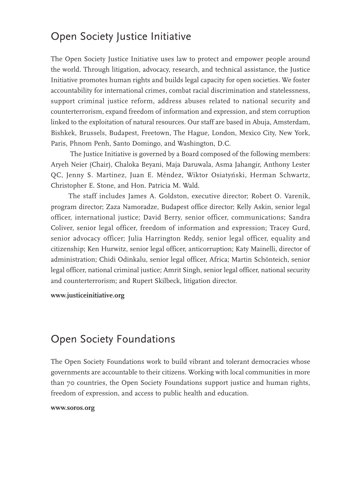# Open Society Justice Initiative

The Open Society Justice Initiative uses law to protect and empower people around the world. Through litigation, advocacy, research, and technical assistance, the Justice Initiative promotes human rights and builds legal capacity for open societies. We foster accountability for international crimes, combat racial discrimination and statelessness, support criminal justice reform, address abuses related to national security and counterterrorism, expand freedom of information and expression, and stem corruption linked to the exploitation of natural resources. Our staff are based in Abuja, Amsterdam, Bishkek, Brussels, Budapest, Freetown, The Hague, London, Mexico City, New York, Paris, Phnom Penh, Santo Domingo, and Washington, D.C.

 The Justice Initiative is governed by a Board composed of the following members: Aryeh Neier (Chair), Chaloka Beyani, Maja Daruwala, Asma Jahangir, Anthony Lester QC, Jenny S. Martinez, Juan E. Méndez, Wiktor Osiatyński, Herman Schwartz, Christopher E. Stone, and Hon. Patricia M. Wald.

The staff includes James A. Goldston, executive director; Robert O. Varenik, program director; Zaza Namoradze, Budapest office director; Kelly Askin, senior legal officer, international justice; David Berry, senior officer, communications; Sandra Coliver, senior legal officer, freedom of information and expression; Tracey Gurd, senior advocacy officer; Julia Harrington Reddy, senior legal officer, equality and citizenship; Ken Hurwitz, senior legal officer, anticorruption; Katy Mainelli, director of administration; Chidi Odinkalu, senior legal officer, Africa; Martin Schönteich, senior legal officer, national criminal justice; Amrit Singh, senior legal officer, national security and counterterrorism; and Rupert Skilbeck, litigation director.

## **www.justiceinitiative.org**

# Open Society Foundations

The Open Society Foundations work to build vibrant and tolerant democracies whose governments are accountable to their citizens. Working with local communities in more than 70 countries, the Open Society Foundations support justice and human rights, freedom of expression, and access to public health and education.

### **www.soros.org**